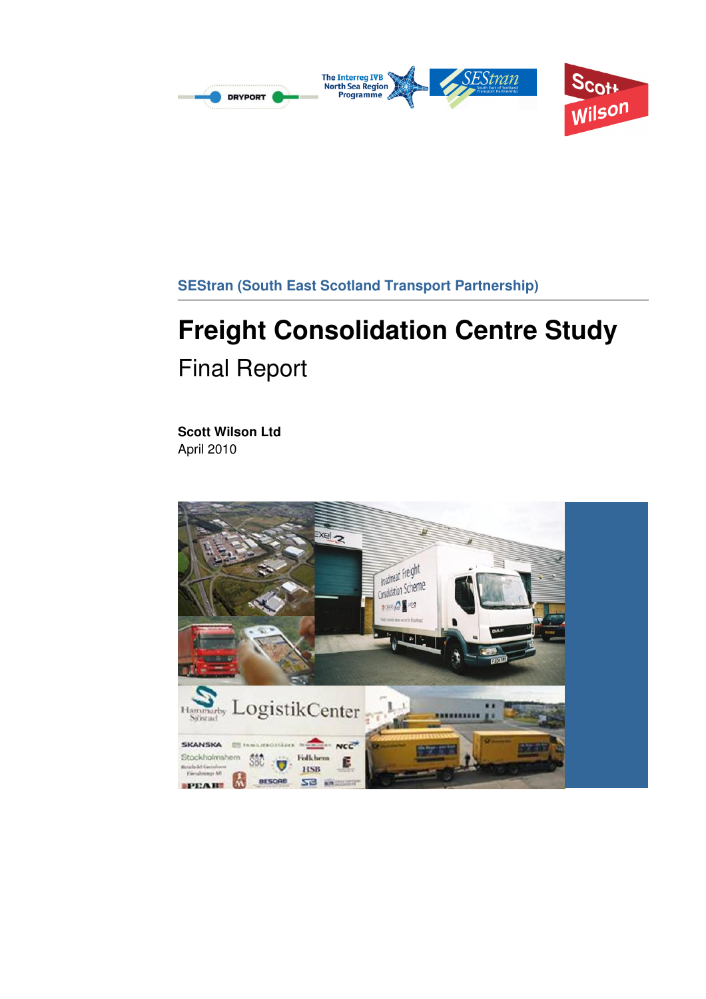

# **Freight Consolidation Centre Study**  Final Report

**Scott Wilson Ltd**  April 2010

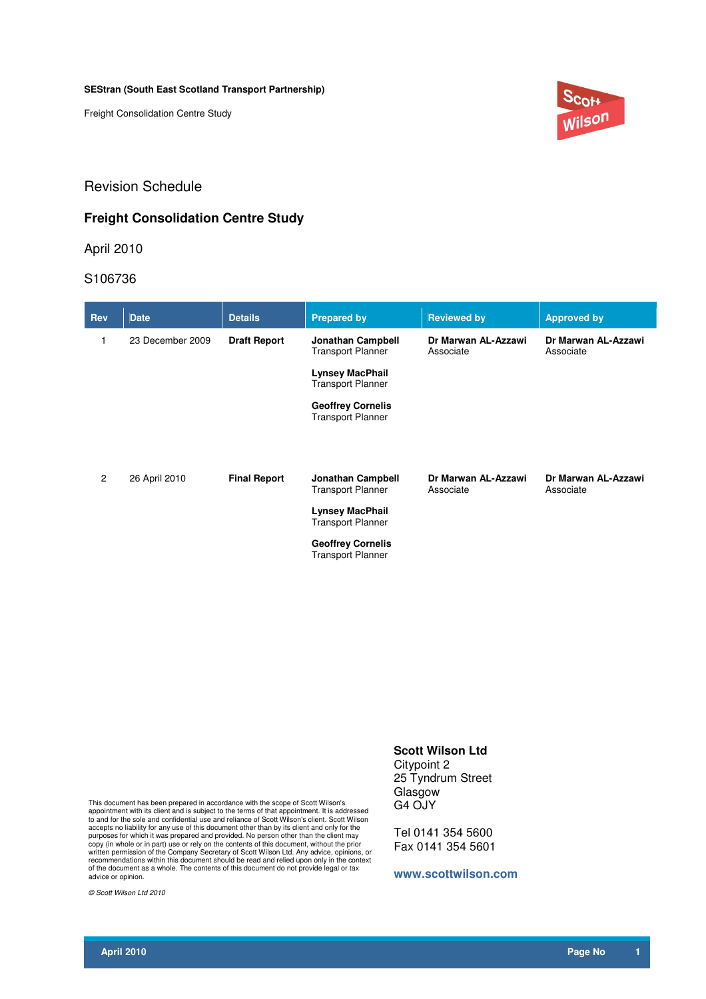Freight Consolidation Centre Study



## Revision Schedule

## **Freight Consolidation Centre Study**

April 2010

S106736

| <b>Rev</b>     | <b>Date</b>      | <b>Details</b>      | <b>Prepared by</b>                                   | <b>Reviewed by</b>               | <b>Approved by</b>               |
|----------------|------------------|---------------------|------------------------------------------------------|----------------------------------|----------------------------------|
| 1              | 23 December 2009 | <b>Draft Report</b> | <b>Jonathan Campbell</b><br><b>Transport Planner</b> | Dr Marwan AL-Azzawi<br>Associate | Dr Marwan AL-Azzawi<br>Associate |
|                |                  |                     | <b>Lynsey MacPhail</b><br><b>Transport Planner</b>   |                                  |                                  |
|                |                  |                     | <b>Geoffrey Cornelis</b><br><b>Transport Planner</b> |                                  |                                  |
| $\overline{2}$ | 26 April 2010    | <b>Final Report</b> | <b>Jonathan Campbell</b><br><b>Transport Planner</b> | Dr Marwan AL-Azzawi<br>Associate | Dr Marwan AL-Azzawi<br>Associate |
|                |                  |                     | <b>Lynsey MacPhail</b><br><b>Transport Planner</b>   |                                  |                                  |
|                |                  |                     | <b>Geoffrey Cornelis</b><br><b>Transport Planner</b> |                                  |                                  |

This document has been prepared in accordance with the scope of Scott Wilson's appointment with its client and is subject to the terms of that appointment. It is addressed to and for the sole and confidential use and reliance of Scott Wilson's client. Scott Wilson accepts no liability for any use of this document other than by its client and only for the purposes for which it was prepared and provided. No person other than the client may copy (in whole or in part) use or rely on the contents of this document, without the prior<br>written permission of the Company Secretary of Scott Wilson Ltd. Any advice, opinions, or<br>recommendations within this document shou

© Scott Wilson Ltd 2010

## **Scott Wilson Ltd**

Citypoint 2 25 Tyndrum Street Glasgow G4 OJY

Tel 0141 354 5600 Fax 0141 354 5601

#### **www.scottwilson.com**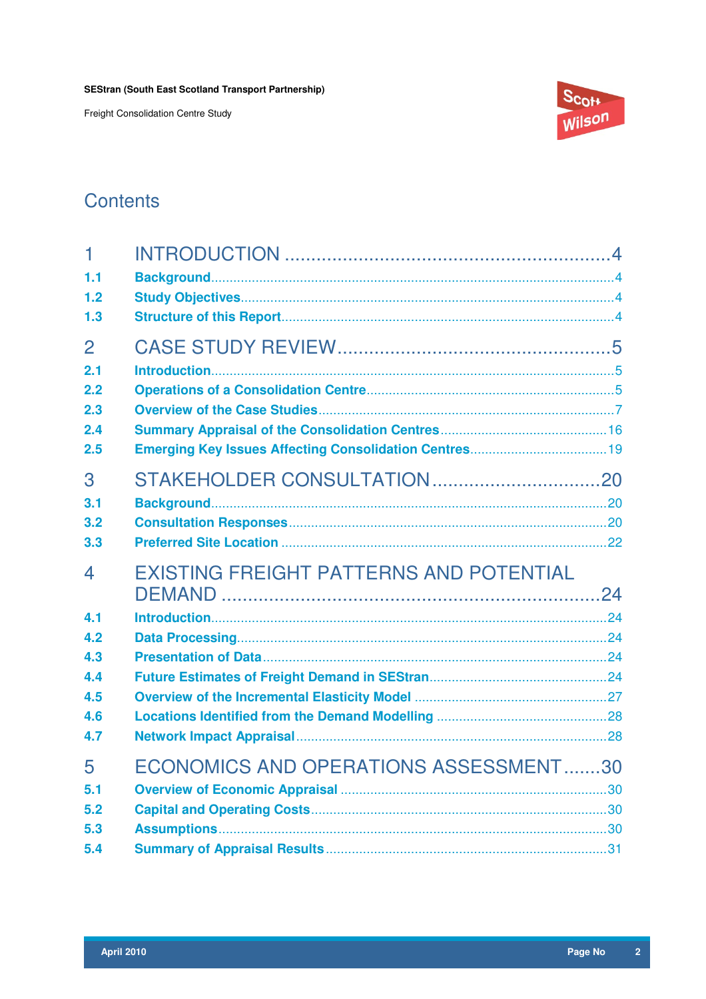Freight Consolidation Centre Study



## **Contents**

| 1              |                                                |  |
|----------------|------------------------------------------------|--|
| 1.1            |                                                |  |
| 1.2            |                                                |  |
| 1.3            |                                                |  |
| $\overline{2}$ |                                                |  |
| 2.1            |                                                |  |
| 2.2            |                                                |  |
| 2.3            |                                                |  |
| 2.4            |                                                |  |
| 2.5            |                                                |  |
| 3              |                                                |  |
| 3.1            |                                                |  |
| 3.2            |                                                |  |
| 3.3            |                                                |  |
| 4              | <b>EXISTING FREIGHT PATTERNS AND POTENTIAL</b> |  |
|                |                                                |  |
| 4.1            |                                                |  |
| 4.2            |                                                |  |
| 4.3            |                                                |  |
| 4.4            |                                                |  |
| 4.5            |                                                |  |
| 4.6            |                                                |  |
| 4.7            |                                                |  |
| 5              | ECONOMICS AND OPERATIONS ASSESSMENT30          |  |
| 5.1            |                                                |  |
| 5.2            |                                                |  |
| 5.3            |                                                |  |
| 5.4            |                                                |  |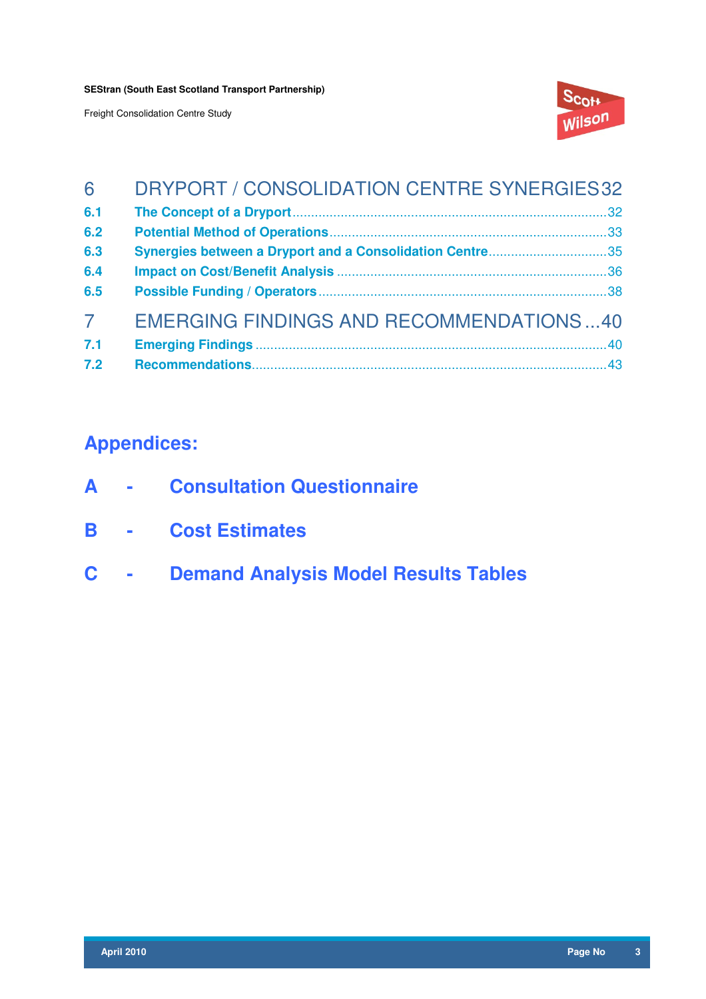Freight Consolidation Centre Study



| 6              | DRYPORT / CONSOLIDATION CENTRE SYNERGIES32               |
|----------------|----------------------------------------------------------|
| 6.1            |                                                          |
| 6.2            |                                                          |
| 6.3            | Synergies between a Dryport and a Consolidation Centre35 |
| 6.4            |                                                          |
| 6.5            |                                                          |
| $\overline{7}$ | <b>EMERGING FINDINGS AND RECOMMENDATIONS40</b>           |
| 7.1            |                                                          |
| 7.2            |                                                          |

## **Appendices:**

- **A Consultation Questionnaire**
- **B Cost Estimates**
- **C Demand Analysis Model Results Tables**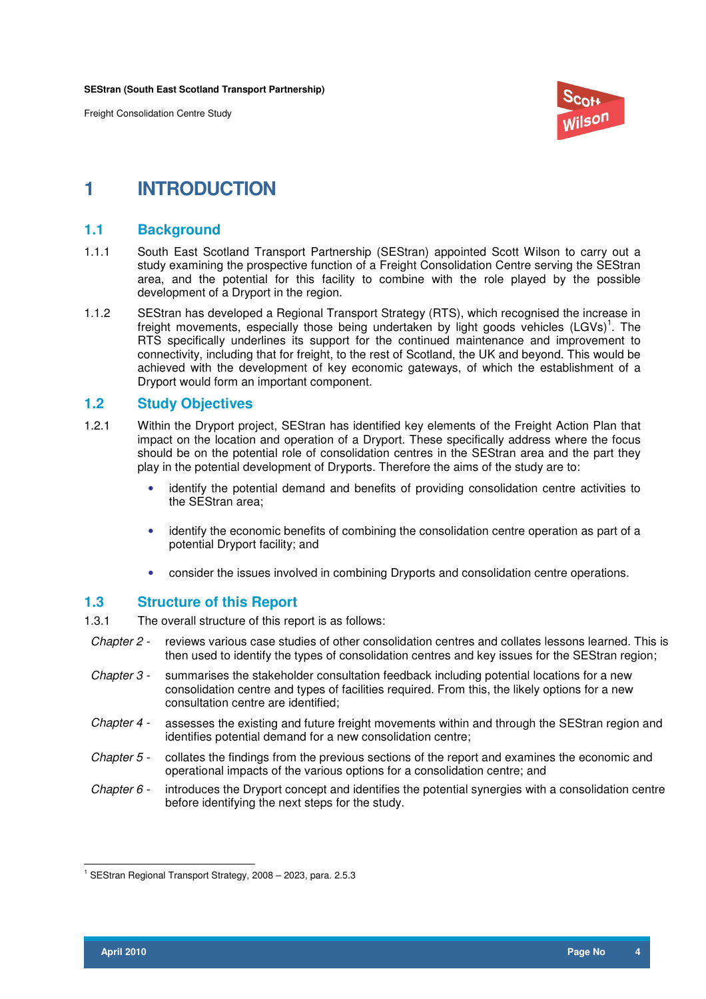Freight Consolidation Centre Study



## **1 INTRODUCTION**

## **1.1 Background**

- 1.1.1 South East Scotland Transport Partnership (SEStran) appointed Scott Wilson to carry out a study examining the prospective function of a Freight Consolidation Centre serving the SEStran area, and the potential for this facility to combine with the role played by the possible development of a Dryport in the region.
- 1.1.2 SEStran has developed a Regional Transport Strategy (RTS), which recognised the increase in freight movements, especially those being undertaken by light goods vehicles  $(LGVs)^1$ . The RTS specifically underlines its support for the continued maintenance and improvement to connectivity, including that for freight, to the rest of Scotland, the UK and beyond. This would be achieved with the development of key economic gateways, of which the establishment of a Dryport would form an important component.

## **1.2 Study Objectives**

- 1.2.1 Within the Dryport project, SEStran has identified key elements of the Freight Action Plan that impact on the location and operation of a Dryport. These specifically address where the focus should be on the potential role of consolidation centres in the SEStran area and the part they play in the potential development of Dryports. Therefore the aims of the study are to:
	- identify the potential demand and benefits of providing consolidation centre activities to the SEStran area;
	- identify the economic benefits of combining the consolidation centre operation as part of a potential Dryport facility; and
	- consider the issues involved in combining Dryports and consolidation centre operations.

## **1.3 Structure of this Report**

1.3.1 The overall structure of this report is as follows:

- Chapter 2 reviews various case studies of other consolidation centres and collates lessons learned. This is then used to identify the types of consolidation centres and key issues for the SEStran region;
- Chapter 3 summarises the stakeholder consultation feedback including potential locations for a new consolidation centre and types of facilities required. From this, the likely options for a new consultation centre are identified;
- Chapter 4 assesses the existing and future freight movements within and through the SEStran region and identifies potential demand for a new consolidation centre;
- Chapter 5 collates the findings from the previous sections of the report and examines the economic and operational impacts of the various options for a consolidation centre; and
- Chapter  $6$  introduces the Dryport concept and identifies the potential synergies with a consolidation centre before identifying the next steps for the study.

 $\overline{a}$ <sup>1</sup> SEStran Regional Transport Strategy, 2008 - 2023, para. 2.5.3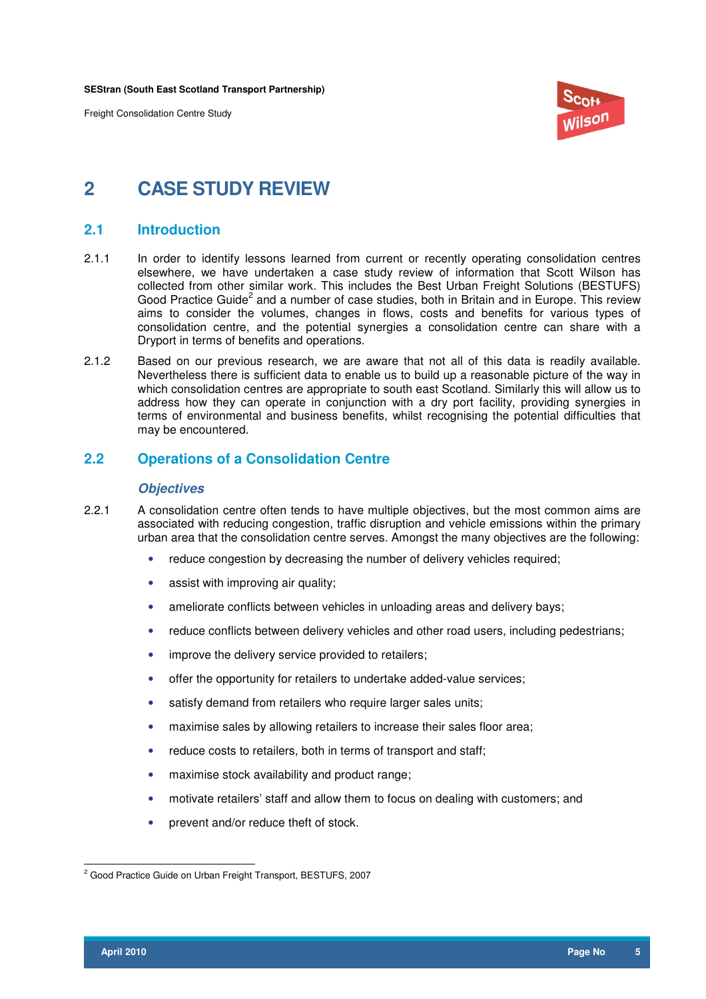Freight Consolidation Centre Study



## **2 CASE STUDY REVIEW**

## **2.1 Introduction**

- 2.1.1 In order to identify lessons learned from current or recently operating consolidation centres elsewhere, we have undertaken a case study review of information that Scott Wilson has collected from other similar work. This includes the Best Urban Freight Solutions (BESTUFS) Good Practice Guide<sup>2</sup> and a number of case studies, both in Britain and in Europe. This review aims to consider the volumes, changes in flows, costs and benefits for various types of consolidation centre, and the potential synergies a consolidation centre can share with a Dryport in terms of benefits and operations.
- 2.1.2 Based on our previous research, we are aware that not all of this data is readily available. Nevertheless there is sufficient data to enable us to build up a reasonable picture of the way in which consolidation centres are appropriate to south east Scotland. Similarly this will allow us to address how they can operate in conjunction with a dry port facility, providing synergies in terms of environmental and business benefits, whilst recognising the potential difficulties that may be encountered.

## **2.2 Operations of a Consolidation Centre**

#### **Objectives**

- 2.2.1 A consolidation centre often tends to have multiple objectives, but the most common aims are associated with reducing congestion, traffic disruption and vehicle emissions within the primary urban area that the consolidation centre serves. Amongst the many objectives are the following:
	- reduce congestion by decreasing the number of delivery vehicles required;
	- assist with improving air quality;
	- ameliorate conflicts between vehicles in unloading areas and delivery bays;
	- reduce conflicts between delivery vehicles and other road users, including pedestrians;
	- improve the delivery service provided to retailers;
	- offer the opportunity for retailers to undertake added-value services;
	- satisfy demand from retailers who require larger sales units;
	- maximise sales by allowing retailers to increase their sales floor area;
	- reduce costs to retailers, both in terms of transport and staff;
	- maximise stock availability and product range;
	- motivate retailers' staff and allow them to focus on dealing with customers; and
	- prevent and/or reduce theft of stock.

 2 Good Practice Guide on Urban Freight Transport, BESTUFS, 2007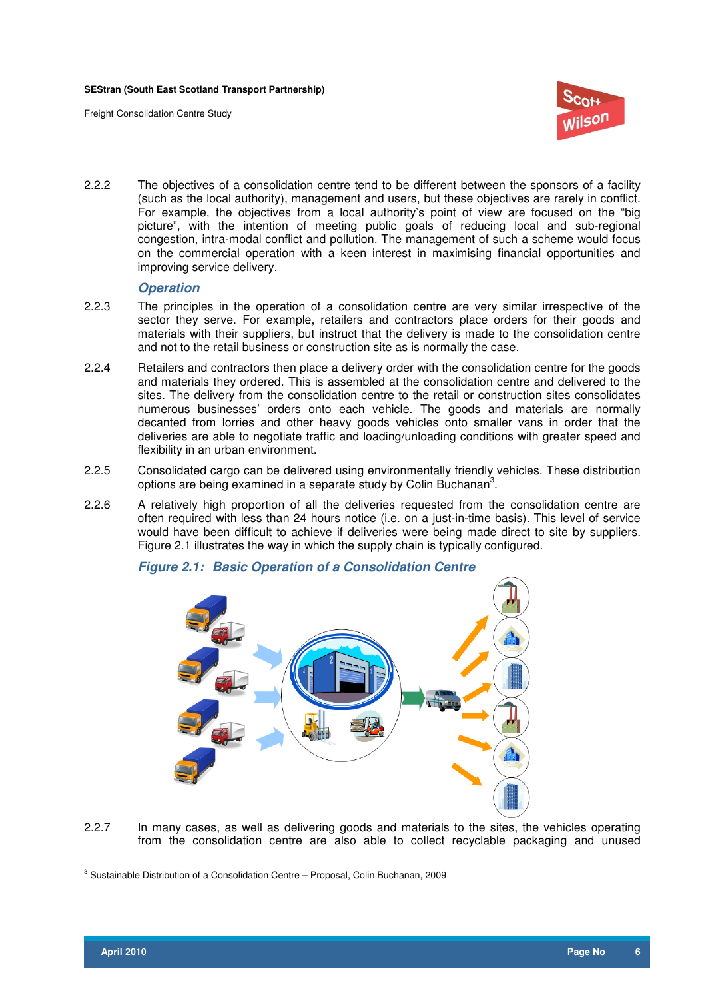Freight Consolidation Centre Study



2.2.2 The objectives of a consolidation centre tend to be different between the sponsors of a facility (such as the local authority), management and users, but these objectives are rarely in conflict. For example, the objectives from a local authority's point of view are focused on the "big picture", with the intention of meeting public goals of reducing local and sub-regional congestion, intra-modal conflict and pollution. The management of such a scheme would focus on the commercial operation with a keen interest in maximising financial opportunities and improving service delivery.

#### **Operation**

- 2.2.3 The principles in the operation of a consolidation centre are very similar irrespective of the sector they serve. For example, retailers and contractors place orders for their goods and materials with their suppliers, but instruct that the delivery is made to the consolidation centre and not to the retail business or construction site as is normally the case.
- 2.2.4 Retailers and contractors then place a delivery order with the consolidation centre for the goods and materials they ordered. This is assembled at the consolidation centre and delivered to the sites. The delivery from the consolidation centre to the retail or construction sites consolidates numerous businesses' orders onto each vehicle. The goods and materials are normally decanted from lorries and other heavy goods vehicles onto smaller vans in order that the deliveries are able to negotiate traffic and loading/unloading conditions with greater speed and flexibility in an urban environment.
- 2.2.5 Consolidated cargo can be delivered using environmentally friendly vehicles. These distribution options are being examined in a separate study by Colin Buchanan<sup>3</sup>.
- 2.2.6 A relatively high proportion of all the deliveries requested from the consolidation centre are often required with less than 24 hours notice (i.e. on a just-in-time basis). This level of service would have been difficult to achieve if deliveries were being made direct to site by suppliers. Figure 2.1 illustrates the way in which the supply chain is typically configured.



**Figure 2.1: Basic Operation of a Consolidation Centre** 

2.2.7 In many cases, as well as delivering goods and materials to the sites, the vehicles operating from the consolidation centre are also able to collect recyclable packaging and unused

 3 Sustainable Distribution of a Consolidation Centre – Proposal, Colin Buchanan, 2009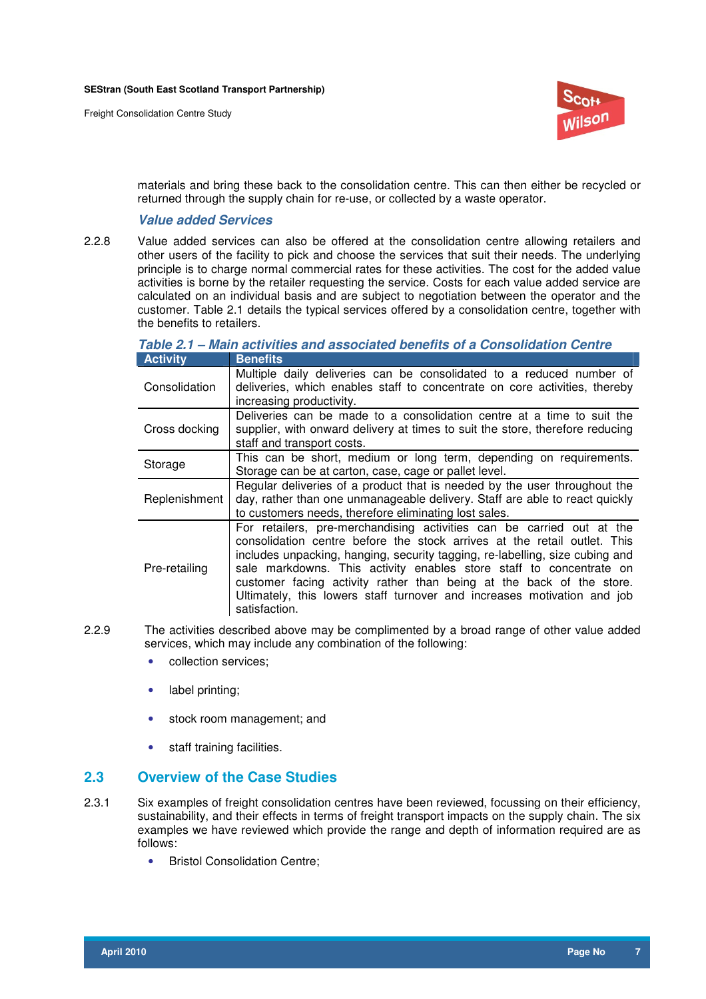

materials and bring these back to the consolidation centre. This can then either be recycled or returned through the supply chain for re-use, or collected by a waste operator.

## **Value added Services**

2.2.8 Value added services can also be offered at the consolidation centre allowing retailers and other users of the facility to pick and choose the services that suit their needs. The underlying principle is to charge normal commercial rates for these activities. The cost for the added value activities is borne by the retailer requesting the service. Costs for each value added service are calculated on an individual basis and are subject to negotiation between the operator and the customer. Table 2.1 details the typical services offered by a consolidation centre, together with the benefits to retailers.

| <b>Activity</b> | <b>Benefits</b>                                                                                                                                                                                                                                                                                                                                                                                                                                                              |
|-----------------|------------------------------------------------------------------------------------------------------------------------------------------------------------------------------------------------------------------------------------------------------------------------------------------------------------------------------------------------------------------------------------------------------------------------------------------------------------------------------|
| Consolidation   | Multiple daily deliveries can be consolidated to a reduced number of<br>deliveries, which enables staff to concentrate on core activities, thereby<br>increasing productivity.                                                                                                                                                                                                                                                                                               |
| Cross docking   | Deliveries can be made to a consolidation centre at a time to suit the<br>supplier, with onward delivery at times to suit the store, therefore reducing<br>staff and transport costs.                                                                                                                                                                                                                                                                                        |
| Storage         | This can be short, medium or long term, depending on requirements.<br>Storage can be at carton, case, cage or pallet level.                                                                                                                                                                                                                                                                                                                                                  |
| Replenishment   | Regular deliveries of a product that is needed by the user throughout the<br>day, rather than one unmanageable delivery. Staff are able to react quickly<br>to customers needs, therefore eliminating lost sales.                                                                                                                                                                                                                                                            |
| Pre-retailing   | For retailers, pre-merchandising activities can be carried out at the<br>consolidation centre before the stock arrives at the retail outlet. This<br>includes unpacking, hanging, security tagging, re-labelling, size cubing and<br>sale markdowns. This activity enables store staff to concentrate on<br>customer facing activity rather than being at the back of the store.<br>Ultimately, this lowers staff turnover and increases motivation and job<br>satisfaction. |

**Table 2.1 – Main activities and associated benefits of a Consolidation Centre** 

- 2.2.9 The activities described above may be complimented by a broad range of other value added services, which may include any combination of the following:
	- collection services;
	- label printing;
	- stock room management; and
	- staff training facilities.

## **2.3 Overview of the Case Studies**

- 2.3.1 Six examples of freight consolidation centres have been reviewed, focussing on their efficiency, sustainability, and their effects in terms of freight transport impacts on the supply chain. The six examples we have reviewed which provide the range and depth of information required are as follows:
	- Bristol Consolidation Centre;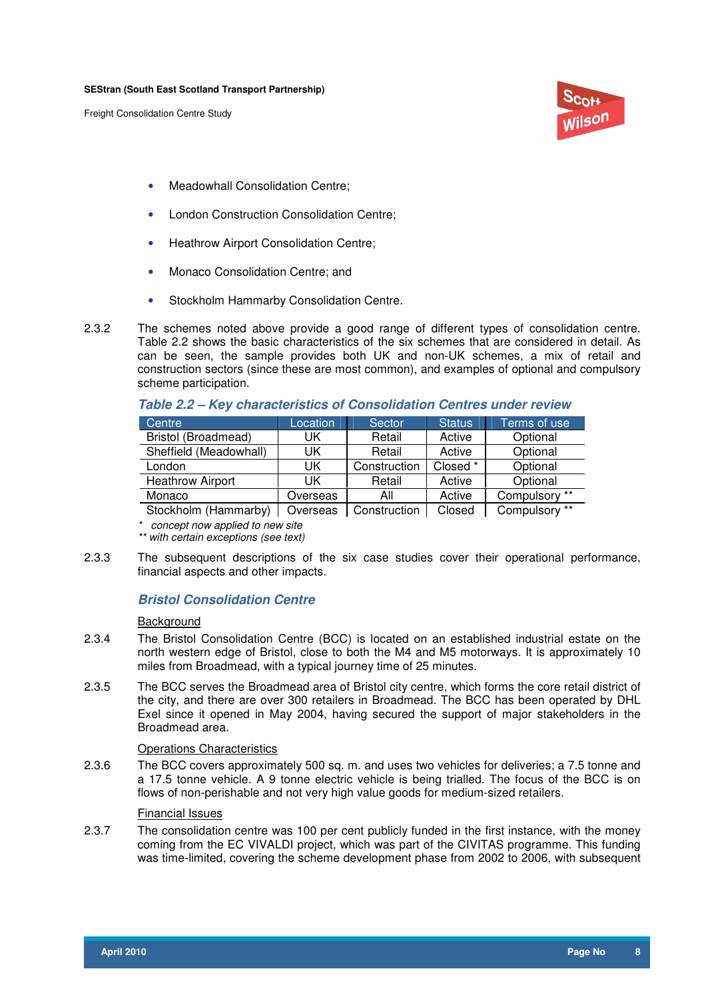

- Meadowhall Consolidation Centre;
- London Construction Consolidation Centre;
- Heathrow Airport Consolidation Centre;
- Monaco Consolidation Centre; and
- Stockholm Hammarby Consolidation Centre.
- 2.3.2 The schemes noted above provide a good range of different types of consolidation centre. Table 2.2 shows the basic characteristics of the six schemes that are considered in detail. As can be seen, the sample provides both UK and non-UK schemes, a mix of retail and construction sectors (since these are most common), and examples of optional and compulsory scheme participation.

| Centre                  | Location | Sector       | <b>Status</b> | Terms of use  |
|-------------------------|----------|--------------|---------------|---------------|
| Bristol (Broadmead)     | UK       | Retail       | Active        | Optional      |
| Sheffield (Meadowhall)  | UK       | Retail       | Active        | Optional      |
| London                  | UK       | Construction | Closed *      | Optional      |
| <b>Heathrow Airport</b> | UK       | Retail       | Active        | Optional      |
| Monaco                  | Overseas | All          | Active        | Compulsory ** |
| Stockholm (Hammarby)    | Overseas | Construction | Closed        | Compulsory ** |

**Table 2.2 – Key characteristics of Consolidation Centres under review** 

 $Stockholm$  (Hammarby)  $\mid$  Overseas  $\mid$  Construction  $\mid$  Closed  $\mid$  Compulsory

\* concept now applied to new site

- \*\* with certain exceptions (see text)
- 2.3.3 The subsequent descriptions of the six case studies cover their operational performance, financial aspects and other impacts.

## **Bristol Consolidation Centre**

#### **Background**

- 2.3.4 The Bristol Consolidation Centre (BCC) is located on an established industrial estate on the north western edge of Bristol, close to both the M4 and M5 motorways. It is approximately 10 miles from Broadmead, with a typical journey time of 25 minutes.
- 2.3.5 The BCC serves the Broadmead area of Bristol city centre, which forms the core retail district of the city, and there are over 300 retailers in Broadmead. The BCC has been operated by DHL Exel since it opened in May 2004, having secured the support of major stakeholders in the Broadmead area.

#### Operations Characteristics

2.3.6 The BCC covers approximately 500 sq. m. and uses two vehicles for deliveries; a 7.5 tonne and a 17.5 tonne vehicle. A 9 tonne electric vehicle is being trialled. The focus of the BCC is on flows of non-perishable and not very high value goods for medium-sized retailers.

## Financial Issues

2.3.7 The consolidation centre was 100 per cent publicly funded in the first instance, with the money coming from the EC VIVALDI project, which was part of the CIVITAS programme. This funding was time-limited, covering the scheme development phase from 2002 to 2006, with subsequent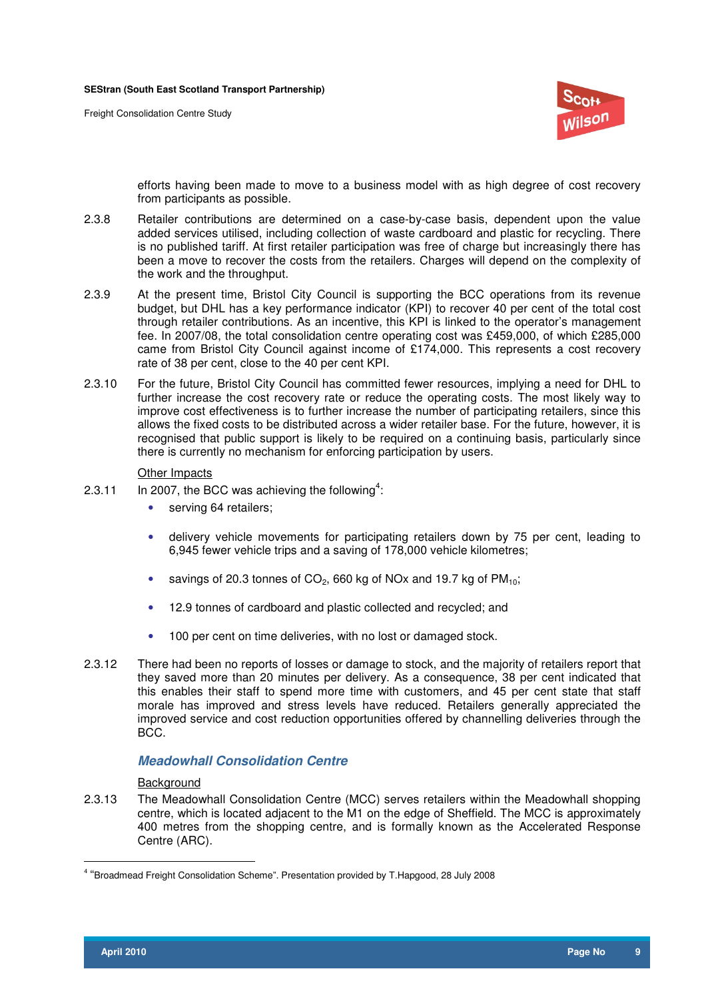

efforts having been made to move to a business model with as high degree of cost recovery from participants as possible.

- 2.3.8 Retailer contributions are determined on a case-by-case basis, dependent upon the value added services utilised, including collection of waste cardboard and plastic for recycling. There is no published tariff. At first retailer participation was free of charge but increasingly there has been a move to recover the costs from the retailers. Charges will depend on the complexity of the work and the throughput.
- 2.3.9 At the present time, Bristol City Council is supporting the BCC operations from its revenue budget, but DHL has a key performance indicator (KPI) to recover 40 per cent of the total cost through retailer contributions. As an incentive, this KPI is linked to the operator's management fee. In 2007/08, the total consolidation centre operating cost was £459,000, of which £285,000 came from Bristol City Council against income of £174,000. This represents a cost recovery rate of 38 per cent, close to the 40 per cent KPI.
- 2.3.10 For the future, Bristol City Council has committed fewer resources, implying a need for DHL to further increase the cost recovery rate or reduce the operating costs. The most likely way to improve cost effectiveness is to further increase the number of participating retailers, since this allows the fixed costs to be distributed across a wider retailer base. For the future, however, it is recognised that public support is likely to be required on a continuing basis, particularly since there is currently no mechanism for enforcing participation by users.

#### Other Impacts

- 2.3.11 In 2007, the BCC was achieving the following<sup>4</sup>:
	- serving 64 retailers;
	- delivery vehicle movements for participating retailers down by 75 per cent, leading to 6,945 fewer vehicle trips and a saving of 178,000 vehicle kilometres;
	- savings of 20.3 tonnes of  $CO<sub>2</sub>$ , 660 kg of NOx and 19.7 kg of  $PM<sub>10</sub>$ ;
	- 12.9 tonnes of cardboard and plastic collected and recycled; and
	- 100 per cent on time deliveries, with no lost or damaged stock.
- 2.3.12 There had been no reports of losses or damage to stock, and the majority of retailers report that they saved more than 20 minutes per delivery. As a consequence, 38 per cent indicated that this enables their staff to spend more time with customers, and 45 per cent state that staff morale has improved and stress levels have reduced. Retailers generally appreciated the improved service and cost reduction opportunities offered by channelling deliveries through the BCC.

### **Meadowhall Consolidation Centre**

#### **Background**

2.3.13 The Meadowhall Consolidation Centre (MCC) serves retailers within the Meadowhall shopping centre, which is located adjacent to the M1 on the edge of Sheffield. The MCC is approximately 400 metres from the shopping centre, and is formally known as the Accelerated Response Centre (ARC).

 $\overline{a}$ 

<sup>4</sup> "Broadmead Freight Consolidation Scheme". Presentation provided by T.Hapgood, 28 July 2008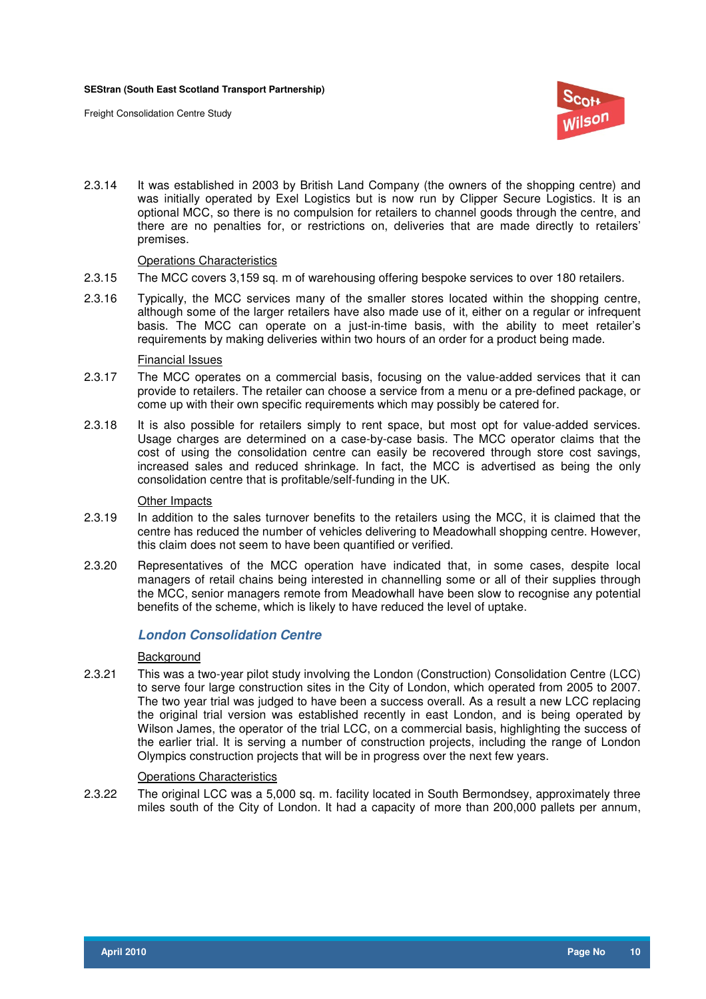

2.3.14 It was established in 2003 by British Land Company (the owners of the shopping centre) and was initially operated by Exel Logistics but is now run by Clipper Secure Logistics. It is an optional MCC, so there is no compulsion for retailers to channel goods through the centre, and there are no penalties for, or restrictions on, deliveries that are made directly to retailers' premises.

#### Operations Characteristics

- 2.3.15 The MCC covers 3,159 sq. m of warehousing offering bespoke services to over 180 retailers.
- 2.3.16 Typically, the MCC services many of the smaller stores located within the shopping centre, although some of the larger retailers have also made use of it, either on a regular or infrequent basis. The MCC can operate on a just-in-time basis, with the ability to meet retailer's requirements by making deliveries within two hours of an order for a product being made.

#### Financial Issues

- 2.3.17 The MCC operates on a commercial basis, focusing on the value-added services that it can provide to retailers. The retailer can choose a service from a menu or a pre-defined package, or come up with their own specific requirements which may possibly be catered for.
- 2.3.18 It is also possible for retailers simply to rent space, but most opt for value-added services. Usage charges are determined on a case-by-case basis. The MCC operator claims that the cost of using the consolidation centre can easily be recovered through store cost savings, increased sales and reduced shrinkage. In fact, the MCC is advertised as being the only consolidation centre that is profitable/self-funding in the UK.

#### Other Impacts

- 2.3.19 In addition to the sales turnover benefits to the retailers using the MCC, it is claimed that the centre has reduced the number of vehicles delivering to Meadowhall shopping centre. However, this claim does not seem to have been quantified or verified.
- 2.3.20 Representatives of the MCC operation have indicated that, in some cases, despite local managers of retail chains being interested in channelling some or all of their supplies through the MCC, senior managers remote from Meadowhall have been slow to recognise any potential benefits of the scheme, which is likely to have reduced the level of uptake.

### **London Consolidation Centre**

#### **Background**

2.3.21 This was a two-year pilot study involving the London (Construction) Consolidation Centre (LCC) to serve four large construction sites in the City of London, which operated from 2005 to 2007. The two year trial was judged to have been a success overall. As a result a new LCC replacing the original trial version was established recently in east London, and is being operated by Wilson James, the operator of the trial LCC, on a commercial basis, highlighting the success of the earlier trial. It is serving a number of construction projects, including the range of London Olympics construction projects that will be in progress over the next few years.

#### Operations Characteristics

2.3.22 The original LCC was a 5,000 sq. m. facility located in South Bermondsey, approximately three miles south of the City of London. It had a capacity of more than 200,000 pallets per annum,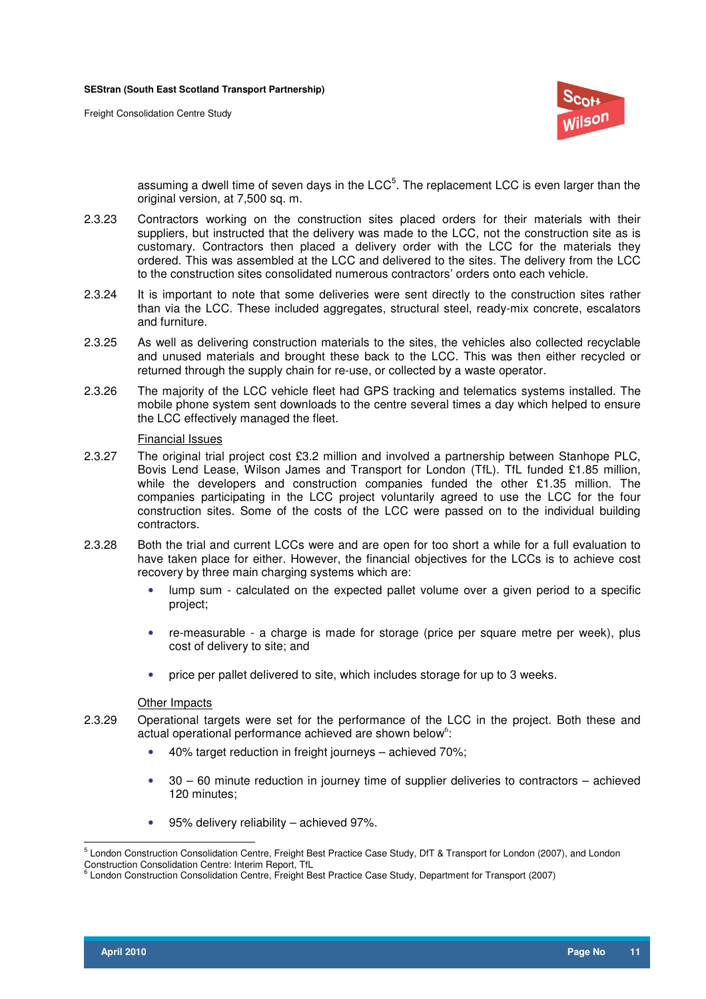

assuming a dwell time of seven days in the LCC<sup>5</sup>. The replacement LCC is even larger than the original version, at 7,500 sq. m.

- 2.3.23 Contractors working on the construction sites placed orders for their materials with their suppliers, but instructed that the delivery was made to the LCC, not the construction site as is customary. Contractors then placed a delivery order with the LCC for the materials they ordered. This was assembled at the LCC and delivered to the sites. The delivery from the LCC to the construction sites consolidated numerous contractors' orders onto each vehicle.
- 2.3.24 It is important to note that some deliveries were sent directly to the construction sites rather than via the LCC. These included aggregates, structural steel, ready-mix concrete, escalators and furniture.
- 2.3.25 As well as delivering construction materials to the sites, the vehicles also collected recyclable and unused materials and brought these back to the LCC. This was then either recycled or returned through the supply chain for re-use, or collected by a waste operator.
- 2.3.26 The majority of the LCC vehicle fleet had GPS tracking and telematics systems installed. The mobile phone system sent downloads to the centre several times a day which helped to ensure the LCC effectively managed the fleet.

#### Financial Issues

- 2.3.27 The original trial project cost £3.2 million and involved a partnership between Stanhope PLC, Bovis Lend Lease, Wilson James and Transport for London (TfL). TfL funded £1.85 million, while the developers and construction companies funded the other £1.35 million. The companies participating in the LCC project voluntarily agreed to use the LCC for the four construction sites. Some of the costs of the LCC were passed on to the individual building contractors.
- 2.3.28 Both the trial and current LCCs were and are open for too short a while for a full evaluation to have taken place for either. However, the financial objectives for the LCCs is to achieve cost recovery by three main charging systems which are:
	- lump sum calculated on the expected pallet volume over a given period to a specific project;
	- re-measurable a charge is made for storage (price per square metre per week), plus cost of delivery to site; and
	- price per pallet delivered to site, which includes storage for up to 3 weeks.

#### Other Impacts

- 2.3.29 Operational targets were set for the performance of the LCC in the project. Both these and actual operational performance achieved are shown below<sup>6</sup>:
	- 40% target reduction in freight journeys achieved 70%;
	- 30 60 minute reduction in journey time of supplier deliveries to contractors achieved 120 minutes;
	- 95% delivery reliability achieved 97%.

 5 London Construction Consolidation Centre, Freight Best Practice Case Study, DfT & Transport for London (2007), and London Construction Consolidation Centre: Interim Report, TfL

<sup>&</sup>lt;sup>6</sup> London Construction Consolidation Centre, Freight Best Practice Case Study, Department for Transport (2007)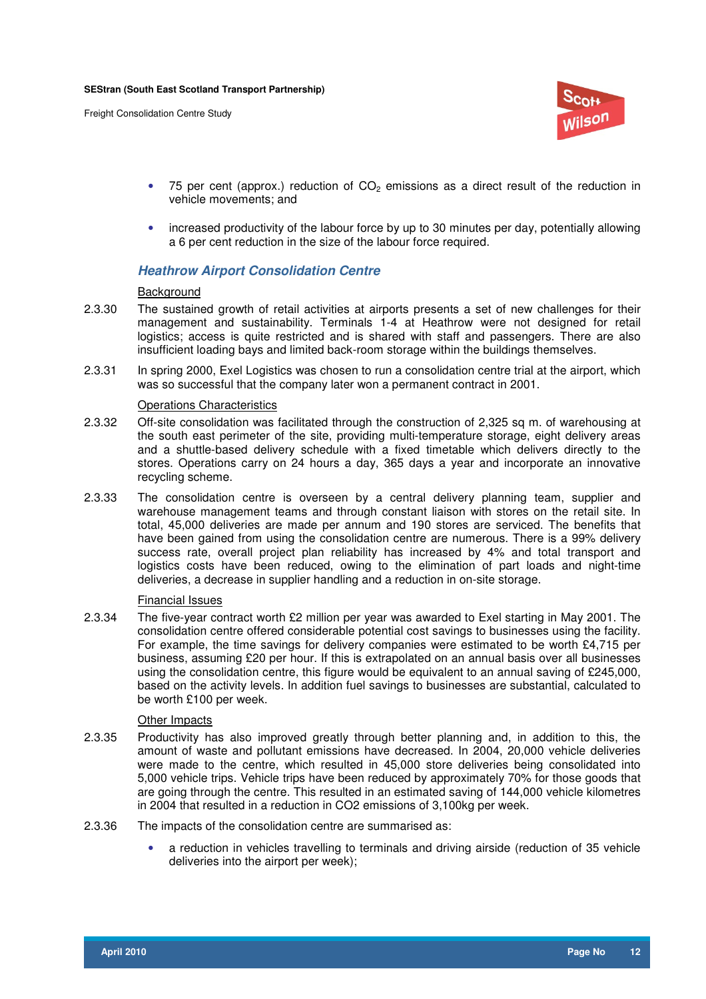

- 75 per cent (approx.) reduction of  $CO<sub>2</sub>$  emissions as a direct result of the reduction in vehicle movements; and
- increased productivity of the labour force by up to 30 minutes per day, potentially allowing a 6 per cent reduction in the size of the labour force required.

### **Heathrow Airport Consolidation Centre**

#### **Background**

- 2.3.30 The sustained growth of retail activities at airports presents a set of new challenges for their management and sustainability. Terminals 1-4 at Heathrow were not designed for retail logistics; access is quite restricted and is shared with staff and passengers. There are also insufficient loading bays and limited back-room storage within the buildings themselves.
- 2.3.31 In spring 2000, Exel Logistics was chosen to run a consolidation centre trial at the airport, which was so successful that the company later won a permanent contract in 2001.

#### Operations Characteristics

- 2.3.32 Off-site consolidation was facilitated through the construction of 2,325 sq m. of warehousing at the south east perimeter of the site, providing multi-temperature storage, eight delivery areas and a shuttle-based delivery schedule with a fixed timetable which delivers directly to the stores. Operations carry on 24 hours a day, 365 days a year and incorporate an innovative recycling scheme.
- 2.3.33 The consolidation centre is overseen by a central delivery planning team, supplier and warehouse management teams and through constant liaison with stores on the retail site. In total, 45,000 deliveries are made per annum and 190 stores are serviced. The benefits that have been gained from using the consolidation centre are numerous. There is a 99% delivery success rate, overall project plan reliability has increased by 4% and total transport and logistics costs have been reduced, owing to the elimination of part loads and night-time deliveries, a decrease in supplier handling and a reduction in on-site storage.

#### Financial Issues

2.3.34 The five-year contract worth £2 million per year was awarded to Exel starting in May 2001. The consolidation centre offered considerable potential cost savings to businesses using the facility. For example, the time savings for delivery companies were estimated to be worth £4,715 per business, assuming £20 per hour. If this is extrapolated on an annual basis over all businesses using the consolidation centre, this figure would be equivalent to an annual saving of £245,000, based on the activity levels. In addition fuel savings to businesses are substantial, calculated to be worth £100 per week.

#### Other Impacts

- 2.3.35 Productivity has also improved greatly through better planning and, in addition to this, the amount of waste and pollutant emissions have decreased. In 2004, 20,000 vehicle deliveries were made to the centre, which resulted in 45,000 store deliveries being consolidated into 5,000 vehicle trips. Vehicle trips have been reduced by approximately 70% for those goods that are going through the centre. This resulted in an estimated saving of 144,000 vehicle kilometres in 2004 that resulted in a reduction in CO2 emissions of 3,100kg per week.
- 2.3.36 The impacts of the consolidation centre are summarised as:
	- a reduction in vehicles travelling to terminals and driving airside (reduction of 35 vehicle deliveries into the airport per week);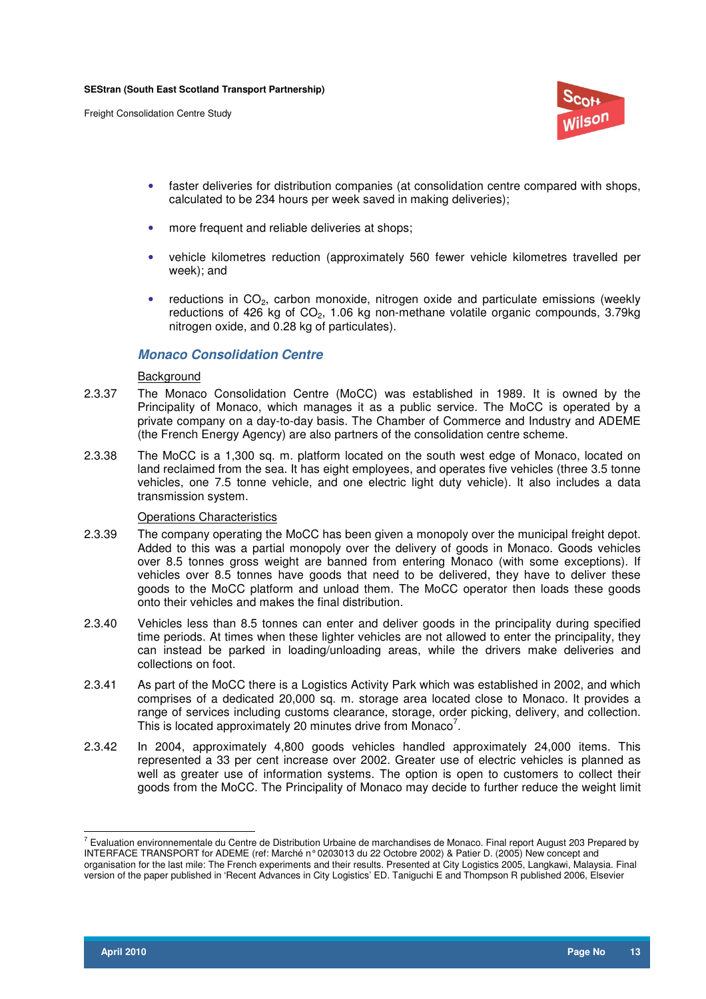

- faster deliveries for distribution companies (at consolidation centre compared with shops, calculated to be 234 hours per week saved in making deliveries);
- more frequent and reliable deliveries at shops;
- vehicle kilometres reduction (approximately 560 fewer vehicle kilometres travelled per week); and
- reductions in  $CO<sub>2</sub>$ , carbon monoxide, nitrogen oxide and particulate emissions (weekly reductions of 426 kg of  $CO<sub>2</sub>$ , 1.06 kg non-methane volatile organic compounds, 3.79kg nitrogen oxide, and 0.28 kg of particulates).

#### **Monaco Consolidation Centre**

#### **Background**

- 2.3.37 The Monaco Consolidation Centre (MoCC) was established in 1989. It is owned by the Principality of Monaco, which manages it as a public service. The MoCC is operated by a private company on a day-to-day basis. The Chamber of Commerce and Industry and ADEME (the French Energy Agency) are also partners of the consolidation centre scheme.
- 2.3.38 The MoCC is a 1,300 sq. m. platform located on the south west edge of Monaco, located on land reclaimed from the sea. It has eight employees, and operates five vehicles (three 3.5 tonne vehicles, one 7.5 tonne vehicle, and one electric light duty vehicle). It also includes a data transmission system.

#### Operations Characteristics

- 2.3.39 The company operating the MoCC has been given a monopoly over the municipal freight depot. Added to this was a partial monopoly over the delivery of goods in Monaco. Goods vehicles over 8.5 tonnes gross weight are banned from entering Monaco (with some exceptions). If vehicles over 8.5 tonnes have goods that need to be delivered, they have to deliver these goods to the MoCC platform and unload them. The MoCC operator then loads these goods onto their vehicles and makes the final distribution.
- 2.3.40 Vehicles less than 8.5 tonnes can enter and deliver goods in the principality during specified time periods. At times when these lighter vehicles are not allowed to enter the principality, they can instead be parked in loading/unloading areas, while the drivers make deliveries and collections on foot.
- 2.3.41 As part of the MoCC there is a Logistics Activity Park which was established in 2002, and which comprises of a dedicated 20,000 sq. m. storage area located close to Monaco. It provides a range of services including customs clearance, storage, order picking, delivery, and collection. This is located approximately 20 minutes drive from Monaco<sup>7</sup>.
- 2.3.42 In 2004, approximately 4,800 goods vehicles handled approximately 24,000 items. This represented a 33 per cent increase over 2002. Greater use of electric vehicles is planned as well as greater use of information systems. The option is open to customers to collect their goods from the MoCC. The Principality of Monaco may decide to further reduce the weight limit

 7 Evaluation environnementale du Centre de Distribution Urbaine de marchandises de Monaco. Final report August 203 Prepared by INTERFACE TRANSPORT for ADEME (ref: Marché n° 0203013 du 22 Octobre 2002) & Patier D. (2005) New concept and organisation for the last mile: The French experiments and their results. Presented at City Logistics 2005, Langkawi, Malaysia. Final version of the paper published in 'Recent Advances in City Logistics' ED. Taniguchi E and Thompson R published 2006, Elsevier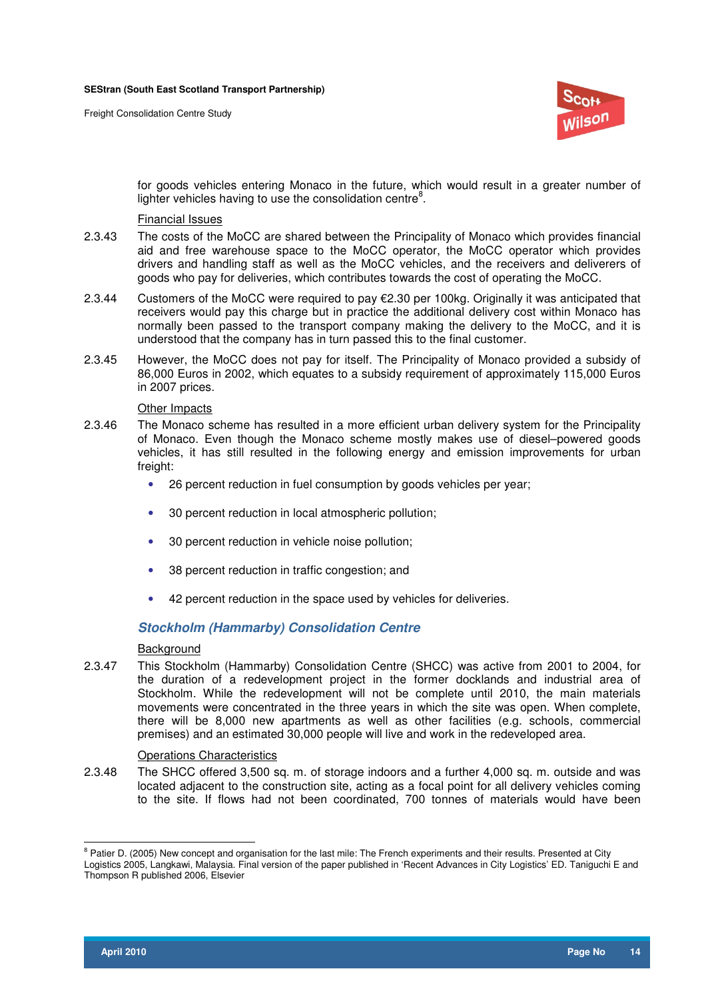

for goods vehicles entering Monaco in the future, which would result in a greater number of lighter vehicles having to use the consolidation centre $8$ .

#### Financial Issues

- 2.3.43 The costs of the MoCC are shared between the Principality of Monaco which provides financial aid and free warehouse space to the MoCC operator, the MoCC operator which provides drivers and handling staff as well as the MoCC vehicles, and the receivers and deliverers of goods who pay for deliveries, which contributes towards the cost of operating the MoCC.
- 2.3.44 Customers of the MoCC were required to pay €2.30 per 100kg. Originally it was anticipated that receivers would pay this charge but in practice the additional delivery cost within Monaco has normally been passed to the transport company making the delivery to the MoCC, and it is understood that the company has in turn passed this to the final customer.
- 2.3.45 However, the MoCC does not pay for itself. The Principality of Monaco provided a subsidy of 86,000 Euros in 2002, which equates to a subsidy requirement of approximately 115,000 Euros in 2007 prices.

#### Other Impacts

- 2.3.46 The Monaco scheme has resulted in a more efficient urban delivery system for the Principality of Monaco. Even though the Monaco scheme mostly makes use of diesel–powered goods vehicles, it has still resulted in the following energy and emission improvements for urban freight:
	- 26 percent reduction in fuel consumption by goods vehicles per year;
	- 30 percent reduction in local atmospheric pollution;
	- 30 percent reduction in vehicle noise pollution;
	- 38 percent reduction in traffic congestion; and
	- 42 percent reduction in the space used by vehicles for deliveries.

### **Stockholm (Hammarby) Consolidation Centre**

#### **Background**

2.3.47 This Stockholm (Hammarby) Consolidation Centre (SHCC) was active from 2001 to 2004, for the duration of a redevelopment project in the former docklands and industrial area of Stockholm. While the redevelopment will not be complete until 2010, the main materials movements were concentrated in the three years in which the site was open. When complete, there will be 8,000 new apartments as well as other facilities (e.g. schools, commercial premises) and an estimated 30,000 people will live and work in the redeveloped area.

#### **Operations Characteristics**

2.3.48 The SHCC offered 3,500 sq. m. of storage indoors and a further 4,000 sq. m. outside and was located adjacent to the construction site, acting as a focal point for all delivery vehicles coming to the site. If flows had not been coordinated, 700 tonnes of materials would have been

<sup>&</sup>lt;sup>8</sup> Patier D. (2005) New concept and organisation for the last mile: The French experiments and their results. Presented at City Logistics 2005, Langkawi, Malaysia. Final version of the paper published in 'Recent Advances in City Logistics' ED. Taniguchi E and

Thompson R published 2006, Elsevier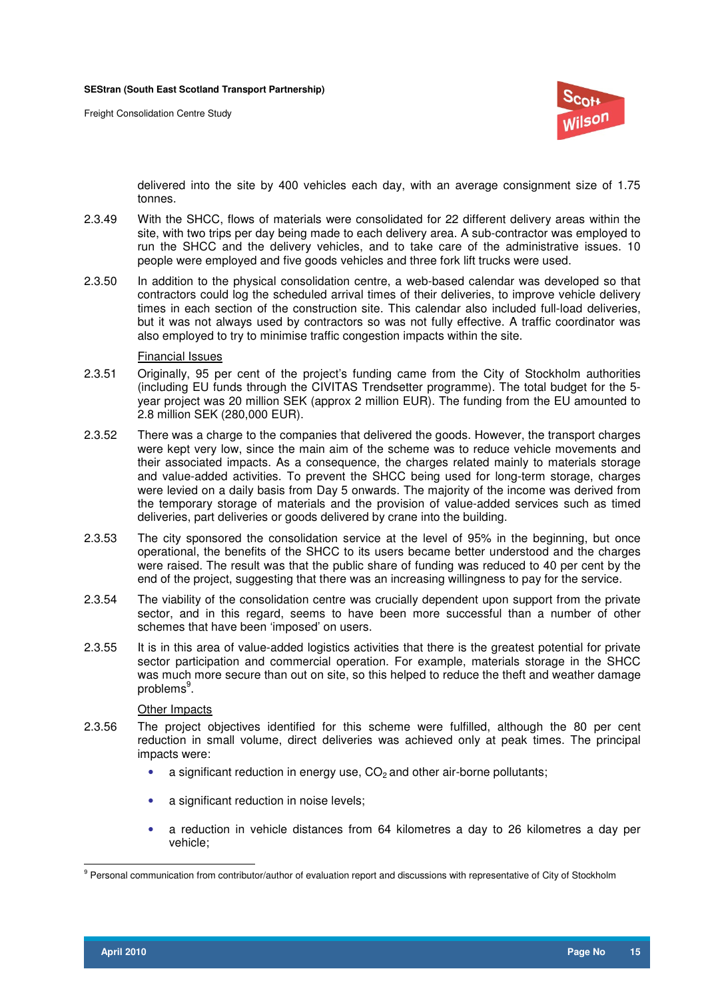

delivered into the site by 400 vehicles each day, with an average consignment size of 1.75 tonnes.

- 2.3.49 With the SHCC, flows of materials were consolidated for 22 different delivery areas within the site, with two trips per day being made to each delivery area. A sub-contractor was employed to run the SHCC and the delivery vehicles, and to take care of the administrative issues. 10 people were employed and five goods vehicles and three fork lift trucks were used.
- 2.3.50 In addition to the physical consolidation centre, a web-based calendar was developed so that contractors could log the scheduled arrival times of their deliveries, to improve vehicle delivery times in each section of the construction site. This calendar also included full-load deliveries, but it was not always used by contractors so was not fully effective. A traffic coordinator was also employed to try to minimise traffic congestion impacts within the site.

#### Financial Issues

- 2.3.51 Originally, 95 per cent of the project's funding came from the City of Stockholm authorities (including EU funds through the CIVITAS Trendsetter programme). The total budget for the 5 year project was 20 million SEK (approx 2 million EUR). The funding from the EU amounted to 2.8 million SEK (280,000 EUR).
- 2.3.52 There was a charge to the companies that delivered the goods. However, the transport charges were kept very low, since the main aim of the scheme was to reduce vehicle movements and their associated impacts. As a consequence, the charges related mainly to materials storage and value-added activities. To prevent the SHCC being used for long-term storage, charges were levied on a daily basis from Day 5 onwards. The majority of the income was derived from the temporary storage of materials and the provision of value-added services such as timed deliveries, part deliveries or goods delivered by crane into the building.
- 2.3.53 The city sponsored the consolidation service at the level of 95% in the beginning, but once operational, the benefits of the SHCC to its users became better understood and the charges were raised. The result was that the public share of funding was reduced to 40 per cent by the end of the project, suggesting that there was an increasing willingness to pay for the service.
- 2.3.54 The viability of the consolidation centre was crucially dependent upon support from the private sector, and in this regard, seems to have been more successful than a number of other schemes that have been 'imposed' on users.
- 2.3.55 It is in this area of value-added logistics activities that there is the greatest potential for private sector participation and commercial operation. For example, materials storage in the SHCC was much more secure than out on site, so this helped to reduce the theft and weather damage problems<sup>9</sup>.

#### Other Impacts

- 2.3.56 The project objectives identified for this scheme were fulfilled, although the 80 per cent reduction in small volume, direct deliveries was achieved only at peak times. The principal impacts were:
	- a significant reduction in energy use,  $CO<sub>2</sub>$  and other air-borne pollutants;
	- a significant reduction in noise levels;
	- a reduction in vehicle distances from 64 kilometres a day to 26 kilometres a day per vehicle;

 $\overline{a}$ <sup>9</sup> Personal communication from contributor/author of evaluation report and discussions with representative of City of Stockholm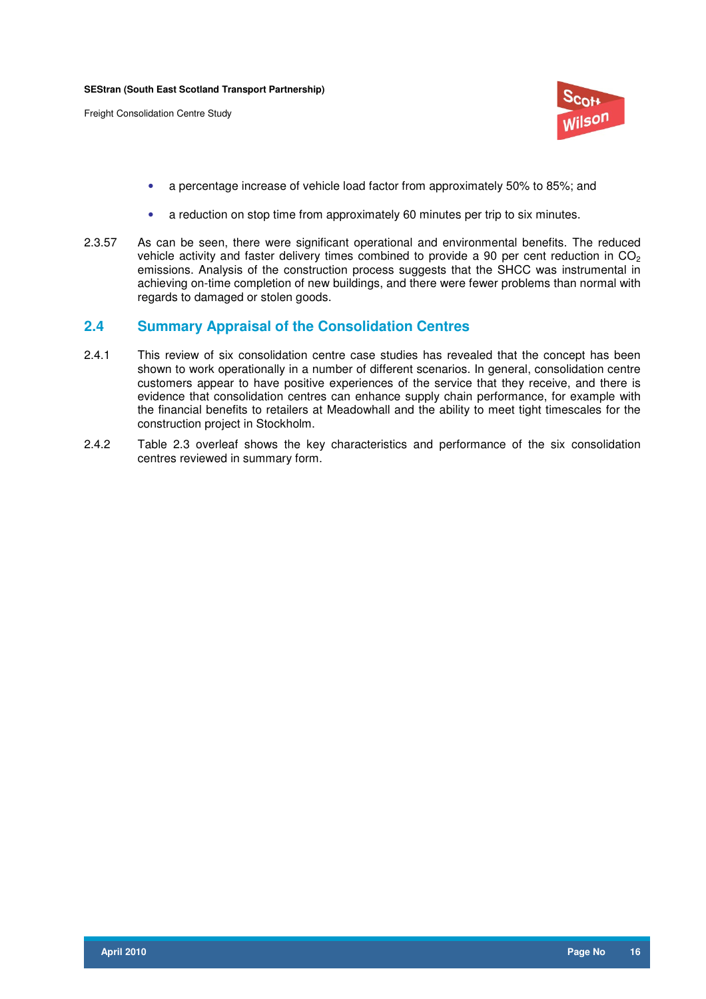

- a percentage increase of vehicle load factor from approximately 50% to 85%; and
- a reduction on stop time from approximately 60 minutes per trip to six minutes.
- 2.3.57 As can be seen, there were significant operational and environmental benefits. The reduced vehicle activity and faster delivery times combined to provide a 90 per cent reduction in  $CO<sub>2</sub>$ emissions. Analysis of the construction process suggests that the SHCC was instrumental in achieving on-time completion of new buildings, and there were fewer problems than normal with regards to damaged or stolen goods.

## **2.4 Summary Appraisal of the Consolidation Centres**

- 2.4.1 This review of six consolidation centre case studies has revealed that the concept has been shown to work operationally in a number of different scenarios. In general, consolidation centre customers appear to have positive experiences of the service that they receive, and there is evidence that consolidation centres can enhance supply chain performance, for example with the financial benefits to retailers at Meadowhall and the ability to meet tight timescales for the construction project in Stockholm.
- 2.4.2 Table 2.3 overleaf shows the key characteristics and performance of the six consolidation centres reviewed in summary form.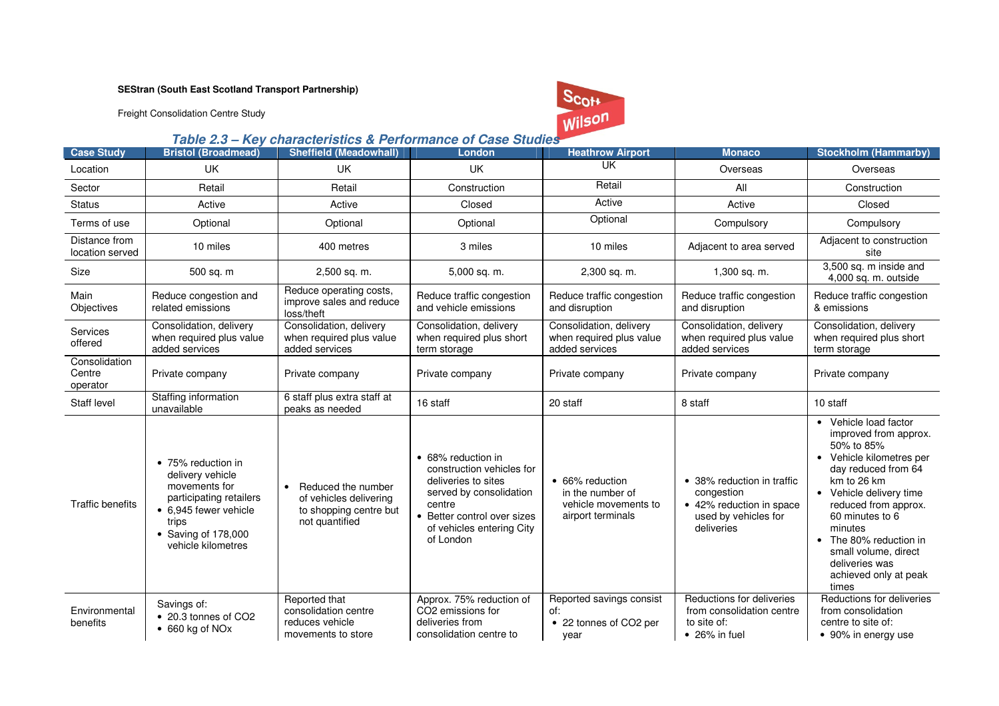Freight Consolidation Centre Study



## **Table 2.3 – Key characteristics & Performance of Case Studies**

| <b>Case Study</b>                   | <b>Bristol (Broadmead)</b>                                                                                                                                        | <b>Sheffield (Meadowhall)</b>                                                              | London                                                                                                                                                                               | <b>Heathrow Airport</b>                                                          | <b>Monaco</b>                                                                                              | <b>Stockholm (Hammarby)</b>                                                                                                                                                                                                                                                                                                                 |
|-------------------------------------|-------------------------------------------------------------------------------------------------------------------------------------------------------------------|--------------------------------------------------------------------------------------------|--------------------------------------------------------------------------------------------------------------------------------------------------------------------------------------|----------------------------------------------------------------------------------|------------------------------------------------------------------------------------------------------------|---------------------------------------------------------------------------------------------------------------------------------------------------------------------------------------------------------------------------------------------------------------------------------------------------------------------------------------------|
| Location                            | UK                                                                                                                                                                | <b>UK</b>                                                                                  | <b>UK</b>                                                                                                                                                                            | LIK                                                                              | Overseas                                                                                                   | Overseas                                                                                                                                                                                                                                                                                                                                    |
| Sector                              | Retail                                                                                                                                                            | Retail                                                                                     | Construction                                                                                                                                                                         | Retail                                                                           | All                                                                                                        | Construction                                                                                                                                                                                                                                                                                                                                |
| <b>Status</b>                       | Active                                                                                                                                                            | Active                                                                                     | Closed                                                                                                                                                                               | Active                                                                           | Active                                                                                                     | Closed                                                                                                                                                                                                                                                                                                                                      |
| Terms of use                        | Optional                                                                                                                                                          | Optional                                                                                   | Optional                                                                                                                                                                             | Optional                                                                         | Compulsory                                                                                                 | Compulsory                                                                                                                                                                                                                                                                                                                                  |
| Distance from<br>location served    | 10 miles                                                                                                                                                          | 400 metres                                                                                 | 3 miles                                                                                                                                                                              | 10 miles                                                                         | Adjacent to area served                                                                                    | Adjacent to construction<br>site                                                                                                                                                                                                                                                                                                            |
| Size                                | 500 sq. m                                                                                                                                                         | 2,500 sq. m.                                                                               | 5,000 sq. m.                                                                                                                                                                         | 2,300 sq. m.                                                                     | 1,300 sq. m.                                                                                               | 3,500 sq. m inside and<br>4,000 sq. m. outside                                                                                                                                                                                                                                                                                              |
| Main<br>Objectives                  | Reduce congestion and<br>related emissions                                                                                                                        | Reduce operating costs,<br>improve sales and reduce<br>loss/theft                          | Reduce traffic congestion<br>and vehicle emissions                                                                                                                                   | Reduce traffic congestion<br>and disruption                                      | Reduce traffic congestion<br>and disruption                                                                | Reduce traffic congestion<br>& emissions                                                                                                                                                                                                                                                                                                    |
| Services<br>offered                 | Consolidation, delivery<br>when required plus value<br>added services                                                                                             | Consolidation, delivery<br>when required plus value<br>added services                      | Consolidation, delivery<br>when required plus short<br>term storage                                                                                                                  | Consolidation, delivery<br>when required plus value<br>added services            | Consolidation, delivery<br>when required plus value<br>added services                                      | Consolidation, delivery<br>when required plus short<br>term storage                                                                                                                                                                                                                                                                         |
| Consolidation<br>Centre<br>operator | Private company                                                                                                                                                   | Private company                                                                            | Private company                                                                                                                                                                      | Private company                                                                  | Private company                                                                                            | Private company                                                                                                                                                                                                                                                                                                                             |
| Staff level                         | Staffing information<br>unavailable                                                                                                                               | 6 staff plus extra staff at<br>peaks as needed                                             | 16 staff                                                                                                                                                                             | 20 staff                                                                         | 8 staff                                                                                                    | 10 staff                                                                                                                                                                                                                                                                                                                                    |
| Traffic benefits                    | • 75% reduction in<br>delivery vehicle<br>movements for<br>participating retailers<br>• 6,945 fewer vehicle<br>trips<br>• Saving of 178,000<br>vehicle kilometres | • Reduced the number<br>of vehicles delivering<br>to shopping centre but<br>not quantified | • 68% reduction in<br>construction vehicles for<br>deliveries to sites<br>served by consolidation<br>centre<br>• Better control over sizes<br>of vehicles entering City<br>of London | • 66% reduction<br>in the number of<br>vehicle movements to<br>airport terminals | • 38% reduction in traffic<br>congestion<br>• 42% reduction in space<br>used by vehicles for<br>deliveries | • Vehicle load factor<br>improved from approx.<br>50% to 85%<br>Vehicle kilometres per<br>$\bullet$<br>day reduced from 64<br>km to 26 km<br>• Vehicle delivery time<br>reduced from approx.<br>60 minutes to 6<br>minutes<br>The 80% reduction in<br>$\bullet$<br>small volume, direct<br>deliveries was<br>achieved only at peak<br>times |
| Environmental<br>benefits           | Savings of:<br>• 20.3 tonnes of CO2<br>$\bullet$ 660 kg of NOx                                                                                                    | Reported that<br>consolidation centre<br>reduces vehicle<br>movements to store             | Approx. 75% reduction of<br>CO2 emissions for<br>deliveries from<br>consolidation centre to                                                                                          | Reported savings consist<br>of:<br>• 22 tonnes of CO2 per<br>year                | Reductions for deliveries<br>from consolidation centre<br>to site of:<br>$\bullet$ 26% in fuel             | Reductions for deliveries<br>from consolidation<br>centre to site of:<br>• 90% in energy use                                                                                                                                                                                                                                                |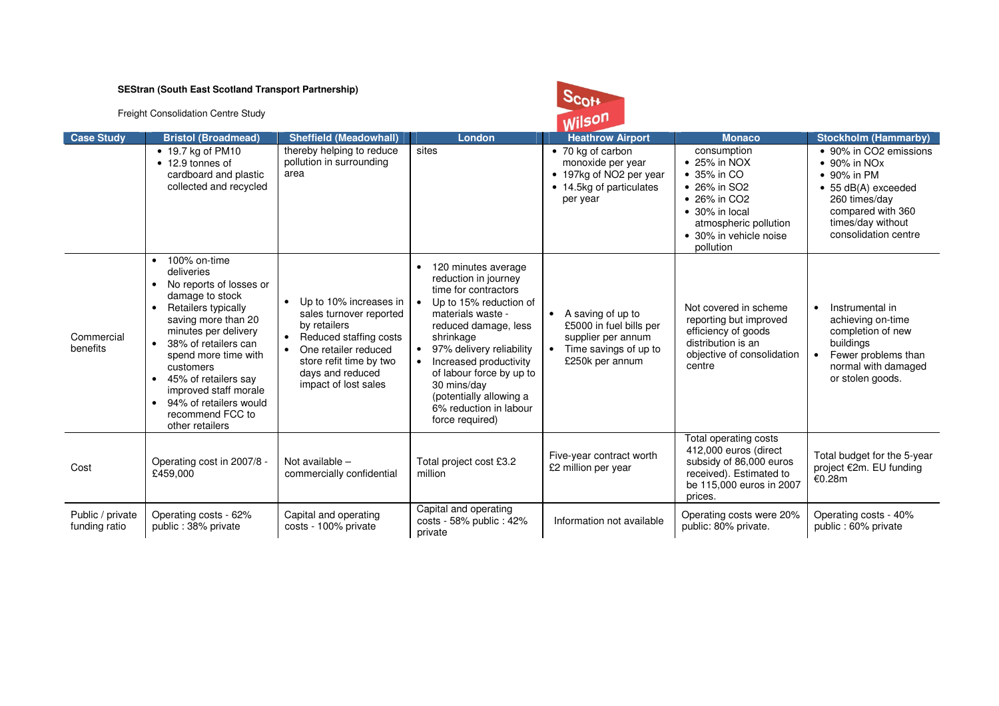Freight Consolidation Centre Study

## $S_{\text{CO++}}$ Wilson

|                                   |                                                                                                                                                                                                                                                                                                                                                                                                             |                                                                                                                                                                                            |                                                                                                                                                                                                                                                                                                                                                                         | <b>VVII-</b>                                                                                                                |                                                                                                                                                                                              |                                                                                                                                                                                                     |
|-----------------------------------|-------------------------------------------------------------------------------------------------------------------------------------------------------------------------------------------------------------------------------------------------------------------------------------------------------------------------------------------------------------------------------------------------------------|--------------------------------------------------------------------------------------------------------------------------------------------------------------------------------------------|-------------------------------------------------------------------------------------------------------------------------------------------------------------------------------------------------------------------------------------------------------------------------------------------------------------------------------------------------------------------------|-----------------------------------------------------------------------------------------------------------------------------|----------------------------------------------------------------------------------------------------------------------------------------------------------------------------------------------|-----------------------------------------------------------------------------------------------------------------------------------------------------------------------------------------------------|
| <b>Case Study</b>                 | <b>Bristol (Broadmead)</b>                                                                                                                                                                                                                                                                                                                                                                                  | <b>Sheffield (Meadowhall)</b>                                                                                                                                                              | London                                                                                                                                                                                                                                                                                                                                                                  | <b>Heathrow Airport</b>                                                                                                     | <b>Monaco</b>                                                                                                                                                                                | <b>Stockholm (Hammarby)</b>                                                                                                                                                                         |
|                                   | • 19.7 kg of PM10<br>• 12.9 tonnes of<br>cardboard and plastic<br>collected and recycled                                                                                                                                                                                                                                                                                                                    | thereby helping to reduce<br>pollution in surrounding<br>area                                                                                                                              | sites                                                                                                                                                                                                                                                                                                                                                                   | • 70 kg of carbon<br>monoxide per year<br>• 197kg of NO2 per year<br>• 14.5kg of particulates<br>per year                   | consumption<br>$\bullet$ 25% in NOX<br>$\bullet$ 35% in CO<br>• 26% in SO2<br>$\bullet$ 26% in CO2<br>$\bullet$ 30% in local<br>atmospheric pollution<br>• 30% in vehicle noise<br>pollution | • 90% in CO2 emissions<br>$\bullet$ 90% in NO <sub>x</sub><br>$\bullet$ 90% in PM<br>$\bullet$ 55 dB(A) exceeded<br>260 times/day<br>compared with 360<br>times/day without<br>consolidation centre |
| Commercial<br>benefits            | 100% on-time<br>$\bullet$<br>deliveries<br>No reports of losses or<br>$\bullet$<br>damage to stock<br>Retailers typically<br>$\bullet$<br>saving more than 20<br>minutes per delivery<br>38% of retailers can<br>$\bullet$<br>spend more time with<br>customers<br>45% of retailers say<br>$\bullet$<br>improved staff morale<br>94% of retailers would<br>$\bullet$<br>recommend FCC to<br>other retailers | Up to 10% increases in<br>sales turnover reported<br>by retailers<br>Reduced staffing costs<br>One retailer reduced<br>store refit time by two<br>days and reduced<br>impact of lost sales | 120 minutes average<br>reduction in journey<br>time for contractors<br>Up to 15% reduction of<br>$\bullet$<br>materials waste -<br>reduced damage, less<br>shrinkage<br>97% delivery reliability<br>$\bullet$<br>Increased productivity<br>$\bullet$<br>of labour force by up to<br>30 mins/day<br>(potentially allowing a<br>6% reduction in labour<br>force required) | A saving of up to<br>$\bullet$<br>£5000 in fuel bills per<br>supplier per annum<br>Time savings of up to<br>£250k per annum | Not covered in scheme<br>reporting but improved<br>efficiency of goods<br>distribution is an<br>objective of consolidation<br>centre                                                         | Instrumental in<br>$\bullet$<br>achieving on-time<br>completion of new<br>buildings<br>Fewer problems than<br>$\bullet$<br>normal with damaged<br>or stolen goods.                                  |
| Cost                              | Operating cost in 2007/8 -<br>£459,000                                                                                                                                                                                                                                                                                                                                                                      | Not available -<br>commercially confidential                                                                                                                                               | Total project cost £3.2<br>million                                                                                                                                                                                                                                                                                                                                      | Five-year contract worth<br>£2 million per year                                                                             | Total operating costs<br>412,000 euros (direct<br>subsidy of 86,000 euros<br>received). Estimated to<br>be 115,000 euros in 2007<br>prices.                                                  | Total budget for the 5-year<br>project €2m. EU funding<br>€0.28m                                                                                                                                    |
| Public / private<br>funding ratio | Operating costs - 62%<br>public: 38% private                                                                                                                                                                                                                                                                                                                                                                | Capital and operating<br>costs - 100% private                                                                                                                                              | Capital and operating<br>costs - 58% public : 42%<br>private                                                                                                                                                                                                                                                                                                            | Information not available                                                                                                   | Operating costs were 20%<br>public: 80% private.                                                                                                                                             | Operating costs - 40%<br>public: 60% private                                                                                                                                                        |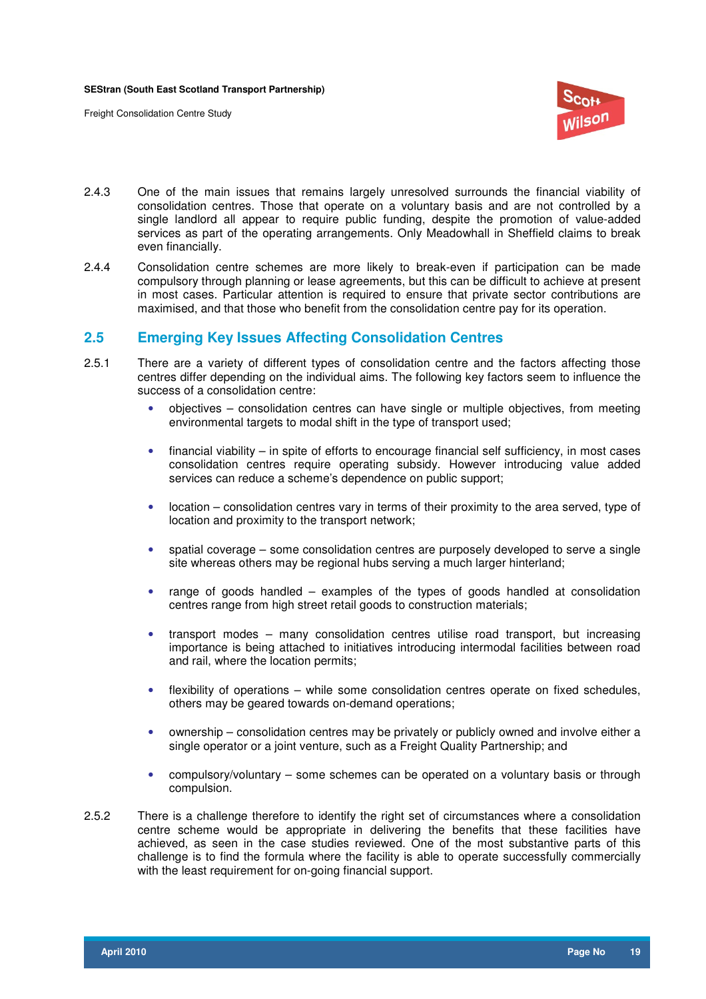

- 2.4.3 One of the main issues that remains largely unresolved surrounds the financial viability of consolidation centres. Those that operate on a voluntary basis and are not controlled by a single landlord all appear to require public funding, despite the promotion of value-added services as part of the operating arrangements. Only Meadowhall in Sheffield claims to break even financially.
- 2.4.4 Consolidation centre schemes are more likely to break-even if participation can be made compulsory through planning or lease agreements, but this can be difficult to achieve at present in most cases. Particular attention is required to ensure that private sector contributions are maximised, and that those who benefit from the consolidation centre pay for its operation.

## **2.5 Emerging Key Issues Affecting Consolidation Centres**

- 2.5.1 There are a variety of different types of consolidation centre and the factors affecting those centres differ depending on the individual aims. The following key factors seem to influence the success of a consolidation centre:
	- objectives consolidation centres can have single or multiple objectives, from meeting environmental targets to modal shift in the type of transport used;
	- $\bullet$  financial viability in spite of efforts to encourage financial self sufficiency, in most cases consolidation centres require operating subsidy. However introducing value added services can reduce a scheme's dependence on public support;
	- location consolidation centres vary in terms of their proximity to the area served, type of location and proximity to the transport network;
	- spatial coverage some consolidation centres are purposely developed to serve a single site whereas others may be regional hubs serving a much larger hinterland;
	- range of goods handled examples of the types of goods handled at consolidation centres range from high street retail goods to construction materials;
	- transport modes many consolidation centres utilise road transport, but increasing importance is being attached to initiatives introducing intermodal facilities between road and rail, where the location permits;
	- flexibility of operations while some consolidation centres operate on fixed schedules, others may be geared towards on-demand operations;
	- ownership consolidation centres may be privately or publicly owned and involve either a single operator or a joint venture, such as a Freight Quality Partnership; and
	- compulsory/voluntary some schemes can be operated on a voluntary basis or through compulsion.
- 2.5.2 There is a challenge therefore to identify the right set of circumstances where a consolidation centre scheme would be appropriate in delivering the benefits that these facilities have achieved, as seen in the case studies reviewed. One of the most substantive parts of this challenge is to find the formula where the facility is able to operate successfully commercially with the least requirement for on-going financial support.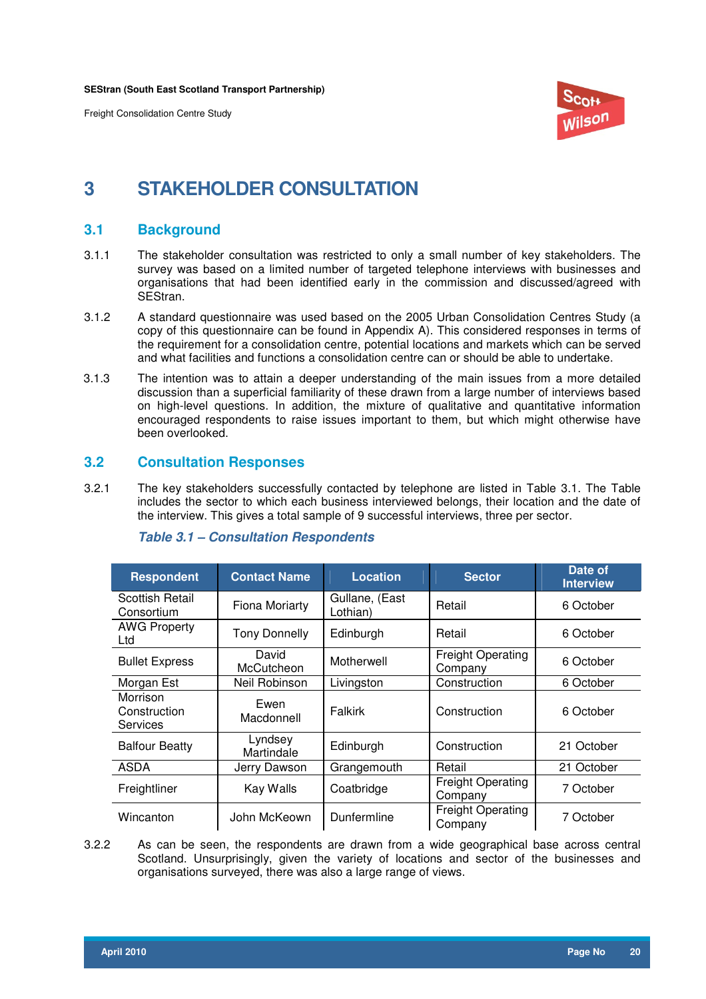

## **3 STAKEHOLDER CONSULTATION**

## **3.1 Background**

- 3.1.1 The stakeholder consultation was restricted to only a small number of key stakeholders. The survey was based on a limited number of targeted telephone interviews with businesses and organisations that had been identified early in the commission and discussed/agreed with SEStran.
- 3.1.2 A standard questionnaire was used based on the 2005 Urban Consolidation Centres Study (a copy of this questionnaire can be found in Appendix A). This considered responses in terms of the requirement for a consolidation centre, potential locations and markets which can be served and what facilities and functions a consolidation centre can or should be able to undertake.
- 3.1.3 The intention was to attain a deeper understanding of the main issues from a more detailed discussion than a superficial familiarity of these drawn from a large number of interviews based on high-level questions. In addition, the mixture of qualitative and quantitative information encouraged respondents to raise issues important to them, but which might otherwise have been overlooked.

## **3.2 Consultation Responses**

3.2.1 The key stakeholders successfully contacted by telephone are listed in Table 3.1. The Table includes the sector to which each business interviewed belongs, their location and the date of the interview. This gives a total sample of 9 successful interviews, three per sector.

| <b>Respondent</b>                           | <b>Contact Name</b>   | <b>Location</b>            | <b>Sector</b>                       | Date of<br><b>Interview</b> |
|---------------------------------------------|-----------------------|----------------------------|-------------------------------------|-----------------------------|
| <b>Scottish Retail</b><br>Consortium        | <b>Fiona Moriarty</b> | Gullane, (East<br>Lothian) | Retail                              | 6 October                   |
| <b>AWG Property</b><br>Ltd                  | <b>Tony Donnelly</b>  | Edinburgh                  | Retail                              | 6 October                   |
| <b>Bullet Express</b>                       | David<br>McCutcheon   | Motherwell                 | <b>Freight Operating</b><br>Company | 6 October                   |
| Morgan Est                                  | Neil Robinson         | Livingston                 | Construction                        | 6 October                   |
| Morrison<br>Construction<br><b>Services</b> | Ewen<br>Macdonnell    | Falkirk                    | Construction                        | 6 October                   |
| <b>Balfour Beatty</b>                       | Lyndsey<br>Martindale | Edinburgh                  | Construction                        | 21 October                  |
| ASDA                                        | Jerry Dawson          | Grangemouth                | Retail                              | 21 October                  |
| Freightliner                                | Kay Walls             | Coatbridge                 | <b>Freight Operating</b><br>Company | 7 October                   |
| Wincanton                                   | John McKeown          | Dunfermline                | <b>Freight Operating</b><br>Company | 7 October                   |

### **Table 3.1 – Consultation Respondents**

3.2.2 As can be seen, the respondents are drawn from a wide geographical base across central Scotland. Unsurprisingly, given the variety of locations and sector of the businesses and organisations surveyed, there was also a large range of views.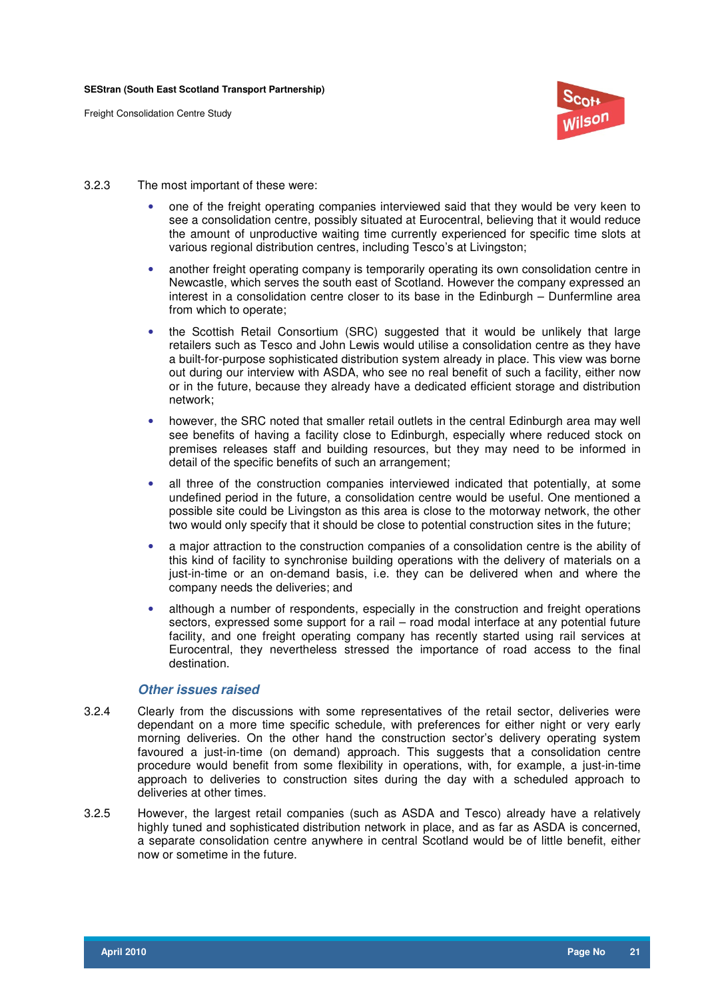

- 3.2.3 The most important of these were:
	- one of the freight operating companies interviewed said that they would be very keen to see a consolidation centre, possibly situated at Eurocentral, believing that it would reduce the amount of unproductive waiting time currently experienced for specific time slots at various regional distribution centres, including Tesco's at Livingston;
	- another freight operating company is temporarily operating its own consolidation centre in Newcastle, which serves the south east of Scotland. However the company expressed an interest in a consolidation centre closer to its base in the Edinburgh – Dunfermline area from which to operate;
	- the Scottish Retail Consortium (SRC) suggested that it would be unlikely that large retailers such as Tesco and John Lewis would utilise a consolidation centre as they have a built-for-purpose sophisticated distribution system already in place. This view was borne out during our interview with ASDA, who see no real benefit of such a facility, either now or in the future, because they already have a dedicated efficient storage and distribution network;
	- however, the SRC noted that smaller retail outlets in the central Edinburgh area may well see benefits of having a facility close to Edinburgh, especially where reduced stock on premises releases staff and building resources, but they may need to be informed in detail of the specific benefits of such an arrangement;
	- all three of the construction companies interviewed indicated that potentially, at some undefined period in the future, a consolidation centre would be useful. One mentioned a possible site could be Livingston as this area is close to the motorway network, the other two would only specify that it should be close to potential construction sites in the future;
	- a major attraction to the construction companies of a consolidation centre is the ability of this kind of facility to synchronise building operations with the delivery of materials on a just-in-time or an on-demand basis, i.e. they can be delivered when and where the company needs the deliveries; and
	- although a number of respondents, especially in the construction and freight operations sectors, expressed some support for a rail – road modal interface at any potential future facility, and one freight operating company has recently started using rail services at Eurocentral, they nevertheless stressed the importance of road access to the final destination.

#### **Other issues raised**

- 3.2.4 Clearly from the discussions with some representatives of the retail sector, deliveries were dependant on a more time specific schedule, with preferences for either night or very early morning deliveries. On the other hand the construction sector's delivery operating system favoured a just-in-time (on demand) approach. This suggests that a consolidation centre procedure would benefit from some flexibility in operations, with, for example, a just-in-time approach to deliveries to construction sites during the day with a scheduled approach to deliveries at other times.
- 3.2.5 However, the largest retail companies (such as ASDA and Tesco) already have a relatively highly tuned and sophisticated distribution network in place, and as far as ASDA is concerned, a separate consolidation centre anywhere in central Scotland would be of little benefit, either now or sometime in the future.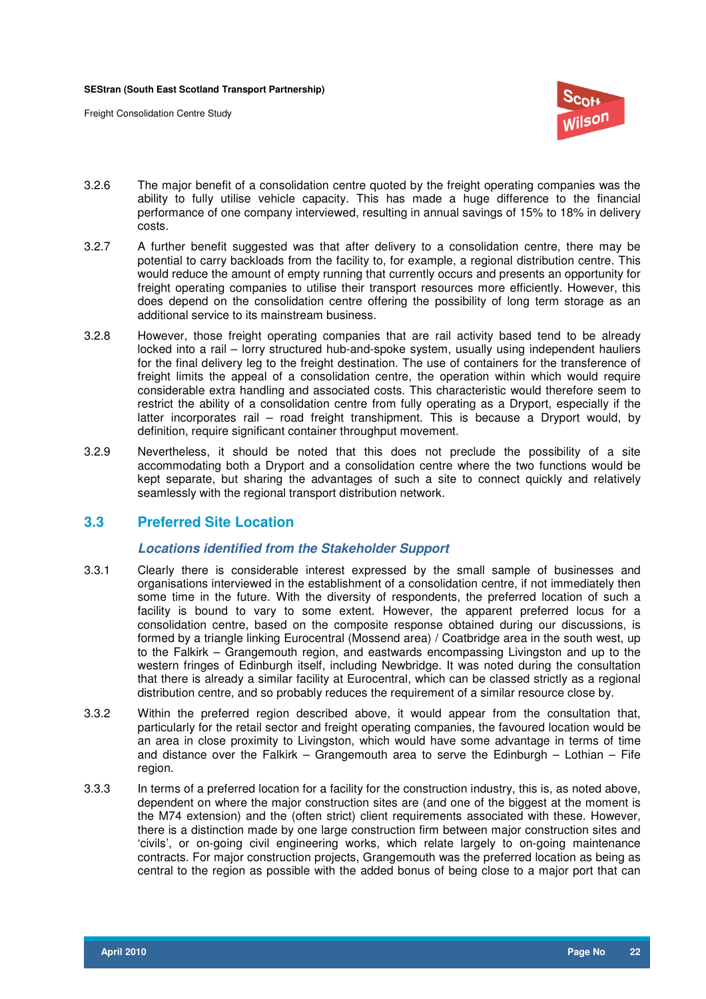

- 3.2.6 The major benefit of a consolidation centre quoted by the freight operating companies was the ability to fully utilise vehicle capacity. This has made a huge difference to the financial performance of one company interviewed, resulting in annual savings of 15% to 18% in delivery costs.
- 3.2.7 A further benefit suggested was that after delivery to a consolidation centre, there may be potential to carry backloads from the facility to, for example, a regional distribution centre. This would reduce the amount of empty running that currently occurs and presents an opportunity for freight operating companies to utilise their transport resources more efficiently. However, this does depend on the consolidation centre offering the possibility of long term storage as an additional service to its mainstream business.
- 3.2.8 However, those freight operating companies that are rail activity based tend to be already locked into a rail – lorry structured hub-and-spoke system, usually using independent hauliers for the final delivery leg to the freight destination. The use of containers for the transference of freight limits the appeal of a consolidation centre, the operation within which would require considerable extra handling and associated costs. This characteristic would therefore seem to restrict the ability of a consolidation centre from fully operating as a Dryport, especially if the latter incorporates rail – road freight transhipment. This is because a Dryport would, by definition, require significant container throughput movement.
- 3.2.9 Nevertheless, it should be noted that this does not preclude the possibility of a site accommodating both a Dryport and a consolidation centre where the two functions would be kept separate, but sharing the advantages of such a site to connect quickly and relatively seamlessly with the regional transport distribution network.

## **3.3 Preferred Site Location**

### **Locations identified from the Stakeholder Support**

- 3.3.1 Clearly there is considerable interest expressed by the small sample of businesses and organisations interviewed in the establishment of a consolidation centre, if not immediately then some time in the future. With the diversity of respondents, the preferred location of such a facility is bound to vary to some extent. However, the apparent preferred locus for a consolidation centre, based on the composite response obtained during our discussions, is formed by a triangle linking Eurocentral (Mossend area) / Coatbridge area in the south west, up to the Falkirk – Grangemouth region, and eastwards encompassing Livingston and up to the western fringes of Edinburgh itself, including Newbridge. It was noted during the consultation that there is already a similar facility at Eurocentral, which can be classed strictly as a regional distribution centre, and so probably reduces the requirement of a similar resource close by.
- 3.3.2 Within the preferred region described above, it would appear from the consultation that, particularly for the retail sector and freight operating companies, the favoured location would be an area in close proximity to Livingston, which would have some advantage in terms of time and distance over the Falkirk – Grangemouth area to serve the Edinburgh – Lothian – Fife region.
- 3.3.3 In terms of a preferred location for a facility for the construction industry, this is, as noted above, dependent on where the major construction sites are (and one of the biggest at the moment is the M74 extension) and the (often strict) client requirements associated with these. However, there is a distinction made by one large construction firm between major construction sites and 'civils', or on-going civil engineering works, which relate largely to on-going maintenance contracts. For major construction projects, Grangemouth was the preferred location as being as central to the region as possible with the added bonus of being close to a major port that can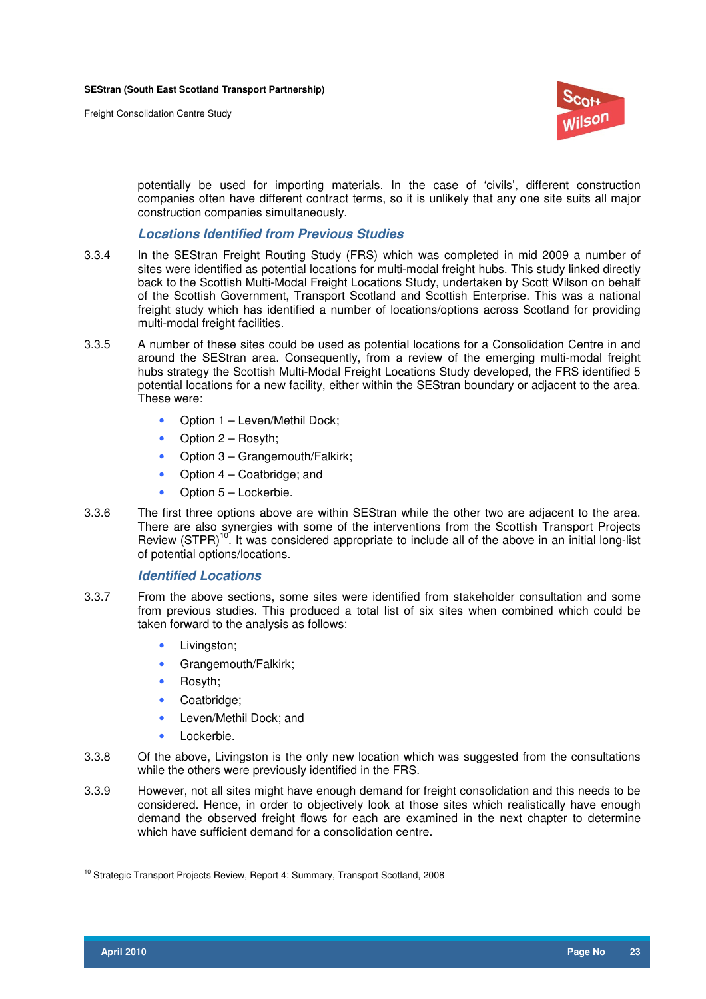

potentially be used for importing materials. In the case of 'civils', different construction companies often have different contract terms, so it is unlikely that any one site suits all major construction companies simultaneously.

#### **Locations Identified from Previous Studies**

- 3.3.4 In the SEStran Freight Routing Study (FRS) which was completed in mid 2009 a number of sites were identified as potential locations for multi-modal freight hubs. This study linked directly back to the Scottish Multi-Modal Freight Locations Study, undertaken by Scott Wilson on behalf of the Scottish Government, Transport Scotland and Scottish Enterprise. This was a national freight study which has identified a number of locations/options across Scotland for providing multi-modal freight facilities.
- 3.3.5 A number of these sites could be used as potential locations for a Consolidation Centre in and around the SEStran area. Consequently, from a review of the emerging multi-modal freight hubs strategy the Scottish Multi-Modal Freight Locations Study developed, the FRS identified 5 potential locations for a new facility, either within the SEStran boundary or adjacent to the area. These were:
	- Option 1 Leven/Methil Dock;
	- Option 2 Rosyth:
	- Option 3 Grangemouth/Falkirk;
	- Option 4 Coatbridge; and
	- Option 5 Lockerbie.
- 3.3.6 The first three options above are within SEStran while the other two are adjacent to the area. There are also synergies with some of the interventions from the Scottish Transport Projects Review (STPR)<sup>10</sup>. It was considered appropriate to include all of the above in an initial long-list of potential options/locations.

### **Identified Locations**

- 3.3.7 From the above sections, some sites were identified from stakeholder consultation and some from previous studies. This produced a total list of six sites when combined which could be taken forward to the analysis as follows:
	- Livinaston:
	- Grangemouth/Falkirk;
	- Rosyth;
	- Coatbridge:
	- Leven/Methil Dock; and
	- Lockerbie.
- 3.3.8 Of the above, Livingston is the only new location which was suggested from the consultations while the others were previously identified in the FRS.
- 3.3.9 However, not all sites might have enough demand for freight consolidation and this needs to be considered. Hence, in order to objectively look at those sites which realistically have enough demand the observed freight flows for each are examined in the next chapter to determine which have sufficient demand for a consolidation centre.

 $\overline{a}$ <sup>10</sup> Strategic Transport Projects Review, Report 4: Summary, Transport Scotland, 2008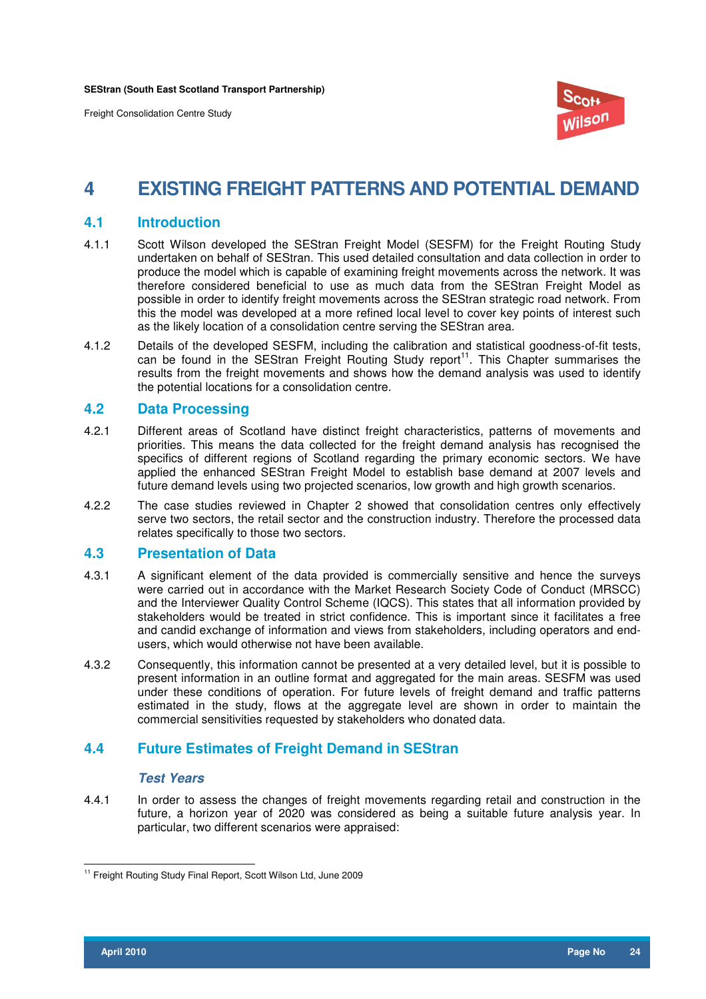

## **4 EXISTING FREIGHT PATTERNS AND POTENTIAL DEMAND**

## **4.1 Introduction**

- 4.1.1 Scott Wilson developed the SEStran Freight Model (SESFM) for the Freight Routing Study undertaken on behalf of SEStran. This used detailed consultation and data collection in order to produce the model which is capable of examining freight movements across the network. It was therefore considered beneficial to use as much data from the SEStran Freight Model as possible in order to identify freight movements across the SEStran strategic road network. From this the model was developed at a more refined local level to cover key points of interest such as the likely location of a consolidation centre serving the SEStran area.
- 4.1.2 Details of the developed SESFM, including the calibration and statistical goodness-of-fit tests, can be found in the SEStran Freight Routing Study report<sup>11</sup>. This Chapter summarises the results from the freight movements and shows how the demand analysis was used to identify the potential locations for a consolidation centre.

## **4.2 Data Processing**

- 4.2.1 Different areas of Scotland have distinct freight characteristics, patterns of movements and priorities. This means the data collected for the freight demand analysis has recognised the specifics of different regions of Scotland regarding the primary economic sectors. We have applied the enhanced SEStran Freight Model to establish base demand at 2007 levels and future demand levels using two projected scenarios, low growth and high growth scenarios.
- 4.2.2 The case studies reviewed in Chapter 2 showed that consolidation centres only effectively serve two sectors, the retail sector and the construction industry. Therefore the processed data relates specifically to those two sectors.

## **4.3 Presentation of Data**

- 4.3.1 A significant element of the data provided is commercially sensitive and hence the surveys were carried out in accordance with the Market Research Society Code of Conduct (MRSCC) and the Interviewer Quality Control Scheme (IQCS). This states that all information provided by stakeholders would be treated in strict confidence. This is important since it facilitates a free and candid exchange of information and views from stakeholders, including operators and endusers, which would otherwise not have been available.
- 4.3.2 Consequently, this information cannot be presented at a very detailed level, but it is possible to present information in an outline format and aggregated for the main areas. SESFM was used under these conditions of operation. For future levels of freight demand and traffic patterns estimated in the study, flows at the aggregate level are shown in order to maintain the commercial sensitivities requested by stakeholders who donated data.

## **4.4 Future Estimates of Freight Demand in SEStran**

### **Test Years**

4.4.1 In order to assess the changes of freight movements regarding retail and construction in the future, a horizon year of 2020 was considered as being a suitable future analysis year. In particular, two different scenarios were appraised:

 $\overline{a}$ <sup>11</sup> Freight Routing Study Final Report, Scott Wilson Ltd, June 2009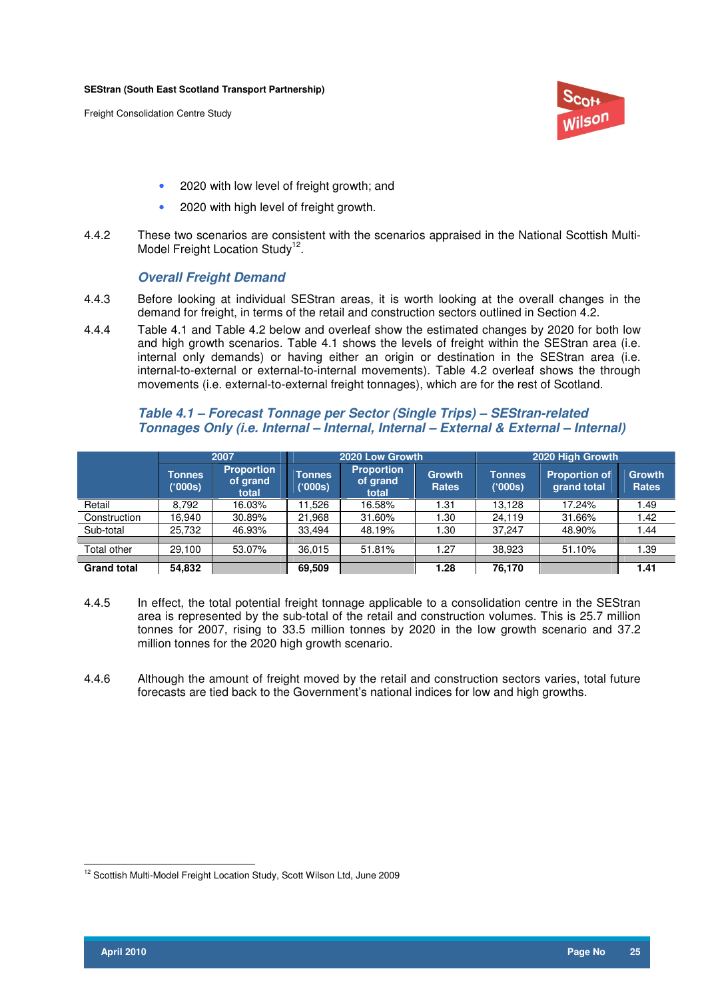

- 2020 with low level of freight growth; and
- 2020 with high level of freight growth.
- 4.4.2 These two scenarios are consistent with the scenarios appraised in the National Scottish Multi-Model Freight Location Study<sup>12</sup>.

### **Overall Freight Demand**

- 4.4.3 Before looking at individual SEStran areas, it is worth looking at the overall changes in the demand for freight, in terms of the retail and construction sectors outlined in Section 4.2.
- 4.4.4 Table 4.1 and Table 4.2 below and overleaf show the estimated changes by 2020 for both low and high growth scenarios. Table 4.1 shows the levels of freight within the SEStran area (i.e. internal only demands) or having either an origin or destination in the SEStran area (i.e. internal-to-external or external-to-internal movements). Table 4.2 overleaf shows the through movements (i.e. external-to-external freight tonnages), which are for the rest of Scotland.

## **Table 4.1 – Forecast Tonnage per Sector (Single Trips) – SEStran-related Tonnages Only (i.e. Internal – Internal, Internal – External & External – Internal)**

|                    |                   | 2007                                   |                   | 2020 Low Growth                        |                               |                          | 2020 High Growth                    |                               |
|--------------------|-------------------|----------------------------------------|-------------------|----------------------------------------|-------------------------------|--------------------------|-------------------------------------|-------------------------------|
|                    | Tonnes<br>('000s) | <b>Proportion</b><br>of grand<br>total | Tonnes<br>('000s) | <b>Proportion</b><br>of grand<br>total | <b>Growth</b><br><b>Rates</b> | <b>Tonnes</b><br>('000s) | <b>Proportion of</b><br>grand total | <b>Growth</b><br><b>Rates</b> |
| Retail             | 8.792             | 16.03%                                 | 11.526            | 16.58%                                 | 1.31                          | 13.128                   | 17.24%                              | 1.49                          |
| Construction       | 16.940            | 30.89%                                 | 21,968            | 31.60%                                 | 1.30                          | 24.119                   | 31.66%                              | 1.42                          |
| Sub-total          | 25,732            | 46.93%                                 | 33.494            | 48.19%                                 | 1.30                          | 37.247                   | 48.90%                              | 44. ا                         |
|                    |                   |                                        |                   |                                        |                               |                          |                                     |                               |
| Total other        | 29.100            | 53.07%                                 | 36,015            | 51.81%                                 | 1.27                          | 38,923                   | 51.10%                              | 1.39                          |
|                    |                   |                                        |                   |                                        |                               |                          |                                     |                               |
| <b>Grand total</b> | 54,832            |                                        | 69,509            |                                        | 1.28                          | 76,170                   |                                     | 1.41                          |

- 4.4.5 In effect, the total potential freight tonnage applicable to a consolidation centre in the SEStran area is represented by the sub-total of the retail and construction volumes. This is 25.7 million tonnes for 2007, rising to 33.5 million tonnes by 2020 in the low growth scenario and 37.2 million tonnes for the 2020 high growth scenario.
- 4.4.6 Although the amount of freight moved by the retail and construction sectors varies, total future forecasts are tied back to the Government's national indices for low and high growths.

 $\overline{a}$ <sup>12</sup> Scottish Multi-Model Freight Location Study, Scott Wilson Ltd, June 2009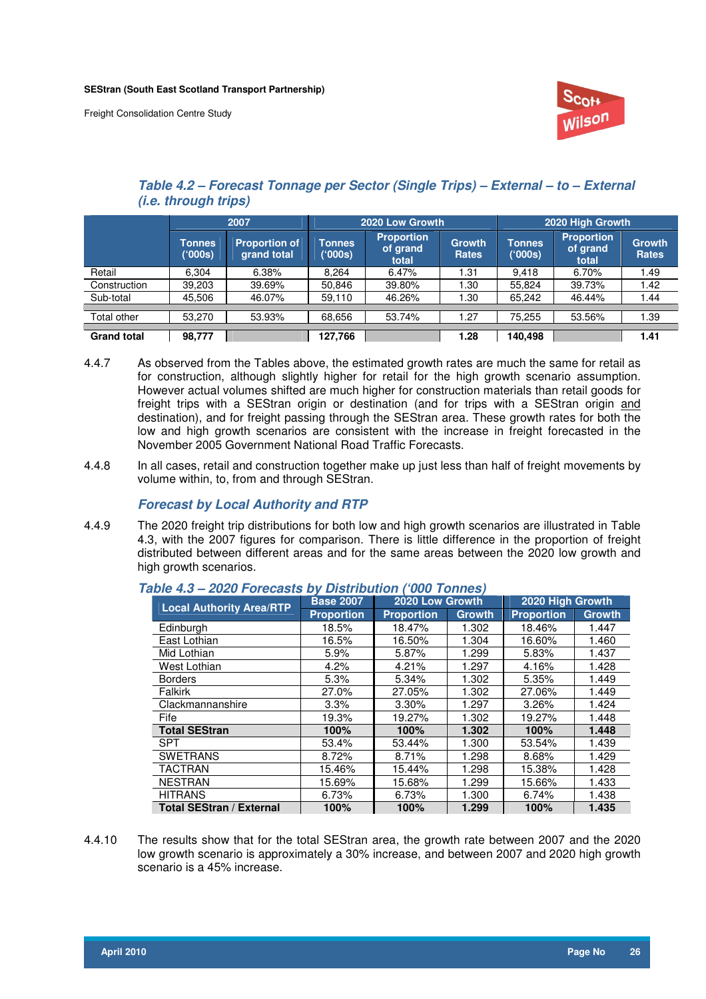

## **Table 4.2 – Forecast Tonnage per Sector (Single Trips) – External – to – External (i.e. through trips)**

|                    |                          | 2007                                |                   | 2020 Low Growth                        |                               |                   | 2020 High Growth                       |                               |
|--------------------|--------------------------|-------------------------------------|-------------------|----------------------------------------|-------------------------------|-------------------|----------------------------------------|-------------------------------|
|                    | <b>Tonnes</b><br>('000s) | <b>Proportion of</b><br>grand total | Tonnes<br>('000s) | <b>Proportion</b><br>of grand<br>total | <b>Growth</b><br><b>Rates</b> | Tonnes<br>('000s) | <b>Proportion</b><br>of grand<br>total | <b>Growth</b><br><b>Rates</b> |
| Retail             | 6.304                    | 6.38%                               | 8.264             | 6.47%                                  | 1.31                          | 9.418             | 6.70%                                  | 49. ا                         |
| Construction       | 39,203                   | 39.69%                              | 50,846            | 39.80%                                 | .30                           | 55,824            | 39.73%                                 | .42                           |
| Sub-total          | 45.506                   | 46.07%                              | 59.110            | 46.26%                                 | . .30                         | 65,242            | 46.44%                                 | .44                           |
|                    |                          |                                     |                   |                                        |                               |                   |                                        |                               |
| Total other        | 53.270                   | 53.93%                              | 68,656            | 53.74%                                 | 1.27                          | 75,255            | 53.56%                                 | 39،،                          |
|                    |                          |                                     |                   |                                        |                               |                   |                                        |                               |
| <b>Grand total</b> | 98,777                   |                                     | 127.766           |                                        | 1.28                          | 140,498           |                                        | 1.41                          |

- 4.4.7 As observed from the Tables above, the estimated growth rates are much the same for retail as for construction, although slightly higher for retail for the high growth scenario assumption. However actual volumes shifted are much higher for construction materials than retail goods for freight trips with a SEStran origin or destination (and for trips with a SEStran origin and destination), and for freight passing through the SEStran area. These growth rates for both the low and high growth scenarios are consistent with the increase in freight forecasted in the November 2005 Government National Road Traffic Forecasts.
- 4.4.8 In all cases, retail and construction together make up just less than half of freight movements by volume within, to, from and through SEStran.

## **Forecast by Local Authority and RTP**

4.4.9 The 2020 freight trip distributions for both low and high growth scenarios are illustrated in Table 4.3, with the 2007 figures for comparison. There is little difference in the proportion of freight distributed between different areas and for the same areas between the 2020 low growth and high growth scenarios.

| <b>Local Authority Area/RTP</b> | <b>Base 2007</b>  | 2020 Low Growth   |               | 2020 High Growth  |               |
|---------------------------------|-------------------|-------------------|---------------|-------------------|---------------|
|                                 | <b>Proportion</b> | <b>Proportion</b> | <b>Growth</b> | <b>Proportion</b> | <b>Growth</b> |
| Edinburgh                       | 18.5%             | 18.47%            | 1.302         | 18.46%            | 1.447         |
| East Lothian                    | 16.5%             | 16.50%            | 1.304         | 16.60%            | 1.460         |
| Mid Lothian                     | 5.9%              | 5.87%             | 1.299         | 5.83%             | 1.437         |
| West Lothian                    | 4.2%              | 4.21%             | 1.297         | 4.16%             | 1.428         |
| <b>Borders</b>                  | 5.3%              | 5.34%             | 1.302         | 5.35%             | 1.449         |
| Falkirk                         | 27.0%             | 27.05%            | 1.302         | 27.06%            | 1.449         |
| Clackmannanshire                | 3.3%              | 3.30%             | 1.297         | 3.26%             | 1.424         |
| Fife                            | 19.3%             | 19.27%            | 1.302         | 19.27%            | 1.448         |
| <b>Total SEStran</b>            | 100%              | 100%              | 1.302         | 100%              | 1.448         |
| <b>SPT</b>                      | 53.4%             | 53.44%            | 1.300         | 53.54%            | 1.439         |
| <b>SWETRANS</b>                 | 8.72%             | 8.71%             | 1.298         | 8.68%             | 1.429         |
| <b>TACTRAN</b>                  | 15.46%            | 15.44%            | 1.298         | 15.38%            | 1.428         |
| <b>NESTRAN</b>                  | 15.69%            | 15.68%            | 1.299         | 15.66%            | 1.433         |
| <b>HITRANS</b>                  | 6.73%             | 6.73%             | 1.300         | 6.74%             | 1.438         |
| <b>Total SEStran / External</b> | 100%              | 100%              | 1.299         | 100%              | 1.435         |

### **Table 4.3 – 2020 Forecasts by Distribution ('000 Tonnes)**

4.4.10 The results show that for the total SEStran area, the growth rate between 2007 and the 2020 low growth scenario is approximately a 30% increase, and between 2007 and 2020 high growth scenario is a 45% increase.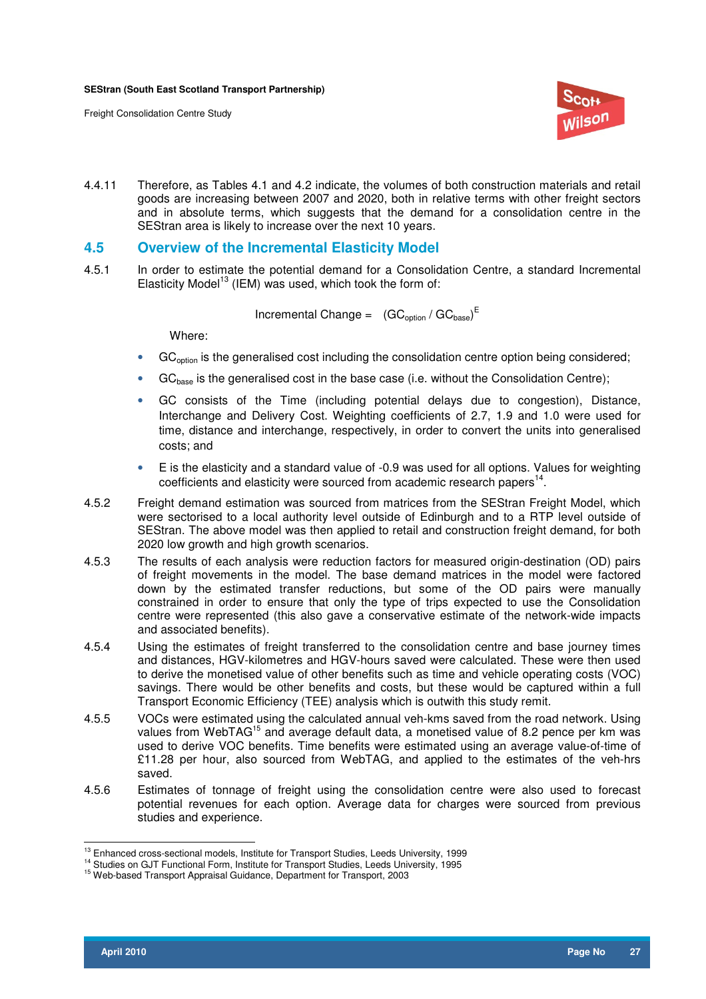

4.4.11 Therefore, as Tables 4.1 and 4.2 indicate, the volumes of both construction materials and retail goods are increasing between 2007 and 2020, both in relative terms with other freight sectors and in absolute terms, which suggests that the demand for a consolidation centre in the SEStran area is likely to increase over the next 10 years.

**4.5 Overview of the Incremental Elasticity Model** 

4.5.1 In order to estimate the potential demand for a Consolidation Centre, a standard Incremental Elasticity Model<sup>13</sup> (IEM) was used, which took the form of:

Incremental Change =  $(GC_{\text{option}}/GC_{\text{base}})^E$ 

Where:

- GC<sub>option</sub> is the generalised cost including the consolidation centre option being considered;
- GC<sub>base</sub> is the generalised cost in the base case (i.e. without the Consolidation Centre);
- GC consists of the Time (including potential delays due to congestion), Distance, Interchange and Delivery Cost. Weighting coefficients of 2.7, 1.9 and 1.0 were used for time, distance and interchange, respectively, in order to convert the units into generalised costs; and
- E is the elasticity and a standard value of -0.9 was used for all options. Values for weighting coefficients and elasticity were sourced from academic research papers $^{14}$ .
- 4.5.2 Freight demand estimation was sourced from matrices from the SEStran Freight Model, which were sectorised to a local authority level outside of Edinburgh and to a RTP level outside of SEStran. The above model was then applied to retail and construction freight demand, for both 2020 low growth and high growth scenarios.
- 4.5.3 The results of each analysis were reduction factors for measured origin-destination (OD) pairs of freight movements in the model. The base demand matrices in the model were factored down by the estimated transfer reductions, but some of the OD pairs were manually constrained in order to ensure that only the type of trips expected to use the Consolidation centre were represented (this also gave a conservative estimate of the network-wide impacts and associated benefits).
- 4.5.4 Using the estimates of freight transferred to the consolidation centre and base journey times and distances, HGV-kilometres and HGV-hours saved were calculated. These were then used to derive the monetised value of other benefits such as time and vehicle operating costs (VOC) savings. There would be other benefits and costs, but these would be captured within a full Transport Economic Efficiency (TEE) analysis which is outwith this study remit.
- 4.5.5 VOCs were estimated using the calculated annual veh-kms saved from the road network. Using values from WebTAG<sup>15</sup> and average default data, a monetised value of 8.2 pence per km was used to derive VOC benefits. Time benefits were estimated using an average value-of-time of £11.28 per hour, also sourced from WebTAG, and applied to the estimates of the veh-hrs saved.
- 4.5.6 Estimates of tonnage of freight using the consolidation centre were also used to forecast potential revenues for each option. Average data for charges were sourced from previous studies and experience.

 $\overline{a}$ <sup>13</sup> Enhanced cross-sectional models, Institute for Transport Studies, Leeds University, 1999

<sup>14</sup> Studies on GJT Functional Form, Institute for Transport Studies, Leeds University, 1995

<sup>15</sup> Web-based Transport Appraisal Guidance, Department for Transport, 2003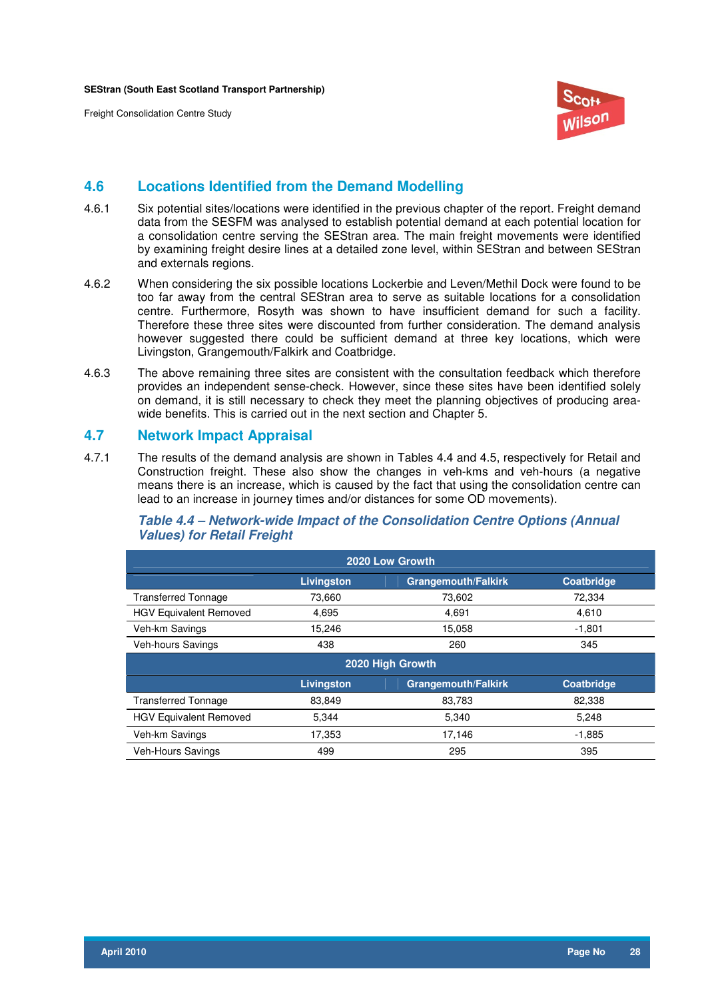

## **4.6 Locations Identified from the Demand Modelling**

- 4.6.1 Six potential sites/locations were identified in the previous chapter of the report. Freight demand data from the SESFM was analysed to establish potential demand at each potential location for a consolidation centre serving the SEStran area. The main freight movements were identified by examining freight desire lines at a detailed zone level, within SEStran and between SEStran and externals regions.
- 4.6.2 When considering the six possible locations Lockerbie and Leven/Methil Dock were found to be too far away from the central SEStran area to serve as suitable locations for a consolidation centre. Furthermore, Rosyth was shown to have insufficient demand for such a facility. Therefore these three sites were discounted from further consideration. The demand analysis however suggested there could be sufficient demand at three key locations, which were Livingston, Grangemouth/Falkirk and Coatbridge.
- 4.6.3 The above remaining three sites are consistent with the consultation feedback which therefore provides an independent sense-check. However, since these sites have been identified solely on demand, it is still necessary to check they meet the planning objectives of producing areawide benefits. This is carried out in the next section and Chapter 5.

## **4.7 Network Impact Appraisal**

4.7.1 The results of the demand analysis are shown in Tables 4.4 and 4.5, respectively for Retail and Construction freight. These also show the changes in veh-kms and veh-hours (a negative means there is an increase, which is caused by the fact that using the consolidation centre can lead to an increase in journey times and/or distances for some OD movements).

## **Table 4.4 – Network-wide Impact of the Consolidation Centre Options (Annual Values) for Retail Freight**

| 2020 Low Growth               |                   |                            |                   |  |  |  |  |  |
|-------------------------------|-------------------|----------------------------|-------------------|--|--|--|--|--|
|                               | <b>Livingston</b> | <b>Grangemouth/Falkirk</b> | <b>Coatbridge</b> |  |  |  |  |  |
| <b>Transferred Tonnage</b>    | 73,660            | 73,602                     | 72,334            |  |  |  |  |  |
| <b>HGV Equivalent Removed</b> | 4,695             | 4.691                      | 4,610             |  |  |  |  |  |
| Veh-km Savings                | 15,246            | 15,058                     | $-1,801$          |  |  |  |  |  |
| <b>Veh-hours Savings</b>      | 438               | 260                        | 345               |  |  |  |  |  |
| 2020 High Growth              |                   |                            |                   |  |  |  |  |  |
|                               |                   |                            |                   |  |  |  |  |  |
|                               | Livingston        | <b>Grangemouth/Falkirk</b> | Coatbridge        |  |  |  |  |  |
| <b>Transferred Tonnage</b>    | 83,849            | 83.783                     | 82,338            |  |  |  |  |  |
| <b>HGV Equivalent Removed</b> | 5,344             | 5,340                      | 5,248             |  |  |  |  |  |
| Veh-km Savings                | 17,353            | 17,146                     | $-1,885$          |  |  |  |  |  |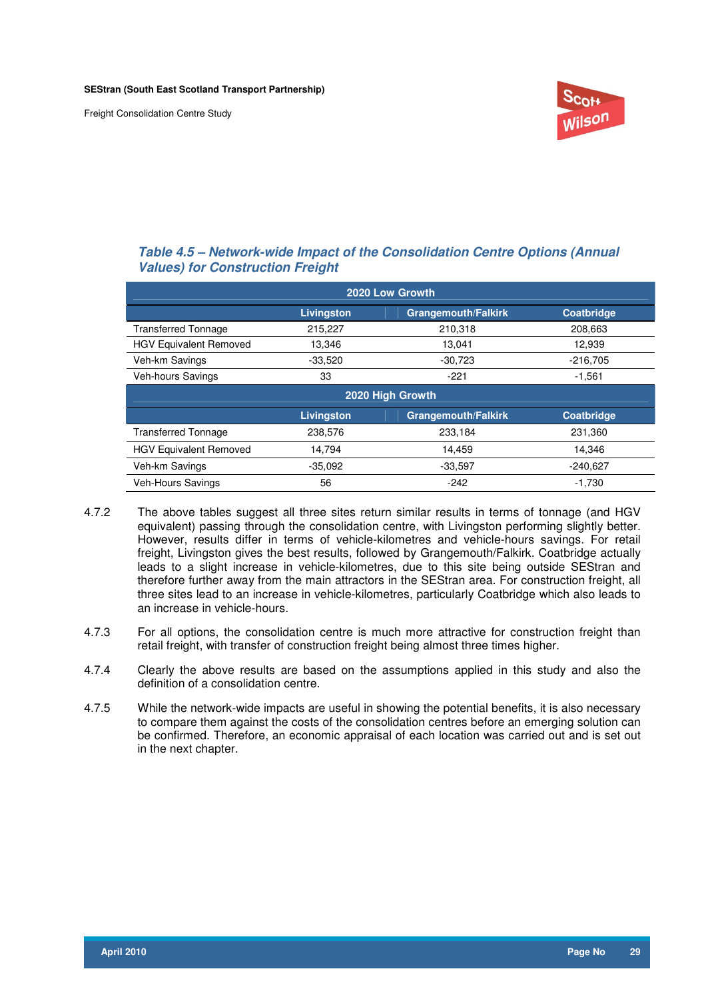

## **Table 4.5 – Network-wide Impact of the Consolidation Centre Options (Annual Values) for Construction Freight**

| 2020 Low Growth               |                   |                            |                   |  |  |  |  |
|-------------------------------|-------------------|----------------------------|-------------------|--|--|--|--|
|                               | <b>Livingston</b> | <b>Grangemouth/Falkirk</b> | <b>Coatbridge</b> |  |  |  |  |
| <b>Transferred Tonnage</b>    | 215,227           | 210,318                    | 208,663           |  |  |  |  |
| <b>HGV Equivalent Removed</b> | 13,346            | 13.041                     | 12,939            |  |  |  |  |
| Veh-km Savings                | $-33,520$         | $-30,723$                  | $-216,705$        |  |  |  |  |
| <b>Veh-hours Savings</b>      | 33                | $-221$                     | $-1,561$          |  |  |  |  |
| 2020 High Growth              |                   |                            |                   |  |  |  |  |
|                               |                   |                            |                   |  |  |  |  |
|                               | <b>Livingston</b> | <b>Grangemouth/Falkirk</b> | <b>Coatbridge</b> |  |  |  |  |
| <b>Transferred Tonnage</b>    | 238,576           | 233,184                    | 231,360           |  |  |  |  |
| <b>HGV Equivalent Removed</b> | 14,794            | 14.459                     | 14,346            |  |  |  |  |
| Veh-km Savings                | $-35,092$         | $-33,597$                  | $-240,627$        |  |  |  |  |

- 4.7.2 The above tables suggest all three sites return similar results in terms of tonnage (and HGV equivalent) passing through the consolidation centre, with Livingston performing slightly better. However, results differ in terms of vehicle-kilometres and vehicle-hours savings. For retail freight, Livingston gives the best results, followed by Grangemouth/Falkirk. Coatbridge actually leads to a slight increase in vehicle-kilometres, due to this site being outside SEStran and therefore further away from the main attractors in the SEStran area. For construction freight, all three sites lead to an increase in vehicle-kilometres, particularly Coatbridge which also leads to an increase in vehicle-hours.
- 4.7.3 For all options, the consolidation centre is much more attractive for construction freight than retail freight, with transfer of construction freight being almost three times higher.
- 4.7.4 Clearly the above results are based on the assumptions applied in this study and also the definition of a consolidation centre.
- 4.7.5 While the network-wide impacts are useful in showing the potential benefits, it is also necessary to compare them against the costs of the consolidation centres before an emerging solution can be confirmed. Therefore, an economic appraisal of each location was carried out and is set out in the next chapter.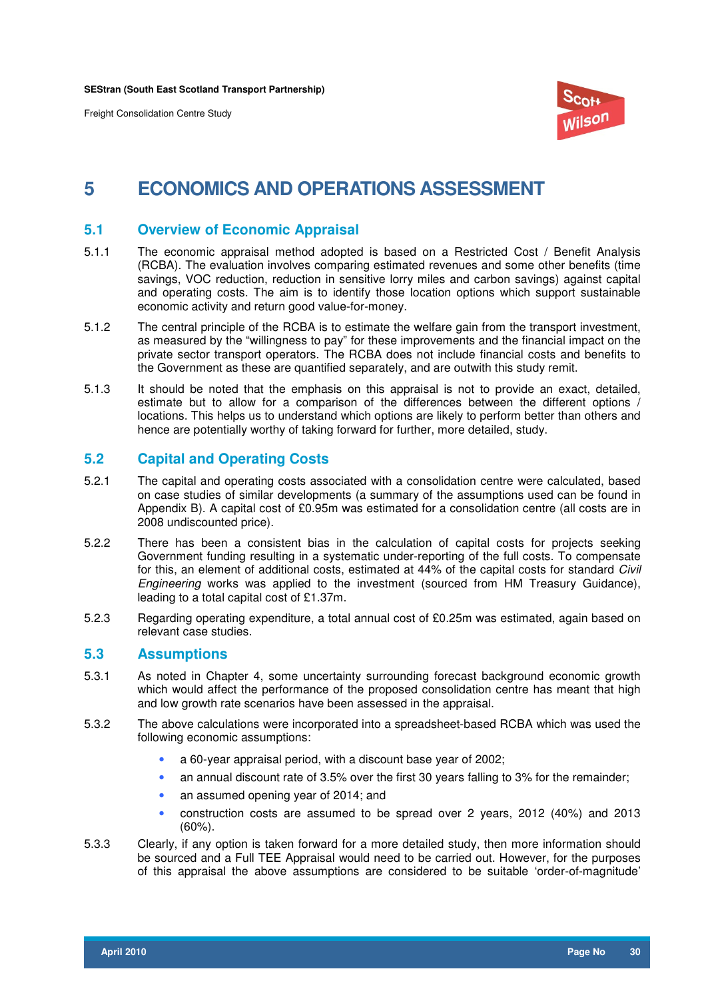

## **5 ECONOMICS AND OPERATIONS ASSESSMENT**

## **5.1 Overview of Economic Appraisal**

- 5.1.1 The economic appraisal method adopted is based on a Restricted Cost / Benefit Analysis (RCBA). The evaluation involves comparing estimated revenues and some other benefits (time savings, VOC reduction, reduction in sensitive lorry miles and carbon savings) against capital and operating costs. The aim is to identify those location options which support sustainable economic activity and return good value-for-money.
- 5.1.2 The central principle of the RCBA is to estimate the welfare gain from the transport investment, as measured by the "willingness to pay" for these improvements and the financial impact on the private sector transport operators. The RCBA does not include financial costs and benefits to the Government as these are quantified separately, and are outwith this study remit.
- 5.1.3 It should be noted that the emphasis on this appraisal is not to provide an exact, detailed, estimate but to allow for a comparison of the differences between the different options / locations. This helps us to understand which options are likely to perform better than others and hence are potentially worthy of taking forward for further, more detailed, study.

## **5.2 Capital and Operating Costs**

- 5.2.1 The capital and operating costs associated with a consolidation centre were calculated, based on case studies of similar developments (a summary of the assumptions used can be found in Appendix B). A capital cost of £0.95m was estimated for a consolidation centre (all costs are in 2008 undiscounted price).
- 5.2.2 There has been a consistent bias in the calculation of capital costs for projects seeking Government funding resulting in a systematic under-reporting of the full costs. To compensate for this, an element of additional costs, estimated at 44% of the capital costs for standard *Civil* Engineering works was applied to the investment (sourced from HM Treasury Guidance), leading to a total capital cost of £1.37m.
- 5.2.3 Regarding operating expenditure, a total annual cost of £0.25m was estimated, again based on relevant case studies.

### **5.3 Assumptions**

- 5.3.1 As noted in Chapter 4, some uncertainty surrounding forecast background economic growth which would affect the performance of the proposed consolidation centre has meant that high and low growth rate scenarios have been assessed in the appraisal.
- 5.3.2 The above calculations were incorporated into a spreadsheet-based RCBA which was used the following economic assumptions:
	- a 60-year appraisal period, with a discount base year of 2002;
	- an annual discount rate of 3.5% over the first 30 years falling to 3% for the remainder;
	- an assumed opening year of 2014; and
	- construction costs are assumed to be spread over 2 years, 2012 (40%) and 2013 (60%).
- 5.3.3 Clearly, if any option is taken forward for a more detailed study, then more information should be sourced and a Full TEE Appraisal would need to be carried out. However, for the purposes of this appraisal the above assumptions are considered to be suitable 'order-of-magnitude'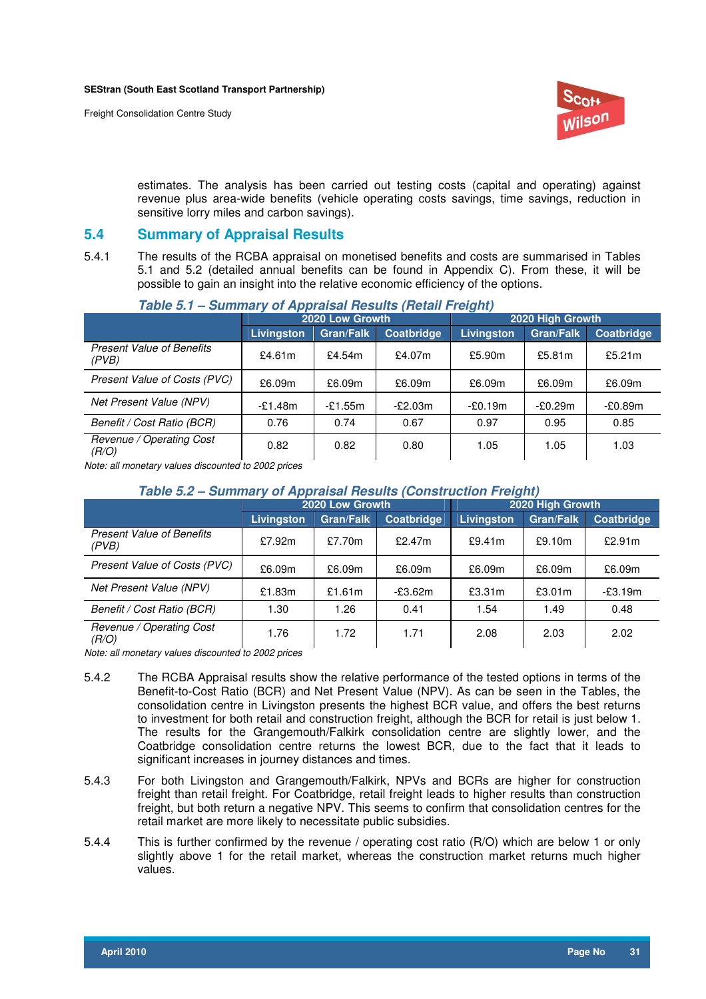

estimates. The analysis has been carried out testing costs (capital and operating) against revenue plus area-wide benefits (vehicle operating costs savings, time savings, reduction in sensitive lorry miles and carbon savings).

## **5.4 Summary of Appraisal Results**

5.4.1 The results of the RCBA appraisal on monetised benefits and costs are summarised in Tables 5.1 and 5.2 (detailed annual benefits can be found in Appendix C). From these, it will be possible to gain an insight into the relative economic efficiency of the options.

|                                           | 2020 Low Growth |                  |            | 2020 High Growth |                  |            |
|-------------------------------------------|-----------------|------------------|------------|------------------|------------------|------------|
|                                           | Livingston      | <b>Gran/Falk</b> | Coatbridge | Livingston       | <b>Gran/Falk</b> | Coatbridge |
| <b>Present Value of Benefits</b><br>(PVB) | £4.61 $m$       | £4.54 $m$        | £4.07m     | £5.90 $m$        | £5.81m           | £5.21 $m$  |
| Present Value of Costs (PVC)              | £6.09m          | £6.09m           | £6.09m     | £6.09m           | £6.09m           | £6.09m     |
| Net Present Value (NPV)                   | $-£1.48m$       | $-£1.55m$        | $-E2.03m$  | $-£0.19m$        | -£0.29m          | $-£0.89m$  |
| Benefit / Cost Ratio (BCR)                | 0.76            | 0.74             | 0.67       | 0.97             | 0.95             | 0.85       |
| Revenue / Operating Cost<br>(R/O)         | 0.82            | 0.82             | 0.80       | 1.05             | 1.05             | 1.03       |

## **Table 5.1 – Summary of Appraisal Results (Retail Freight)**

Note: all monetary values discounted to 2002 prices

## **Table 5.2 – Summary of Appraisal Results (Construction Freight)**

|                                           | 2020 Low Growth   |                  |            | 2020 High Growth |                  |            |
|-------------------------------------------|-------------------|------------------|------------|------------------|------------------|------------|
|                                           | <b>Livingston</b> | <b>Gran/Falk</b> | Coatbridge | Livingston       | <b>Gran/Falk</b> | Coatbridge |
| <b>Present Value of Benefits</b><br>(PVB) | £7.92m            | £7.70m           | £2.47 $m$  | £9.41m           | £9.10m           | £2.91m     |
| Present Value of Costs (PVC)              | £6.09m            | £6.09m           | £6.09m     | £6.09m           | £6.09m           | £6.09m     |
| Net Present Value (NPV)                   | £1.83m            | £1.61 $m$        | $-£3.62m$  | £3.31m           | £3.01m           | $-£3.19m$  |
| Benefit / Cost Ratio (BCR)                | .30               | 1.26             | 0.41       | 1.54             | 1.49             | 0.48       |
| Revenue / Operating Cost<br>(R/O)         | 1.76              | 1.72             | 1.71       | 2.08             | 2.03             | 2.02       |

Note: all monetary values discounted to 2002 prices

- 5.4.2 The RCBA Appraisal results show the relative performance of the tested options in terms of the Benefit-to-Cost Ratio (BCR) and Net Present Value (NPV). As can be seen in the Tables, the consolidation centre in Livingston presents the highest BCR value, and offers the best returns to investment for both retail and construction freight, although the BCR for retail is just below 1. The results for the Grangemouth/Falkirk consolidation centre are slightly lower, and the Coatbridge consolidation centre returns the lowest BCR, due to the fact that it leads to significant increases in journey distances and times.
- 5.4.3 For both Livingston and Grangemouth/Falkirk, NPVs and BCRs are higher for construction freight than retail freight. For Coatbridge, retail freight leads to higher results than construction freight, but both return a negative NPV. This seems to confirm that consolidation centres for the retail market are more likely to necessitate public subsidies.
- 5.4.4 This is further confirmed by the revenue / operating cost ratio (R/O) which are below 1 or only slightly above 1 for the retail market, whereas the construction market returns much higher values.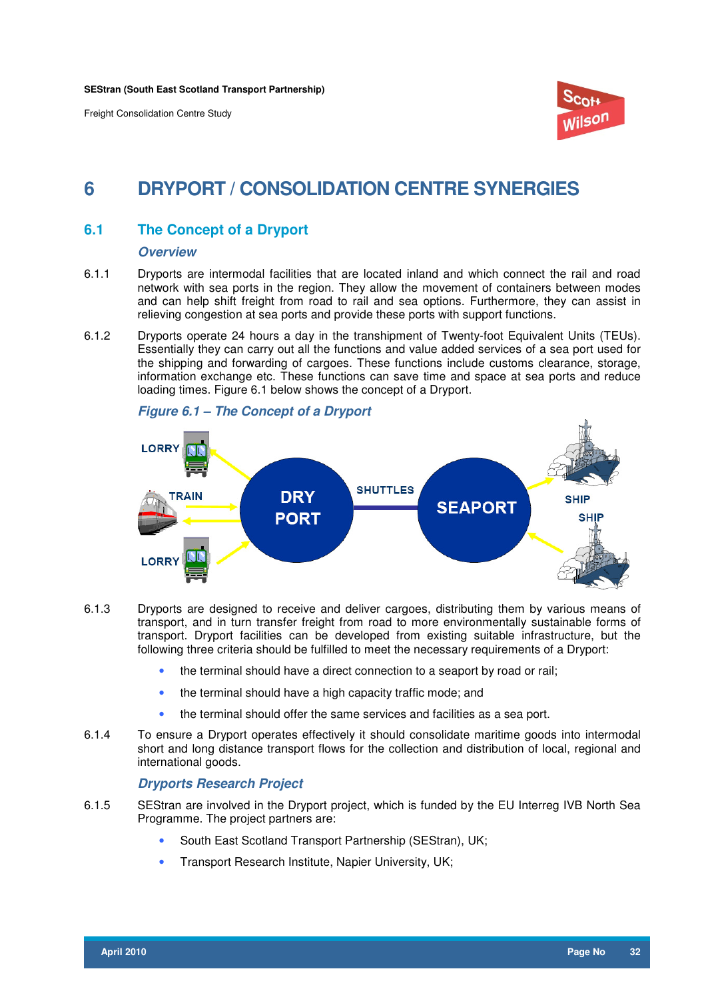

## **6 DRYPORT / CONSOLIDATION CENTRE SYNERGIES**

## **6.1 The Concept of a Dryport**

#### **Overview**

- 6.1.1 Dryports are intermodal facilities that are located inland and which connect the rail and road network with sea ports in the region. They allow the movement of containers between modes and can help shift freight from road to rail and sea options. Furthermore, they can assist in relieving congestion at sea ports and provide these ports with support functions.
- 6.1.2 Dryports operate 24 hours a day in the transhipment of Twenty-foot Equivalent Units (TEUs). Essentially they can carry out all the functions and value added services of a sea port used for the shipping and forwarding of cargoes. These functions include customs clearance, storage, information exchange etc. These functions can save time and space at sea ports and reduce loading times. Figure 6.1 below shows the concept of a Dryport.



### **Figure 6.1 – The Concept of a Dryport**

- 6.1.3 Dryports are designed to receive and deliver cargoes, distributing them by various means of transport, and in turn transfer freight from road to more environmentally sustainable forms of transport. Dryport facilities can be developed from existing suitable infrastructure, but the following three criteria should be fulfilled to meet the necessary requirements of a Dryport:
	- the terminal should have a direct connection to a seaport by road or rail;
	- the terminal should have a high capacity traffic mode; and
	- the terminal should offer the same services and facilities as a sea port.
- 6.1.4 To ensure a Dryport operates effectively it should consolidate maritime goods into intermodal short and long distance transport flows for the collection and distribution of local, regional and international goods.

## **Dryports Research Project**

- 6.1.5 SEStran are involved in the Dryport project, which is funded by the EU Interreg IVB North Sea Programme. The project partners are:
	- South East Scotland Transport Partnership (SEStran), UK;
	- Transport Research Institute, Napier University, UK;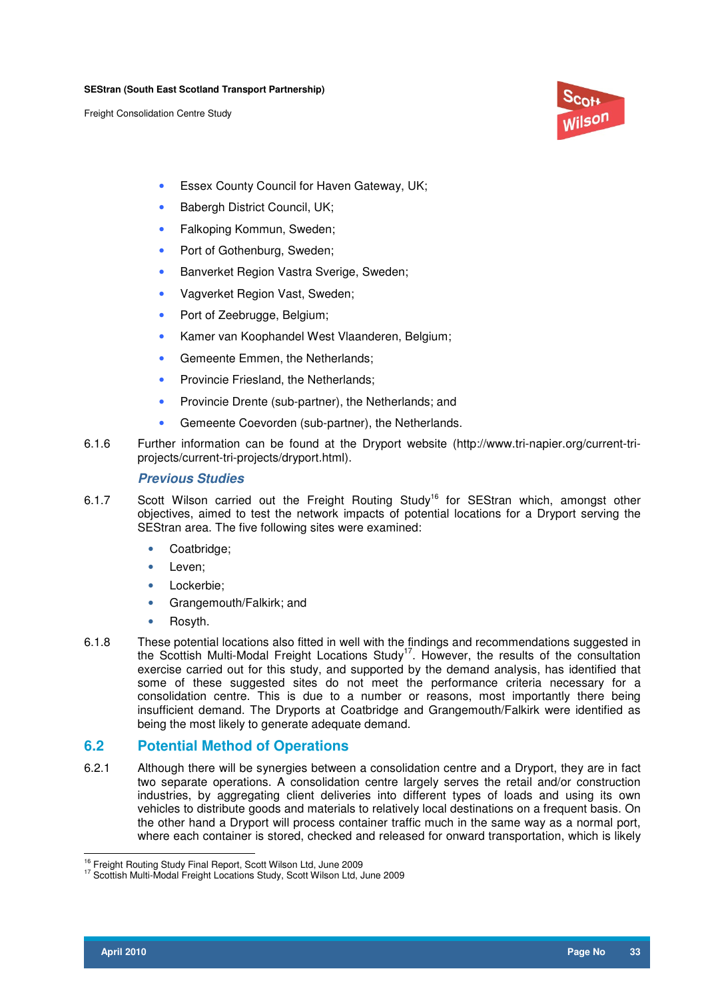

- Essex County Council for Haven Gateway, UK;
- Babergh District Council, UK;
- Falkoping Kommun, Sweden;
- Port of Gothenburg, Sweden;
- Banverket Region Vastra Sverige, Sweden;
- Vagverket Region Vast, Sweden;
- Port of Zeebrugge, Belgium;
- Kamer van Koophandel West Vlaanderen, Belgium;
- Gemeente Emmen, the Netherlands;
- Provincie Friesland, the Netherlands;
- Provincie Drente (sub-partner), the Netherlands; and
- Gemeente Coevorden (sub-partner), the Netherlands.
- 6.1.6 Further information can be found at the Dryport website (http://www.tri-napier.org/current-triprojects/current-tri-projects/dryport.html).

### **Previous Studies**

- 6.1.7 Scott Wilson carried out the Freight Routing Study<sup>16</sup> for SEStran which, amongst other objectives, aimed to test the network impacts of potential locations for a Dryport serving the SEStran area. The five following sites were examined:
	- Coatbridge;
	- Leven;
	- Lockerbie;
	- Grangemouth/Falkirk; and
	- Rosyth.
- 6.1.8 These potential locations also fitted in well with the findings and recommendations suggested in the Scottish Multi-Modal Freight Locations Study<sup>17</sup>. However, the results of the consultation exercise carried out for this study, and supported by the demand analysis, has identified that some of these suggested sites do not meet the performance criteria necessary for a consolidation centre. This is due to a number or reasons, most importantly there being insufficient demand. The Dryports at Coatbridge and Grangemouth/Falkirk were identified as being the most likely to generate adequate demand.

## **6.2 Potential Method of Operations**

6.2.1 Although there will be synergies between a consolidation centre and a Dryport, they are in fact two separate operations. A consolidation centre largely serves the retail and/or construction industries, by aggregating client deliveries into different types of loads and using its own vehicles to distribute goods and materials to relatively local destinations on a frequent basis. On the other hand a Dryport will process container traffic much in the same way as a normal port, where each container is stored, checked and released for onward transportation, which is likely

 $\overline{\phantom{a}}$ <sup>16</sup> Freight Routing Study Final Report, Scott Wilson Ltd, June 2009

<sup>17</sup> Scottish Multi-Modal Freight Locations Study, Scott Wilson Ltd, June 2009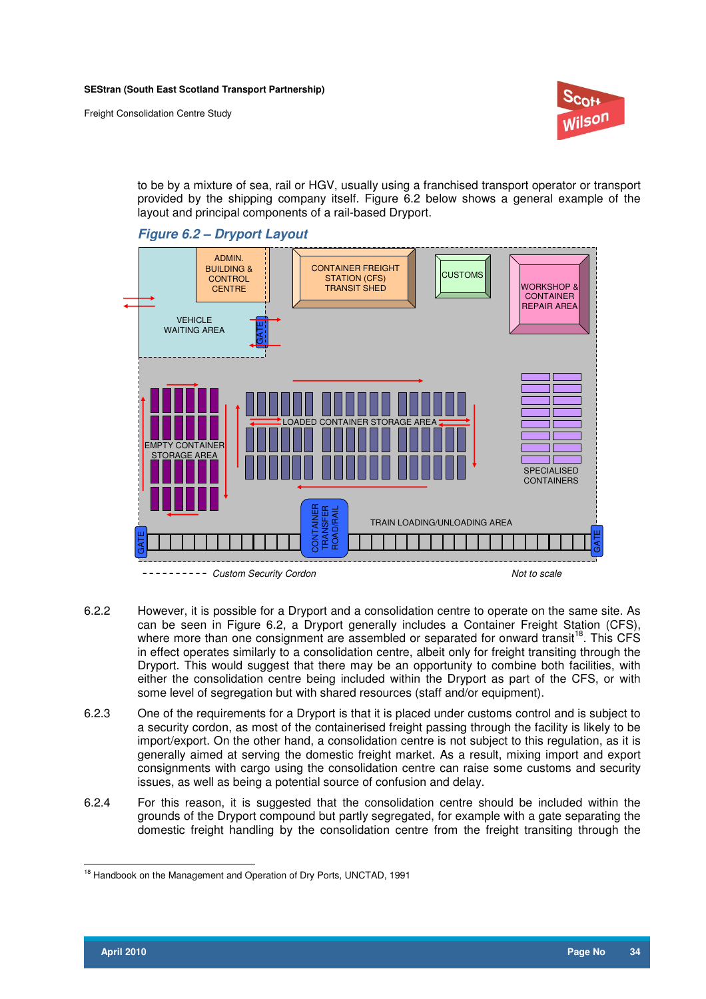

to be by a mixture of sea, rail or HGV, usually using a franchised transport operator or transport provided by the shipping company itself. Figure 6.2 below shows a general example of the layout and principal components of a rail-based Dryport.





- 6.2.2 However, it is possible for a Dryport and a consolidation centre to operate on the same site. As can be seen in Figure 6.2, a Dryport generally includes a Container Freight Station (CFS), where more than one consignment are assembled or separated for onward transit<sup>18</sup>. This CFS in effect operates similarly to a consolidation centre, albeit only for freight transiting through the Dryport. This would suggest that there may be an opportunity to combine both facilities, with either the consolidation centre being included within the Dryport as part of the CFS, or with some level of segregation but with shared resources (staff and/or equipment).
- 6.2.3 One of the requirements for a Dryport is that it is placed under customs control and is subject to a security cordon, as most of the containerised freight passing through the facility is likely to be import/export. On the other hand, a consolidation centre is not subject to this regulation, as it is generally aimed at serving the domestic freight market. As a result, mixing import and export consignments with cargo using the consolidation centre can raise some customs and security issues, as well as being a potential source of confusion and delay.
- 6.2.4 For this reason, it is suggested that the consolidation centre should be included within the grounds of the Dryport compound but partly segregated, for example with a gate separating the domestic freight handling by the consolidation centre from the freight transiting through the

 $\overline{a}$ <sup>18</sup> Handbook on the Management and Operation of Dry Ports, UNCTAD, 1991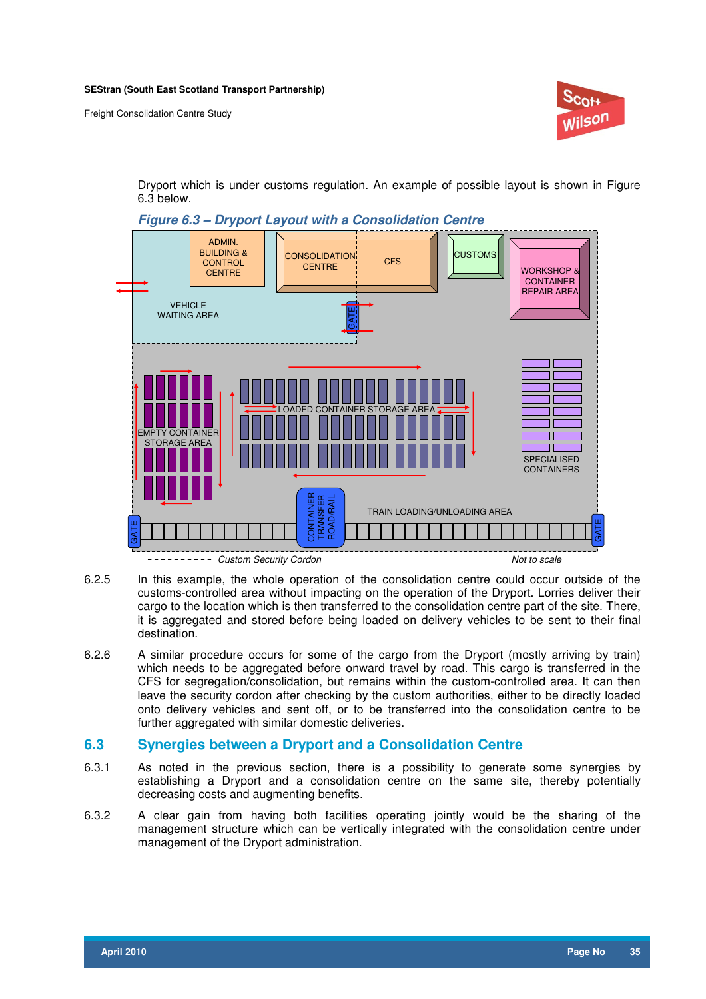

Dryport which is under customs regulation. An example of possible layout is shown in Figure 6.3 below.



**Figure 6.3 – Dryport Layout with a Consolidation Centre** 

- 6.2.5 In this example, the whole operation of the consolidation centre could occur outside of the customs-controlled area without impacting on the operation of the Dryport. Lorries deliver their cargo to the location which is then transferred to the consolidation centre part of the site. There, it is aggregated and stored before being loaded on delivery vehicles to be sent to their final destination.
- 6.2.6 A similar procedure occurs for some of the cargo from the Dryport (mostly arriving by train) which needs to be aggregated before onward travel by road. This cargo is transferred in the CFS for segregation/consolidation, but remains within the custom-controlled area. It can then leave the security cordon after checking by the custom authorities, either to be directly loaded onto delivery vehicles and sent off, or to be transferred into the consolidation centre to be further aggregated with similar domestic deliveries.

### **6.3 Synergies between a Dryport and a Consolidation Centre**

- 6.3.1 As noted in the previous section, there is a possibility to generate some synergies by establishing a Dryport and a consolidation centre on the same site, thereby potentially decreasing costs and augmenting benefits.
- 6.3.2 A clear gain from having both facilities operating jointly would be the sharing of the management structure which can be vertically integrated with the consolidation centre under management of the Dryport administration.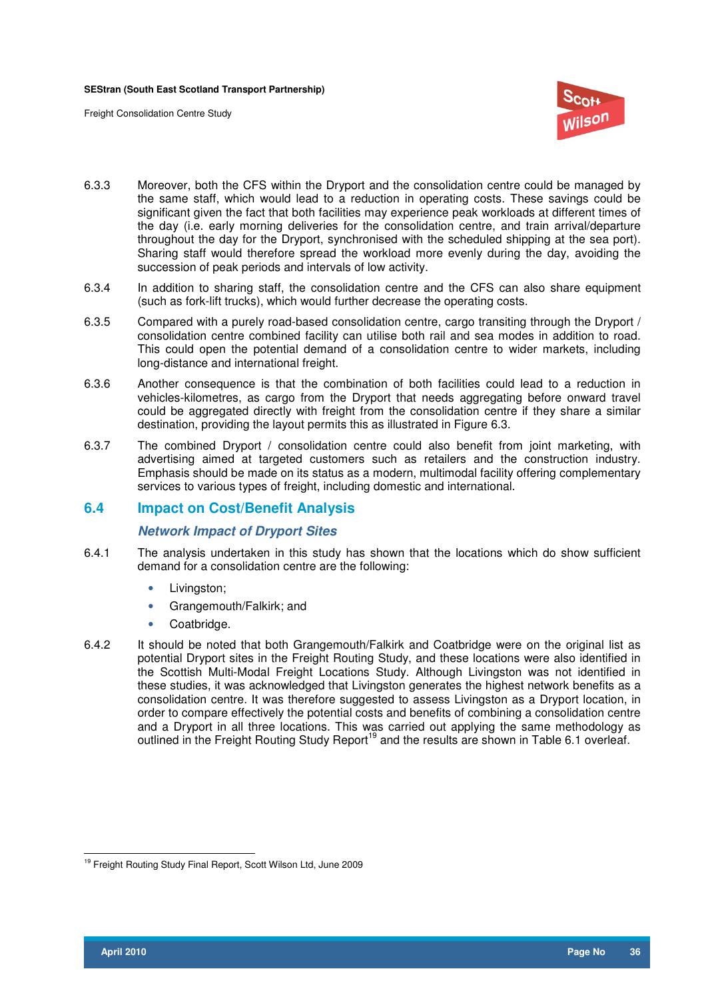

- 6.3.3 Moreover, both the CFS within the Dryport and the consolidation centre could be managed by the same staff, which would lead to a reduction in operating costs. These savings could be significant given the fact that both facilities may experience peak workloads at different times of the day (i.e. early morning deliveries for the consolidation centre, and train arrival/departure throughout the day for the Dryport, synchronised with the scheduled shipping at the sea port). Sharing staff would therefore spread the workload more evenly during the day, avoiding the succession of peak periods and intervals of low activity.
- 6.3.4 In addition to sharing staff, the consolidation centre and the CFS can also share equipment (such as fork-lift trucks), which would further decrease the operating costs.
- 6.3.5 Compared with a purely road-based consolidation centre, cargo transiting through the Dryport / consolidation centre combined facility can utilise both rail and sea modes in addition to road. This could open the potential demand of a consolidation centre to wider markets, including long-distance and international freight.
- 6.3.6 Another consequence is that the combination of both facilities could lead to a reduction in vehicles-kilometres, as cargo from the Dryport that needs aggregating before onward travel could be aggregated directly with freight from the consolidation centre if they share a similar destination, providing the layout permits this as illustrated in Figure 6.3.
- 6.3.7 The combined Dryport / consolidation centre could also benefit from joint marketing, with advertising aimed at targeted customers such as retailers and the construction industry. Emphasis should be made on its status as a modern, multimodal facility offering complementary services to various types of freight, including domestic and international.

#### **6.4 Impact on Cost/Benefit Analysis**

#### **Network Impact of Dryport Sites**

- 6.4.1 The analysis undertaken in this study has shown that the locations which do show sufficient demand for a consolidation centre are the following:
	- Livingston;
	- Grangemouth/Falkirk; and
	- Coatbridge.
- 6.4.2 It should be noted that both Grangemouth/Falkirk and Coatbridge were on the original list as potential Dryport sites in the Freight Routing Study, and these locations were also identified in the Scottish Multi-Modal Freight Locations Study. Although Livingston was not identified in these studies, it was acknowledged that Livingston generates the highest network benefits as a consolidation centre. It was therefore suggested to assess Livingston as a Dryport location, in order to compare effectively the potential costs and benefits of combining a consolidation centre and a Dryport in all three locations. This was carried out applying the same methodology as outlined in the Freight Routing Study Report<sup>19</sup> and the results are shown in Table 6.1 overleaf.

 $\overline{\phantom{a}}$ <sup>19</sup> Freight Routing Study Final Report, Scott Wilson Ltd, June 2009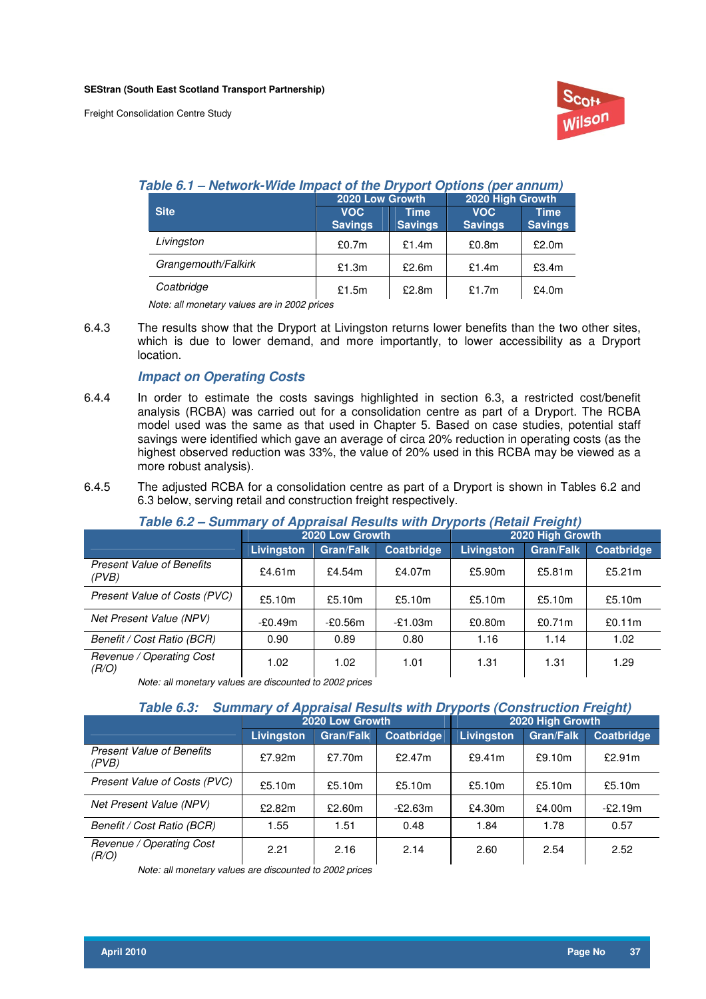

#### **Table 6.1 – Network-Wide Impact of the Dryport Options (per annum)**

|                     | 2020 Low Growth              |                        | 2020 High Growth             |                               |  |
|---------------------|------------------------------|------------------------|------------------------------|-------------------------------|--|
| <b>Site</b>         | <b>VOC</b><br><b>Savings</b> | Time<br><b>Savings</b> | <b>VOC</b><br><b>Savings</b> | <b>Time</b><br><b>Savings</b> |  |
| Livingston          | £0.7m                        | £1.4 $m$               | £0.8m                        | £2.0m                         |  |
| Grangemouth/Falkirk | £1.3m                        | £2.6m                  | £1.4m                        | £3.4m                         |  |
| Coatbridge          | £1.5m                        | £2.8m                  | £1.7m                        | £4.0m                         |  |

Note: all monetary values are in 2002 prices

6.4.3 The results show that the Dryport at Livingston returns lower benefits than the two other sites, which is due to lower demand, and more importantly, to lower accessibility as a Dryport location.

#### **Impact on Operating Costs**

- 6.4.4 In order to estimate the costs savings highlighted in section 6.3, a restricted cost/benefit analysis (RCBA) was carried out for a consolidation centre as part of a Dryport. The RCBA model used was the same as that used in Chapter 5. Based on case studies, potential staff savings were identified which gave an average of circa 20% reduction in operating costs (as the highest observed reduction was 33%, the value of 20% used in this RCBA may be viewed as a more robust analysis).
- 6.4.5 The adjusted RCBA for a consolidation centre as part of a Dryport is shown in Tables 6.2 and 6.3 below, serving retail and construction freight respectively.

| Table 6.2 – Summary of Appraisal Results with Dryports (Retail Freight) |                   |                  |            |            |                  |            |  |
|-------------------------------------------------------------------------|-------------------|------------------|------------|------------|------------------|------------|--|
|                                                                         |                   | 2020 Low Growth  |            |            | 2020 High Growth |            |  |
|                                                                         | <b>Livingston</b> | <b>Gran/Falk</b> | Coatbridge | Livingston | <b>Gran/Falk</b> | Coatbridge |  |
| <b>Present Value of Benefits</b><br>(PVB)                               | £4.61m            | £4.54 $m$        | £4.07m     | £5.90m     | £5.81 $m$        | £5.21 $m$  |  |
| Present Value of Costs (PVC)                                            | £5.10m            | £5.10m           | £5.10m     | £5.10m     | £5.10m           | £5.10m     |  |
| Net Present Value (NPV)                                                 | $-£0.49m$         | -£0.56m          | $-£1.03m$  | £0.80m     | £0.71m           | £0.11m     |  |
| Benefit / Cost Ratio (BCR)                                              | 0.90              | 0.89             | 0.80       | 1.16       | 1.14             | 1.02       |  |
| Revenue / Operating Cost<br>(R/O)                                       | 1.02              | 1.02             | 1.01       | 1.31       | 1.31             | 1.29       |  |

#### **Table 6.2 – Summary of Appraisal Results with Dryports (Retail Freight)**

Note: all monetary values are discounted to 2002 prices

#### **Table 6.3: Summary of Appraisal Results with Dryports (Construction Freight)**

|                                           | 2020 Low Growth |                  |                   | 2020 High Growth |                  |            |
|-------------------------------------------|-----------------|------------------|-------------------|------------------|------------------|------------|
|                                           | Livingston      | <b>Gran/Falk</b> | <b>Coatbridge</b> | Livingston       | <b>Gran/Falk</b> | Coatbridge |
| <b>Present Value of Benefits</b><br>(PVB) | £7.92m          | £7.70 $m$        | £2.47 $m$         | £9.41m           | £9.10m           | £2.91m     |
| Present Value of Costs (PVC)              | £5.10m          | £5.10m           | £5.10m            | £5.10m           | £5.10m           | £5.10m     |
| Net Present Value (NPV)                   | £2.82m          | £2.60m           | $-E2.63m$         | £4.30m           | £4.00m           | $-£2.19m$  |
| Benefit / Cost Ratio (BCR)                | 1.55            | 1.51             | 0.48              | 1.84             | 1.78             | 0.57       |
| Revenue / Operating Cost<br>(R/O)         | 2.21            | 2.16             | 2.14              | 2.60             | 2.54             | 2.52       |

Note: all monetary values are discounted to 2002 prices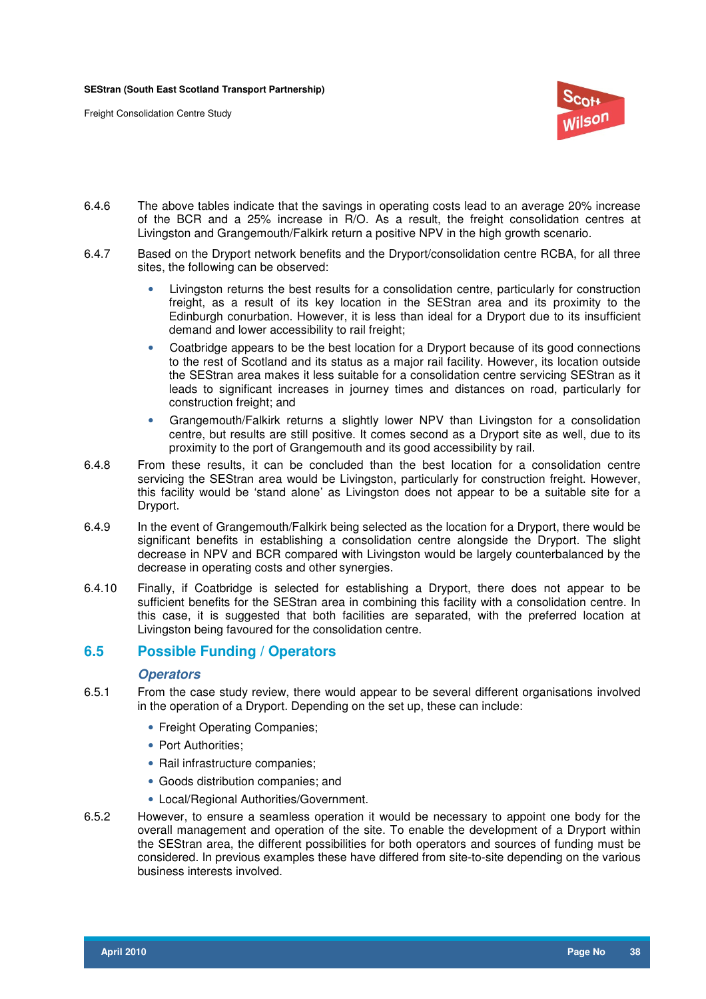

- 6.4.6 The above tables indicate that the savings in operating costs lead to an average 20% increase of the BCR and a 25% increase in R/O. As a result, the freight consolidation centres at Livingston and Grangemouth/Falkirk return a positive NPV in the high growth scenario.
- 6.4.7 Based on the Dryport network benefits and the Dryport/consolidation centre RCBA, for all three sites, the following can be observed:
	- Livingston returns the best results for a consolidation centre, particularly for construction freight, as a result of its key location in the SEStran area and its proximity to the Edinburgh conurbation. However, it is less than ideal for a Dryport due to its insufficient demand and lower accessibility to rail freight;
	- Coatbridge appears to be the best location for a Dryport because of its good connections to the rest of Scotland and its status as a major rail facility. However, its location outside the SEStran area makes it less suitable for a consolidation centre servicing SEStran as it leads to significant increases in journey times and distances on road, particularly for construction freight; and
	- Grangemouth/Falkirk returns a slightly lower NPV than Livingston for a consolidation centre, but results are still positive. It comes second as a Dryport site as well, due to its proximity to the port of Grangemouth and its good accessibility by rail.
- 6.4.8 From these results, it can be concluded than the best location for a consolidation centre servicing the SEStran area would be Livingston, particularly for construction freight. However, this facility would be 'stand alone' as Livingston does not appear to be a suitable site for a Dryport.
- 6.4.9 In the event of Grangemouth/Falkirk being selected as the location for a Dryport, there would be significant benefits in establishing a consolidation centre alongside the Dryport. The slight decrease in NPV and BCR compared with Livingston would be largely counterbalanced by the decrease in operating costs and other synergies.
- 6.4.10 Finally, if Coatbridge is selected for establishing a Dryport, there does not appear to be sufficient benefits for the SEStran area in combining this facility with a consolidation centre. In this case, it is suggested that both facilities are separated, with the preferred location at Livingston being favoured for the consolidation centre.

#### **6.5 Possible Funding / Operators**

#### **Operators**

- 6.5.1 From the case study review, there would appear to be several different organisations involved in the operation of a Dryport. Depending on the set up, these can include:
	- Freight Operating Companies;
	- Port Authorities;
	- Rail infrastructure companies;
	- Goods distribution companies; and
	- Local/Regional Authorities/Government.
- 6.5.2 However, to ensure a seamless operation it would be necessary to appoint one body for the overall management and operation of the site. To enable the development of a Dryport within the SEStran area, the different possibilities for both operators and sources of funding must be considered. In previous examples these have differed from site-to-site depending on the various business interests involved.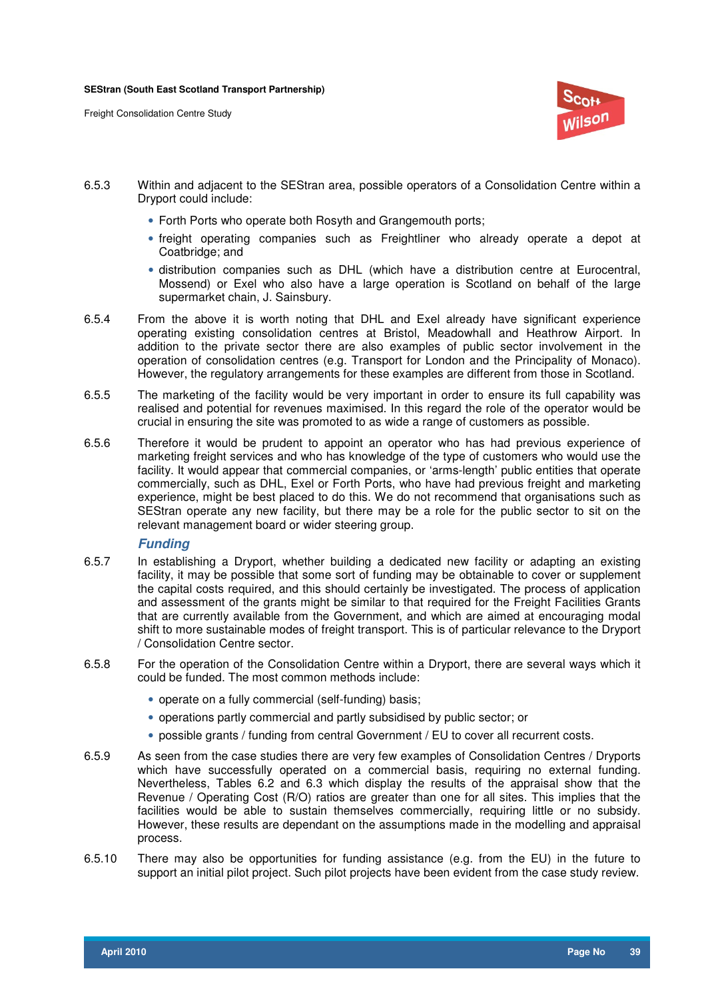

- 6.5.3 Within and adjacent to the SEStran area, possible operators of a Consolidation Centre within a Dryport could include:
	- Forth Ports who operate both Rosyth and Grangemouth ports:
	- freight operating companies such as Freightliner who already operate a depot at Coatbridge; and
	- distribution companies such as DHL (which have a distribution centre at Eurocentral, Mossend) or Exel who also have a large operation is Scotland on behalf of the large supermarket chain, J. Sainsbury.
- 6.5.4 From the above it is worth noting that DHL and Exel already have significant experience operating existing consolidation centres at Bristol, Meadowhall and Heathrow Airport. In addition to the private sector there are also examples of public sector involvement in the operation of consolidation centres (e.g. Transport for London and the Principality of Monaco). However, the regulatory arrangements for these examples are different from those in Scotland.
- 6.5.5 The marketing of the facility would be very important in order to ensure its full capability was realised and potential for revenues maximised. In this regard the role of the operator would be crucial in ensuring the site was promoted to as wide a range of customers as possible.
- 6.5.6 Therefore it would be prudent to appoint an operator who has had previous experience of marketing freight services and who has knowledge of the type of customers who would use the facility. It would appear that commercial companies, or 'arms-length' public entities that operate commercially, such as DHL, Exel or Forth Ports, who have had previous freight and marketing experience, might be best placed to do this. We do not recommend that organisations such as SEStran operate any new facility, but there may be a role for the public sector to sit on the relevant management board or wider steering group.

#### **Funding**

- 6.5.7 In establishing a Dryport, whether building a dedicated new facility or adapting an existing facility, it may be possible that some sort of funding may be obtainable to cover or supplement the capital costs required, and this should certainly be investigated. The process of application and assessment of the grants might be similar to that required for the Freight Facilities Grants that are currently available from the Government, and which are aimed at encouraging modal shift to more sustainable modes of freight transport. This is of particular relevance to the Dryport / Consolidation Centre sector.
- 6.5.8 For the operation of the Consolidation Centre within a Dryport, there are several ways which it could be funded. The most common methods include:
	- operate on a fully commercial (self-funding) basis;
	- operations partly commercial and partly subsidised by public sector; or
	- possible grants / funding from central Government / EU to cover all recurrent costs.
- 6.5.9 As seen from the case studies there are very few examples of Consolidation Centres / Dryports which have successfully operated on a commercial basis, requiring no external funding. Nevertheless, Tables 6.2 and 6.3 which display the results of the appraisal show that the Revenue / Operating Cost (R/O) ratios are greater than one for all sites. This implies that the facilities would be able to sustain themselves commercially, requiring little or no subsidy. However, these results are dependant on the assumptions made in the modelling and appraisal process.
- 6.5.10 There may also be opportunities for funding assistance (e.g. from the EU) in the future to support an initial pilot project. Such pilot projects have been evident from the case study review.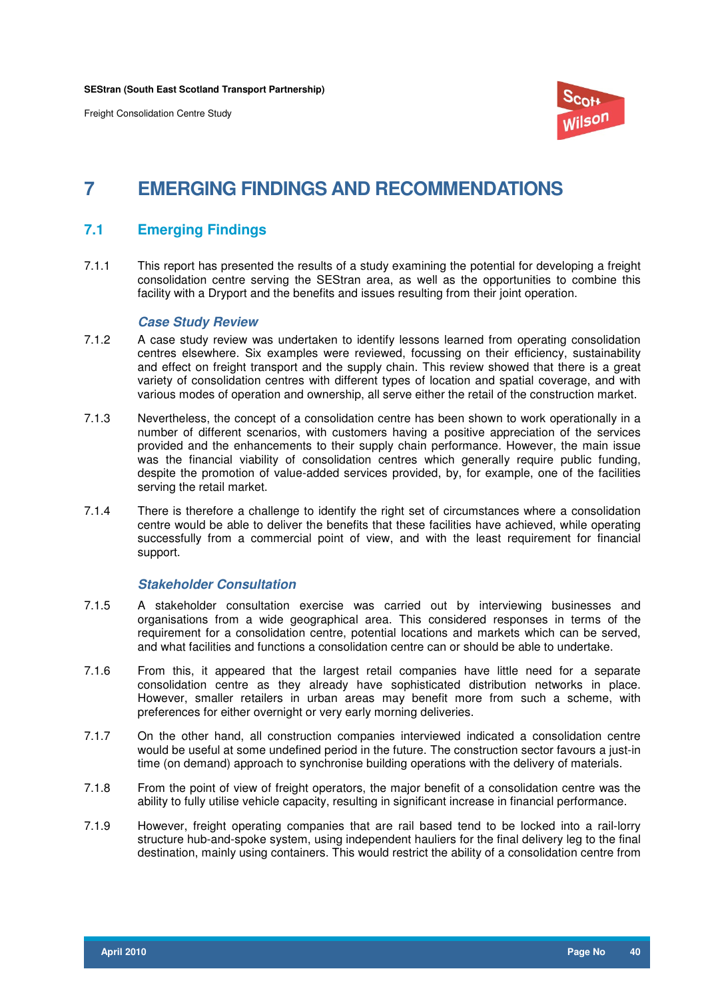

## **7 EMERGING FINDINGS AND RECOMMENDATIONS**

#### **7.1 Emerging Findings**

7.1.1 This report has presented the results of a study examining the potential for developing a freight consolidation centre serving the SEStran area, as well as the opportunities to combine this facility with a Dryport and the benefits and issues resulting from their joint operation.

#### **Case Study Review**

- 7.1.2 A case study review was undertaken to identify lessons learned from operating consolidation centres elsewhere. Six examples were reviewed, focussing on their efficiency, sustainability and effect on freight transport and the supply chain. This review showed that there is a great variety of consolidation centres with different types of location and spatial coverage, and with various modes of operation and ownership, all serve either the retail of the construction market.
- 7.1.3 Nevertheless, the concept of a consolidation centre has been shown to work operationally in a number of different scenarios, with customers having a positive appreciation of the services provided and the enhancements to their supply chain performance. However, the main issue was the financial viability of consolidation centres which generally require public funding, despite the promotion of value-added services provided, by, for example, one of the facilities serving the retail market.
- 7.1.4 There is therefore a challenge to identify the right set of circumstances where a consolidation centre would be able to deliver the benefits that these facilities have achieved, while operating successfully from a commercial point of view, and with the least requirement for financial support.

#### **Stakeholder Consultation**

- 7.1.5 A stakeholder consultation exercise was carried out by interviewing businesses and organisations from a wide geographical area. This considered responses in terms of the requirement for a consolidation centre, potential locations and markets which can be served, and what facilities and functions a consolidation centre can or should be able to undertake.
- 7.1.6 From this, it appeared that the largest retail companies have little need for a separate consolidation centre as they already have sophisticated distribution networks in place. However, smaller retailers in urban areas may benefit more from such a scheme, with preferences for either overnight or very early morning deliveries.
- 7.1.7 On the other hand, all construction companies interviewed indicated a consolidation centre would be useful at some undefined period in the future. The construction sector favours a just-in time (on demand) approach to synchronise building operations with the delivery of materials.
- 7.1.8 From the point of view of freight operators, the major benefit of a consolidation centre was the ability to fully utilise vehicle capacity, resulting in significant increase in financial performance.
- 7.1.9 However, freight operating companies that are rail based tend to be locked into a rail-lorry structure hub-and-spoke system, using independent hauliers for the final delivery leg to the final destination, mainly using containers. This would restrict the ability of a consolidation centre from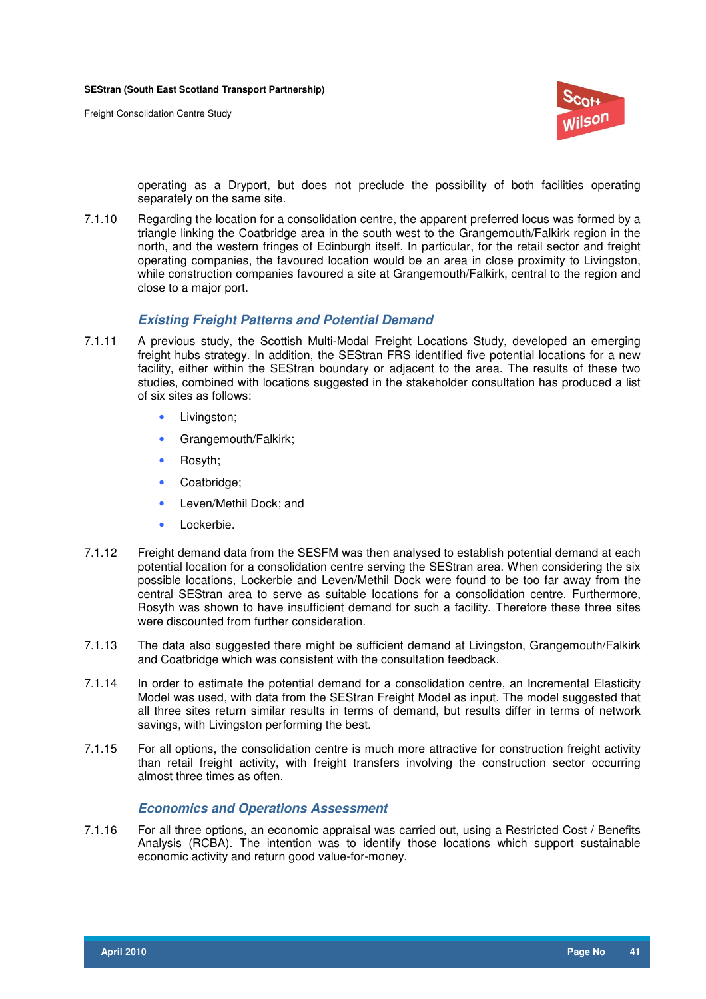

operating as a Dryport, but does not preclude the possibility of both facilities operating separately on the same site.

7.1.10 Regarding the location for a consolidation centre, the apparent preferred locus was formed by a triangle linking the Coatbridge area in the south west to the Grangemouth/Falkirk region in the north, and the western fringes of Edinburgh itself. In particular, for the retail sector and freight operating companies, the favoured location would be an area in close proximity to Livingston, while construction companies favoured a site at Grangemouth/Falkirk, central to the region and close to a major port.

#### **Existing Freight Patterns and Potential Demand**

- 7.1.11 A previous study, the Scottish Multi-Modal Freight Locations Study, developed an emerging freight hubs strategy. In addition, the SEStran FRS identified five potential locations for a new facility, either within the SEStran boundary or adjacent to the area. The results of these two studies, combined with locations suggested in the stakeholder consultation has produced a list of six sites as follows:
	- Livingston;
	- Grangemouth/Falkirk;
	- Rosyth;
	- Coatbridge;
	- Leven/Methil Dock; and
	- Lockerbie.
- 7.1.12 Freight demand data from the SESFM was then analysed to establish potential demand at each potential location for a consolidation centre serving the SEStran area. When considering the six possible locations, Lockerbie and Leven/Methil Dock were found to be too far away from the central SEStran area to serve as suitable locations for a consolidation centre. Furthermore, Rosyth was shown to have insufficient demand for such a facility. Therefore these three sites were discounted from further consideration.
- 7.1.13 The data also suggested there might be sufficient demand at Livingston, Grangemouth/Falkirk and Coatbridge which was consistent with the consultation feedback.
- 7.1.14 In order to estimate the potential demand for a consolidation centre, an Incremental Elasticity Model was used, with data from the SEStran Freight Model as input. The model suggested that all three sites return similar results in terms of demand, but results differ in terms of network savings, with Livingston performing the best.
- 7.1.15 For all options, the consolidation centre is much more attractive for construction freight activity than retail freight activity, with freight transfers involving the construction sector occurring almost three times as often.

#### **Economics and Operations Assessment**

7.1.16 For all three options, an economic appraisal was carried out, using a Restricted Cost / Benefits Analysis (RCBA). The intention was to identify those locations which support sustainable economic activity and return good value-for-money.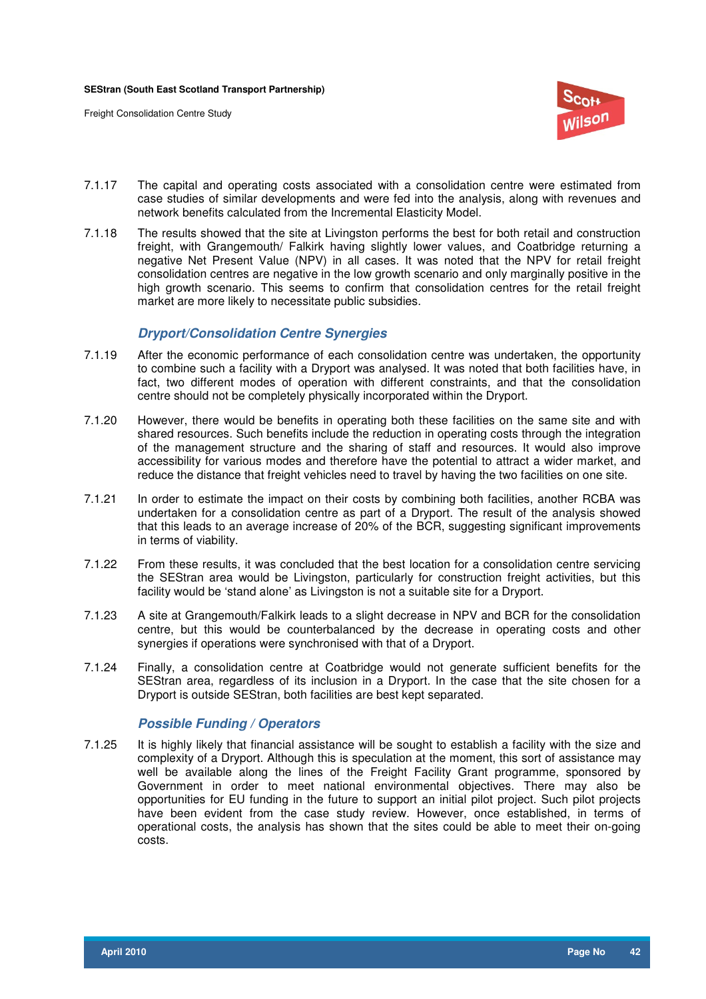

- 7.1.17 The capital and operating costs associated with a consolidation centre were estimated from case studies of similar developments and were fed into the analysis, along with revenues and network benefits calculated from the Incremental Elasticity Model.
- 7.1.18 The results showed that the site at Livingston performs the best for both retail and construction freight, with Grangemouth/ Falkirk having slightly lower values, and Coatbridge returning a negative Net Present Value (NPV) in all cases. It was noted that the NPV for retail freight consolidation centres are negative in the low growth scenario and only marginally positive in the high growth scenario. This seems to confirm that consolidation centres for the retail freight market are more likely to necessitate public subsidies.

#### **Dryport/Consolidation Centre Synergies**

- 7.1.19 After the economic performance of each consolidation centre was undertaken, the opportunity to combine such a facility with a Dryport was analysed. It was noted that both facilities have, in fact, two different modes of operation with different constraints, and that the consolidation centre should not be completely physically incorporated within the Dryport.
- 7.1.20 However, there would be benefits in operating both these facilities on the same site and with shared resources. Such benefits include the reduction in operating costs through the integration of the management structure and the sharing of staff and resources. It would also improve accessibility for various modes and therefore have the potential to attract a wider market, and reduce the distance that freight vehicles need to travel by having the two facilities on one site.
- 7.1.21 In order to estimate the impact on their costs by combining both facilities, another RCBA was undertaken for a consolidation centre as part of a Dryport. The result of the analysis showed that this leads to an average increase of 20% of the BCR, suggesting significant improvements in terms of viability.
- 7.1.22 From these results, it was concluded that the best location for a consolidation centre servicing the SEStran area would be Livingston, particularly for construction freight activities, but this facility would be 'stand alone' as Livingston is not a suitable site for a Dryport.
- 7.1.23 A site at Grangemouth/Falkirk leads to a slight decrease in NPV and BCR for the consolidation centre, but this would be counterbalanced by the decrease in operating costs and other synergies if operations were synchronised with that of a Dryport.
- 7.1.24 Finally, a consolidation centre at Coatbridge would not generate sufficient benefits for the SEStran area, regardless of its inclusion in a Dryport. In the case that the site chosen for a Dryport is outside SEStran, both facilities are best kept separated.

#### **Possible Funding / Operators**

7.1.25 It is highly likely that financial assistance will be sought to establish a facility with the size and complexity of a Dryport. Although this is speculation at the moment, this sort of assistance may well be available along the lines of the Freight Facility Grant programme, sponsored by Government in order to meet national environmental objectives. There may also be opportunities for EU funding in the future to support an initial pilot project. Such pilot projects have been evident from the case study review. However, once established, in terms of operational costs, the analysis has shown that the sites could be able to meet their on-going costs.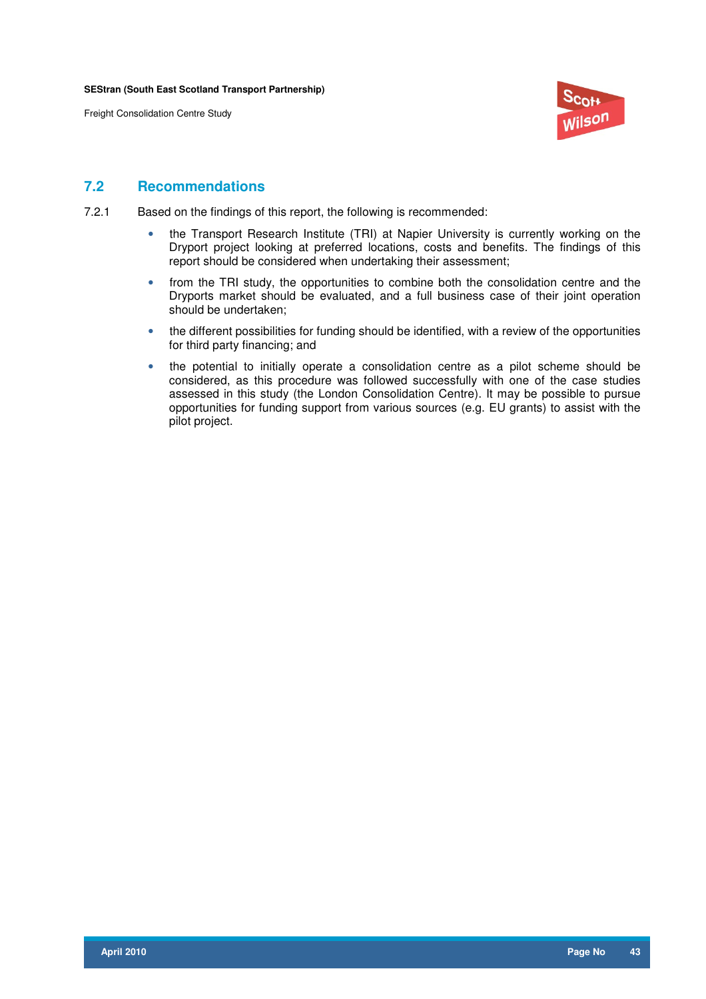**SEStran (South East Scotland Transport Partnership)**

Freight Consolidation Centre Study



#### **7.2 Recommendations**

- 7.2.1 Based on the findings of this report, the following is recommended:
	- the Transport Research Institute (TRI) at Napier University is currently working on the Dryport project looking at preferred locations, costs and benefits. The findings of this report should be considered when undertaking their assessment;
	- from the TRI study, the opportunities to combine both the consolidation centre and the Dryports market should be evaluated, and a full business case of their joint operation should be undertaken;
	- the different possibilities for funding should be identified, with a review of the opportunities for third party financing; and
	- the potential to initially operate a consolidation centre as a pilot scheme should be considered, as this procedure was followed successfully with one of the case studies assessed in this study (the London Consolidation Centre). It may be possible to pursue opportunities for funding support from various sources (e.g. EU grants) to assist with the pilot project.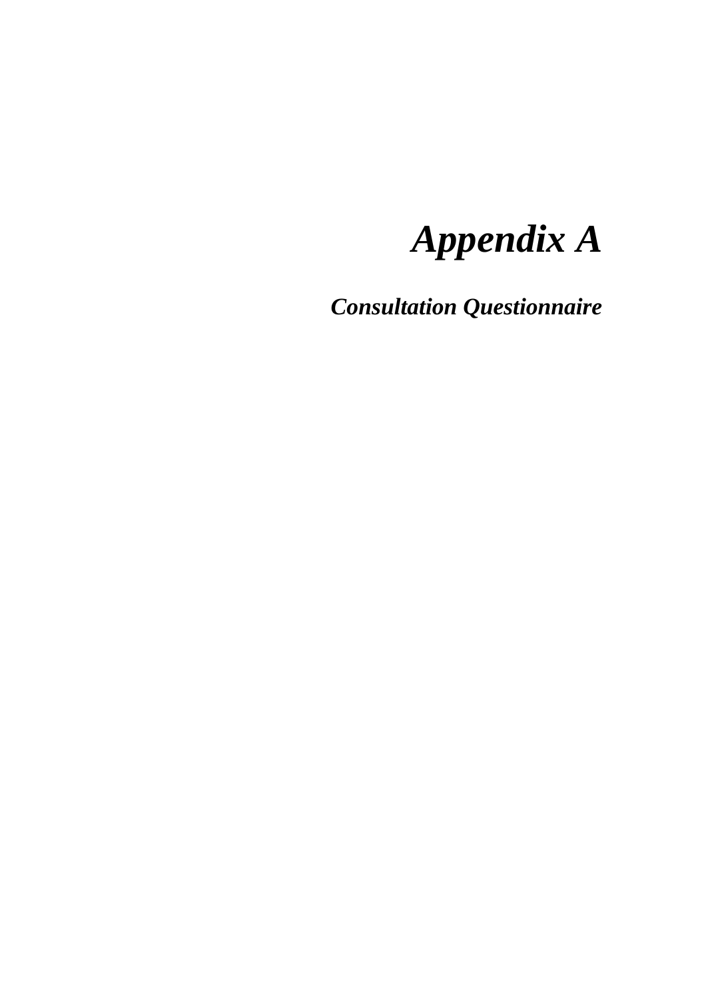# *Appendix A*

*Consultation Questionnaire*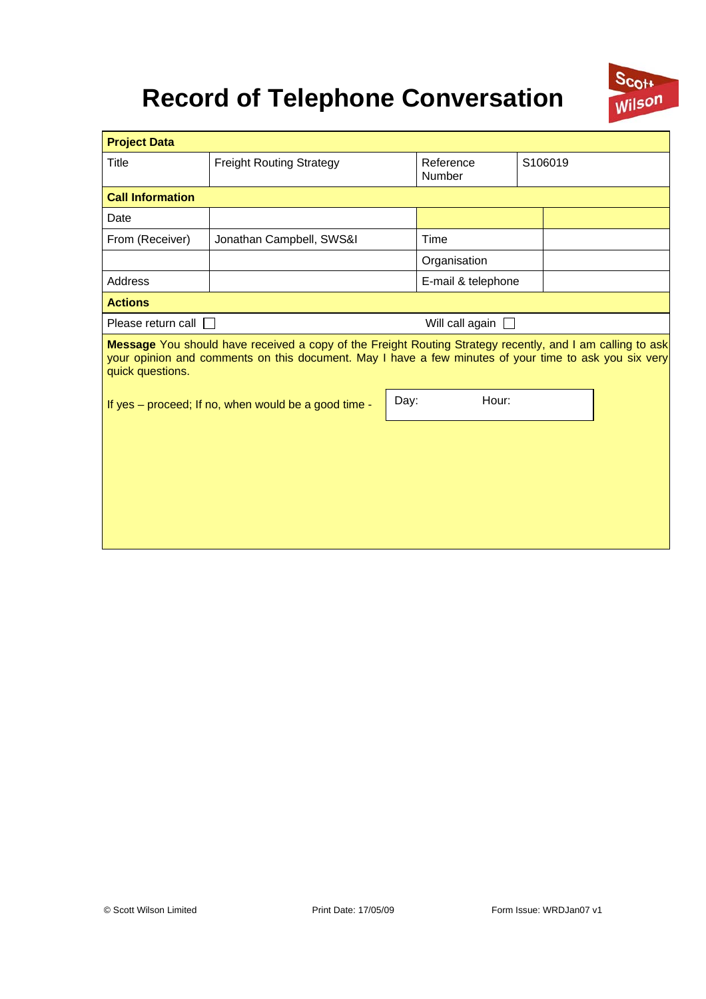## **Record of Telephone Conversation**



| <b>Project Data</b>                                                                                                                                                                                                                    |                                                      |      |                                |  |  |
|----------------------------------------------------------------------------------------------------------------------------------------------------------------------------------------------------------------------------------------|------------------------------------------------------|------|--------------------------------|--|--|
| Title                                                                                                                                                                                                                                  | <b>Freight Routing Strategy</b>                      |      | S106019<br>Reference<br>Number |  |  |
| <b>Call Information</b>                                                                                                                                                                                                                |                                                      |      |                                |  |  |
| Date                                                                                                                                                                                                                                   |                                                      |      |                                |  |  |
| From (Receiver)                                                                                                                                                                                                                        | Jonathan Campbell, SWS&I                             |      | Time                           |  |  |
|                                                                                                                                                                                                                                        |                                                      |      | Organisation                   |  |  |
| <b>Address</b>                                                                                                                                                                                                                         |                                                      |      | E-mail & telephone             |  |  |
| <b>Actions</b>                                                                                                                                                                                                                         |                                                      |      |                                |  |  |
| Please return call                                                                                                                                                                                                                     |                                                      |      | Will call again $\Box$         |  |  |
| Message You should have received a copy of the Freight Routing Strategy recently, and I am calling to ask<br>your opinion and comments on this document. May I have a few minutes of your time to ask you six very<br>quick questions. |                                                      |      |                                |  |  |
|                                                                                                                                                                                                                                        | If yes - proceed; If no, when would be a good time - | Day: | Hour:                          |  |  |
|                                                                                                                                                                                                                                        |                                                      |      |                                |  |  |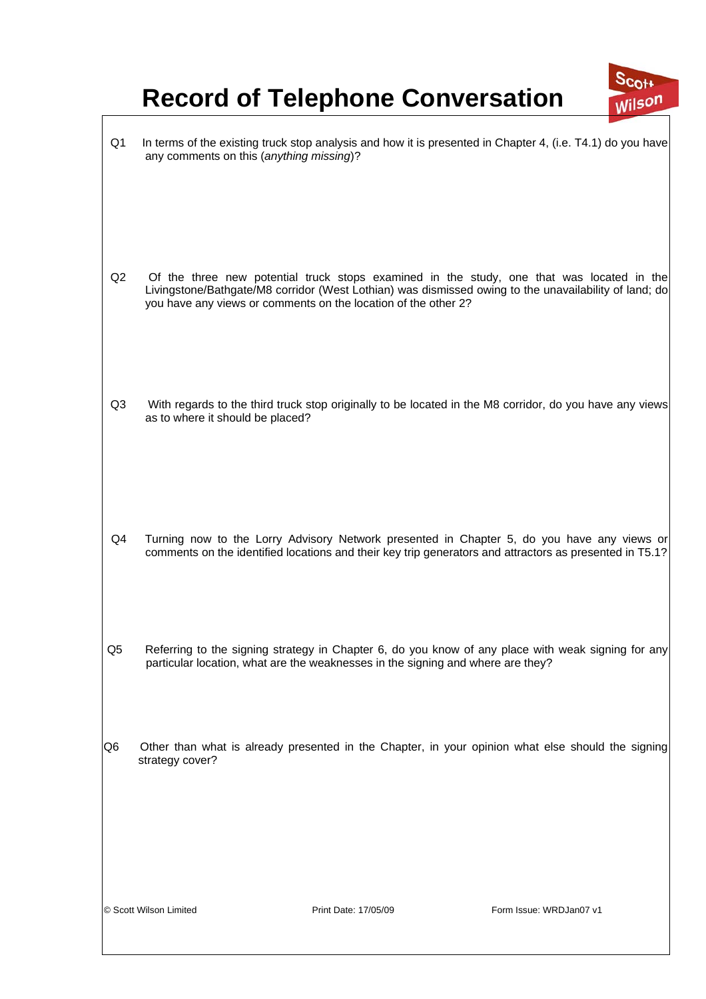# **Record of Telephone Conversation**



| Q1             | any comments on this (anything missing)?                                        |                      | In terms of the existing truck stop analysis and how it is presented in Chapter 4, (i.e. T4.1) do you have                                                                                            |  |
|----------------|---------------------------------------------------------------------------------|----------------------|-------------------------------------------------------------------------------------------------------------------------------------------------------------------------------------------------------|--|
| Q2             | you have any views or comments on the location of the other 2?                  |                      | Of the three new potential truck stops examined in the study, one that was located in the<br>Livingstone/Bathgate/M8 corridor (West Lothian) was dismissed owing to the unavailability of land; do    |  |
| Q <sub>3</sub> | as to where it should be placed?                                                |                      | With regards to the third truck stop originally to be located in the M8 corridor, do you have any views                                                                                               |  |
| Q4             |                                                                                 |                      | Turning now to the Lorry Advisory Network presented in Chapter 5, do you have any views or<br>comments on the identified locations and their key trip generators and attractors as presented in T5.1? |  |
| Q5             | particular location, what are the weaknesses in the signing and where are they? |                      | Referring to the signing strategy in Chapter 6, do you know of any place with weak signing for any                                                                                                    |  |
| Q6             | strategy cover?                                                                 |                      | Other than what is already presented in the Chapter, in your opinion what else should the signing                                                                                                     |  |
|                | © Scott Wilson Limited                                                          | Print Date: 17/05/09 | Form Issue: WRDJan07 v1                                                                                                                                                                               |  |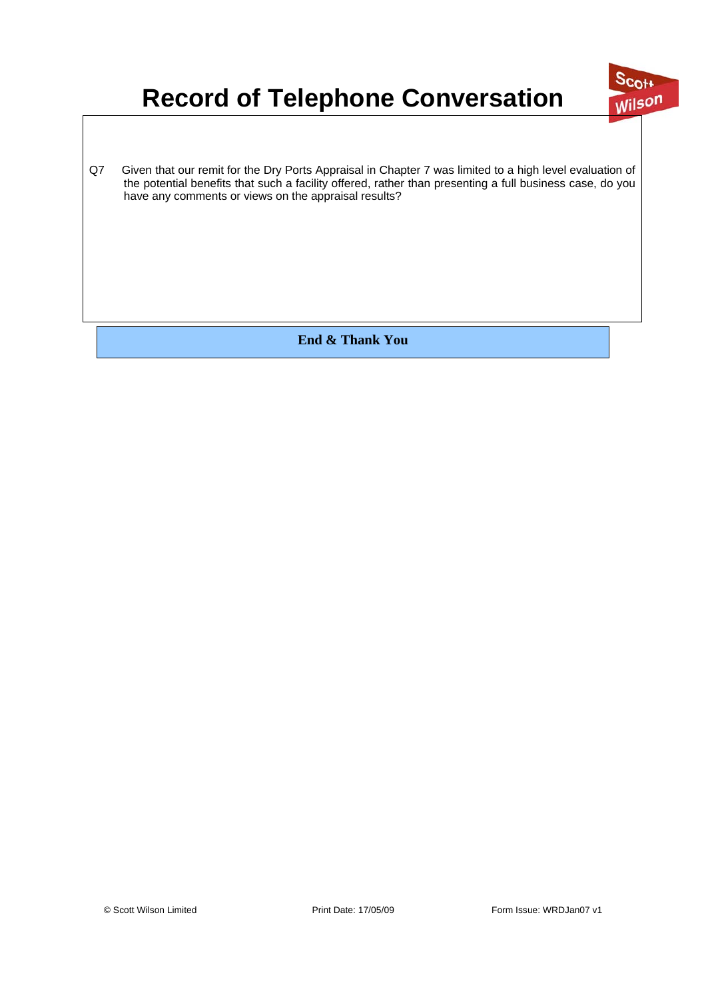# **Record of Telephone Conversation**



Q7 Given that our remit for the Dry Ports Appraisal in Chapter 7 was limited to a high level evaluation of the potential benefits that such a facility offered, rather than presenting a full business case, do you have any comments or views on the appraisal results?

**End & Thank You**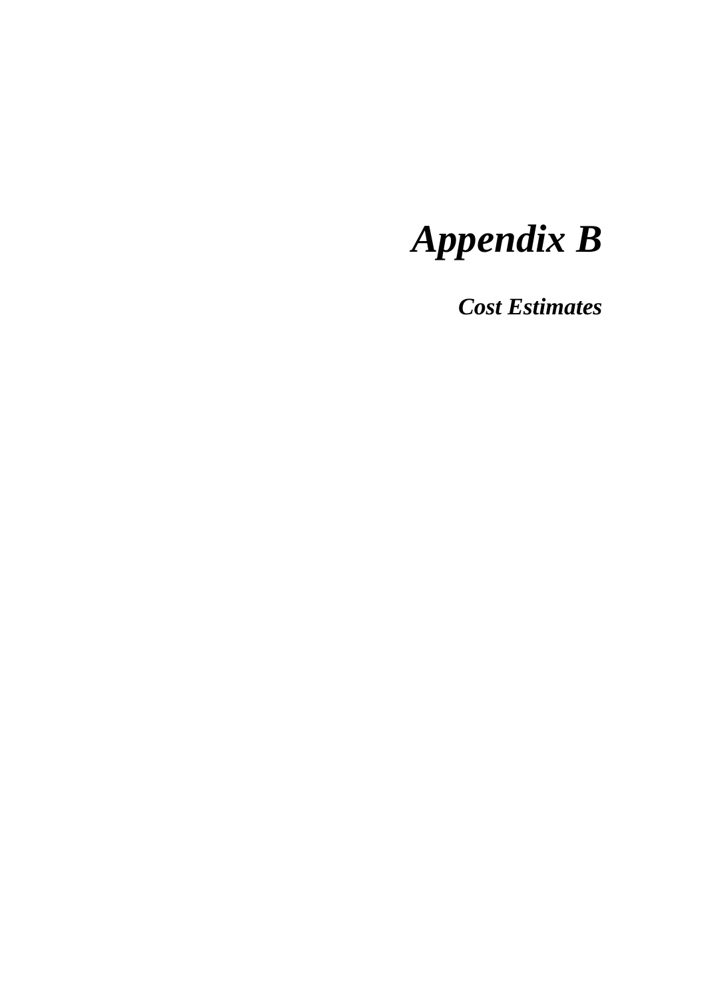# *Appendix B*

*Cost Estimates*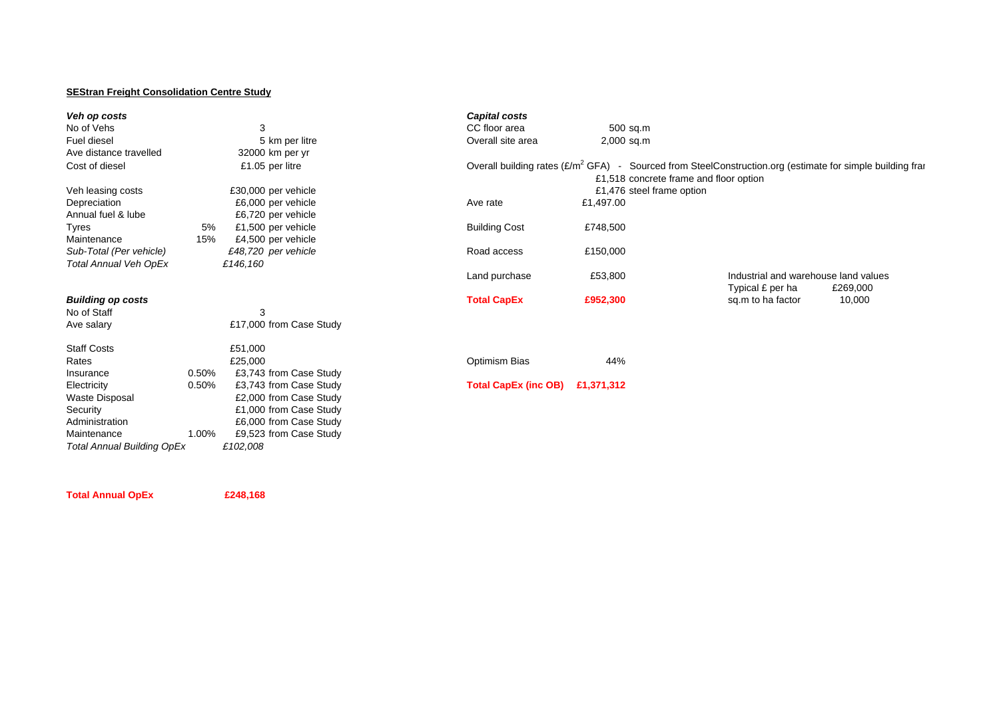#### **SEStran Freight Consolidation Centre Study**

| Veh op costs                      |       |                         | <b>Capital costs</b>        |            |                                        |                                                                                                              |          |
|-----------------------------------|-------|-------------------------|-----------------------------|------------|----------------------------------------|--------------------------------------------------------------------------------------------------------------|----------|
| No of Vehs                        |       | 3                       | CC floor area               |            | 500 sq.m                               |                                                                                                              |          |
| Fuel diesel                       |       | 5 km per litre          | Overall site area           |            | $2,000$ sq.m                           |                                                                                                              |          |
| Ave distance travelled            |       | 32000 km per yr         |                             |            |                                        |                                                                                                              |          |
| Cost of diesel                    |       | £1.05 per litre         |                             |            | £1,518 concrete frame and floor option | Overall building rates $(E/m^2 GFA)$ - Sourced from SteelConstruction.org (estimate for simple building fram |          |
| Veh leasing costs                 |       | £30,000 per vehicle     |                             |            | £1,476 steel frame option              |                                                                                                              |          |
| Depreciation                      |       | £6,000 per vehicle      | Ave rate                    | £1,497.00  |                                        |                                                                                                              |          |
| Annual fuel & lube                |       | £6,720 per vehicle      |                             |            |                                        |                                                                                                              |          |
| Tyres                             | 5%    | £1,500 per vehicle      | <b>Building Cost</b>        | £748,500   |                                        |                                                                                                              |          |
| Maintenance                       | 15%   | £4,500 per vehicle      |                             |            |                                        |                                                                                                              |          |
| Sub-Total (Per vehicle)           |       | £48,720 per vehicle     | Road access                 | £150,000   |                                        |                                                                                                              |          |
| <b>Total Annual Veh OpEx</b>      |       | £146,160                |                             |            |                                        |                                                                                                              |          |
|                                   |       |                         | Land purchase               | £53,800    |                                        | Industrial and warehouse land values<br>Typical £ per ha                                                     | £269,000 |
| <b>Building op costs</b>          |       |                         | <b>Total CapEx</b>          | £952,300   |                                        | sq.m to ha factor                                                                                            | 10,000   |
| No of Staff                       |       | 3                       |                             |            |                                        |                                                                                                              |          |
| Ave salary                        |       | £17,000 from Case Study |                             |            |                                        |                                                                                                              |          |
| <b>Staff Costs</b>                |       | £51,000                 |                             |            |                                        |                                                                                                              |          |
| Rates                             |       | £25,000                 | Optimism Bias               | 44%        |                                        |                                                                                                              |          |
| Insurance                         | 0.50% | £3,743 from Case Study  |                             |            |                                        |                                                                                                              |          |
| Electricity                       | 0.50% | £3,743 from Case Study  | <b>Total CapEx (inc OB)</b> | £1,371,312 |                                        |                                                                                                              |          |
| <b>Waste Disposal</b>             |       | £2,000 from Case Study  |                             |            |                                        |                                                                                                              |          |
| Security                          |       | £1,000 from Case Study  |                             |            |                                        |                                                                                                              |          |
| Administration                    |       | £6,000 from Case Study  |                             |            |                                        |                                                                                                              |          |
| Maintenance                       | 1.00% | £9,523 from Case Study  |                             |            |                                        |                                                                                                              |          |
| <b>Total Annual Building OpEx</b> |       | £102,008                |                             |            |                                        |                                                                                                              |          |

**Total Annual OpEx £248,168**

*Total Annual Building OpEx*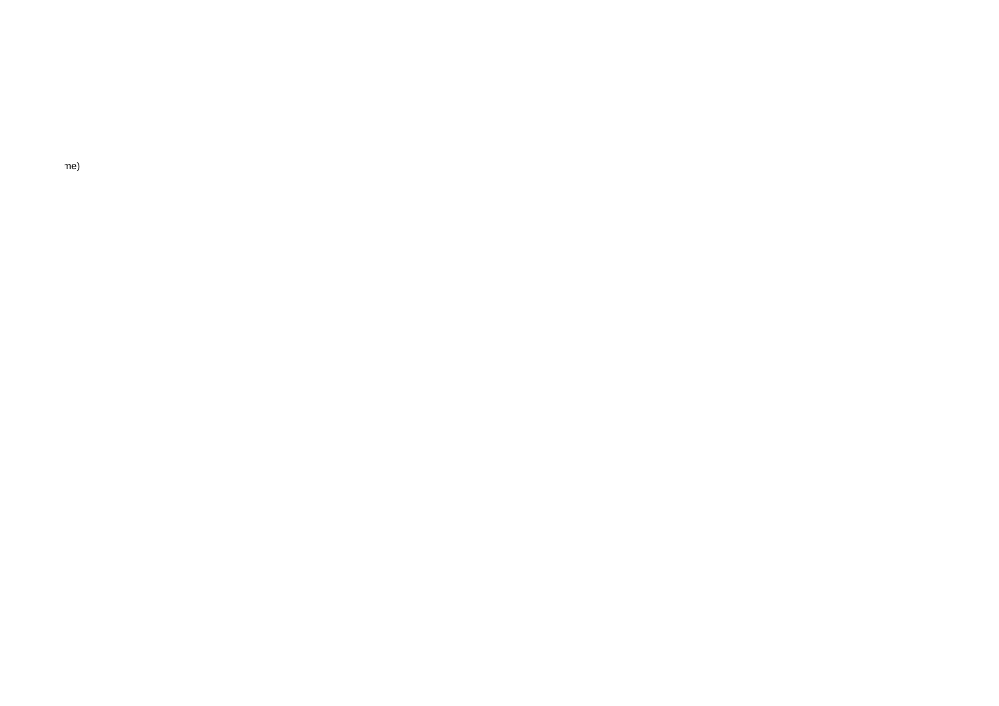me)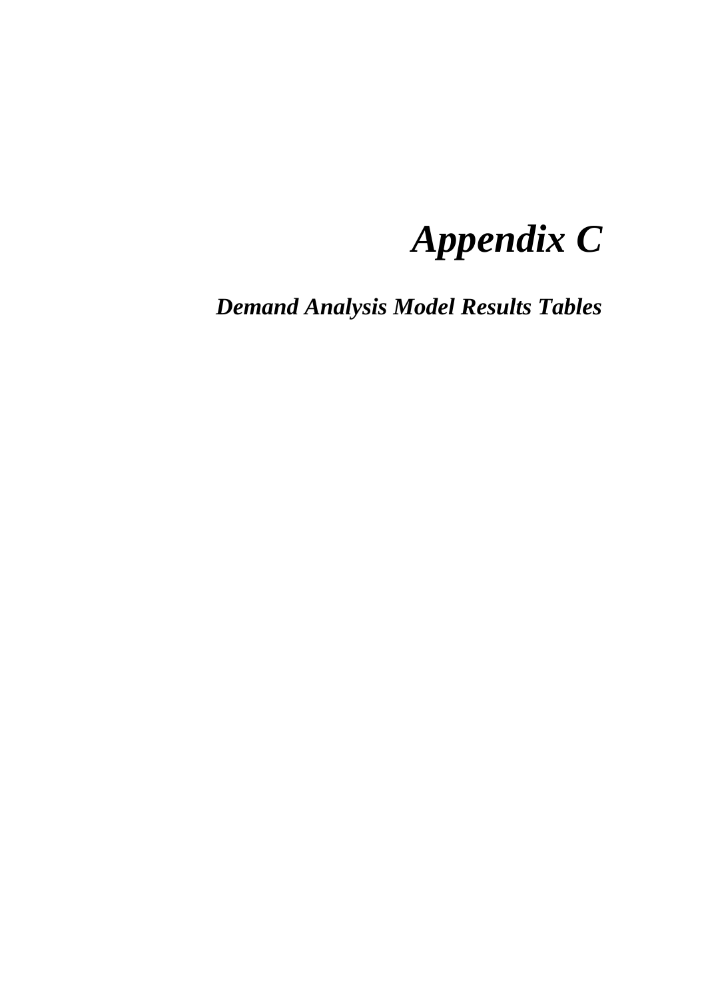# *Appendix C*

*Demand Analysis Model Results Tables*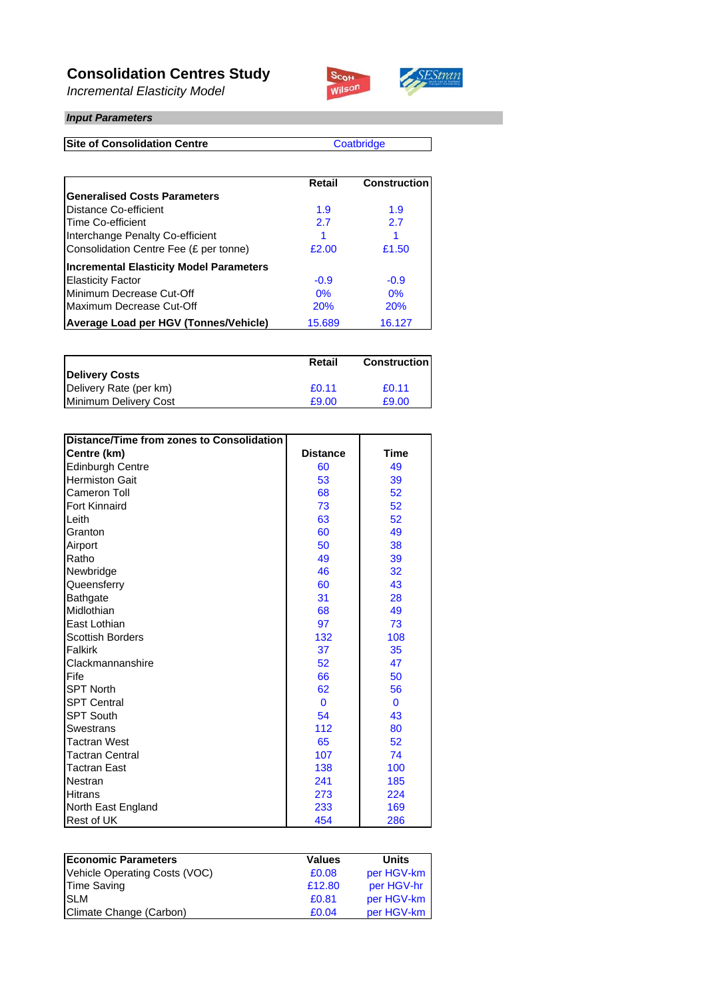### **Consolidation Centres Study**

*Incremental Elasticity Model*



#### *Input Parameters*

**Site of Consolidation Centre**

**Coatbridge** 

SEStran

|                                                | Retail     | <b>Construction</b> |
|------------------------------------------------|------------|---------------------|
| <b>Generalised Costs Parameters</b>            |            |                     |
| Distance Co-efficient                          | 1.9        | 1.9                 |
| Time Co-efficient                              | 2.7        | 2.7                 |
| Interchange Penalty Co-efficient               |            |                     |
| Consolidation Centre Fee (£ per tonne)         | £2.00      | £1.50               |
| <b>Incremental Elasticity Model Parameters</b> |            |                     |
| <b>Elasticity Factor</b>                       | $-0.9$     | $-0.9$              |
| Minimum Decrease Cut-Off                       | 0%         | 0%                  |
| Maximum Decrease Cut-Off                       | <b>20%</b> | 20%                 |
| <b>Average Load per HGV (Tonnes/Vehicle)</b>   | 15.689     | 16.127              |

|                        | Retail | <b>Construction</b> |
|------------------------|--------|---------------------|
| <b>Delivery Costs</b>  |        |                     |
| Delivery Rate (per km) | £0.11  | £0.11               |
| Minimum Delivery Cost  | £9.00  | £9.00               |

| Distance/Time from zones to Consolidation |                 |              |
|-------------------------------------------|-----------------|--------------|
| Centre (km)                               | <b>Distance</b> | Time         |
| <b>Edinburgh Centre</b>                   | 60              | 49           |
| <b>Hermiston Gait</b>                     | 53              | 39           |
| Cameron Toll                              | 68              | 52           |
| <b>Fort Kinnaird</b>                      | 73              | 52           |
| Leith                                     | 63              | 52           |
| Granton                                   | 60              | 49           |
| Airport                                   | 50              | 38           |
| Ratho                                     | 49              | 39           |
| Newbridge                                 | 46              | 32           |
| Queensferry                               | 60              | 43           |
| Bathgate                                  | 31              | 28           |
| Midlothian                                | 68              | 49           |
| East Lothian                              | 97              | 73           |
| <b>Scottish Borders</b>                   | 132             | 108          |
| Falkirk                                   | 37              | 35           |
| Clackmannanshire                          | 52              | 47           |
| Fife                                      | 66              | 50           |
| <b>SPT North</b>                          | 62              | 56           |
| <b>SPT Central</b>                        | $\mathbf{0}$    | $\mathbf{0}$ |
| <b>SPT South</b>                          | 54              | 43           |
| <b>Swestrans</b>                          | 112             | 80           |
| <b>Tactran West</b>                       | 65              | 52           |
| <b>Tactran Central</b>                    | 107             | 74           |
| <b>Tactran East</b>                       | 138             | 100          |
| Nestran                                   | 241             | 185          |
| <b>Hitrans</b>                            | 273             | 224          |
| North East England                        | 233             | 169          |
| <b>Rest of UK</b>                         | 454             | 286          |

| <b>Economic Parameters</b>    | <b>Values</b> | <b>Units</b> |
|-------------------------------|---------------|--------------|
| Vehicle Operating Costs (VOC) | £0.08         | per HGV-km   |
| <b>Time Saving</b>            | £12.80        | per HGV-hr   |
| <b>SLM</b>                    | £0.81         | per HGV-km   |
| Climate Change (Carbon)       | £0.04         | per HGV-km   |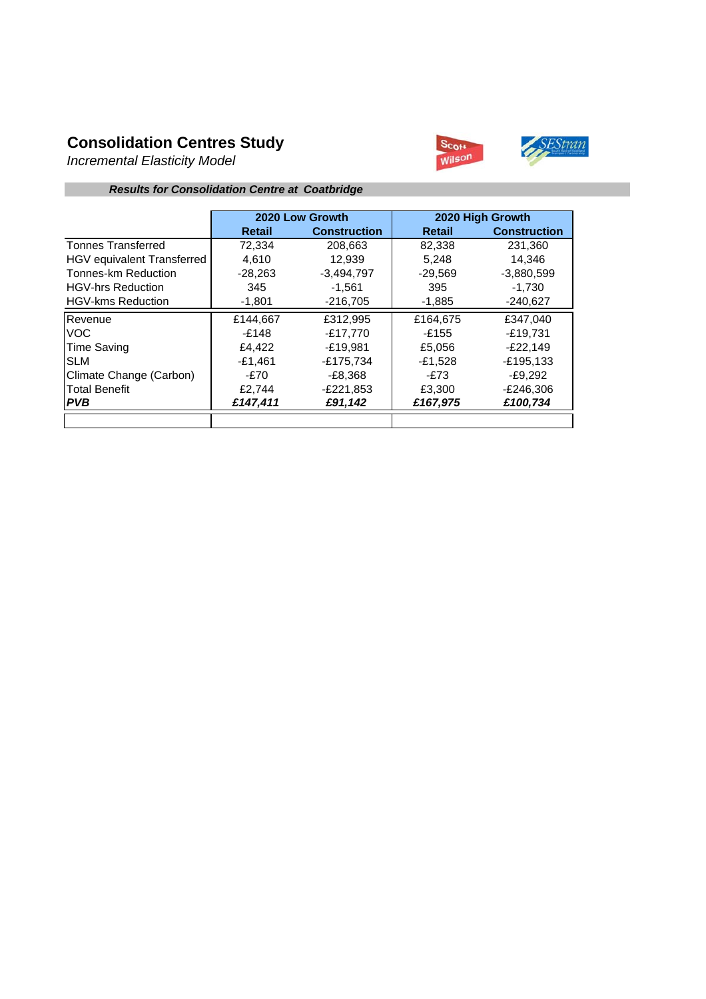## **Consolidation Centres Study**

*Incremental Elasticity Model*



#### *Results for Consolidation Centre at Coatbridge*

|                            | 2020 Low Growth |                     |               | 2020 High Growth    |
|----------------------------|-----------------|---------------------|---------------|---------------------|
|                            | Retail          | <b>Construction</b> | <b>Retail</b> | <b>Construction</b> |
| <b>Tonnes Transferred</b>  | 72,334          | 208,663             | 82,338        | 231,360             |
| HGV equivalent Transferred | 4.610           | 12.939              | 5.248         | 14.346              |
| Tonnes-km Reduction        | $-28.263$       | $-3,494,797$        | $-29.569$     | $-3,880,599$        |
| <b>HGV-hrs Reduction</b>   | 345             | $-1.561$            | 395           | $-1.730$            |
| <b>HGV-kms Reduction</b>   | $-1,801$        | $-216,705$          | $-1,885$      | $-240,627$          |
| Revenue                    | £144,667        | £312,995            | £164,675      | £347,040            |
| VOC.                       | -£148           | $-£17.770$          | $-£155$       | -£19.731            |
| Time Saving                | £4,422          | $-E19.981$          | £5,056        | $-E22,149$          |
| <b>SLM</b>                 | $-£1,461$       | $-£175,734$         | $-£1,528$     | $-£195,133$         |
| Climate Change (Carbon)    | -£70            | $-E8.368$           | -£73          | $-E9.292$           |
| <b>Total Benefit</b>       | £2,744          | $-E221.853$         | £3,300        | -£246,306           |
| I PVB                      | £147,411        | £91.142             | £167,975      | £100,734            |
|                            |                 |                     |               |                     |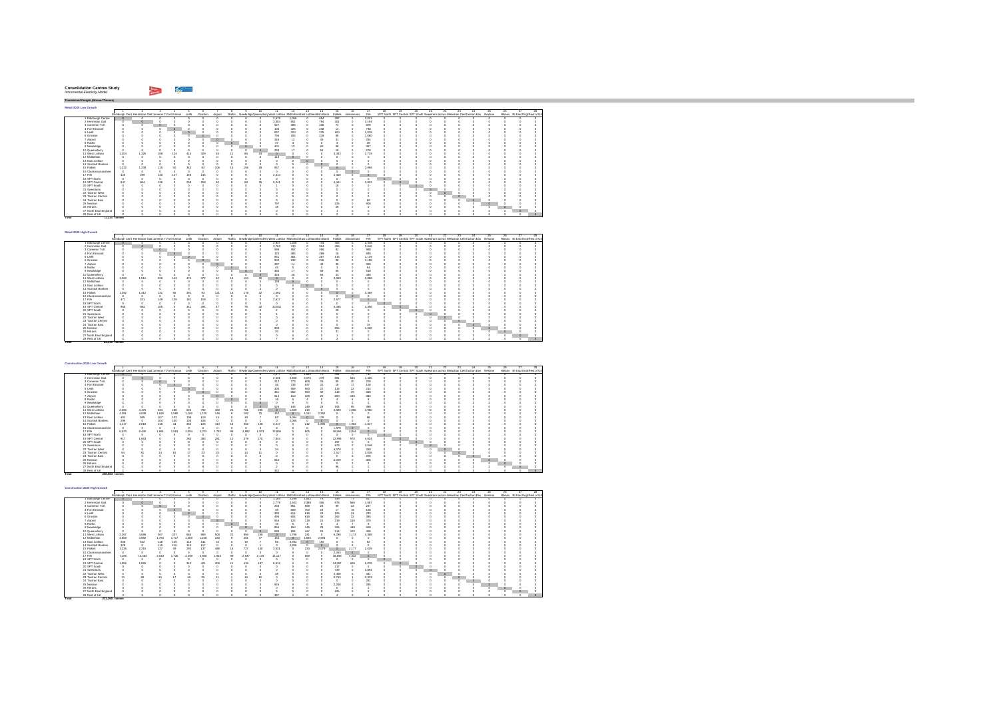| <b>Consolidation Centres Study</b> |  |
|------------------------------------|--|
| Incremental Elasticity Model       |  |

**Total 12,334 tonnes** 

**Total 82,338 tonnes** 

*Transferred Freight (Annual Tonnes)* **Retail 2020 Low Growth**1 2 3 4 5 6 7 8 9 10 11 12 13 14 15 16 17 18 19 20 21 22 23 24 25 26 27 28Edinburgh Cent Hermiston GaitCameron ToFort Kinnair Leith Granton Airport Ratho NewbridgeQueensferryWest Lothian MidlothianEast Lothiacnottish Borde Falkirk ckmannans Fife SPT North SPT Central SPT South SwestransTactran Wesactran CentTactran Eas Nestran Hitrans rth East Engl Rest of UK 0000 2,579 1,056 0 654 397 0 3,021 0 0 0 0 0 0 0 0 0 0 0 0000 3,304 651 0 794 401 0 3,194 0 0 0 0 0 0 0 0 0 0 0 0 0 0 0 527 398 0 236 72 0 878 0 0 0 0 0 0 0 0 0 0 0 0 0 0 0 105 426 0 238 14 0 738 0 0 0 0 0 0 0 0 0 0 0 0 0 0 0 837 320 0 235 100 0 1,018 0 0 0 0 0 0 0 0 0 0 0 0 0 0 0 794 206 0 218 86 0 1,060 0 0 0 0 0 0 0 0 0 0 0 0 0 0 0 246 12 0 45 31 0 294 0 0 0 0 0 0 0 0 0 0 0 0 0 0 0 37 3 0 0 3 0 38 0 0 0 0 0 0 0 0 0 0 0 0 0 0 0 401 13 0 60 58 0 457 0 0 0 0 0 0 0 0 0 0 0 0 0 0 0 293 17 0 55 18 0 278 0 0 0 0 0 0 0 0 0 0 0 11 West Lothian 1,204 1,325 198 124 414 329 53 11 86 24 0 0 0 0 3,433 0 2,719 0 0 0 0 0 0 0 0 0 0 0 0 0 0 0 113 0 0 0 0 0 0 0 0 0 0 0 0 0 0 0 0 0 0000 0 000 0 0 0 0 0 00000 0 0 0 0 0000 0 000 0 0 0 0 0 00000 0 0 0 0 15 Falkirk 1,222 1,239 115 50 343 82 106 15 156 28 957 0 0 0 0 0 2,958 0 0 0 0 0 0 0 0 0 0 0 0000 0 000 0 0 0 0 0 00000 0 0 0 0 0000 2,314 0 0 0 2,350 0 0 0 0 0 0 0 0 0 0 0 0 0 0000 0 000 0 0 0 0 0 00000 0 0 0 0 19 SPT Central 847 864 136 0 299 258 50 8 68 35 9,241 0 0 0 4,461 0 3,822 0 0 0 0 0 0 0 0 0 0 0 0 0 0 0 1 0 0 0 18 0 0 0 0 0 0 0 0 0 0 0 0 0 0000 3 000 0 0 0 0 0 00000 0 0 0 0 0000 0 000 0 0 0 0 0 00000 0 0 0 0 0000 0 000 0 0 0 0 0 00000 0 0 0 0 0 0 0 0 0 0 0 0 0 0 69 0 0 0 0 0 0 0 0 0 0 0 0 0 0 0 797 0 0 0 225 0 900 0 0 0 0 0 0 0 0 0 0 0 0 0 0 0 18 0 0 0 28 0 0 0 0 0 0 0 0 0 0 0 0 0 0000 0 000 1 0 0 0 0 00000 0 0 0 0 0000 6 000 2 0 0 0 0 00000 0 0 0 0 1 Edinburgh Centre | 0 0 0 0 0 0<br>2 Hermiston Gait 0 0 0 0 0 0 3 Cameron Toll 0 0 0 0 0 04 Fort Kinnaird 0 0 0 0 0 05 Leith 0 0 0 0 0 06 Granton 0 0 0 0 0 07 Airport 0 0 0 0 0 08 Ratho 0 0 0 0 0 09 Newbridge 0 0 0 0 0 010 Queensferry 0 0 0 0 0 012 Midlothian 0 0 0 0 0 013 East Lothian 0 0 0 0 0 014 Scottish Borders 0 0 0 0 0 016 Clackmannanshire 0 0 0 0 0 017 Fife 420 299 140 127 166 13518 SPT North 0 0 0 0 0 020 SPT South 0 0 0 0 0 021 Swestrans 0 0 0 0 0 022 Tactran West 0 0 0 0 0 023 Tactran Central 0 0 0 0 0 024 Tactran East 0 0 0 0 0 025 Nestran 0 0 0 0 0 026 Hitrans 0 0 0 0 0 027 North East England 0 0 0 0 0 028 RestolUK || 0 0 0 0 0 0

| Retail 2020 High Growth |       |                                                      |     |     |       |         |          |    |     |     |                                                                          |        |    |          |          |           |          |    |                                                                                   |    |    |    |    |         |     |    |                                  |  |
|-------------------------|-------|------------------------------------------------------|-----|-----|-------|---------|----------|----|-----|-----|--------------------------------------------------------------------------|--------|----|----------|----------|-----------|----------|----|-----------------------------------------------------------------------------------|----|----|----|----|---------|-----|----|----------------------------------|--|
|                         |       |                                                      |     |     |       |         |          |    |     | 10. | 11.                                                                      | 12     | 13 | 14       |          |           | 17       | 18 | 19                                                                                | 20 | 91 | π. | 28 | 24.     | 25. | 26 |                                  |  |
|                         |       | Edinburgh Cent Hermiston Gait Jameron To ort Kinnair |     |     | Leith | Granton | Airport  |    |     |     | Ratho NewbridgeQueensferr West Lothian Midlothian East Lothianotish Bord |        |    |          | Falkirk  | ckmannans | File     |    | SPT North SPT Central SPT South Swestnans actran Wesctran CentFactran Eas Nestran |    |    |    |    |         |     |    | Hitrans rth East Engl Rest of UK |  |
| 1 Edinburgh Centre      |       |                                                      |     |     |       |         |          |    |     |     | 2.937                                                                    | $-205$ |    | 744      | 463      |           | 3.448    |    |                                                                                   |    |    |    |    |         |     |    |                                  |  |
| 2 Hermiston Gait        |       |                                                      |     |     |       |         |          |    |     |     | 3.763                                                                    | 740    |    | 904      | 456      |           | 3.646    |    |                                                                                   |    |    |    |    |         |     |    |                                  |  |
| 3 Cameron Toll          |       |                                                      |     |     |       |         |          |    |     |     | 598                                                                      | 452    |    | 266      | 82       |           | 988      |    |                                                                                   |    |    |    |    |         |     |    |                                  |  |
| 4 Fort Kinnaird         |       |                                                      |     |     |       |         |          |    |     |     | 120                                                                      | 485    |    | 269      |          |           | 835      |    |                                                                                   |    |    |    |    |         |     |    |                                  |  |
| 5 Leith                 |       |                                                      |     |     |       |         |          |    |     |     | 951                                                                      | 361    |    | 267      | 115      |           | 1.149    |    |                                                                                   |    |    |    |    |         |     |    |                                  |  |
| 6 Granton               |       |                                                      |     |     |       |         |          |    |     |     | 902                                                                      | 232    |    | 246      | 98       |           | 1.198    |    |                                                                                   |    |    |    |    |         |     |    |                                  |  |
| 7 Airport               |       |                                                      |     |     |       |         | $\theta$ |    |     |     | 287                                                                      |        |    | 40       |          |           | 328      |    |                                                                                   |    |    |    |    |         |     |    |                                  |  |
| 8 Ratho                 |       |                                                      |     |     |       |         |          |    |     |     | 46                                                                       |        |    |          |          |           | 54       |    |                                                                                   |    |    |    |    |         |     |    |                                  |  |
| 9 Newbridge             |       |                                                      |     |     |       |         |          |    |     |     | 460                                                                      |        |    | $\omega$ | 65       |           | 518      |    |                                                                                   |    |    |    |    |         |     |    |                                  |  |
| 10 Queensferry          |       |                                                      |     |     |       |         |          |    |     | n   | 328                                                                      | 28     |    | 66       | $^{24}$  |           | 335      |    |                                                                                   |    |    |    |    |         |     |    |                                  |  |
| 11 West Lothian         | 1,369 | 1.511                                                | 226 | 143 | 474   | 372     | 60       |    | 104 | 30  | $\alpha$                                                                 |        |    |          | 3.903    |           | 3.088    |    |                                                                                   |    |    |    |    |         |     |    |                                  |  |
| 12 Midlothian           |       |                                                      |     |     |       |         |          |    |     |     | 138                                                                      |        |    |          |          |           | $\theta$ |    |                                                                                   |    |    |    |    |         |     |    |                                  |  |
| 13 East Lothian         |       |                                                      |     |     |       |         |          |    |     |     |                                                                          |        |    |          |          |           |          |    |                                                                                   |    |    |    |    |         |     |    |                                  |  |
| 14 Scottish Borders     |       |                                                      |     |     |       |         |          |    |     |     |                                                                          |        |    |          |          |           |          |    |                                                                                   |    |    |    |    |         |     |    |                                  |  |
| 15 Falkirk              | 1,392 | 1.412                                                | 131 | 56  | 391   | 93      | 121      | 16 | 178 | 32  | 1.092                                                                    |        |    |          |          |           | 3.369    |    |                                                                                   |    |    |    |    |         |     |    |                                  |  |
| 16 Clackmannanshire     |       |                                                      |     |     |       |         |          |    |     |     | $\alpha$                                                                 |        |    |          |          |           | $\theta$ |    |                                                                                   |    |    |    |    |         |     |    |                                  |  |
| 17 Fife                 | 471   | 321                                                  | 149 | 139 | 181   | 158     |          |    |     |     | 2.617                                                                    |        |    |          | 2.677    |           | $\circ$  |    |                                                                                   |    |    |    |    |         |     |    |                                  |  |
| 18 SPT North            |       |                                                      |     |     |       |         |          |    |     |     | $\alpha$                                                                 |        |    |          |          |           | o        |    |                                                                                   |    |    |    |    |         |     |    |                                  |  |
| 19 SPT Central          | 965   | 984                                                  | 155 |     | 341   | 294     | 57       |    | 78  | 40  | 10.532                                                                   |        |    |          | 5.085    |           | 4.356    |    |                                                                                   |    |    |    |    |         |     |    |                                  |  |
| 20 SPT South            |       |                                                      |     |     |       |         |          |    |     |     |                                                                          |        |    |          | $\infty$ |           |          |    |                                                                                   |    |    |    |    |         |     |    |                                  |  |
| 21 Swestnans            |       |                                                      |     |     |       |         |          |    |     |     |                                                                          |        |    |          |          |           |          |    |                                                                                   |    |    |    |    |         |     |    |                                  |  |
| 22 Tactran West         |       |                                                      |     |     |       |         |          |    |     |     |                                                                          |        |    |          |          |           |          |    |                                                                                   |    |    |    |    |         |     |    |                                  |  |
| 23 Tactran Central      |       |                                                      |     |     |       |         |          |    |     |     |                                                                          |        |    |          |          |           |          |    |                                                                                   |    |    |    |    |         |     |    |                                  |  |
| 24 Tactran East         |       |                                                      |     |     |       |         |          |    |     |     |                                                                          |        |    |          |          |           | 78       |    |                                                                                   |    |    |    |    | $\circ$ |     |    |                                  |  |
| 25 Nestran              |       |                                                      |     |     |       |         |          |    |     |     | 908                                                                      |        |    |          | 256      |           | 1.026    |    |                                                                                   |    |    |    |    |         |     |    |                                  |  |
| 26 Hittans              |       |                                                      |     |     |       |         |          |    |     |     | 20                                                                       |        |    |          |          |           | $\theta$ |    |                                                                                   |    |    |    |    |         |     |    |                                  |  |
| 27 North East England   |       |                                                      |     |     |       |         |          |    |     |     |                                                                          |        |    |          |          |           |          |    |                                                                                   |    |    |    |    |         |     |    |                                  |  |
| 28 Rest of UK           |       |                                                      |     |     |       |         |          |    |     |     |                                                                          |        |    |          |          |           |          |    |                                                                                   |    |    |    |    |         |     |    |                                  |  |

| Construction 2020 Low Growth |                |                                                            |       |       |       |                 |          |                         |       |          |                                                                                              |              |         |                            |          |                 |       |          |    |    |         |    |         |                                                                                   |     |    |                                  |
|------------------------------|----------------|------------------------------------------------------------|-------|-------|-------|-----------------|----------|-------------------------|-------|----------|----------------------------------------------------------------------------------------------|--------------|---------|----------------------------|----------|-----------------|-------|----------|----|----|---------|----|---------|-----------------------------------------------------------------------------------|-----|----|----------------------------------|
|                              |                |                                                            |       |       |       |                 |          |                         |       | 10       | 11                                                                                           | $12^{\circ}$ | 13      | 14                         | 15       |                 | 17    |          | 19 | 20 | 21      | 22 | $^{23}$ | $^{24}$                                                                           | 25. | 26 |                                  |
|                              |                | Edinburgh Cent Hermiston Gait Jameron To ort Kinnair Leith |       |       |       | Granton Airport |          |                         |       |          | Ratho NewbridgeDueensferr West Lothian Midlothian East Lothianottish Bord Falkirk clymannans |              |         |                            |          |                 | File  |          |    |    |         |    |         | SPT North SPT Central SPT South Swestnans actran Wesctran CentFactran Eas Nestran |     |    | Hitrans rth East Engl Rest of UK |
| 1 Edinburch Centre           |                |                                                            |       |       |       |                 |          |                         |       |          | 1.077                                                                                        | 2.095        | 1,669   | 70                         | 401      | 70              | 741   | n        | n  |    |         |    |         |                                                                                   |     |    |                                  |
| 2 Hermiston Gait             |                |                                                            |       |       |       |                 |          |                         |       |          | 2.531                                                                                        | 2.408        | 2.175   | 279                        | 89       | 515             | 1.425 |          |    |    |         |    |         |                                                                                   |     |    |                                  |
| 3 Cameron Toll               |                |                                                            |       |       |       |                 |          |                         |       |          | 212                                                                                          | 773          | 608     | $^{26}$                    | $\alpha$ | 20 <sub>2</sub> | 208   |          |    |    |         |    |         |                                                                                   |     |    |                                  |
| 4 Fort Kinnains              |                |                                                            |       |       |       |                 |          |                         |       |          | 36                                                                                           | 738          | 637     | $\boldsymbol{22}$          | 16       | 17              | 150   |          |    |    |         |    |         |                                                                                   |     |    |                                  |
| 5 Leith                      |                |                                                            |       |       |       |                 |          |                         |       |          | 300                                                                                          | 559          | 563     | $\boldsymbol{\mathsf{22}}$ | 115      | $^{22}$         | 214   |          |    |    |         |    |         |                                                                                   |     |    |                                  |
| 6 Granton                    |                |                                                            |       |       |       |                 |          |                         |       |          | 451                                                                                          | 552          | 563     | 32                         | 148      | $^{29}$         | 348   |          |    |    |         |    |         |                                                                                   |     |    |                                  |
| 7 Airport                    |                |                                                            |       |       |       |                 | $\theta$ |                         |       |          | 514                                                                                          | 110          | 108     | 20                         | 200      | 136             | 333   |          |    |    |         |    |         |                                                                                   |     |    |                                  |
| 8 Ratho                      |                |                                                            |       |       |       |                 |          | $\circ$                 |       |          | 16                                                                                           |              |         |                            |          |                 |       |          |    |    |         |    |         |                                                                                   |     |    |                                  |
| 9 Newbridge                  |                |                                                            |       |       |       |                 |          |                         |       |          |                                                                                              |              |         |                            |          |                 |       |          |    |    |         |    |         |                                                                                   |     |    |                                  |
| 10 Queensferry               |                |                                                            |       |       |       |                 |          |                         |       | $\alpha$ | 526                                                                                          | 146          | 149     | $^{28}$                    | 104      | 95              | 368   |          |    |    |         |    |         |                                                                                   |     |    |                                  |
| 11 West Lothian              | 2.065          | 4.176                                                      | 334   | 188   | 623   | 792             | 460      | $\overline{\mathbf{r}}$ | 781   | 235      | $\circ$                                                                                      | 1,639        | 219     |                            | 4.820    | 1.066           | 3.980 |          |    |    |         |    |         |                                                                                   |     |    |                                  |
| 12 Midlothian                | 4.381          | 4.538                                                      | 1.626 | 1.565 | 1.192 | 1.120           | 148      |                         | 183   | 70       | 152                                                                                          | $\circ$      | 4.151   | 2.362                      |          |                 |       |          |    |    |         |    |         |                                                                                   |     |    |                                  |
| 13 East Lothian              | 461            | 585                                                        | 107   | 132   | 106   | 119             | 14       |                         | 18    |          | 62                                                                                           | 5.094        | $\circ$ |                            |          |                 | 58    |          |    |    |         |    |         |                                                                                   |     |    |                                  |
| 14 Scottish Borders          | 299            | $\alpha$                                                   | 104   | 100   | 100   | 106             |          |                         |       |          |                                                                                              | 2.065        |         | $\Omega$                   |          |                 |       |          |    |    |         |    |         |                                                                                   |     |    |                                  |
| 15 Fallely                   | 1.117          | 2.018                                                      | 116   | 44    | 266   | 125             | 444      | 15                      | 662   | 128      | 3.217                                                                                        |              | 212     | 1.895                      | $\circ$  | 1.983           | 1847  |          |    |    |         |    |         |                                                                                   |     |    |                                  |
| 16 Clarkmonnanshire          |                | $\alpha$                                                   |       |       |       |                 |          |                         |       |          | $\theta$                                                                                     |              |         |                            | 1.879    | $\theta$        |       |          |    |    |         |    |         |                                                                                   |     |    |                                  |
| 17 Fife                      | 6.523          | 9.440                                                      | 1.86  | 1.581 | 2.054 | 2.702           | .762     | 98                      | 2.682 | 1.973    | 12.856                                                                                       |              | 605     |                            | 16,564   | 3.944           |       |          |    |    |         |    |         |                                                                                   |     |    |                                  |
| 18 SPT North                 |                | $\alpha$                                                   |       |       |       |                 |          |                         |       |          | $\theta$                                                                                     |              |         |                            |          |                 |       | $\Omega$ |    |    |         |    |         |                                                                                   |     |    |                                  |
| 19 SPT Central               | 917            | 1,663                                                      |       |       | 284   | 383             | 281      | 10                      | 379   | 170      | 7.844                                                                                        |              |         |                            | 12.994   | 570             | 4.624 |          |    |    |         |    |         |                                                                                   |     |    |                                  |
| 20 SPT South                 |                |                                                            |       |       |       |                 |          |                         |       |          |                                                                                              |              |         |                            | 197      |                 |       |          |    |    |         |    |         |                                                                                   |     |    |                                  |
| 21 Swestnans                 |                |                                                            |       |       |       |                 |          |                         |       |          |                                                                                              |              |         |                            | 673      |                 | 3.546 |          |    |    | $\circ$ |    |         |                                                                                   |     |    |                                  |
| 22 Tactran West              |                |                                                            |       |       |       |                 |          |                         |       |          | $^{2}$                                                                                       |              |         |                            | 4.070    |                 | 310   |          |    |    |         |    |         |                                                                                   |     |    |                                  |
| 23 Tactran Central           |                |                                                            | 14    |       |       | $^{25}$         |          |                         | 14    | t.       |                                                                                              |              |         |                            | 2.517    |                 | 3.036 |          |    |    |         |    |         |                                                                                   |     |    |                                  |
| 24 Tartran Fast              |                |                                                            |       |       |       |                 |          |                         |       |          |                                                                                              |              |         |                            |          |                 | 256   |          |    |    |         |    |         |                                                                                   |     |    |                                  |
| 25 Nestran                   |                |                                                            |       |       |       |                 |          |                         |       |          | 842                                                                                          |              |         |                            | 2,009    |                 | 305   |          |    |    |         |    |         |                                                                                   |     |    |                                  |
| 26 Hitrans                   |                |                                                            |       |       |       |                 |          |                         |       |          |                                                                                              |              |         |                            |          |                 |       |          |    |    |         |    |         |                                                                                   |     |    |                                  |
| 27 North East England        |                |                                                            |       |       |       |                 |          |                         |       |          |                                                                                              |              |         |                            | $^{26}$  |                 |       |          |    |    |         |    |         |                                                                                   |     |    |                                  |
| 28 Rest of UK                |                |                                                            |       |       |       |                 |          |                         |       |          | 362                                                                                          |              |         |                            |          |                 |       |          |    |    |         |    |         |                                                                                   |     |    |                                  |
| Total                        | 208 683 tonnes |                                                            |       |       |       |                 |          |                         |       |          |                                                                                              |              |         |                            |          |                 |       |          |    |    |         |    |         |                                                                                   |     |    |                                  |

| Construction 2020 High Growth |                          |                                                      |          |       |       |         |          |     |       |                |                                                                           |         |          |         |          |           |          |    |                                                                                   |          |    |     |         |     |     |    |                                  |     |
|-------------------------------|--------------------------|------------------------------------------------------|----------|-------|-------|---------|----------|-----|-------|----------------|---------------------------------------------------------------------------|---------|----------|---------|----------|-----------|----------|----|-----------------------------------------------------------------------------------|----------|----|-----|---------|-----|-----|----|----------------------------------|-----|
|                               |                          |                                                      |          |       |       |         |          |     |       | 10             | 11.                                                                       | 12      | 13       | 14      | 15       | 1R        | 17       | 18 | 19                                                                                | 20       | 21 | 22. | 23      | 24. | 25. | 28 |                                  | 28. |
|                               |                          | Edinburgh Cent Hermiston Gait Jameron Tofort Kinnair |          |       | Leith | Granton | Airport  |     |       |                | Ratho NewbridgeDueensferr West Lothian Midlothian East Lothianotish Bord- |         |          |         | Falkirk  | ckmannans | File     |    | SPT North SPT Central SPT South Swestnans actran Wesctran CentFactran Eas Nestran |          |    |     |         |     |     |    | Hitrans rth East Engl Rest of UK |     |
| Edinburgh Centre              |                          | n                                                    |          |       |       |         |          |     |       |                | 1.184                                                                     | 2.296   | 1.832    | 78      | 539      | 77.       | 817      |    | n                                                                                 |          |    |     |         |     | o   |    |                                  |     |
| 2 Hermiston Gait              |                          |                                                      |          |       |       |         |          |     |       |                | 2.779                                                                     | 2.643   | 2.388    | 306     | 978      | 566       | 1.567    |    |                                                                                   |          |    |     |         |     |     |    |                                  |     |
| 3 Cameron Toll                |                          |                                                      | $\Omega$ |       |       |         |          |     |       |                | 233                                                                       | 851     | 668      | $^{28}$ | $^{99}$  | $^{22}$   | 227      |    |                                                                                   |          |    |     |         |     |     |    |                                  |     |
| 4 Fort Kinnains               |                          |                                                      |          |       |       |         |          |     |       |                | $\mathfrak{D}$                                                            | 809     | 700      | 24      | 17       | 10        | 166      |    |                                                                                   |          |    |     |         |     |     |    |                                  |     |
| 5 Leith                       |                          |                                                      |          |       |       |         |          |     |       |                | 330                                                                       | 614     | 618      | 24      | 126      | $^{24}$   | 233      |    |                                                                                   |          |    |     |         |     |     |    |                                  |     |
| 6 Granton                     |                          |                                                      |          |       |       |         |          |     |       |                | 496                                                                       | 604     | 618      | 36      | 162      | 32        | 385      |    |                                                                                   |          |    |     |         |     |     |    |                                  |     |
| 7 Airport                     |                          |                                                      |          |       |       |         |          |     |       |                | 564                                                                       | 122     | 118      | 21      | 219      | 150       | 370      |    |                                                                                   |          |    |     |         |     |     |    |                                  |     |
| 8 Ratho                       |                          |                                                      |          |       |       |         |          |     |       |                | 16                                                                        |         |          |         |          |           |          |    |                                                                                   |          |    |     |         |     |     |    |                                  |     |
| 9 Newbridge                   |                          |                                                      |          |       |       |         |          |     |       |                | 854                                                                       | 150     | 146      | $^{28}$ | 326      | 188       | 559      |    |                                                                                   |          |    |     |         |     |     |    |                                  |     |
| 10 Queensferry                |                          |                                                      |          |       |       |         |          |     |       |                | 580                                                                       | 164     | 167      | $^{20}$ | 114      | 102       | 406      |    |                                                                                   |          |    |     |         |     |     |    |                                  |     |
| 11 West Lothian               | 2.267                    | 4,586                                                | 367      | 207   | 684   | 889     | 506      | 22  | 856   | 258            | c                                                                         | 1.796   | 241      |         | 5.296    | 1.172     | 4,368    |    |                                                                                   |          |    |     |         |     |     |    |                                  |     |
| 12 Midlothian                 | 4,808                    | 4.982                                                | 1.784    | 1.717 | 1.309 | 1.228   | 163      |     | 201   | $\overline{7}$ | 164                                                                       | $\circ$ | 4.555    | 2.594   |          |           |          |    |                                                                                   |          |    |     |         |     |     |    |                                  |     |
| 13 East Lothian               | 506                      | 642                                                  | 118      | 146   | 116   | 131     | 16       |     | 19    |                | 66                                                                        | 5.592   | $\circ$  | 192     |          |           |          |    |                                                                                   |          |    |     |         |     |     |    |                                  |     |
| 14 Scottish Borders           | 329                      | $\circ$                                              | 115      | 110   | 110   | 117     | $\Omega$ |     |       |                | ×                                                                         | 2.266   | π        | $\circ$ |          |           |          |    |                                                                                   |          |    |     |         |     |     |    |                                  |     |
| 15 Falkirk                    | 1,226                    | 2.215                                                | 127      | 49    | 292   | 137     | 488      | 16  | 727   | 140            | 3.531                                                                     |         | 233      | 2.079   | $\circ$  | 2.177     | 2.029    |    |                                                                                   |          |    |     |         |     |     |    |                                  |     |
| 16 Clackmannanshire           | $\sim$                   | $\theta$                                             |          |       |       |         | $\theta$ |     |       |                | $\theta$                                                                  |         | $\Omega$ |         | 2.063    | $\Omega$  |          |    |                                                                                   |          |    |     |         |     |     |    |                                  |     |
| 17 Fife                       | 7.166                    | 10,363                                               | 2.043    | 1.735 | 2.259 | 2.966   | 1,933    | 98  | 2.947 | 2.176          | 14.117                                                                    |         | 669      |         | 18.183   | 4.332     |          |    |                                                                                   |          |    |     |         |     |     |    |                                  |     |
| 18 SPT North                  | $\overline{\phantom{a}}$ | $\alpha$                                             |          |       |       |         |          |     |       |                | $\theta$                                                                  |         |          |         | $\Omega$ |           |          |    |                                                                                   |          |    |     |         |     |     |    |                                  |     |
| 19 SPT Central                | 1,006                    | 1.826                                                |          |       | 312   | 421     | 309      | -11 | 416   | 187            | 8.612                                                                     |         |          |         | 14.267   | 626       | 5.076    |    | n                                                                                 |          |    |     |         |     |     |    |                                  |     |
| 20 SPT South                  |                          |                                                      |          |       |       |         |          |     |       |                |                                                                           |         |          |         | 217      |           | $\theta$ |    |                                                                                   | $\Omega$ |    |     |         |     |     |    |                                  |     |
| 21 Reastrong                  |                          |                                                      |          |       |       |         |          |     |       |                |                                                                           |         |          |         | 739      |           | 3.894    |    |                                                                                   |          |    |     |         |     |     |    |                                  |     |
| 22 Tartran West               |                          |                                                      |          |       |       |         |          |     |       |                | 98                                                                        |         |          |         | 4,468    |           | 341      |    |                                                                                   |          |    |     |         |     |     |    |                                  |     |
| 23 Tartran Central            | $\infty$                 | 80                                                   | 15.      | 17    | 18    | 26      | 11       |     |       | 12             |                                                                           |         |          |         | 2.763    |           | 3.333    |    |                                                                                   |          |    |     | $\circ$ |     |     |    |                                  |     |
| 24 Tactran East               |                          |                                                      |          |       |       |         |          |     |       |                |                                                                           |         |          |         |          |           | 281      |    |                                                                                   |          |    |     |         |     |     |    |                                  |     |
| 25 Nostran                    |                          |                                                      |          |       |       |         |          |     |       |                | 924                                                                       |         |          |         | 2,206    |           | 335      |    |                                                                                   |          |    |     |         |     | ×   |    |                                  |     |
| 26 Hittans                    |                          |                                                      |          |       |       |         |          |     |       |                |                                                                           |         |          |         | $\Omega$ |           |          |    |                                                                                   |          |    |     |         |     |     |    |                                  |     |
| 27 North East England         |                          |                                                      |          |       |       |         |          |     |       |                |                                                                           |         |          |         | 105      |           |          |    |                                                                                   |          |    |     |         |     |     |    |                                  |     |
| 28 Rest of UK                 |                          |                                                      |          |       |       |         |          |     |       |                | 397                                                                       |         |          |         |          |           |          |    |                                                                                   |          |    |     |         |     |     |    |                                  |     |
| Total                         | 231,360 tonnes           |                                                      |          |       |       |         |          |     |       |                |                                                                           |         |          |         |          |           |          |    |                                                                                   |          |    |     |         |     |     |    |                                  |     |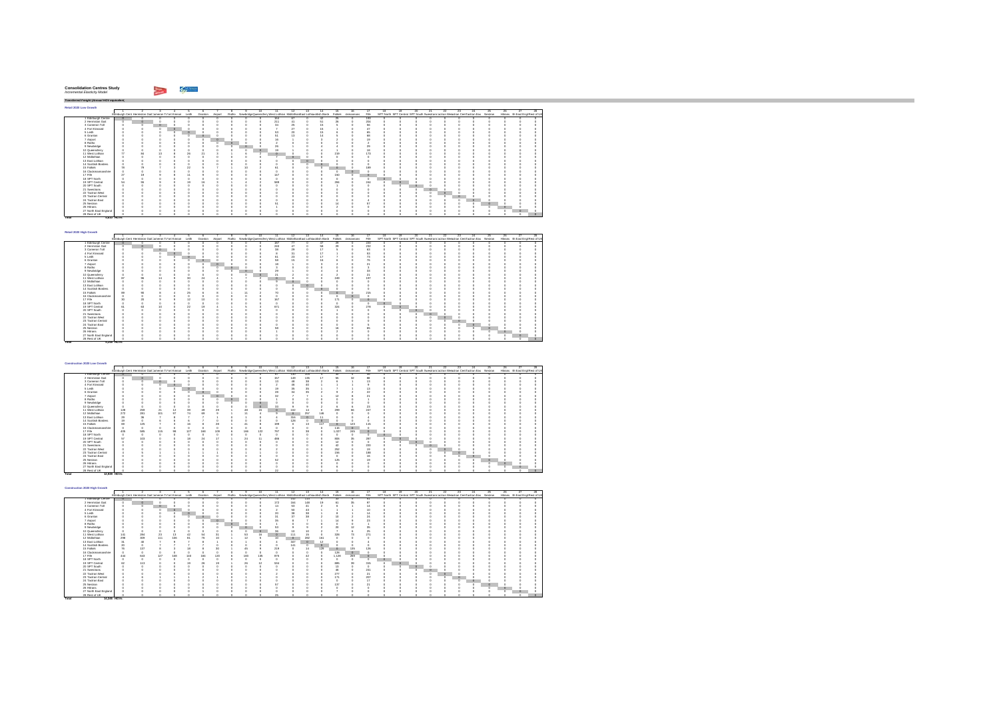| <b>Consolidation Centres Study</b> |  |
|------------------------------------|--|
| Incremental Elasticity Model       |  |

hiji wa m

**Total 5,248 HGVs**

*Transferred Freight (Annual HGV equivalent)* **Retail 2020 Low Growth** $\Gamma$ 1 2 3 4 5 6 7 8 9 10 11 12 13 14 15 16 17 18 19 20 21 22 23 24 25 26 27 28Edinburgh Cent Hermiston Gait Jameron ToFort Kinnair Leith Granton Airport Ratho NewbridgeQueensferry West Lothian MidlothianEast Lothiaeottish Borde enton Report Realth Westfand Holden installed in the Street Street Street Street (Street Street Street Street Street Street Street Street Street Street Street Street Street Street Street Street Street Street Street Street 1 Edinburgh Centre | 0 0 0 0 0 0<br>2 Hermiston Gait 0 0 0 0 0 0 ...................... 3 Cameron Toll 0 0 0 0 0 04 Fort Kinnaird 0 0 0 0 0 05 Leith 0 0 0 0 0 06 Granton 0 0 0 0 0 07 Airport 0 0 0 0 0 08 Ratho 0 0 0 0 0 09 Newbridge 0 0 0 0 0 010 Queensferry 0 0 0 0 0 011 West Lothian 77 84 13 8 26 2112 Midlothian 0 0 0 0 0 013 East Lothian 0 0 0 0 0 014 Scottish Borders 0 0 0 0 0 016 Clackmannanshire 0 0 0 0 0 017 Fife 27 19 9 8 11 918 SPT North 0 0 0 0 0 019 SPT Central 54 55 9 0 19 1620 SPT South 0 0 0 0 0 021 Swestrans 0 0 0 0 0 022 Tactran West 0 0 0 0 0 023 Tactran Central 0 0 0 0 0 024 Tactran East 0 0 0 0 0 025 Nestran 0 0 0 0 0 026 Hitrans 0 0 0 0 0 027 North East England 0 0 0 0 0 0 0 0 0 0 7 27 0 15 1 0 47 0 0 0 0 0 0 0 0 0 0 0 0 0 0 0 53 20 0 15 6 0 65 0 0 0 0 0 0 0 0 0 0 0 0 0 0 0 51 13 0 14 5 0 68 0 0 0 0 0 0 0 0 0 0 0 0 0 0 0 16 1 0 3 2 0 19 0 0 0 0 0 0 0 0 0 0 0 0000 2 000 0 0 2 0 0 00000 0 0 0 0 0 0 0 0 26 1 0 4 4 0 29 0 0 0 0 0 0 0 0 0 0 0 0 0 0 0 19 1 0 4 1 0 18 0 0 0 0 0 0 0 0 0 0 0 3 1 6 2 0 0 0 0 219 0 173 0 0 0 0 0 0 0 0 0 0 0 0000 7 000 0 0 0 0 0 00000 0 0 0 0 0000 0 000 0 0 0 0 0 00000 0 0 0 0 0000 0 000 0 0 0 0 0 00000 0 0 0 0 15 Falkirk 78 79 7 3 22 5 7 1 10 2 61 0 0 0 0 0 189 0 0 0 0 0 0 0 0 0 0 0 0000 0 000 0 0 0 0 0 00000 0 0 0 0 0 0 0 0 147 0 0 0 150 0 0 0 0 0 0 0 0 0 0 0 0 0 0000 0 000 0 0 0 0 0 00000 0 0 0 0 3 1 4 2 589 0 0 0 284 0 244 0 0 0 0 0 0 0 0 0 0 0 0000 0 000 1 0 0 0 0 00000 0 0 0 0 0000 0 000 0 0 0 0 0 00000 0 0 0 0 0000 0 000 0 0 0 0 0 00000 0 0 0 0 0000 0 000 0 0 0 0 0 00000 0 0 0 0 0000 0 000 0 0 4 0 0 00000 0 0 0 0 0 0 0 0 51 0 0 0 14 0 57 0 0 0 0 0 0 0 0 0 0 0 0000 1 000 2 0 0 0 0 00000 0 0 0 0 0000 0 000 0 0 0 0 0 00000 0 0 0 0 0000 0 000 0 0 0 0 0 00000 0 0 0 0 28 RestolUK || 0 0 0 0 0 0 **Total 4,610 HGVs**

| Retail 2020 High Growth |           |    |                                                            |                  |                 |  |   |     |          |         |                                                                                 |                         |           |      |    |                                                                                   |     |         |         |     |          |                                  |         |
|-------------------------|-----------|----|------------------------------------------------------------|------------------|-----------------|--|---|-----|----------|---------|---------------------------------------------------------------------------------|-------------------------|-----------|------|----|-----------------------------------------------------------------------------------|-----|---------|---------|-----|----------|----------------------------------|---------|
|                         |           |    |                                                            |                  |                 |  |   |     |          | 13      |                                                                                 | 15                      |           |      | 18 |                                                                                   | -22 | 23      | $^{24}$ | 25. | 26       |                                  | $^{28}$ |
|                         |           |    | Edinburgh Cent Hermiston Gait Jameron To ort Kinnair Leith |                  | Granton Airport |  |   |     |          |         | Ratho NewbridgeQueenslem West Lothian Midlothian East Lothianotish Bord Falkirk |                         | ckmannans | File |    | SPT North SPT Central SPT South Swestnans actran Wesctran CentFactran Eas Nestran |     |         |         |     |          | Hitrans rth East Engl Rest of UK |         |
| 1 Edinburgh Centre      |           |    |                                                            |                  |                 |  |   | 187 |          |         | 47                                                                              | 29                      |           | 220  |    |                                                                                   |     |         |         |     |          |                                  |         |
| 2 Hermiston Gait        |           |    |                                                            |                  |                 |  |   | 240 |          |         | 58                                                                              | $\overline{\mathbf{x}}$ |           | 232  |    |                                                                                   |     |         |         |     |          |                                  |         |
| 3 Cameron Toll          |           |    | ٥                                                          |                  |                 |  |   | œ   | $^{20}$  |         |                                                                                 |                         |           | 63   |    |                                                                                   |     |         |         |     |          |                                  |         |
| 4 Fort Kinnaird         |           |    |                                                            |                  |                 |  |   |     | Ń.       |         |                                                                                 |                         |           | 53   |    |                                                                                   |     |         |         |     |          |                                  |         |
| 5 Leith                 |           |    |                                                            |                  |                 |  |   | Ř1  | $\infty$ |         |                                                                                 |                         |           | 73   |    |                                                                                   |     |         |         |     |          |                                  |         |
| 6 Granton               |           |    |                                                            |                  |                 |  |   | 58  |          |         |                                                                                 |                         |           |      |    |                                                                                   |     |         |         |     |          |                                  |         |
| 7 Airport               |           |    |                                                            |                  |                 |  |   |     |          |         |                                                                                 |                         |           | 21   |    |                                                                                   |     |         |         |     |          |                                  |         |
| 8 Ratho                 |           |    |                                                            |                  |                 |  |   |     |          |         |                                                                                 |                         |           |      |    |                                                                                   |     |         |         |     |          |                                  |         |
| 9 Newbridge             |           |    |                                                            |                  |                 |  | n | 29  |          |         |                                                                                 |                         |           | 33   |    |                                                                                   |     |         |         |     |          |                                  |         |
| 10 Queensferry          |           |    |                                                            |                  |                 |  |   | ٠,  |          |         |                                                                                 |                         |           | 21   |    |                                                                                   |     |         |         |     |          |                                  |         |
| 11 West Lothian         | œ.        |    | 14                                                         |                  |                 |  |   |     |          |         |                                                                                 | 249                     |           | 197  |    |                                                                                   |     |         |         |     |          |                                  |         |
| 12 Midlothian           |           |    |                                                            |                  |                 |  |   |     |          |         |                                                                                 |                         |           |      |    |                                                                                   |     |         |         |     |          |                                  |         |
| 13 East Lothian         |           |    |                                                            |                  |                 |  |   |     |          | $\circ$ |                                                                                 |                         |           |      |    |                                                                                   |     |         |         |     |          |                                  |         |
| 14 Scottish Borders     |           |    |                                                            |                  |                 |  |   |     |          |         | $\circ$                                                                         |                         |           |      |    |                                                                                   |     |         |         |     |          |                                  |         |
| 15 Falkirk              | <b>SH</b> | on |                                                            | 25               |                 |  |   |     |          |         |                                                                                 |                         |           | 215  |    |                                                                                   |     |         |         |     |          |                                  |         |
| 16 Clackmannanshire     |           |    |                                                            |                  |                 |  |   |     |          |         |                                                                                 |                         |           |      |    |                                                                                   |     |         |         |     |          |                                  |         |
| 17 Fife                 | ×         | 20 |                                                            | 12               |                 |  |   | 167 |          |         |                                                                                 | 171                     |           |      |    |                                                                                   |     |         |         |     |          |                                  |         |
| 18 SPT North            |           |    |                                                            |                  |                 |  |   |     |          |         |                                                                                 |                         |           |      |    |                                                                                   |     |         |         |     |          |                                  |         |
| 19 SPT Central          | R.        | Ŕ9 | 10                                                         | $\boldsymbol{z}$ |                 |  |   | 671 |          |         |                                                                                 | 324                     |           | 278  |    |                                                                                   |     |         |         |     |          |                                  |         |
| 20 SPT South            |           |    |                                                            |                  |                 |  |   |     |          |         |                                                                                 |                         |           |      |    |                                                                                   |     |         |         |     |          |                                  |         |
| 21 Swestnans            |           |    |                                                            |                  |                 |  |   |     |          |         |                                                                                 |                         |           |      |    |                                                                                   |     |         |         |     |          |                                  |         |
| 22 Tactran West         |           |    |                                                            |                  |                 |  |   |     |          |         |                                                                                 |                         |           |      |    |                                                                                   |     |         |         |     |          |                                  |         |
| 23 Tactran Central      |           |    |                                                            |                  |                 |  |   |     |          |         |                                                                                 |                         |           |      |    |                                                                                   |     | $\circ$ |         |     |          |                                  |         |
| 24 Tactran East         |           |    |                                                            |                  |                 |  |   |     |          |         |                                                                                 |                         |           |      |    |                                                                                   |     |         |         |     |          |                                  |         |
| 25 Nestran              |           |    |                                                            |                  |                 |  |   | κö, |          |         |                                                                                 |                         |           | 65   |    |                                                                                   |     |         |         |     |          |                                  |         |
| 26 Hittans              |           |    |                                                            |                  |                 |  |   |     |          |         |                                                                                 |                         |           |      |    |                                                                                   |     |         |         |     | $\Omega$ |                                  |         |
| 27 North East England   |           |    |                                                            |                  |                 |  |   |     |          |         |                                                                                 |                         |           |      |    |                                                                                   |     |         |         |     |          |                                  |         |
| 28 Rest of UK           |           |    |                                                            |                  |                 |  |   |     |          |         |                                                                                 |                         |           |      |    |                                                                                   |     |         |         |     |          |                                  |         |

| Construction 2020 Low Growth |             |         |                                                            |         |     |                 |                          |         |     |     |                                                                                   |         |          |          |          |           |         |         |    |    |         |                                                                                   |         |         |    |    |                                  |     |
|------------------------------|-------------|---------|------------------------------------------------------------|---------|-----|-----------------|--------------------------|---------|-----|-----|-----------------------------------------------------------------------------------|---------|----------|----------|----------|-----------|---------|---------|----|----|---------|-----------------------------------------------------------------------------------|---------|---------|----|----|----------------------------------|-----|
|                              |             |         |                                                            |         |     |                 |                          |         |     | 10  |                                                                                   |         | 13       | 14       | 15       | 18        |         | 18      | 19 | 20 | $^{21}$ | 22.                                                                               | $^{23}$ | $^{24}$ | 25 | 26 | 27                               | 28. |
|                              |             |         | Edinburgh Cent Hermiston Gait Jameron To ort Kinnair Leith |         |     | Granton Airport |                          |         |     |     | Ratho NewbridgeDueensfern West Lothian Midlothian East Lothianottish Bord Falkirk |         |          |          |          | ckmannans | File    |         |    |    |         | SPT North SPT Central SPT South Swestnans actran Wesctran CentFactran Eas Nestran |         |         |    |    | Hitrans rth East Engl Rest of UK |     |
| 1 Edinburgh Centre           |             |         |                                                            |         |     |                 |                          |         |     |     |                                                                                   | 130     | 104      |          |          |           | 46      |         |    |    |         |                                                                                   |         |         |    |    |                                  |     |
| 2 Hermiston Gait             |             |         |                                                            |         |     |                 |                          |         |     |     | 157                                                                               | 149     | 135      |          | 58       | 32        | 88      |         |    |    |         |                                                                                   |         |         |    |    |                                  |     |
| 3 Cameron Toll               |             |         |                                                            |         |     |                 |                          |         |     |     | 13                                                                                |         | 38       |          |          |           |         |         |    |    |         |                                                                                   |         |         |    |    |                                  |     |
| 4 Fort Kinnaird              |             |         |                                                            | $\circ$ |     |                 |                          |         |     |     |                                                                                   |         | 40       |          |          |           |         |         |    |    |         |                                                                                   |         |         |    |    |                                  |     |
| 5 Leith                      |             |         |                                                            |         |     |                 |                          |         |     |     | 19                                                                                | $^{36}$ | 35       |          |          |           |         |         |    |    |         |                                                                                   |         |         |    |    |                                  |     |
| 6 Granton                    |             |         |                                                            |         |     |                 |                          |         |     |     | $^{28}$                                                                           |         | $\infty$ |          |          |           | 22      |         |    |    |         |                                                                                   |         |         |    |    |                                  |     |
| 7 Airport                    |             |         |                                                            |         |     |                 | $\circ$                  |         |     |     | $\infty$                                                                          |         |          |          |          |           |         |         |    |    |         |                                                                                   |         |         |    |    |                                  |     |
| 8 Ratho                      |             |         |                                                            |         |     |                 |                          | $\circ$ |     |     |                                                                                   |         |          |          |          |           |         |         |    |    |         |                                                                                   |         |         |    |    |                                  |     |
| 9 Newbridge                  |             |         |                                                            |         |     |                 |                          |         |     |     |                                                                                   |         |          |          |          |           |         |         |    |    |         |                                                                                   |         |         |    |    |                                  |     |
| 10 Queensferry               |             |         |                                                            |         |     |                 |                          |         |     |     | 33                                                                                |         |          |          |          |           | $^{23}$ |         |    |    |         |                                                                                   |         |         |    |    |                                  |     |
| 11 West Lothian              | 128         | 259     | 21                                                         | 12      | 96  |                 | $\boldsymbol{\times}$    |         | 48  | 15  |                                                                                   | 102     | 14       |          | 299      | 6Ŕ        | 247     |         |    |    |         |                                                                                   |         |         |    |    |                                  |     |
| 12 Midlothian                | 272         | 281     | 101                                                        | 97      | 74  | 69              |                          |         | 11  |     |                                                                                   | $\circ$ | 257      | 146      |          |           |         |         |    |    |         |                                                                                   |         |         |    |    |                                  |     |
| 13 East Lothian              | 29          | $^{36}$ |                                                            |         |     |                 |                          |         |     |     |                                                                                   | 316     | $\circ$  |          |          |           |         |         |    |    |         |                                                                                   |         |         |    |    |                                  |     |
| 14 Scottish Borders          | 19          |         |                                                            |         |     |                 |                          |         |     |     |                                                                                   | 128     | n        | $\alpha$ |          |           |         |         |    |    |         |                                                                                   |         |         |    |    |                                  |     |
| 15 Falkirk                   | 69          | 125     |                                                            |         |     |                 | $\overline{\mathcal{R}}$ |         |     |     | 199                                                                               |         | 13       | 117      | $\Delta$ | 123       | 115     |         |    |    |         |                                                                                   |         |         |    |    |                                  |     |
| 16 Clackmannanshire          |             |         |                                                            |         |     |                 |                          |         |     |     |                                                                                   |         |          |          | 116      | $\circ$   |         |         |    |    |         |                                                                                   |         |         |    |    |                                  |     |
| 17 Fife                      | 405         | 585     | 115                                                        | 98      | 127 | 168             | 109                      |         | 166 | 122 | 797                                                                               |         | 38       |          | 1.027    | 245       |         |         |    |    |         |                                                                                   |         |         |    |    |                                  |     |
| 18 SPT North                 |             |         |                                                            |         |     |                 |                          |         |     |     |                                                                                   |         |          |          |          |           |         | $\circ$ |    |    |         |                                                                                   |         |         |    |    |                                  |     |
| 19 SPT Central               | 57          | 103     |                                                            |         |     | $^{2}$          | ×.                       |         | 24  | 11  | 486                                                                               |         |          |          | 806      | 36        | 287     |         |    |    |         |                                                                                   |         |         |    |    |                                  |     |
| 20 SPT South                 |             |         |                                                            |         |     |                 |                          |         |     |     |                                                                                   |         |          |          | 12       |           |         |         |    |    |         |                                                                                   |         |         |    |    |                                  |     |
| 21 Swestnans                 |             |         |                                                            |         |     |                 |                          |         |     |     |                                                                                   |         |          |          | 42       |           | 220     |         |    |    |         |                                                                                   |         |         |    |    |                                  |     |
| 22 Tactran West              |             |         |                                                            |         |     |                 |                          |         |     |     |                                                                                   |         |          |          | 252      |           | 19      |         |    |    |         | $\circ$                                                                           |         |         |    |    |                                  |     |
| 23 Tactran Central           |             |         |                                                            |         |     |                 |                          |         |     |     |                                                                                   |         |          |          | 156      |           | 188     |         |    |    |         |                                                                                   | ю       |         |    |    |                                  |     |
| 24 Tactran East              |             |         |                                                            |         |     |                 |                          |         |     |     |                                                                                   |         |          |          |          |           |         |         |    |    |         |                                                                                   | o       |         |    |    |                                  |     |
| 25 Nestran                   |             |         |                                                            |         |     |                 |                          |         |     |     | 50                                                                                |         |          |          | 125      |           |         |         |    |    |         |                                                                                   |         |         |    |    |                                  |     |
| 26 Hittans                   |             |         |                                                            |         |     |                 |                          |         |     |     |                                                                                   |         |          |          |          |           |         |         |    |    |         |                                                                                   |         |         |    |    |                                  |     |
| 27 North East England        |             |         |                                                            |         |     |                 |                          |         |     |     |                                                                                   |         |          |          |          |           |         |         |    |    |         |                                                                                   |         |         |    |    |                                  |     |
| 28 Rest of UK                |             |         |                                                            |         |     |                 |                          |         |     |     | $\boldsymbol{2}$                                                                  |         |          |          |          |           |         |         |    |    |         |                                                                                   |         |         |    |    |                                  |     |
| Total                        | 12,939 HOVS |         |                                                            |         |     |                 |                          |         |     |     |                                                                                   |         |          |          |          |           |         |         |    |    |         |                                                                                   |         |         |    |    |                                  |     |

| Construction 2020 High Growth |                    |             |     |                                                      |     |       |                |         |          |     |                                                                           |              |         |     |          |           |         |    |                                                                                   |     |    |         |     |    |          |                                  |     |
|-------------------------------|--------------------|-------------|-----|------------------------------------------------------|-----|-------|----------------|---------|----------|-----|---------------------------------------------------------------------------|--------------|---------|-----|----------|-----------|---------|----|-----------------------------------------------------------------------------------|-----|----|---------|-----|----|----------|----------------------------------|-----|
|                               |                    |             |     |                                                      |     |       |                |         |          | 10  | 11.                                                                       | $12^{\circ}$ | 13      | 14  | 15       | 18        | 17      | 18 | 20                                                                                | 21. | 22 | 23      | 24. | 25 | 26       |                                  | 28. |
|                               |                    |             |     | Edinburgh Cent Hermiston Gait Jameron To ort Kinnair |     | Leith | Granton        | Airport |          |     | Ratho NewbridgeDueensferr West Lothian Midlothian East Lothianotish Bord- |              |         |     | Falkirk  | ckmannans | File    |    | SPT North SPT Central SPT South Swestnans actran Weschlan CentFactran Eas Nestran |     |    |         |     |    |          | Hitrans rth East Engl Rest of UK |     |
|                               | 1 Edinburgh Centre |             |     |                                                      |     |       |                |         |          |     | 73                                                                        | 142          | 114     |     | 33       |           | 51      |    |                                                                                   |     |    |         |     |    |          |                                  |     |
| 2 Hermiston Gait              |                    |             |     |                                                      |     |       |                |         |          |     | 172                                                                       | 164          | 148     |     |          | 35        | o7      |    |                                                                                   |     |    |         |     |    |          |                                  |     |
| 3 Cameron Toll                |                    |             |     |                                                      |     |       |                |         |          |     | 14                                                                        | 53           |         |     |          |           | 14      |    |                                                                                   |     |    |         |     |    |          |                                  |     |
| 4 Fort Kinnaird               |                    |             |     |                                                      |     |       |                |         |          |     |                                                                           | 5Ċ           | 43      |     |          |           | 10      |    |                                                                                   |     |    |         |     |    |          |                                  |     |
| 5 Leith                       |                    |             |     |                                                      |     |       |                |         |          |     | 20                                                                        | ż            | 38      |     |          |           | 14      |    |                                                                                   |     |    |         |     |    |          |                                  |     |
| 6 Granton                     |                    |             |     |                                                      |     |       |                |         |          |     |                                                                           | ×.           | 38      |     |          |           | 24      |    |                                                                                   |     |    |         |     |    |          |                                  |     |
| 7 Airport                     |                    |             |     |                                                      |     |       |                |         |          |     | ŵ,                                                                        |              |         |     |          |           | $^{23}$ |    |                                                                                   |     |    |         |     |    |          |                                  |     |
| 8 Ratho                       |                    |             |     |                                                      |     |       |                |         |          |     |                                                                           |              |         |     |          |           |         |    |                                                                                   |     |    |         |     |    |          |                                  |     |
| 9 Newbridge                   |                    |             |     |                                                      |     |       |                |         |          |     |                                                                           |              |         |     | $\alpha$ |           | 35      |    |                                                                                   |     |    |         |     |    |          |                                  |     |
| 10 Queensferry                |                    |             |     |                                                      |     |       |                |         |          |     | 38                                                                        |              |         |     |          |           | 25      |    |                                                                                   |     |    |         |     |    |          |                                  |     |
| 11 West Lothian               |                    | 141         | 284 | $^{23}$                                              | 13  |       |                |         | 53       | 16  |                                                                           | 111          | 15      |     | 328      | 73        | 271     |    |                                                                                   |     |    |         |     |    |          |                                  |     |
| 12 Midlothian                 |                    | 298         | 309 | 111                                                  | 106 | 81    | $\overline{2}$ | 10      | 12       |     | 10                                                                        | ٥            | 282     | 161 |          |           |         |    |                                                                                   |     |    |         |     |    |          |                                  |     |
| 13 East Lothian               |                    | 31          | ۵Ń  |                                                      |     |       |                |         |          |     |                                                                           | 347          | $\circ$ | 12  |          |           |         |    |                                                                                   |     |    |         |     |    |          |                                  |     |
| 14 Scottish Borders           |                    | 20          |     |                                                      |     |       |                |         |          |     |                                                                           | 141          |         |     |          |           |         |    |                                                                                   |     |    |         |     |    |          |                                  |     |
| 15 Falkirk                    |                    |             | 137 |                                                      |     |       |                | ść      | ú        |     | 219                                                                       |              | 14      | 129 |          | 135       | 126     |    |                                                                                   |     |    |         |     |    |          |                                  |     |
| 16 Clackmannanshire           |                    |             |     |                                                      |     |       |                |         |          |     |                                                                           |              |         |     | 128      | $\Omega$  |         |    |                                                                                   |     |    |         |     |    |          |                                  |     |
| 17 Fife                       |                    | 444         | 643 | 127                                                  | 108 | 140   | 184            | 120     | 183      | 135 | 875                                                                       |              |         |     | 1.128    | 269       |         |    |                                                                                   |     |    |         |     |    |          |                                  |     |
| 18 SPT North                  |                    |             |     |                                                      |     |       |                |         |          |     |                                                                           |              |         |     |          |           |         |    |                                                                                   |     |    |         |     |    |          |                                  |     |
| 19 SPT Central                |                    | 62          | 113 |                                                      |     |       | $\overline{2}$ | 10      | $\infty$ | 12  | 534                                                                       |              |         |     | 885      | 39        | 315     |    |                                                                                   |     |    |         |     |    |          |                                  |     |
| 20 SPT South                  |                    |             |     |                                                      |     |       |                |         |          |     |                                                                           |              |         |     | 12       |           |         |    |                                                                                   |     |    |         |     |    |          |                                  |     |
| 21 Swestnans                  |                    |             |     |                                                      |     |       |                |         |          |     |                                                                           |              |         |     | 46       |           | 241     |    |                                                                                   |     |    |         |     |    |          |                                  |     |
| 22 Tactran West               |                    |             |     |                                                      |     |       |                |         |          |     |                                                                           |              |         |     | 277      |           | 21      |    |                                                                                   |     |    |         |     |    |          |                                  |     |
| 23 Tactran Central            |                    |             |     |                                                      |     |       |                |         |          |     |                                                                           |              |         |     | 171      |           | 207     |    |                                                                                   |     |    | $\circ$ |     |    |          |                                  |     |
| 24 Tactran East               |                    |             |     |                                                      |     |       |                |         |          |     |                                                                           |              |         |     |          |           | 17      |    |                                                                                   |     |    | o       |     |    |          |                                  |     |
| 25 Nestran                    |                    |             |     |                                                      |     |       |                |         |          |     |                                                                           |              |         |     | 137      |           | 21      |    |                                                                                   |     |    |         |     |    |          |                                  |     |
| 26 Hittans                    |                    |             |     |                                                      |     |       |                |         |          |     |                                                                           |              |         |     |          |           |         |    |                                                                                   |     |    |         |     |    | $\Omega$ |                                  |     |
| 27 North East England         |                    |             |     |                                                      |     |       |                |         |          |     |                                                                           |              |         |     |          |           |         |    |                                                                                   |     |    |         |     |    |          |                                  |     |
| 28 Rest of UK                 |                    |             |     |                                                      |     |       |                |         |          |     | $\sim$                                                                    |              |         |     |          |           |         |    |                                                                                   |     |    |         |     |    |          |                                  |     |
| Total                         |                    | 14.346 HOVS |     |                                                      |     |       |                |         |          |     |                                                                           |              |         |     |          |           |         |    |                                                                                   |     |    |         |     |    |          |                                  |     |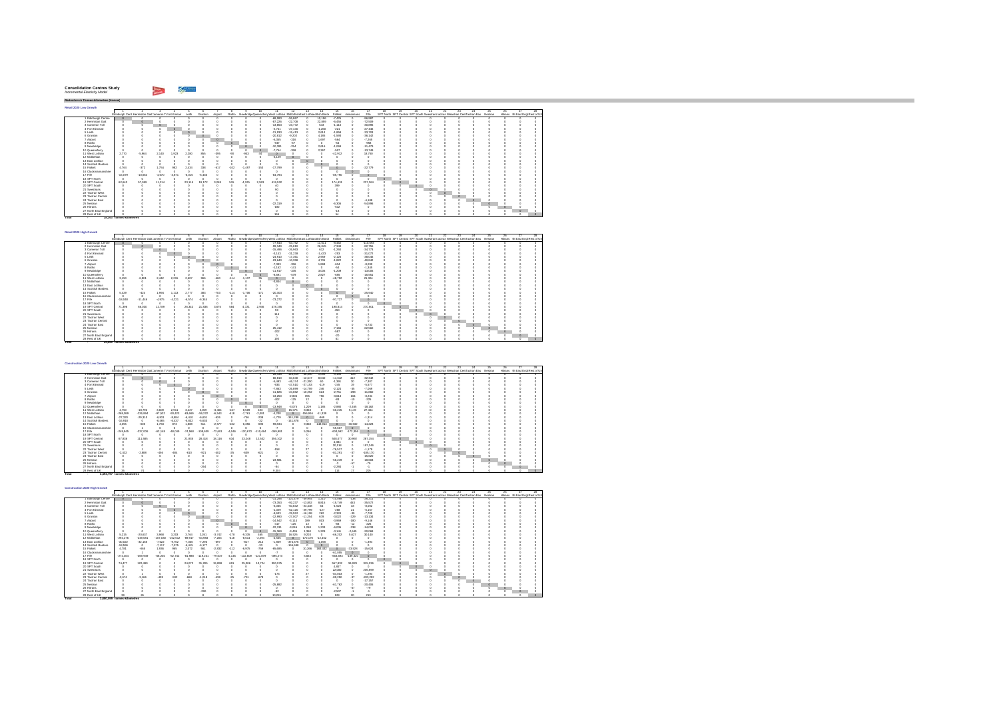#### **Consolidation Centres Study** *Incremental Elasticity Model Reduction in Tonnes-kilometres (Annual)*

**Total 29,569**

**- tonnes-kilometres**

| Reduction in Tonnes-kilometres (Annual |                                                      |           |          |          |          |          |         |        |          |          |                                                                    |           |    |          |           |           |           |    |    |                                                                                  |    |         |         |    |    |    |    |                                  |
|----------------------------------------|------------------------------------------------------|-----------|----------|----------|----------|----------|---------|--------|----------|----------|--------------------------------------------------------------------|-----------|----|----------|-----------|-----------|-----------|----|----|----------------------------------------------------------------------------------|----|---------|---------|----|----|----|----|----------------------------------|
|                                        |                                                      |           |          |          |          |          |         |        |          |          |                                                                    |           |    |          |           |           |           |    |    |                                                                                  |    |         |         |    |    |    |    |                                  |
| Retail 2020 Low Growth                 |                                                      |           |          |          |          |          |         |        |          |          |                                                                    |           |    |          |           |           |           |    |    |                                                                                  |    |         |         |    |    |    |    |                                  |
|                                        |                                                      |           |          |          |          |          |         |        |          | 10.      | 11                                                                 |           | 13 | 14       | 15        |           |           | 18 | 19 | 20                                                                               | 21 | 22.     | $^{23}$ | 24 | つら | 26 | 27 | 28                               |
|                                        | Edinburgh Cent Hermiston Gait Jameron Tofort Kinnair |           |          |          | Leith    | Granton  | Airport | Ratho  |          |          | NewbridgeDueensferr West Lothian Midlothian East Lothianotish Bord |           |    |          | Falkirk   | ckmannans | File      |    |    | SPT North SPT Central SPT South Swestrans actran Weschan CentFactran Eas Nestran |    |         |         |    |    |    |    | Hitrans rth East Engl Rest of UK |
| 1 Edinburgh Centre                     |                                                      |           |          |          |          |          |         |        |          |          | -68.083                                                            | -55.867   |    | 10.196   | $-7.425$  |           | $-98.987$ |    |    |                                                                                  |    |         |         |    |    |    |    |                                  |
| 2 Hermiston Gait                       |                                                      |           |          |          |          |          |         |        |          |          | $-87.226$                                                          | $-22.708$ |    | 22,850   | $-6.455$  |           | $-72.509$ |    |    |                                                                                  |    |         |         |    |    |    |    |                                  |
| 3 Cameron Toll                         |                                                      |           |          |          |          |          |         |        |          |          | $-13.663$                                                          | $-23.772$ |    | 543      | $-1.110$  |           | $-30.896$ |    |    |                                                                                  |    |         |         |    |    |    |    |                                  |
| 4 Fort Kinnaird                        |                                                      |           |          |          |          |          |         |        |          |          | $-2.741$                                                           | $-27.440$ |    | $-1.260$ | $-221$    |           | $-27.446$ |    |    |                                                                                  |    |         |         |    |    |    |    |                                  |
| 5 Leith                                |                                                      |           |          |          |          |          |         |        |          |          | $-21.933$                                                          | $-15.413$ |    | 2.614    | $-1.868$  |           | $-33.703$ |    |    |                                                                                  |    |         |         |    |    |    |    |                                  |
| 6 Granton                              |                                                      |           |          |          |          |          |         |        |          |          | $-20.812$                                                          | $-9.202$  |    | 4.185    | $-1.593$  |           | $-36.142$ |    |    |                                                                                  |    |         |         |    |    |    |    |                                  |
| 7 Airport                              |                                                      |           |          |          |          |          |         |        |          |          | $-6.365$                                                           | $-316$    |    | 1.697    | -564      |           | $-7.266$  |    |    |                                                                                  |    |         |         |    |    |    |    |                                  |
| 8 Ratho                                |                                                      |           |          |          |          |          |         | n      |          |          | $-947$                                                             | $-67$     |    |          | -54       |           | -958      |    |    |                                                                                  |    |         |         |    |    |    |    |                                  |
| 9 Newbridge                            |                                                      |           |          |          |          |          |         |        | $\Omega$ |          | $-10.391$                                                          | $-254$    |    | 2.616    | $-1.069$  |           | $-11.479$ |    |    |                                                                                  |    |         |         |    |    |    |    |                                  |
| 10 Queensferry                         |                                                      |           |          |          |          |          |         |        |          | $\alpha$ | $-7.754$                                                           | $-358$    |    | 2.367    | -507      |           | $-13.749$ |    |    |                                                                                  |    |         |         |    |    |    |    | $\alpha$                         |
| 11 West Lothian                        | 2.770                                                | $-5.984$  | 2.140    | 1.923    | 2.280    | 855      | $-396$  | $-90$  | $-943$   | 44       |                                                                    |           |    |          | $-42.912$ |           | 18,760    |    |    |                                                                                  |    |         |         |    |    |    |    | n                                |
| 12 Midlothian                          |                                                      |           |          |          |          |          |         |        |          | o        | $-3.129$                                                           |           |    |          |           |           |           |    |    |                                                                                  |    |         |         |    |    |    |    | $\circ$                          |
| 13 East Lothian                        |                                                      |           |          |          |          |          |         |        |          |          |                                                                    |           |    |          |           |           |           |    |    |                                                                                  |    |         |         |    |    |    |    | $\Omega$                         |
| 14 Scottish Borders                    |                                                      |           |          |          |          |          |         |        |          | $\theta$ |                                                                    |           |    |          |           |           |           |    |    |                                                                                  |    |         |         |    |    |    |    | $\Delta$                         |
| 15 Falkirk                             | 4.764                                                | $-372$    | 1.754    | 982      | 2.434    | 338      | $-617$  | $-102$ | $-1.497$ | $-153$   | $-17.799$                                                          |           |    |          |           |           | $-22.779$ |    |    |                                                                                  |    |         |         |    |    |    |    | $\Delta$                         |
| 16 Clackmannanshire                    |                                                      |           |          |          |          |          |         |        |          |          |                                                                    |           |    |          |           |           |           |    |    |                                                                                  |    |         |         |    |    |    |    |                                  |
| 17 Fife                                | $-16.079$                                            | $-10.664$ | $-4.670$ | $-3.871$ | $-6.015$ | $-5.430$ |         |        |          | $\theta$ | $-64.794$                                                          |           |    |          | $-86.790$ |           |           |    |    |                                                                                  |    |         |         |    |    |    |    |                                  |
| 18 SPT North                           |                                                      |           |          |          |          |          |         |        |          | ×        |                                                                    |           |    |          |           |           |           |    |    |                                                                                  |    |         |         |    |    |    |    |                                  |
| 19 SPT Central                         | 62.643                                               | 57,959    | 11.214   |          | 23.115   | 19,172   | 3.248   | 515    | 4.125    | 2.593    | 419.532                                                            |           |    |          | 174.431   |           | 237.384   |    |    |                                                                                  |    |         |         |    |    |    |    |                                  |
| 20 SPT South                           |                                                      |           |          |          |          |          |         |        |          |          | 40                                                                 |           |    |          | 399       |           |           |    |    |                                                                                  |    |         |         |    |    |    |    |                                  |
| 21 Swestnans                           |                                                      |           |          |          |          |          |         |        |          |          | on.                                                                |           |    |          |           |           |           |    |    |                                                                                  |    |         |         |    |    |    |    |                                  |
| 22 Tactran West                        |                                                      |           |          |          |          |          |         |        |          |          |                                                                    |           |    |          |           |           |           |    |    |                                                                                  |    | $\circ$ |         |    |    |    |    |                                  |
| 23 Tactran Central                     |                                                      |           |          |          |          |          |         |        |          |          |                                                                    |           |    |          |           |           |           |    |    |                                                                                  |    |         | o       |    |    |    |    |                                  |
| 24 Tactran East                        |                                                      |           |          |          |          |          |         |        |          |          |                                                                    |           |    |          |           |           | $-4.188$  |    |    |                                                                                  |    |         |         |    |    |    |    |                                  |
| 25 Nestran                             |                                                      |           |          |          |          |          |         |        |          |          | $-22.319$                                                          |           |    |          | $-6.306$  |           | $-54.896$ |    |    |                                                                                  |    |         |         |    |    |    |    |                                  |
| 26 Hitrans                             |                                                      |           |          |          |          |          |         |        |          |          | $-182$                                                             |           |    |          | $-632$    |           |           |    |    |                                                                                  |    |         |         |    |    |    |    |                                  |
| 27 North East England                  |                                                      |           |          |          |          |          |         |        |          |          |                                                                    |           |    |          | $-18$     |           |           |    |    |                                                                                  |    |         |         |    |    |    |    |                                  |
| 28 Rest of UK                          |                                                      |           |          |          |          |          |         |        |          |          | 166                                                                |           |    |          | 54        |           |           |    |    |                                                                                  |    |         |         |    |    |    |    |                                  |
| Total                                  | 28.263 tonnes-kilometres                             |           |          |          |          |          |         |        |          |          |                                                                    |           |    |          |           |           |           |    |    |                                                                                  |    |         |         |    |    |    |    |                                  |
|                                        |                                                      |           |          |          |          |          |         |        |          |          |                                                                    |           |    |          |           |           |           |    |    |                                                                                  |    |         |         |    |    |    |    |                                  |

|                       |                                                      |            |          |          |          |          |         |        |          | 10     | 11                                                                 | -12       | 19.      | 14       |           | 18        | 17         | 18 | 19                                                                                |  | 23 | つら | 28 |                                  |  |
|-----------------------|------------------------------------------------------|------------|----------|----------|----------|----------|---------|--------|----------|--------|--------------------------------------------------------------------|-----------|----------|----------|-----------|-----------|------------|----|-----------------------------------------------------------------------------------|--|----|----|----|----------------------------------|--|
|                       | Edinburgh Cent Hermiston Gait Jameron To ort Kinnair |            |          |          | Leith    | Granton  | Airport | Ratho  |          |        | NewbridgeDueensferr West Lothian Midlothian East Lothianotish Bord |           |          |          | Falkirk   | ckmannans | File       |    | SPT North SPT Central SPT South Swestnans actran Wesctran CentFactran Eas Nestran |  |    |    |    | Hitrans rth East Engl Rest of UK |  |
| 1 Edinburgh Centre    |                                                      | n          |          |          |          |          |         |        |          |        | $-77.543$                                                          | $-63.752$ | - 69     | 11,611   | $-8.462$  |           | $-110.693$ |    |                                                                                   |  |    |    |    |                                  |  |
| 2 Hermiston Gait      |                                                      |            |          |          |          |          |         |        |          |        | $-29.349$                                                          | $-25.810$ |          | 26.045   | $-7.349$  |           | $-82.755$  |    |                                                                                   |  |    |    |    |                                  |  |
| 3 Cameron Toll        |                                                      |            | $\alpha$ |          |          |          |         |        |          |        | $-15.496$                                                          | $-26.963$ |          | 612      | $-1.260$  |           | $-34.773$  |    |                                                                                   |  |    |    |    |                                  |  |
| 4 Fort Kinnaird       |                                                      |            |          |          |          |          |         |        |          |        | $-3.143$                                                           | $-31.238$ |          | $-1.423$ | $-253$    |           | $-31.072$  |    |                                                                                   |  |    |    |    |                                  |  |
| 5 Leith               |                                                      |            |          |          |          |          |         |        |          |        | $-24.910$                                                          | $-17.361$ |          | 2.959    | $-2.126$  |           | $-38.046$  |    |                                                                                   |  |    |    |    |                                  |  |
| <b>R. Granton</b>     |                                                      |            |          |          |          |          |         |        |          |        | $-23.640$                                                          | $-10.358$ |          | 4.731    | $-1.822$  |           | $-40.842$  |    |                                                                                   |  |    |    |    |                                  |  |
| 7 Airport             |                                                      |            |          |          |          |          |         |        |          |        | $-7.393$                                                           | $-356$    |          | 1,884    | -634      |           | $-8.090$   |    |                                                                                   |  |    |    |    |                                  |  |
| 8 Ratho               |                                                      |            |          |          |          |          |         |        |          |        | $-1.152$                                                           | $-141$    |          | ó        | $-54$     |           | $-1.345$   |    |                                                                                   |  |    |    |    |                                  |  |
| 9 Newbridge           |                                                      |            |          |          |          |          |         |        |          |        | $-11.917$                                                          | $-336$    | $\Omega$ | 3.005    | $-1.209$  |           | $-13.005$  |    |                                                                                   |  |    |    |    |                                  |  |
| 10 Queensferry        |                                                      |            |          |          |          |          |         |        |          |        | $-8.691$                                                           | $-579$    |          | 2.827    | $-656$    |           | $-16.661$  |    |                                                                                   |  |    |    |    |                                  |  |
| 11 West Lothian       | 3.150                                                | $-6.801$   | 2.442    | 2.215    | 2.607    | 986      | $-460$  | $-114$ | $-1.137$ | 55     |                                                                    |           |          |          | 48.792    |           | 21.304     |    |                                                                                   |  |    |    |    |                                  |  |
| 12 Midlethian         |                                                      |            |          |          |          |          |         |        |          |        | $-3.844$                                                           | $\circ$   |          |          |           |           |            |    |                                                                                   |  |    |    |    |                                  |  |
| 13 East Lothian       |                                                      |            |          |          |          |          |         |        |          |        |                                                                    |           | $\Omega$ |          |           |           |            |    |                                                                                   |  |    |    |    |                                  |  |
| 14 Scottish Borders   |                                                      |            |          |          |          |          |         |        |          |        |                                                                    |           |          |          |           |           |            |    |                                                                                   |  |    |    |    |                                  |  |
| 15 Falkirk            | 5.429                                                | $-424$     | 1.994    | 1.113    | 2.777    | 383      | $-703$  | $-114$ | $-1.706$ | $-171$ | $-20.303$                                                          |           |          |          |           |           | $-25.940$  |    |                                                                                   |  |    |    |    |                                  |  |
| 16 Clackmannanshire   |                                                      | $^{\circ}$ |          |          |          |          |         |        |          |        |                                                                    |           |          |          |           |           |            |    |                                                                                   |  |    |    |    |                                  |  |
| 17 Fife               | $-18.048$                                            | $-11,448$  | $-4.975$ | $-4.221$ | $-6.574$ | $-8.344$ |         |        |          |        | $-73.272$                                                          |           |          |          | $-97.727$ |           |            |    |                                                                                   |  |    |    |    |                                  |  |
| 18 SPT North          |                                                      | $\theta$   |          |          |          |          |         |        |          |        |                                                                    |           |          |          |           |           |            |    |                                                                                   |  |    |    |    |                                  |  |
| 19 SPT Central        | 71,396                                               | 66,030     | 12,789   |          | 26.342   | 21.836   | 3.675   | 584    | 4.721    | 2.946  | 478.155                                                            |           |          |          | 198.814   |           | 270.501    |    |                                                                                   |  |    |    |    |                                  |  |
| 20 SPT South          |                                                      |            |          |          |          |          |         |        |          |        | 50 <sub>0</sub>                                                    |           |          |          | 450       |           |            |    |                                                                                   |  |    |    |    |                                  |  |
| 21 Swestnans          |                                                      |            |          |          |          |          |         |        |          |        | 114                                                                |           |          |          |           |           |            |    |                                                                                   |  |    |    |    |                                  |  |
| 22 Tartran West       |                                                      |            |          |          |          |          |         |        |          |        |                                                                    |           |          |          |           |           |            |    |                                                                                   |  |    |    |    |                                  |  |
| 23 Tartran Central    |                                                      |            |          |          |          |          |         |        |          |        |                                                                    |           |          |          |           |           |            |    |                                                                                   |  |    |    |    |                                  |  |
| 24 Tartran Fast       |                                                      |            |          |          |          |          |         |        |          |        |                                                                    |           |          |          |           |           | $-4.733$   |    |                                                                                   |  |    |    |    |                                  |  |
| 25 Nestran            |                                                      |            |          |          |          |          |         |        |          |        | $-25.412$                                                          |           |          |          | $-7.166$  |           | $-62.560$  |    |                                                                                   |  |    |    |    |                                  |  |
| 26 Hittans            |                                                      |            |          |          |          |          |         |        |          |        | $-202$                                                             |           |          |          | -587      |           |            |    |                                                                                   |  |    |    |    |                                  |  |
| 27 North East England |                                                      |            |          |          |          |          |         |        |          |        | ٠                                                                  |           |          |          | $-20$     |           |            |    |                                                                                   |  |    |    |    |                                  |  |
| 28 Rest of UK         |                                                      |            |          |          |          |          |         |        |          |        | 192                                                                |           |          |          | 61        |           |            |    |                                                                                   |  |    |    |    |                                  |  |

| Construction 2020 Low Growth |                             |                                                      |           |           |           |            |            |            |          |          |                                                                          |            |                |           |           |            |            |    |                                                                                   |    |    |         |    |     |          |                                  |  |
|------------------------------|-----------------------------|------------------------------------------------------|-----------|-----------|-----------|------------|------------|------------|----------|----------|--------------------------------------------------------------------------|------------|----------------|-----------|-----------|------------|------------|----|-----------------------------------------------------------------------------------|----|----|---------|----|-----|----------|----------------------------------|--|
|                              |                             |                                                      |           |           |           |            |            |            |          | 10       | 11                                                                       | 12         | 19.            | 14        | 15        | 16         |            | 18 | 19                                                                                | 91 | 22 | $^{23}$ | 24 | 25. | 28       |                                  |  |
|                              |                             | Edinburgh Cent Hermiston Gait Jameron Tofort Kinnair |           |           | Leith     | Granton    | Airport    |            |          |          | Ratho NewbridgeDueensferr West Lothian Midlothian East Lothianotish Bord |            |                |           | Falkirk   | ckmannans  | File       |    | SPT North SPT Central SPT South Swestnans actran Wesctran CentFactran Eas Nestran |    |    |         |    |     |          | Hitrans rth East Engl Rest of UK |  |
| 1 Edinburgh Centre           |                             |                                                      |           |           |           |            |            |            |          |          | $-28.438$                                                                | $-110.819$ | $-38.390$      | 1.096     | $-9.190$  | $-125$     | $-23.800$  |    |                                                                                   |    |    |         |    |     |          |                                  |  |
| 2 Hermiston Gait             |                             |                                                      |           |           |           |            |            |            |          |          | -66.810                                                                  | $-84.040$  | $-12.617$      | 8.040     | $-14.342$ | 412        | $-32.342$  |    |                                                                                   |    |    |         |    |     |          |                                  |  |
| 3 Cameron Toll               |                             |                                                      |           |           |           |            |            |            |          |          | $-5.483$                                                                 | $-46.174$  | $-21.360$      | 60        | $-1.391$  | 30         | $-7.307$   |    |                                                                                   |    |    |         |    |     |          |                                  |  |
| 4 Fort Kinnaire              |                             |                                                      |           |           |           |            |            |            |          |          | $-933$                                                                   | $-47.510$  | $-27.153$      | $-119$    | $-245$    | 12         | $-5.577$   |    |                                                                                   |    |    |         |    |     |          |                                  |  |
| 5 Leith                      |                             |                                                      |           |           |           |            |            |            |          |          | $-7.863$                                                                 | $-26.899$  | $-14.759$      | 246       | $-2.124$  | $-36$      | $-7.069$   |    |                                                                                   |    |    |         |    |     |          |                                  |  |
| 6 Granton                    |                             |                                                      |           |           |           |            |            |            |          |          | $-11.826$                                                                | $-24.652$  | $-10.252$      | 624       | $-2.751$  | $-298$     | $-11.860$  |    |                                                                                   |    |    |         |    |     |          |                                  |  |
| 7 Airport                    |                             |                                                      |           |           |           |            |            |            |          |          | $-13.250$                                                                | $-2.806$   | 355            | 756       | $-3.613$  | $-164$     | $-8.231$   |    |                                                                                   |    |    |         |    |     |          |                                  |  |
| 8 Ratho                      |                             |                                                      |           |           |           |            |            | $\circ$    |          |          | 402                                                                      | $-125$     | 12             |           | -83       | $-10$      | $-225$     |    |                                                                                   |    |    |         |    |     |          |                                  |  |
| 9 Newbridge                  |                             |                                                      |           |           |           |            |            |            |          |          |                                                                          |            |                |           |           |            |            |    |                                                                                   |    |    |         |    |     |          |                                  |  |
| 10 Queensferry               |                             |                                                      |           |           |           |            |            |            |          |          | $-13.948$                                                                | $-3.075$   | 1,209          | 1.185     | $-2.880$  | $-2.465$   | $-18.162$  |    |                                                                                   |    |    |         |    |     |          |                                  |  |
| 11 West Lothian              | 4.750                       | $-18.792$                                            | 3.609     | 2.911     | 3.427     | 2.059      | $-3.404$   | $-167$     | $-8.506$ | 423      |                                                                          | 15.075     | 8.353          | $\alpha$  | $-60.245$ | 5.119      | 27,464     |    |                                                                                   |    |    |         |    |     |          |                                  |  |
| 12 Midlothian                | $-268.089$                  | $-226.894$                                           | $-97.532$ | $-93.423$ | $-63.669$ | $-59.222$  | 6.543      | 418        | $-7.761$ | $-2.081$ | $-4.230$                                                                 | $\circ$    | 156,916        | $-11.339$ |           |            |            |    |                                                                                   |    |    |         |    |     |          |                                  |  |
| 13 East Lothian              | $-27.320$                   | $-29.310$                                            | $-6.931$  | $-8.884$  | $-6.410$  | $-6.60$    | 626        | $\Omega$   | $-746$   | $-208$   | $-1.729$                                                                 | -341.288   | $\circ$        | $-960$    |           |            | $-1.314$   |    |                                                                                   |    |    |         |    |     |          |                                  |  |
| 14 Scottish Borders          | $-16.918$                   | $\alpha$                                             | $-6.465$  | $-6.437$  | $-5.832$  | $-5.630$   |            |            |          | $-32$    |                                                                          | $-141.878$ |                | $\Omega$  |           |            |            |    |                                                                                   |    |    |         |    |     |          |                                  |  |
| 15 Falkirk                   | 4.355                       | $-605$                                               | 1.763     | 873       | 1.888     | 511        | $-2.577$   | $-102$     | $-6.356$ | -690     | -59.834                                                                  |            | 9.358          | 148.913   |           | $-30.632$  | $-14.223$  |    |                                                                                   |    |    |         |    |     |          |                                  |  |
| 16 Clackmannanshire          |                             |                                                      |           |           |           |            |            |            |          |          |                                                                          |            |                |           | $-55.60$  | $\Omega$   |            |    |                                                                                   |    |    |         |    |     |          |                                  |  |
| 17 Fife                      | $-249.845$                  | $-337.006$                                           | $-62.148$ | $-48.049$ | $-74.568$ | $-108.609$ | $-72.601$  | $-4.046$   | 120.673  | .110.484 | $-359.98$                                                                |            | 5.266          |           | -604.592  | $-172.366$ | $\Omega$   |    |                                                                                   |    |    |         |    |     |          |                                  |  |
| 18 SPT North                 |                             | ×                                                    |           |           |           |            |            |            |          |          |                                                                          |            |                |           |           |            |            |    |                                                                                   |    |    |         |    |     |          |                                  |  |
| 19 SPT Central               | 67,836                      | 111,585                                              |           |           | 21.935    | 28,418     | <b>116</b> | 634        | 23.048   | 12,502   | 356.102                                                                  |            |                |           | 508.077   | 30.992     | 287.154    |    |                                                                                   |    |    |         |    |     |          |                                  |  |
| 20 SPT South                 |                             |                                                      |           |           |           |            |            |            |          |          |                                                                          |            |                |           | 4.384     |            |            |    |                                                                                   |    |    |         |    |     |          |                                  |  |
| 21 Reastrong                 |                             |                                                      |           |           |           |            |            |            |          |          |                                                                          |            |                |           | 20.118    |            | 187.246    |    |                                                                                   |    |    |         |    |     |          |                                  |  |
| 22 Tartran West              |                             |                                                      |           |           |           |            |            |            |          |          | 158                                                                      |            | $\mathfrak{p}$ |           | $-78.517$ |            | $-1.179$   |    |                                                                                   |    |    |         |    |     |          |                                  |  |
| 23 Tartran Central           | $-2.432$                    | $-2.888$                                             | $-456$    | $-484$    | $-610$    | $-921$     | 402        | $\cdot 25$ | $-630$   | $-621$   |                                                                          |            |                |           | $-81.291$ | $-37$      | $-186.170$ |    |                                                                                   |    |    | $\circ$ |    |     |          |                                  |  |
| 24 Tactran East              |                             |                                                      |           |           |           |            |            |            |          |          |                                                                          |            |                |           |           |            | $-15.620$  |    |                                                                                   |    |    |         |    |     |          |                                  |  |
| 25 Nostran                   |                             |                                                      |           |           |           |            |            |            |          |          | $-23.581$                                                                |            |                |           | $-58.249$ |            | $-18.003$  |    |                                                                                   |    |    |         |    |     |          |                                  |  |
| 26 Hittans                   |                             |                                                      |           |           |           |            |            |            |          |          |                                                                          |            |                |           | A         | -67        | $-79$      |    |                                                                                   |    |    |         |    |     | $\Omega$ |                                  |  |
| 27 North East England        |                             |                                                      |           |           |           | $-284$     |            |            |          |          | $-84$                                                                    |            |                |           | $-2.284$  |            | - 11       |    |                                                                                   |    |    |         |    |     |          |                                  |  |
| 28 Rest of UK                |                             |                                                      |           |           |           |            |            |            |          |          | 9.304                                                                    |            |                |           | 114       | 17         | 205        |    |                                                                                   |    |    |         |    |     |          |                                  |  |
| Total                        | 3.494.797 tonnes-kilometres |                                                      |           |           |           |            |            |            |          |          |                                                                          |            |                |           |           |            |            |    |                                                                                   |    |    |         |    |     |          |                                  |  |

| Construction 2020 High Growth |                                                      |            |            |            |           |            |           |           |          |          |                                                                           |            |            |           |           |            |            |    |  |                                                                                   |    |          |     |  |                                  |
|-------------------------------|------------------------------------------------------|------------|------------|------------|-----------|------------|-----------|-----------|----------|----------|---------------------------------------------------------------------------|------------|------------|-----------|-----------|------------|------------|----|--|-----------------------------------------------------------------------------------|----|----------|-----|--|----------------------------------|
|                               |                                                      |            |            |            |           |            |           |           |          |          | 11                                                                        | 12         | 13         | 14        | 15        | 18         | 17         | 18 |  |                                                                                   | 23 |          | 25. |  |                                  |
|                               | Edinburgh Cent Hermiston Gait Jameron To ort Kinnair |            |            |            | Leith     | Granton    | Airport   |           |          |          | Ratho NewbridgeDueensferr West Lothian Midlothian East Lothianotish Bord- |            |            |           | Falkirk   | ckmannans  | File       |    |  | SPT North SPT Central SPT South Swestnans actran Weschlan Centractran Eas Nestran |    |          |     |  | Hitrans rth East Engl Rest of UK |
| 1 Edinburgh Centre            |                                                      |            |            |            |           |            |           |           |          |          | $-31.256$                                                                 | $-121.479$ | $-39.944$  | 1.210     | $-10.088$ | $-138$     | $-26.211$  |    |  |                                                                                   |    |          |     |  |                                  |
| 2 Hermiston Gait              |                                                      |            |            |            |           |            |           |           |          |          | $-73.363$                                                                 | $-92.237$  | $-13.862$  | 8.815     | $-15.749$ | 453        | $-36.572$  |    |  |                                                                                   |    |          |     |  |                                  |
| 3 Cameron Toll                |                                                      |            |            |            |           |            |           |           |          |          | $-6.036$                                                                  | $-50.832$  | $-23.448$  | 64        | $-1.523$  | 33         | $-8.002$   |    |  |                                                                                   |    |          |     |  |                                  |
| 4 Fort Kinnaird               |                                                      |            |            |            |           |            |           |           |          |          | $-1.029$                                                                  | $-52.120$  | $-29.799$  | $-127$    | $-268$    | 21         | $-6.157$   |    |  |                                                                                   |    |          |     |  |                                  |
| 5 Leith                       |                                                      |            |            |            |           |            |           |           |          |          | $-8.633$                                                                  | $-29.552$  | $-16.198$  | 262       | $-2.324$  | $-39$      | $-7.709$   |    |  |                                                                                   |    |          |     |  |                                  |
| 6 Granton                     |                                                      |            |            |            |           |            |           |           |          |          | $-12.990$                                                                 | $-27.007$  | $-11.254$  | 678       | $-3.022$  | .329       | $-13.134$  |    |  |                                                                                   |    |          |     |  |                                  |
| 7 Airport                     |                                                      |            |            |            |           |            |           |           |          |          | $-14.542$                                                                 | $-3.114$   | 389        | 803       | $-3.969$  | .180       | $-9.146$   |    |  |                                                                                   |    |          |     |  |                                  |
| 8 Ratho                       |                                                      |            |            |            |           |            |           |           |          |          | $-417$                                                                    | $-125$     | 12         |           | $-83$     | $-12$      | $-225$     |    |  |                                                                                   |    |          |     |  |                                  |
| 9 Newbridge                   |                                                      |            |            |            |           |            |           |           |          |          | $-22.131$                                                                 | $-3.046$   | 268        | 1.233     | $-6.035$  | -338       | $-14.033$  |    |  |                                                                                   |    |          |     |  |                                  |
| 10 Queensferry                |                                                      |            |            |            |           |            |           |           |          |          | $-15.369$                                                                 | $-3.436$   | 1.350      | 1.228     | $-3.141$  | $-2.646$   | $-20.068$  |    |  |                                                                                   |    |          |     |  |                                  |
| 11 West Lothian               | 5.215                                                | $-20.637$  | 3,968      | 3.203      | 3.764     | 2.261      | $-3.742$  | $-178$    | $-9.335$ | 465      | $\alpha$                                                                  | 16.526     | 9.203      |           | $-66.202$ | 5.627      | 30.140     |    |  |                                                                                   |    |          |     |  |                                  |
| 12 Midlethian                 | $-294.276$                                           | $-249.081$ | $-107.030$ | $-102.512$ | $-69.917$ | $-64.983$  | $-7.203$  | $-418$    | $-8.514$ | $-2.294$ | $-4.565$                                                                  | $^{\circ}$ | $-172.170$ | $-12.452$ |           |            |            |    |  |                                                                                   |    |          |     |  |                                  |
| 13 East Lothian               | $-30.022$                                            | $-32.165$  | $-7.622$   | $-9.762$   | $-7.030$  | $-7.293$   | $-697$    |           | $-817$   | $-214$   | $-1.859$                                                                  | $-374.676$ | $\circ$    | $-1.058$  |           |            | $-1.394$   |    |  |                                                                                   |    |          |     |  |                                  |
| 14 Scottish Borders           | $-18.596$                                            | $^{\circ}$ | $-7.117$   | $-7.075$   | $-6.415$  | .857       | $\Omega$  |           |          | $-98$    | $\theta$                                                                  | $-155.698$ |            | $\sim$    |           |            |            |    |  |                                                                                   |    |          |     |  |                                  |
| 15 Falkirk                    | 4.781                                                | $-665$     | 1.936      | 965        | 2.072     | 561        | $-2.832$  | $-112$    | $-6.975$ | $-759$   | -65.685                                                                   |            | 10.266     | 163.432   | $\circ$   | $-33.528$  | $-15.624$  |    |  |                                                                                   |    |          |     |  |                                  |
| 16 Clarkmonnanshire           |                                                      |            |            |            |           |            |           |           |          |          |                                                                           |            |            |           | $-61.055$ | $\Omega$   |            |    |  |                                                                                   |    |          |     |  |                                  |
| 17 Fife                       | $-274.464$                                           | $-369.949$ | $-68.230$  | $-52.742$  | $-81.988$ | $-119.231$ | $-79.637$ | $-4, 145$ | 132,609  | .121.870 | $-396.273$                                                                |            | 5.823      |           | -663,693  | $-189.320$ |            |    |  |                                                                                   |    |          |     |  |                                  |
| 18 SPT North                  |                                                      | $\sim$     |            |            |           |            |           |           |          |          |                                                                           |            |            |           |           |            |            |    |  |                                                                                   |    |          |     |  |                                  |
| 19 SPT Central                | 74,477                                               | 122,499    |            |            | 24.072    | 31,205     | 19,898    | 69        | 25.306   | 13.724   | 390.975                                                                   |            |            |           | 557.832   | 34.029     | 315.236    |    |  |                                                                                   |    |          |     |  |                                  |
| 20 SPT South                  |                                                      |            |            |            |           |            |           |           |          |          |                                                                           |            |            |           | 4.807     |            |            |    |  |                                                                                   |    |          |     |  |                                  |
| 21 Reastrong                  |                                                      |            |            |            |           |            |           |           |          |          |                                                                           |            |            |           | 22.082    |            | 205.599    |    |  |                                                                                   |    |          |     |  |                                  |
| 22 Tactran West               |                                                      |            |            |            |           |            |           |           |          |          |                                                                           |            |            |           | $-84.003$ |            | $-1.294$   |    |  |                                                                                   |    |          |     |  |                                  |
| 23 Tactran Central            | $-2.674$                                             | $-3.166$   | $-499$     | -532       | -668      | 1.01       |           | $-26$     | $-701$   | $-677$   |                                                                           |            |            |           | -89.250   | $-97$      | $-203.292$ |    |  |                                                                                   |    |          |     |  |                                  |
| 24 Tactran East               |                                                      |            |            |            |           |            |           |           |          |          |                                                                           |            |            |           |           |            | $-17.157$  |    |  |                                                                                   |    | $\Omega$ |     |  |                                  |
| 25 Nestran                    |                                                      |            |            |            |           |            |           |           |          |          | $-25.882$                                                                 |            |            |           | $-61.762$ |            | $-20.406$  |    |  |                                                                                   |    |          |     |  |                                  |
| 26 Hittges                    |                                                      |            |            |            |           |            |           |           |          |          |                                                                           |            |            |           | -3        |            | $-79$      |    |  |                                                                                   |    |          |     |  |                                  |
| 27 North East England         |                                                      |            |            |            |           | $-290$     |           |           |          |          | $-92$                                                                     |            |            |           | $-2.507$  |            | -1         |    |  |                                                                                   |    |          |     |  |                                  |
| 28 Rest of UK                 |                                                      |            |            |            |           |            |           |           |          |          | 10.215                                                                    |            |            |           | 128       |            | 213        |    |  |                                                                                   |    |          |     |  |                                  |
| Total                         | 3,880,599 tonnes-kilometres                          |            |            |            |           |            |           |           |          |          |                                                                           |            |            |           |           |            |            |    |  |                                                                                   |    |          |     |  |                                  |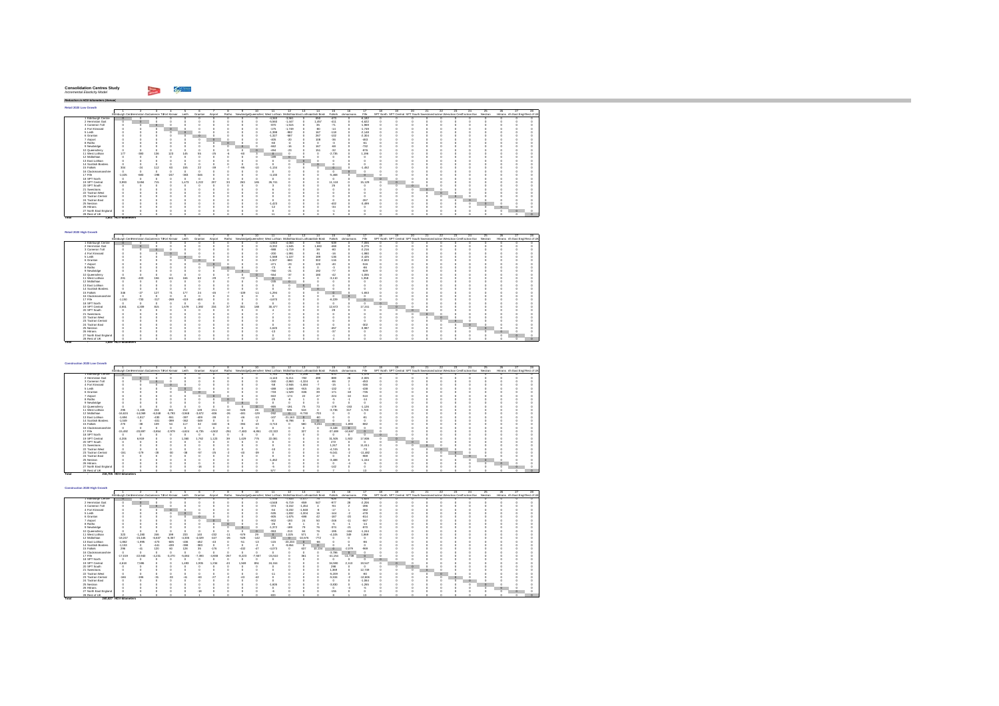#### $\sim$   $\sim$ **Consolidation Centres Study** *Incremental Elasticity Model*

**Total 1,885- HGV-kilometers** 

**Total 240,627 - HGV-kilometers** 

*Reduction in HGV-kilometers (Annual)* **Retail 2020 Low Growth** $\Gamma$ 1 2 3 4 5 6 7 8 9 10 11 12 13 14 15 16 17 18 19 20 21 22 23 24 25 26 27 28Edinburgh CentHermiston GaCi ameron ToFort Kinnair Leith Granton Airport Ratho NewbridgeQueensferryWest Lothian MidlothianEast Lothiacnottish Borde Falkirk ckmannans Fife SPT North SPT Central SPT South SwestransTactran Wesactran CentTactran Eas Nestran Hitrans rth East Engl Rest of UK1 Edinburgh Centre 0 0 0 0 0 0 0 0 0 0 -4,340 -3,561 0 650 -473 0 -6,182 0 0 0 0 0 0 0 0 0 0 02 Hermiston Gait 0 0 0 0 0 0 0 0 0 0 -5,560 -1,447 0 1,457 -411 0 -4,622 0 0 0 0 0 0 0 0 0 0 03 Cameron Toll 0 0 0 0 0 0 0 0 0 0 -870 -1,515 0 35 -71 0 -1,969 0 0 0 0 0 0 0 0 0 0 0 4 Fort Kinnaird 0 0 0 0 0 0 0 0 0 0 -175 -1,749 0 -80 -14 0 -1,749 0 0 0 0 0 0 0 0 0 0 0 5 Leith 0 0 0 0 0 0 0 0 0 0 -1,398 -982 0 167 -118 0 -2,148 0 0 0 0 0 0 0 0 0 0 06 Granton 0 0 0 0 0 0 0 0 0 0 -1,327 -587 0 267 -102 0 -2,304 0 0 0 0 0 0 0 0 0 0 07 Airport 0 0 0 0 0 0 0 0 0 0 -405 -20 0 108 -36 0 -463 0 0 0 0 0 0 0 0 0 0 0 8 Ratho 0 0 0 0 0 0 0 0 0 0 -60 -4 0 0 -3 0 -61 0 0 0 0 0 0 0 0 0 0 09 Newbridge 0 0 0 0 0 0 0 0 0 0 -662 -16 0 167 -68 0 -732 0 0 0 0 0 0 0 0 0 0 0 10 Queensferry 0 0 0 0 0 0 0 0 0 0 -494 -23 0 151 -32 0 -876 0 0 0 0 0 0 0 0 0 0 0 11 West Lothian 177 -380 136 123 145 55 -25 -6 -60 3 0 0 0 0 -2,735 0 1,196 0 0 0 0 0 0 0 0 0 0 012 Midlothian 0 0 0 0 0 0 0 0 0 0 -199 0 0 0 0 0 0 0 0 0 0 0 0 0 0 0 0 0 13 East Lothian 0 0 0 0 0 0 0 0 0 0 0 0 0 0 0 0 0 0 0 0 0 0 0 0 0 0 0 014 Scottish Borders 0 0 0 0 0 0 0 0 0 0 0 0 0 0 0 0 0 0 0 0 0 0 0 0 0 0 0 015 Falkirk 304 -24 112 63 155 22 -39 -7 -95 -10 -1,134 0 0 0 0 0 -1,452 0 0 0 0 0 0 0 0 0 0 016 Clackmannanshire 0 0 0 0 0 0 0 0 0 0 0 0 0 0 0 0 0 0 0 0 0 0 0 0 0 0 0 017 Fife -1,025 -680 -298 -247 -383 -346 0 0 0 0 -4,130 0 0 0 -5,468 0 0 0 0 0 0 0 0 0 0 0 0 018 SPT North 0 0 0 0 0 0 0 0 0 0 0 0 0 0 0 0 0 0 0 0 0 0 0 0 0 0 0 019 SPT Central 3,993 3,694 715 0 1,473 1,222 207 33 263 165 26,741 0 0 0 11,118 0 15,129 0 0 0 0 0 0 0 0 0 0 0 SPT South 0 0 0 0 0 0 0 0 0 0 3 0 0 0 25 0 0 0 0 0 0 0 0 0 0 0 0 021 Swestrans 0 0 0 0 0 0 0 0 0 0 6 0 0 0 0 0 0 0 0 0 0 0 0 0 0 0 0 022 Tactran West 0 0 0 0 0 0 0 0 0 0 0 0 0 0 0 0 0 0 0 0 0 0 0 0 0 0 0 023 Tactran Central 0 0 0 0 0 0 0 0 0 0 0 0 0 0 0 0 0 0 0 0 0 0 0 0 0 0 0 024 Tactran East 0 0 0 0 0 0 0 0 0 0 0 0 0 0 0 0 -267 0 0 0 0 0 0 0 0 0 0 025 Nestran 0 0 0 0 0 0 0 0 0 0 -1,423 0 0 0 -402 0 -3,499 0 0 0 0 0 0 0 0 0 0 026 Hitrans 0 0 0 0 0 0 0 0 0 0 -12 0 0 0 -34 0 0 0 0 0 0 0 0 0 0 0 0 027 North East England 0 0 0 0 0 0 0 0 0 0 0 0 0 0 -1 0 0 0 0 0 0 0 0 0 0 0 0 028 Rest of UK 0 0 0 0 0 0 0 0 0 0 11 0 0 0 3 0 0 0 0 0 0 0 0 0 0 0 0 0 **- HGV-kilometers Total 1,801**

| Ketail 2020 High Growth |                                                   |        |         |         |        |         |         |          |        |       |                                                                          |          |         |       |               |           |          |                                                                                   |    |   |    |               |    |     |                                  |  |
|-------------------------|---------------------------------------------------|--------|---------|---------|--------|---------|---------|----------|--------|-------|--------------------------------------------------------------------------|----------|---------|-------|---------------|-----------|----------|-----------------------------------------------------------------------------------|----|---|----|---------------|----|-----|----------------------------------|--|
|                         |                                                   |        |         |         |        |         |         |          |        |       |                                                                          | 12       | 13      | 14    | 15            |           |          |                                                                                   | 20 |   | 22 | $\mathcal{P}$ | 24 | 25. | 26                               |  |
|                         | Edinburgh Centriermiston Gacameron Tofort Kinnair |        |         |         | Leith  | Granton | Airport |          |        |       | Ratho NewbridgeQueensfern West Lothian MidlothianEast Lothianotish Bord- |          |         |       | Falkirk       | domannans | File     | SPT North SPT Central SPT South Swestnans actran Weactran Centractran Eas Nestran |    |   |    |               |    |     | Hittans rth East Engl Rest of UR |  |
| 1 Edinburch Centre      |                                                   |        |         |         |        |         |         |          |        |       | $-4.943$                                                                 | $-4.063$ |         | 740   | -539          |           | $-7.055$ |                                                                                   |    |   |    |               |    |     |                                  |  |
| 2 Hermiston Gait        |                                                   |        |         |         |        |         |         |          |        |       | $-6.332$                                                                 | $-1.645$ |         | 1,660 | $-468$        |           | $-5.275$ |                                                                                   |    |   |    |               |    |     |                                  |  |
| 3 Cameron Toll          |                                                   |        | $\circ$ |         |        |         |         |          |        |       | $-988$                                                                   | $-1.719$ |         | 39    | $-80$         |           | $-2.216$ |                                                                                   |    |   |    |               |    |     |                                  |  |
| 4 Fort Kinnaird         |                                                   |        |         | $\circ$ |        |         |         |          |        |       | $-200$                                                                   | $-1.991$ |         | $-91$ | $-16$         |           | $-1.980$ |                                                                                   |    |   |    |               |    |     |                                  |  |
| 5 Leith                 |                                                   |        |         |         |        |         |         |          |        |       | $-1.588$                                                                 | $-1.107$ |         | 189   | $-138$        |           | $-2.425$ |                                                                                   |    |   |    |               |    |     |                                  |  |
| 6 Granton               |                                                   |        |         |         |        |         |         |          |        |       | $-1.507$                                                                 | -660     |         | 302   | $-116$        |           | $-2.603$ |                                                                                   |    |   |    |               |    |     |                                  |  |
| 7 Airport               |                                                   |        |         |         |        |         |         |          |        |       | $-471$                                                                   | $-23$    |         | 120   | $-40$         |           | $-516$   |                                                                                   |    |   |    |               |    |     |                                  |  |
| 8 Ratho                 |                                                   |        |         |         |        |         |         | $\Omega$ |        |       | $-73$                                                                    |          |         |       | $\mathcal{R}$ |           | $-86$    |                                                                                   |    |   |    |               |    |     |                                  |  |
| 9 Newbridge             |                                                   |        |         |         |        |         |         | a        |        |       | -760                                                                     |          |         | 192   | $\cdot$ 77    |           | $-829$   |                                                                                   |    |   |    |               |    |     |                                  |  |
| 10 Queensferry          |                                                   |        |         |         |        |         |         |          |        |       | -554                                                                     | $\alpha$ |         | 180   | $-42$         |           | $-1.055$ |                                                                                   |    |   |    |               |    |     |                                  |  |
| 11 West Lothian         | 201                                               | $-433$ | 156     | 141     | 166    | 80      | $-29$   |          | $-72$  |       |                                                                          |          |         |       | $-3.110$      |           | 1.358    |                                                                                   |    |   |    |               |    |     |                                  |  |
| 12 Midlothian           |                                                   |        |         |         |        |         |         |          |        |       | $-245$                                                                   |          |         |       |               |           |          |                                                                                   |    |   |    |               |    |     |                                  |  |
| 13 East Lothian         |                                                   |        |         |         |        |         |         |          |        |       |                                                                          |          | $\circ$ |       |               |           |          |                                                                                   |    |   |    |               |    |     |                                  |  |
| 14 Scottish Borders     |                                                   |        |         |         |        |         |         |          |        |       |                                                                          |          |         |       |               |           |          |                                                                                   |    |   |    |               |    |     |                                  |  |
| 15 Falkirk              | 346                                               | .97    | 127     |         | 177    | 24      |         |          | $-109$ | $-11$ | $-1.294$                                                                 |          |         |       |               |           | $-1.653$ |                                                                                   |    |   |    |               |    |     |                                  |  |
| 16 Clackmannanshire     |                                                   |        |         |         |        |         |         |          |        |       |                                                                          |          |         |       |               |           |          |                                                                                   |    |   |    |               |    |     |                                  |  |
| 17 Fife                 | $-1.150$                                          | $-730$ | $-317$  | $-260$  | $-419$ | $-404$  |         |          |        |       | $-4.670$                                                                 |          |         |       | $-6.229$      |           |          |                                                                                   |    |   |    |               |    |     |                                  |  |
| 18 SPT North            |                                                   |        |         |         |        |         |         |          |        |       |                                                                          |          |         |       |               |           |          |                                                                                   |    |   |    |               |    |     |                                  |  |
| 19 SPT Central          | 4.551                                             | 4.209  | 815     |         | 1.679  | 1.392   | 234     | 30       | 301    | 188   | 30.477                                                                   |          |         |       | 12.672        |           | 17.241   |                                                                                   |    |   |    |               |    |     |                                  |  |
| 20 SPT South            |                                                   |        |         |         |        |         |         |          |        |       |                                                                          |          |         |       | 29            |           |          |                                                                                   |    |   |    |               |    |     |                                  |  |
| 21 Swestnans            |                                                   |        |         |         |        |         |         |          |        |       |                                                                          |          |         |       |               |           |          |                                                                                   |    | ٥ |    |               |    |     |                                  |  |
| 22 Tactran West         |                                                   |        |         |         |        |         |         |          |        |       |                                                                          |          |         |       |               |           |          |                                                                                   |    |   |    |               |    |     |                                  |  |
| 23 Tactran Central      |                                                   |        |         |         |        |         |         |          |        |       |                                                                          |          |         |       |               |           |          |                                                                                   |    |   |    | ю             |    |     |                                  |  |
| 24 Tactran East         |                                                   |        |         |         |        |         |         |          |        |       |                                                                          |          |         |       |               |           | $-302$   |                                                                                   |    |   |    |               |    |     |                                  |  |
| 25 Nestran              |                                                   |        |         |         |        |         |         |          |        |       | $-1.620$                                                                 |          |         |       | 457           |           | $-3.987$ |                                                                                   |    |   |    |               |    |     |                                  |  |
| 26 Hitrans              |                                                   |        |         |         |        |         |         |          |        |       | $-13$                                                                    |          |         |       | $-37$         |           |          |                                                                                   |    |   |    |               |    |     |                                  |  |
| 27 North East England   |                                                   |        |         |         |        |         |         |          |        |       |                                                                          |          |         |       |               |           |          |                                                                                   |    |   |    |               |    |     |                                  |  |
| 28 Rost of LIK          |                                                   |        |         |         |        |         |         |          |        |       |                                                                          |          |         |       |               |           |          |                                                                                   |    |   |    |               |    |     |                                  |  |

| Construction 2020 Low Growth |                                                   |           |          |               |          |          |          |         |          |          |                                                                    |           |          |         |           |           |           |                                                                                  |    |    |         |     |    |    |                                  |     |
|------------------------------|---------------------------------------------------|-----------|----------|---------------|----------|----------|----------|---------|----------|----------|--------------------------------------------------------------------|-----------|----------|---------|-----------|-----------|-----------|----------------------------------------------------------------------------------|----|----|---------|-----|----|----|----------------------------------|-----|
|                              |                                                   |           |          |               |          |          |          |         |          | 10.      |                                                                    | 12        | 13       | 14      | 15        | 16        |           | 18                                                                               | 20 | 22 | $23 -$  | 24. | 26 | 26 |                                  | 28. |
|                              | Edinburgh Centriermiston Gacameron Tofort Kinnair |           |          |               | Leith    | Granton  | Airport  | Ratho   |          |          | NewbridgeDueensfern West Lothian MidlothianEast Lothianotish Bord- |           |          |         | Falkirk   | dynannans | File      | SPT North SPT Central SPT South Swestnans actran Weschan CentTactran Eas Nestran |    |    |         |     |    |    | Hitrans rth East Engl Rest of UK |     |
| 1 Edinburgh Centre           |                                                   |           |          |               |          |          |          |         |          |          | $-1.763$                                                           | $-6.872$  | $-2.256$ | -68     | $-570$    |           | $-1.476$  |                                                                                  |    |    |         |     |    |    |                                  |     |
| 2 Hermiston Gait             |                                                   |           |          |               |          |          |          |         |          |          | $-4.143$                                                           | $-6.211$  | $-782$   | 499     | -889      | 26        | $-2.005$  |                                                                                  |    |    |         |     |    |    |                                  |     |
| 3 Cameron Toll               |                                                   |           | $\circ$  |               |          |          |          |         |          |          | $-340$                                                             | $-2.863$  | $-1.324$ |         | 36        |           | $-453$    |                                                                                  |    |    |         |     |    |    |                                  |     |
| 4 Fort Kinnaird              |                                                   |           |          |               |          |          |          |         |          |          | -58                                                                | $-2.946$  | $-1.684$ | $\cdot$ | $-15$     |           | $-346$    |                                                                                  |    |    |         |     |    |    |                                  |     |
| 5 Leith                      |                                                   |           |          |               |          |          |          |         |          |          | -488                                                               | $-1.668$  | $-915$   | 15      | $-132$    |           | $-458$    |                                                                                  |    |    |         |     |    |    |                                  |     |
| 6 Granton                    |                                                   |           |          |               |          |          |          |         |          |          | $-733$                                                             | $-1.529$  | $-636$   | 39      | $-171$    | $-18$     | $-736$    |                                                                                  |    |    |         |     |    |    |                                  |     |
| 7 Airport                    |                                                   |           |          |               |          |          |          |         |          |          | $-822$                                                             | $-174$    | 22       |         | $-224$    | $-10$     | $-510$    |                                                                                  |    |    |         |     |    |    |                                  |     |
| 8 Ratho                      |                                                   |           |          |               |          |          |          |         |          |          | $-25$                                                              |           |          |         |           |           | .14       |                                                                                  |    |    |         |     |    |    |                                  |     |
| 9 Newbridge                  |                                                   |           |          |               |          |          |          |         |          |          |                                                                    |           |          |         |           |           |           |                                                                                  |    |    |         |     |    |    |                                  |     |
| 10 Queensferry               |                                                   |           |          |               |          |          |          |         |          | $\circ$  | $-866$                                                             | $-191$    | 75       | 73      | $-179$    | $-153$    | $-1.126$  |                                                                                  |    |    |         |     |    |    |                                  |     |
| 11 West Lothian              | 295                                               | $-1.165$  | 224      | 181           | 212      | 128      | $-211$   | $-10$   | -528     | 26       |                                                                    | 935       | 518      |         | $-3.736$  | 317       | 1.703     |                                                                                  |    |    |         |     |    |    |                                  |     |
| 12 Midlethian                | $-16.624$                                         | $-14.069$ | $-6.048$ | $-5.793$      | $-3.948$ | $-3.672$ | $-406$   | $-26$   | $-481$   | $-120$   | $-262$                                                             | $\Omega$  | $-9.730$ | $-709$  |           |           |           |                                                                                  |    |    |         |     |    |    |                                  |     |
| 13 East Lothian              | $-1.694$                                          | $-1.817$  | $-450$   | $-551$        | -397     | $-409$   | $-30$    |         | 48       | $-13$    | $-107$                                                             | $-21.163$ | $\circ$  | $-60$   |           |           |           |                                                                                  |    |    |         |     |    |    |                                  |     |
| 14 Scottish Borders          | $-1.049$                                          |           | $-401$   | $-399$        | -362     | $-349$   |          |         |          |          |                                                                    | $-8.798$  |          |         |           |           |           |                                                                                  |    |    |         |     |    |    |                                  |     |
| 15 Falkirk                   | 270                                               | $-38$     | 109      | 54            | 117      | $^{32}$  | $-160$   |         | 394      | $-43$    | $-3.710$                                                           |           | 580      | 9.234   | $\circ$   | $-1.893$  | $-882$    |                                                                                  |    |    |         |     |    |    |                                  |     |
| 16 Clackmannanshire          |                                                   |           |          |               |          |          |          |         |          |          |                                                                    |           |          |         | $-3.448$  | $\Omega$  |           |                                                                                  |    |    |         |     |    |    |                                  |     |
| 17 Fife                      | $-15.492$                                         | $-20.897$ | $-3.864$ | $-2.979$      | $-4.624$ | $-6.736$ | $-4.502$ | $-251$  | $-7.483$ | $-6.851$ | $-22.322$                                                          |           | 327      |         | $-37.489$ | $-10.687$ |           |                                                                                  |    |    |         |     |    |    |                                  |     |
| 18 SPT North                 |                                                   | o         |          |               |          |          |          |         |          | $\theta$ |                                                                    |           |          |         |           |           |           |                                                                                  |    |    |         |     |    |    |                                  |     |
| 19 SPT Central               | 4.206                                             | 6,919     |          |               | 1.360    | 1.762    | .123     | $^{50}$ | 1,429    | 775      | 22.081                                                             |           |          |         | 31,505    | 1.922     | 17,806    |                                                                                  |    |    |         |     |    |    |                                  |     |
| 20 SPT South                 |                                                   |           |          |               |          |          |          |         |          |          |                                                                    |           |          |         | 272       |           |           |                                                                                  |    |    |         |     |    |    |                                  |     |
| 21 Swestnans                 |                                                   |           |          |               |          |          |          |         |          |          |                                                                    |           |          |         | 1.247     |           | 11,611    |                                                                                  |    |    |         |     |    |    |                                  |     |
| 22 Tartran West              |                                                   |           |          |               |          |          |          |         |          |          | $-10$                                                              |           |          |         | $-4.745$  |           | $-73$     |                                                                                  |    |    |         |     |    |    |                                  |     |
| 23 Tactran Central           | $-151$                                            | $-179$    | $-28$    | $\mathcal{A}$ | 3        | -67      | 48       |         |          | $-32$    |                                                                    |           |          |         | $-6.041$  |           | $-11.482$ |                                                                                  |    |    | $\circ$ |     |    |    |                                  |     |
| 24 Tactran East              |                                                   |           |          |               |          |          |          |         |          |          |                                                                    |           |          |         |           |           | $-960$    |                                                                                  |    |    |         |     |    |    |                                  |     |
| 25 Nestran                   |                                                   |           |          |               |          |          |          |         |          |          | $-1.462$                                                           |           |          |         | $-3.488$  |           | $-1.154$  |                                                                                  |    |    |         |     |    |    |                                  |     |
| 26 Hittges                   |                                                   |           |          |               |          |          |          |         |          |          |                                                                    |           |          |         |           |           | ×,        |                                                                                  |    |    |         |     |    |    |                                  |     |
| 27 North East England        |                                                   |           |          |               |          | $-16$    |          |         |          |          | -9                                                                 |           |          |         | $-142$    |           |           |                                                                                  |    |    |         |     |    |    |                                  |     |
| 28 Rest of UK                |                                                   |           |          |               |          |          |          |         |          |          | 577                                                                |           |          |         |           |           | 19        |                                                                                  |    |    |         |     |    |    |                                  |     |
|                              | 216,705 HGV-kilometers                            |           |          |               |          |          |          |         |          |          |                                                                    |           |          |         |           |           |           |                                                                                  |    |    |         |     |    |    |                                  |     |

| Construction 2020 High Growth |                                                   |           |          |          |          |          |          |        |          |          |                                                                          |           |           |        |           |           |           |    |                                                                                   |  |    |        |    |    |                                  |  |
|-------------------------------|---------------------------------------------------|-----------|----------|----------|----------|----------|----------|--------|----------|----------|--------------------------------------------------------------------------|-----------|-----------|--------|-----------|-----------|-----------|----|-----------------------------------------------------------------------------------|--|----|--------|----|----|----------------------------------|--|
|                               |                                                   |           |          |          |          |          |          |        |          |          |                                                                          | 12        | 13        | 14     | 15        | 18        |           | 18 |                                                                                   |  | 99 | $23 -$ | 24 | 25 |                                  |  |
|                               | Edinburgh Centriermiston Gacameron Tofort Kinnair |           |          |          | Leith    | Granton  | Airport  |        |          |          | Ratho NewbridgeQueensfern West Lothian MidlothianEast Lothianotish Bord- |           |           |        | Falkirk   | domannans | Fife      |    | SPT North SPT Central SPT South Swestnans actran Wesctran CentTactran Eas Nestran |  |    |        |    |    | Hittans rth East Engl Rest of UR |  |
| Edinburgh Centre              |                                                   |           |          |          |          |          |          |        |          |          | $-1.938$                                                                 | $-7.533$  | $-2.477$  | 75     | $-626$    | $\sim$    | $-1.625$  |    |                                                                                   |  |    |        |    |    |                                  |  |
| 2 Hermiston Gait              |                                                   |           |          |          |          |          |          |        |          |          | $-4.548$                                                                 | $-6.719$  | $-859$    | 547    | A77       | 28        | $-2.206$  |    |                                                                                   |  |    |        |    |    |                                  |  |
| 3 Cameron Toll                |                                                   |           |          |          |          |          |          |        |          |          | $-374$                                                                   | $-3.152$  | $-1.454$  |        | $\sim$    |           | 496       |    |                                                                                   |  |    |        |    |    |                                  |  |
| 4 Fort Kinnaird               |                                                   |           |          |          |          |          |          |        |          |          | $-84$                                                                    | $-3.232$  | $-1.848$  |        | $-17$     |           | $-382$    |    |                                                                                   |  |    |        |    |    |                                  |  |
| 5 Leith                       |                                                   |           |          |          |          |          |          |        |          |          | -535                                                                     | $-1.832$  | $-1.004$  |        | $-144$    |           | $-478$    |    |                                                                                   |  |    |        |    |    |                                  |  |
| 6 Granton                     |                                                   |           |          |          |          |          |          |        |          |          | $-806$                                                                   | $-1.675$  | $-698$    | 42     | $-187$    | $-20$     | $-814$    |    |                                                                                   |  |    |        |    |    |                                  |  |
| 7 Airport                     |                                                   |           |          |          |          |          |          |        |          |          | $-902$                                                                   | $-193$    | 24        | 50     | $-246$    | $-51$     | -567      |    |                                                                                   |  |    |        |    |    |                                  |  |
| 8 Ratho                       |                                                   |           |          |          |          |          |          | ٥      |          |          | $-26$                                                                    |           |           |        | ٠ö        |           | $-14$     |    |                                                                                   |  |    |        |    |    |                                  |  |
| 9 Newbridge                   |                                                   |           |          |          |          |          |          |        |          |          | $-1.372$                                                                 | $-189$    | 70        |        | $-374$    | $-21$     | $-870$    |    |                                                                                   |  |    |        |    |    |                                  |  |
| 10 Queensferry                |                                                   |           |          |          |          |          |          |        |          |          | $-953$                                                                   | $-213$    | 84        | 76     | $-195$    | $-164$    | $-1.244$  |    |                                                                                   |  |    |        |    |    |                                  |  |
| 11 West Lothian               | 323                                               | $-1.280$  | 246      | 199      | 233      | 140      | $-232$   |        | $-579$   | 25       |                                                                          | 025       | 571       |        | $-4.105$  | 349       | 1,869     |    |                                                                                   |  |    |        |    |    |                                  |  |
| 12 Midlethian                 | $-18.247$                                         | $-15.445$ | $-6.637$ | $-6.357$ | $-4.335$ | $-4.029$ | $-447$   | 54     | -528     | $-142$   | $-283$                                                                   | $\theta$  | $-10.676$ | $-772$ |           |           |           |    |                                                                                   |  |    |        |    |    |                                  |  |
| 13 East Lothian               | $-1.862$                                          | $-1.995$  | 473      | $-605$   | 498      | 462      | $24-$    |        | $-51$    | .13      | $-115$                                                                   | $-23.233$ | $\circ$   | -66    |           |           | <b>SH</b> |    |                                                                                   |  |    |        |    |    |                                  |  |
| 14 Scottish Borders           | $-1.153$                                          | $\alpha$  | $-441$   | $-430$   | 398      | $-883$   |          |        |          |          |                                                                          | $-9.654$  |           |        |           |           |           |    |                                                                                   |  |    |        |    |    |                                  |  |
| 15 Falkirk                    | <b>298</b>                                        | $-41$     | 120      | 60       | 128      | 96       | $-176$   |        | $-432$   |          | $-4.073$                                                                 |           | 637       | 10.134 |           | $-2.079$  | -969      |    |                                                                                   |  |    |        |    |    |                                  |  |
| 16 Clackmannanshire           |                                                   | $\alpha$  |          |          |          |          |          |        |          |          |                                                                          |           |           |        | $-3.786$  |           |           |    |                                                                                   |  |    |        |    |    |                                  |  |
| 17 Fife                       | $-17.019$                                         | $-22.940$ | $-4.231$ | $-3.270$ | $-5.084$ | $-7.393$ | $-4.938$ | $-257$ | $-8.223$ | $-7.567$ | $-24.510$                                                                |           | 361       |        | $-41.154$ | $-11.739$ | $\alpha$  |    |                                                                                   |  |    |        |    |    |                                  |  |
| 18 SPT North                  |                                                   | $\alpha$  |          |          |          |          |          |        |          |          |                                                                          |           |           |        |           |           |           |    |                                                                                   |  |    |        |    |    |                                  |  |
| 19 SPT Central                | 4.618                                             | 7,596     |          |          | 1,493    | .935     | 234      |        | 1,589    | 851      | 24.244                                                                   |           |           |        | 34,590    | 2.110     | 19,547    |    |                                                                                   |  |    |        |    |    |                                  |  |
| 20 SPT South                  |                                                   |           |          |          |          |          |          |        |          |          |                                                                          |           |           |        | 298       |           |           |    |                                                                                   |  |    |        |    |    |                                  |  |
| 21 Swestnans                  |                                                   |           |          |          |          |          |          |        |          |          |                                                                          |           |           |        | 1.369     |           | 12,749    |    |                                                                                   |  |    |        |    |    |                                  |  |
| 22 Tactran West               |                                                   |           |          |          |          |          |          |        |          |          | $-11$                                                                    |           |           |        | $-5.209$  |           | $-80$     |    |                                                                                   |  |    |        |    |    |                                  |  |
| 23 Tartran Central            | 188                                               | $-196$    |          | $-33$    |          |          |          |        |          |          |                                                                          |           |           |        | $-5.534$  |           | $-12.606$ |    |                                                                                   |  |    |        |    |    |                                  |  |
| 24 Tactran East               |                                                   |           |          |          |          |          |          |        |          |          |                                                                          |           |           |        |           |           | $-1.084$  |    |                                                                                   |  |    |        |    |    |                                  |  |
| 25 Nestran                    |                                                   |           |          |          |          |          |          |        |          |          | $-1.605$                                                                 |           |           |        | $-3.830$  |           | $-1.265$  |    |                                                                                   |  |    |        |    |    |                                  |  |
| 26 Hitrans                    |                                                   |           |          |          |          |          |          |        |          |          |                                                                          |           |           |        |           |           | -5.       |    |                                                                                   |  |    |        |    |    |                                  |  |
| 27 North East England         |                                                   |           |          |          |          |          |          |        |          |          |                                                                          |           |           |        | $-155$    |           |           |    |                                                                                   |  |    |        |    |    |                                  |  |
| 28 Rest of UK                 |                                                   |           |          |          |          |          |          |        |          |          | <b>A39</b>                                                               |           |           |        |           |           |           |    |                                                                                   |  |    |        |    |    |                                  |  |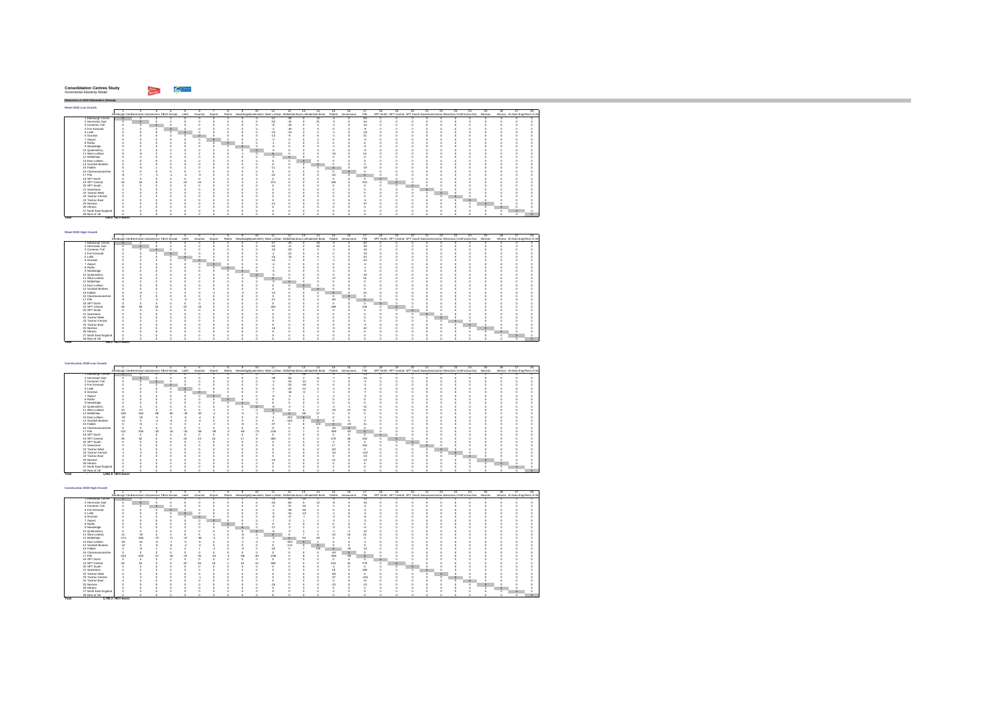| <b>Consolidation Centres Study</b> |  |
|------------------------------------|--|
| Incremental Elasticity Model       |  |
|                                    |  |

hiji sa m

**Total 395.0 HGV-hours**

**Total 1,730. - HGV-hour 4 s**

*Reduction in HGV-kilometers (Annual)* **Retail 2020 Low Growth** $\Gamma$  2 3 4 5 6 7 8 9 10 11 12 13 14 15 16 17 18 19 20 21 22 23 24 25 26 27 28Edinburgh CentHermiston GaCameron ToFort Kinnair Leith Granton Airport Ratho NewbridgeQueensferry West Lothian MidlothianEast Lothiacottish Borde Falkirk ckmannans Fife SPT North SPT Central SPT South Swestrans'actran Wesctran CentTactran Eas Nestran Hitrans rth East Engl Rest of UK Edinburgh Centre 0 0 0 0 0 0 0 0 0 0 -41 -39 0 16 -4 0 -55 0 0 0 0 0 0 0 0 0 0 0 Hermiston Gait 0 0 0 0 0 0 0 0 0 0 -53 -15 0 31 -3 0 -34 0 0 0 0 0 0 0 0 0 0 03 Cameron Toll 0 0 0 0 0 0 0 0 0 0 -8 -18 0 4 -1 0 -14 0 0 0 0 0 0 0 0 0 0 04 Fort Kinnaird 0 0 0 0 0 0 0 0 0 0 -2 -19 0 3 0 0 -9 0 0 0 0 0 0 0 0 0 0 05 Leith 0 0 0 0 0 0 0 0 0 0 -13 -13 0 4 -1 0 -19 0 0 0 0 0 0 0 0 0 0 06 Granton 0 0 0 0 0 0 0 0 0 0 -13 -6 0 6 -1 0 -21 0 0 0 0 0 0 0 0 0 0 07 Airport 0 0 0 0 0 0 0 0 0 0 -3 0 0 2 0 0 -3 0 0 0 0 0 0 0 0 0 0 08 Ratho 0 0 0 0 0 0 0 0 0 0 -1 0 0 0 0 0 0 0 0 0 0 0 0 0 0 0 0 09 Newbridge 0 0 0 0 0 0 0 0 0 0 -6 0 0 3 -1 0 -5 0 0 0 0 0 0 0 0 0 0 010 Queensferry 0 0 0 0 0 0 0 0 0 0 -5 0 0 3 0 0 -9 0 0 0 0 0 0 0 0 0 0 011 West Lothian 8 -6 2 1 4 2 0 0 -1 0 0 0 0 0 -15 0 14 0 0 0 0 0 0 0 0 0 0 012 Midlothian 0 0 0 0 0 0 0 0 0 0 -2 0 0 0 0 0 0 0 0 0 0 0 0 0 0 0 0 013 East Lothian 0 0 0 0 0 0 0 0 0 0 0 0 0 0 0 0 0 0 0 0 0 0 0 0 0 0 0 014 Scottish Borders 0 0 0 0 0 0 0 0 0 0 0 0 0 0 0 0 0 0 0 0 0 0 0 0 0 0 0 015 Falkirk 5 -5 1 0 3 0 0 0 -2 0 -11 0 0 0 0 0 -19 0 0 0 0 0 0 0 0 0 0 016 Clackmannanshire 0 0 0 0 0 0 0 0 0 0 0 0 0 0 0 0 0 0 0 0 0 0 0 0 0 0 0 017 Fife -8 -7 -2 -1 -3 -3 0 0 0 0 -42 0 0 0 -52 0 0 0 0 0 0 0 0 0 0 0 0 018 SPT North 0 0 0 0 0 0 0 0 0 0 0 0 0 0 0 0 0 0 0 0 0 0 0 0 0 0 0 019 SPT Central 52 44 9 0 19 16 3 0 3 2 373 0 0 0 166 0 215 0 0 0 0 0 0 0 0 0 0 0 SPT South 0 0 0 0 0 0 0 0 0 0 0 0 0 0 0 0 0 0 0 0 0 0 0 0 0 0 0 021 Swestrans 0 0 0 0 0 0 0 0 0 0 0 0 0 0 0 0 0 0 0 0 0 0 0 0 0 0 0 022 Tactran West 0 0 0 0 0 0 0 0 0 0 0 0 0 0 0 0 0 0 0 0 0 0 0 0 0 0 0 023 Tactran Central 0 0 0 0 0 0 0 0 0 0 0 0 0 0 0 0 0 0 0 0 0 0 0 0 0 0 0 024 Tactran East 0 0 0 0 0 0 0 0 0 0 0 0 0 0 0 0 -3 0 0 0 0 0 0 0 0 0 0 025 Nestran 0 0 0 0 0 0 0 0 0 0 -14 0 0 0 -2 0 -37 0 0 0 0 0 0 0 0 0 0 026 Hitrans 0 0 0 0 0 0 0 0 0 0 0 0 0 0 0 0 0 0 0 0 0 0 0 0 0 0 0 027 North East England 0 0 0 0 0 0 0 0 0 0 0 0 0 0 0 0 0 0 0 0 0 0 0 0 0 0 0 028 Rest of UK 0 0 0 0 0 0 0 0 0 0 0 0 0 0 0 0 0 0 0 0 0 0 0 0 0 0 0 0**Total 345.5 HGV-hours**

| Retail 2020 High Growth |                                                         |    |         |         |         |                 |            |         |    |                                                                                  |       |         |    |           |           |       |    |    |         |         |    |    |         |                                                                                  |    |                                  |    |
|-------------------------|---------------------------------------------------------|----|---------|---------|---------|-----------------|------------|---------|----|----------------------------------------------------------------------------------|-------|---------|----|-----------|-----------|-------|----|----|---------|---------|----|----|---------|----------------------------------------------------------------------------------|----|----------------------------------|----|
|                         |                                                         |    |         |         |         |                 |            |         | 10 | 11.                                                                              | 12    | -13     | 14 | 15        | 16        | 17    | 18 | 12 | 20      | 21      | 22 | 23 | $^{24}$ | 25                                                                               | 26 | 27                               | 28 |
|                         | Edinburgh Centriermiston Gačameron Tofort Kinnair Leith |    |         |         |         | Granton Airport |            |         |    | Ratho NewbridgeQueensferr West Lothian MidlothianEast Lothiarottish Bord Falkirk |       |         |    |           | domannans | Fife  |    |    |         |         |    |    |         | SPT North SPT Central SPT South Swestnans actran Weschan CentTactran Eas Nestran |    | Hitrans rth East Engl Rest of UK |    |
| 1 Edinburgh Centre      |                                                         |    |         |         |         |                 |            |         |    | -47                                                                              | -45   |         | 18 |           |           | $-82$ |    |    |         |         |    |    |         |                                                                                  |    |                                  |    |
| 2 Hermiston Gait        |                                                         |    |         |         |         |                 |            |         |    | 60                                                                               | $-17$ |         | 38 |           |           | $-39$ |    |    |         |         |    |    |         |                                                                                  |    |                                  |    |
| 3 Cameron Toll          |                                                         |    | $\circ$ |         |         |                 |            |         |    | $-10$                                                                            | $-20$ |         |    |           |           | $-16$ |    |    |         |         |    |    |         |                                                                                  |    |                                  |    |
| 4 Fort Kinnaird         |                                                         |    |         | $\circ$ |         |                 |            |         |    |                                                                                  | $-22$ |         |    |           |           | $-10$ |    |    |         |         |    |    |         |                                                                                  |    |                                  |    |
| 5 Leith                 |                                                         |    |         |         |         |                 |            |         |    | $-15$                                                                            | $-15$ |         |    |           |           | $-22$ |    |    |         |         |    |    |         |                                                                                  |    |                                  |    |
| 6 Granton               |                                                         |    |         |         |         | $\Omega$        |            |         |    | $-14$                                                                            |       |         |    |           |           | $-24$ |    |    |         |         |    |    |         |                                                                                  |    |                                  |    |
| 7 Airport               |                                                         |    |         |         |         |                 |            |         |    |                                                                                  |       |         |    |           |           |       |    |    |         |         |    |    |         |                                                                                  |    |                                  |    |
| 8 Ratho                 |                                                         |    |         |         |         |                 | $^{\circ}$ |         |    |                                                                                  |       |         |    |           |           |       |    |    |         |         |    |    |         |                                                                                  |    |                                  |    |
| 9 Newbridge             |                                                         |    |         |         |         |                 |            | $\circ$ |    |                                                                                  |       |         |    |           |           |       |    |    |         |         |    |    |         |                                                                                  |    |                                  |    |
| 10 Queensferry          |                                                         |    |         |         |         |                 |            |         |    |                                                                                  |       |         |    |           |           | $-10$ |    |    |         |         |    |    |         |                                                                                  |    |                                  |    |
| 11 West Lothian         |                                                         |    |         |         |         |                 |            |         |    |                                                                                  |       |         |    | $\cdot$ 1 |           | 16    |    |    |         |         |    |    |         |                                                                                  |    |                                  |    |
| 12 Midlothian           |                                                         |    |         |         |         |                 |            |         |    |                                                                                  |       |         |    |           |           |       |    |    |         |         |    |    |         |                                                                                  |    |                                  |    |
| 13 East Lothian         |                                                         |    |         |         |         |                 |            |         |    |                                                                                  |       | $\circ$ |    |           |           |       |    |    |         |         |    |    |         |                                                                                  |    |                                  |    |
| 14 Scottish Borders     |                                                         |    |         |         |         |                 |            |         |    |                                                                                  |       |         |    |           |           |       |    |    |         |         |    |    |         |                                                                                  |    |                                  |    |
| 15 Falkirk              |                                                         |    |         |         |         |                 |            |         |    | $-13$                                                                            |       |         |    | $\circ$   |           |       |    |    |         |         |    |    |         |                                                                                  |    |                                  |    |
| 16 Clackmannanshire     |                                                         |    |         |         |         |                 |            |         |    |                                                                                  |       |         |    |           |           |       |    |    |         |         |    |    |         |                                                                                  |    |                                  |    |
| 17 Fife                 |                                                         |    |         |         |         |                 |            |         |    |                                                                                  |       |         |    | $-60$     |           |       |    |    |         |         |    |    |         |                                                                                  |    |                                  |    |
| 18 SPT North            |                                                         |    |         |         |         |                 |            |         |    |                                                                                  |       |         |    |           |           |       | n  |    |         |         |    |    |         |                                                                                  |    |                                  |    |
| 19 SPT Central          | 69                                                      | 50 | 10      |         | $^{22}$ |                 |            |         |    | 425                                                                              |       |         |    | 189       |           | 245   |    |    |         |         |    |    |         |                                                                                  |    |                                  |    |
| 20 SPT South            |                                                         |    |         |         |         |                 |            |         |    |                                                                                  |       |         |    |           |           |       |    |    | $\circ$ |         |    |    |         |                                                                                  |    |                                  |    |
| 21 Swestnans            |                                                         |    |         |         |         |                 |            |         |    |                                                                                  |       |         |    |           |           |       |    |    |         | $\circ$ |    |    |         |                                                                                  |    |                                  |    |
| 22 Tactran West         |                                                         |    |         |         |         |                 |            |         |    |                                                                                  |       |         |    |           |           |       |    |    |         |         |    |    |         |                                                                                  |    |                                  |    |
| 23 Tactran Central      |                                                         |    |         |         |         |                 |            |         |    |                                                                                  |       |         |    |           |           |       |    |    |         |         |    |    |         |                                                                                  |    |                                  |    |
| 24 Tactran East         |                                                         |    |         |         |         |                 |            |         |    |                                                                                  |       |         |    |           |           |       |    |    |         |         |    |    |         |                                                                                  |    |                                  |    |
| 25 Nestran              |                                                         |    |         |         |         |                 |            |         |    | $-16$                                                                            |       |         |    |           |           | 45    |    |    |         |         |    |    |         | $\circ$                                                                          |    |                                  |    |
| 26 Hittans              |                                                         |    |         |         |         |                 |            |         |    |                                                                                  |       |         |    |           |           |       |    |    |         |         |    |    |         |                                                                                  | c  |                                  |    |
| 27 North East England   |                                                         |    |         |         |         |                 |            |         |    |                                                                                  |       |         |    |           |           |       |    |    |         |         |    |    |         |                                                                                  |    |                                  |    |
| 28 Rost of LIK          |                                                         |    |         |         |         |                 |            |         |    |                                                                                  |       |         |    |           |           |       |    |    |         |         |    |    |         |                                                                                  |    |                                  |    |

| Construction 2020 Low Growth |                                                   |        |       |       |          |         |         |       |     |         |          |                                                                    |         |         |         |           |                |                                                                                   |   |          |     |                |    |    |    |                                  |  |
|------------------------------|---------------------------------------------------|--------|-------|-------|----------|---------|---------|-------|-----|---------|----------|--------------------------------------------------------------------|---------|---------|---------|-----------|----------------|-----------------------------------------------------------------------------------|---|----------|-----|----------------|----|----|----|----------------------------------|--|
|                              |                                                   |        |       |       |          |         |         |       |     |         |          | 12                                                                 |         |         | 15      |           |                |                                                                                   |   |          | 55. | $\mathfrak{R}$ | 24 | 26 | 26 |                                  |  |
|                              | Edinburgh Centriermiston Gacameron To-ort Kinnair |        |       |       | Leith    | Granton | Airport | Ratho |     |         |          | NewbridgeDueensfern West Lothian MidlothianEast Lothianotish Bord- |         |         | Falkirk | domannans | File           | SPT North SPT Central SPT South Swestnans actran Weactran CentTactran Eas Nestran |   |          |     |                |    |    |    | Hitrans rth East Engl Rest of UK |  |
| 1 Edinburgh Centre           |                                                   |        |       |       |          |         |         |       |     |         | .17      | 78                                                                 | ж       |         |         |           | $-13$          |                                                                                   |   |          |     |                |    |    |    |                                  |  |
| 2 Hermiston Gait             |                                                   |        |       |       |          |         |         |       |     |         | -39      | -55                                                                |         |         |         |           | $-15$          |                                                                                   |   |          |     |                |    |    |    |                                  |  |
| 3 Cameron Toll               |                                                   |        |       |       |          |         |         |       |     |         |          | $\sim$                                                             | $-14$   |         |         |           | -3             |                                                                                   |   |          |     |                |    |    |    |                                  |  |
| 4 Fort Kinnaird              |                                                   |        |       | ٥     |          |         |         |       |     |         | - 1      | $-33$                                                              | $-18$   |         |         |           |                |                                                                                   |   |          |     |                |    |    |    |                                  |  |
| 5 Leith                      |                                                   |        |       |       |          |         |         |       |     |         |          | $-22$                                                              | $-12$   |         |         |           |                |                                                                                   |   |          |     |                |    |    |    |                                  |  |
| 6 Granton                    |                                                   |        |       |       |          |         |         |       |     |         |          | $-16$                                                              |         |         |         |           |                |                                                                                   |   |          |     |                |    |    |    |                                  |  |
| 7 Airport                    |                                                   |        |       |       |          |         |         |       |     |         |          |                                                                    |         |         |         |           |                |                                                                                   |   |          |     |                |    |    |    |                                  |  |
| 8 Ratho                      |                                                   |        |       |       |          |         |         |       |     |         |          |                                                                    |         |         |         |           |                |                                                                                   |   |          |     |                |    |    |    |                                  |  |
| 9 Newbridge                  |                                                   |        |       |       |          |         |         |       |     |         |          |                                                                    |         |         |         |           |                |                                                                                   |   |          |     |                |    |    |    |                                  |  |
| 10 Queensferry               |                                                   |        |       |       |          |         |         |       |     | $\circ$ |          |                                                                    |         |         |         |           |                |                                                                                   |   |          |     |                |    |    |    |                                  |  |
| 11 West Lothian              | 13                                                | $-17$  |       |       |          |         |         |       |     |         |          |                                                                    |         |         | $-20$   | 13        | $\mathfrak{D}$ |                                                                                   |   |          |     |                |    |    |    |                                  |  |
| 12 Midlothian                | $-158$                                            | $-150$ | $-66$ | $-65$ | $-43$    | $-32$   |         |       |     |         | <b>A</b> |                                                                    | -86     |         |         |           |                |                                                                                   |   |          |     |                |    |    |    |                                  |  |
| 13 East Lothian              | $-19$                                             | $-19$  |       |       |          |         |         |       |     |         |          | $-232$                                                             | $\circ$ |         |         |           |                |                                                                                   |   |          |     |                |    |    |    |                                  |  |
| 14 Scottish Borders          | $-11$                                             |        |       |       |          |         |         |       |     |         |          | $-102$                                                             |         | $\circ$ |         |           |                |                                                                                   |   |          |     |                |    |    |    |                                  |  |
| 15 Falkirk                   |                                                   |        |       |       |          |         |         |       |     |         | $-37$    |                                                                    |         | 123     |         | $-23$     |                |                                                                                   |   |          |     |                |    |    |    |                                  |  |
| 16 Clackmannanshire          |                                                   |        |       |       |          |         |         |       |     |         |          |                                                                    |         |         | $-45$   |           |                |                                                                                   |   |          |     |                |    |    |    |                                  |  |
| 17 Fife                      | $-121$                                            | $-206$ | $-25$ |       | $\alpha$ | -56     | $-38$   |       | .At | $-73$   | $-226$   |                                                                    |         |         | -359    | -90       |                |                                                                                   |   |          |     |                |    |    |    |                                  |  |
| 18 SPT North                 |                                                   |        |       |       |          |         |         |       |     |         |          |                                                                    |         |         |         |           |                |                                                                                   |   |          |     |                |    |    |    |                                  |  |
| 19 SPT Central               | 55                                                | 82     |       |       |          | $^{25}$ | 15      |       |     |         | 308      |                                                                    |         |         | 470     | 28        | 253            |                                                                                   |   |          |     |                |    |    |    |                                  |  |
| 20 SPT South                 |                                                   |        |       |       |          |         |         |       |     |         |          |                                                                    |         |         |         |           |                |                                                                                   | n | $\Omega$ |     |                |    |    |    |                                  |  |
| 21 Swestnans                 |                                                   |        |       |       |          |         |         |       |     |         |          |                                                                    |         |         | 17      |           | 154            |                                                                                   |   |          |     |                |    |    |    |                                  |  |
| 22 Tactran West              |                                                   |        |       |       |          |         |         |       |     |         |          |                                                                    |         |         | $-63$   |           |                |                                                                                   |   |          |     |                |    |    |    |                                  |  |
| 23 Tactran Central           |                                                   |        |       |       |          |         |         |       |     |         |          |                                                                    |         |         | $-34$   |           | $-122$         |                                                                                   |   |          |     | $\circ$        |    |    |    |                                  |  |
| 24 Tactran East              |                                                   |        |       |       |          |         |         |       |     |         |          |                                                                    |         |         |         |           | $-10$          |                                                                                   |   |          |     |                | 10 |    |    |                                  |  |
| 25 Nestran                   |                                                   |        |       |       |          |         |         |       |     |         | $-15$    |                                                                    |         |         | $-21$   |           | $-12$          |                                                                                   |   |          |     |                |    |    |    |                                  |  |
| 26 Hittans                   |                                                   |        |       |       |          |         |         |       |     |         |          |                                                                    |         |         |         |           |                |                                                                                   |   |          |     |                |    |    |    |                                  |  |
| 27 North East England        |                                                   |        |       |       |          |         |         |       |     |         |          |                                                                    |         |         |         |           |                |                                                                                   |   |          |     |                |    |    |    |                                  |  |
| 28 Rest of UK                |                                                   |        |       |       |          |         |         |       |     |         |          |                                                                    |         |         |         |           |                |                                                                                   |   |          |     |                |    |    |    |                                  |  |
| Total                        | 1,561.0 HGV-hours                                 |        |       |       |          |         |         |       |     |         |          |                                                                    |         |         |         |           |                |                                                                                   |   |          |     |                |    |    |    |                                  |  |

| Construction 2020 High Growth |                                                   |        |         |         |          |         |          |       |               |                                                                          |          |       |     |          |                |          |    |                                                                                   |  |          |         |     |     |                                  |  |
|-------------------------------|---------------------------------------------------|--------|---------|---------|----------|---------|----------|-------|---------------|--------------------------------------------------------------------------|----------|-------|-----|----------|----------------|----------|----|-----------------------------------------------------------------------------------|--|----------|---------|-----|-----|----------------------------------|--|
|                               |                                                   |        |         |         |          |         |          |       |               | 11                                                                       | -12      |       |     |          |                |          | 18 |                                                                                   |  |          |         | 25. | 28. |                                  |  |
|                               | Edinburgh Centriermiston Galameron Tofort Kinnair |        |         |         | Leith    | Granton | Airport  |       |               | Ratho NewbridgeDueensfern West Lothian MidlothianEast Lothianotish Bord- |          |       |     | Falkirk  | domannans      | Fife     |    | SPT North SPT Central SPT South Swestnans actran Weschlan CentTachlan Eas Nestnan |  |          |         |     |     | Hitrans rth East Engl Rest of UK |  |
| Edinburgh Centre              |                                                   |        |         |         |          |         |          |       |               | $-18$                                                                    | -83      | -28   |     |          |                | $-14$    |    |                                                                                   |  |          |         |     |     |                                  |  |
| 2 Hermiston Gait              |                                                   |        |         |         |          |         |          |       |               | $-43$                                                                    | A.       |       |     |          |                | .16      |    |                                                                                   |  |          |         |     |     |                                  |  |
| 3 Cameron Toll                |                                                   |        | $\circ$ |         |          |         |          |       |               |                                                                          | $\sim$   | $-16$ |     |          |                |          |    |                                                                                   |  |          |         |     |     |                                  |  |
| 4 Fort Kinnaird               |                                                   |        |         | $\circ$ |          |         |          |       |               |                                                                          | $-36$    | $-20$ |     |          |                |          |    |                                                                                   |  |          |         |     |     |                                  |  |
| 5 Leith                       |                                                   |        |         |         |          |         |          |       |               |                                                                          | $-24$    | $-13$ |     |          |                |          |    |                                                                                   |  |          |         |     |     |                                  |  |
| 6 Granton                     |                                                   |        |         |         |          |         |          |       |               |                                                                          | $-17$    |       |     |          |                |          |    |                                                                                   |  |          |         |     |     |                                  |  |
| 7 Airport                     |                                                   |        |         |         |          |         | $\Omega$ |       |               |                                                                          |          |       |     |          |                |          |    |                                                                                   |  |          |         |     |     |                                  |  |
| 8 Ratho                       |                                                   |        |         |         |          |         |          |       |               |                                                                          |          |       |     |          |                |          |    |                                                                                   |  |          |         |     |     |                                  |  |
| 9 Newbridge                   |                                                   |        |         |         |          |         |          |       |               | $-11$                                                                    |          |       |     |          |                |          |    |                                                                                   |  |          |         |     |     |                                  |  |
| 10 Queensferry                |                                                   |        |         |         |          |         |          |       |               | A                                                                        |          |       |     |          |                | $-12$    |    |                                                                                   |  |          |         |     |     |                                  |  |
| 11 West Lothian               | 14                                                | $-19$  |         |         |          |         |          |       |               |                                                                          |          |       |     | $-22$    | 15             | $^{23}$  |    |                                                                                   |  |          |         |     |     |                                  |  |
| 12 Midlothian                 | $-174$                                            | $-166$ | $-72$   | $-71$   | $-47$    | -36     |          |       |               | -3                                                                       | $\Omega$ |       | 29  |          |                |          |    |                                                                                   |  |          |         |     |     |                                  |  |
| 13 East Lothian               | $-20$                                             | $-21$  |         |         |          |         |          |       |               |                                                                          | $-254$   |       |     |          |                |          |    |                                                                                   |  |          |         |     |     |                                  |  |
| 14 Scottish Borders           | $-12$                                             |        |         |         |          |         |          |       |               |                                                                          | $-112$   |       | o   |          |                |          |    |                                                                                   |  |          |         |     |     |                                  |  |
| 15 Falkirk                    |                                                   |        |         |         |          |         |          |       |               | $-40$                                                                    |          |       | 135 |          | $-25$          |          |    |                                                                                   |  |          |         |     |     |                                  |  |
| 16 Clackmannanshire           |                                                   |        |         |         |          |         |          |       |               |                                                                          |          |       |     | $-49$    |                |          |    |                                                                                   |  |          |         |     |     |                                  |  |
| 17 Fife                       | $-133$                                            | $-225$ | $-27$   | $-16$   | $\alpha$ |         |          | $-88$ | $\mathcal{R}$ | $-248$                                                                   |          |       |     | $-396$   | -98            | $\circ$  |    |                                                                                   |  |          |         |     |     |                                  |  |
| 18 SPT North                  |                                                   |        |         |         |          |         |          |       |               | $\alpha$                                                                 |          |       |     | $\Omega$ |                |          |    |                                                                                   |  |          |         |     |     |                                  |  |
| 19 SPT Central                | R0                                                | Q1     |         |         | 20       | w       | ١É       |       |               | 338                                                                      |          |       |     | 516      | 3 <sup>5</sup> | 278      |    |                                                                                   |  |          |         |     |     |                                  |  |
| 20 SPT South                  |                                                   |        |         |         |          |         |          |       |               |                                                                          |          |       |     |          |                |          |    |                                                                                   |  |          |         |     |     |                                  |  |
| 21 Swestnans                  |                                                   |        |         |         |          |         |          |       |               |                                                                          |          |       |     | 18       |                | 169      |    |                                                                                   |  |          |         |     |     |                                  |  |
| 22 Tactran West               |                                                   |        |         |         |          |         |          |       |               |                                                                          |          |       |     | -69      |                | $\theta$ |    |                                                                                   |  | $\theta$ |         |     |     |                                  |  |
| 23 Tactran Central            |                                                   |        |         |         |          |         |          |       |               |                                                                          |          |       |     | $-37$    |                | $-134$   |    |                                                                                   |  |          |         |     |     |                                  |  |
| 24 Tactran East               |                                                   |        |         |         |          |         |          |       |               |                                                                          |          |       |     |          |                | $-11$    |    |                                                                                   |  |          | $\circ$ |     |     |                                  |  |
| 25 Nestran                    |                                                   |        |         |         |          |         |          |       |               |                                                                          |          |       |     | 3        |                | $-13$    |    |                                                                                   |  |          | n       |     |     |                                  |  |
| 26 Hitrans                    |                                                   |        |         |         |          |         |          |       |               |                                                                          |          |       |     |          |                |          |    |                                                                                   |  |          |         |     | о   |                                  |  |
| 27 North East England         |                                                   |        |         |         |          |         |          |       |               |                                                                          |          |       |     |          |                |          |    |                                                                                   |  |          |         |     |     | $\circ$                          |  |
| 28 Rest of UK                 |                                                   |        |         |         |          |         |          |       |               |                                                                          |          |       |     |          |                |          |    |                                                                                   |  |          |         |     |     |                                  |  |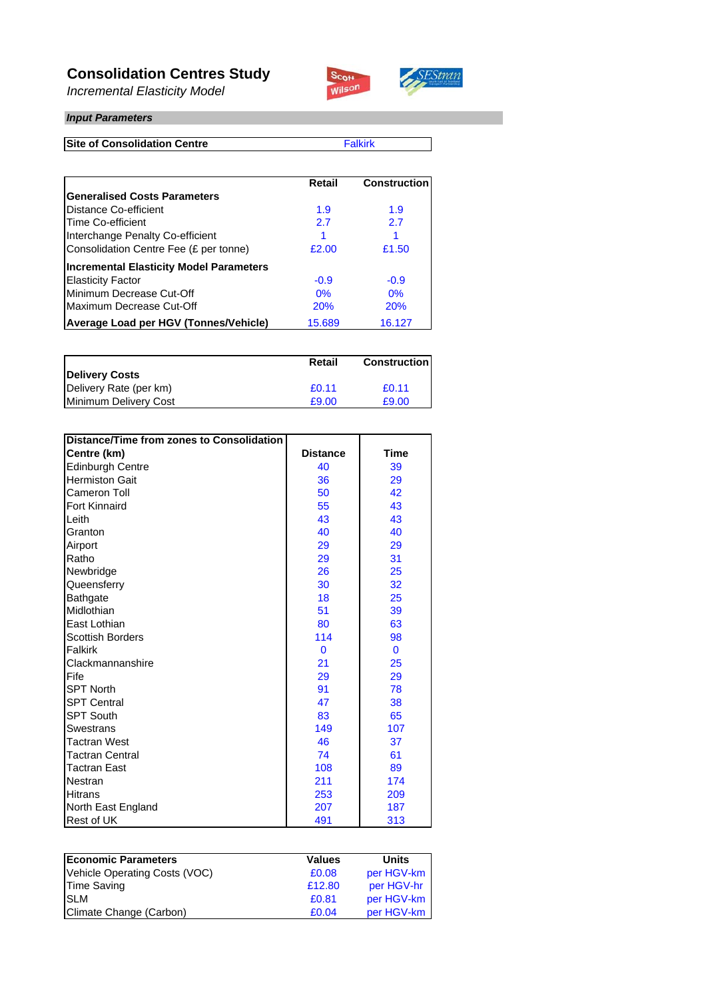### **Consolidation Centres Study**

*Incremental Elasticity Model*



#### *Input Parameters*

**Site of Consolidation Centre**

Falkirk

SEStran

|                                                | Retail | <b>Construction</b> |
|------------------------------------------------|--------|---------------------|
| <b>Generalised Costs Parameters</b>            |        |                     |
| Distance Co-efficient                          | 1.9    | 1.9                 |
| Time Co-efficient                              | 2.7    | 2.7                 |
| Interchange Penalty Co-efficient               |        |                     |
| Consolidation Centre Fee (£ per tonne)         | £2.00  | £1.50               |
| <b>Incremental Elasticity Model Parameters</b> |        |                     |
| <b>Elasticity Factor</b>                       | $-0.9$ | $-0.9$              |
| Minimum Decrease Cut-Off                       | 0%     | 0%                  |
| Maximum Decrease Cut-Off                       | 20%    | 20%                 |
| Average Load per HGV (Tonnes/Vehicle)          | 15.689 | 16.127              |

|                        | Retail | <b>Construction</b> |
|------------------------|--------|---------------------|
| <b>Delivery Costs</b>  |        |                     |
| Delivery Rate (per km) | £0.11  | £0.11               |
| Minimum Delivery Cost  | £9.00  | £9.00               |

| Distance/Time from zones to Consolidation |                 |             |
|-------------------------------------------|-----------------|-------------|
| Centre (km)                               | <b>Distance</b> | <b>Time</b> |
| <b>Edinburgh Centre</b>                   | 40              | 39          |
| <b>Hermiston Gait</b>                     | 36              | 29          |
| Cameron Toll                              | 50              | 42          |
| Fort Kinnaird                             | 55              | 43          |
| Leith                                     | 43              | 43          |
| Granton                                   | 40              | 40          |
| Airport                                   | 29              | 29          |
| Ratho                                     | 29              | 31          |
| Newbridge                                 | 26              | 25          |
| Queensferry                               | 30              | 32          |
| Bathgate                                  | 18              | 25          |
| Midlothian                                | 51              | 39          |
| East Lothian                              | 80              | 63          |
| <b>Scottish Borders</b>                   | 114             | 98          |
| Falkirk                                   | $\mathbf{0}$    | $\mathbf 0$ |
| Clackmannanshire                          | 21              | 25          |
| Fife                                      | 29              | 29          |
| <b>SPT North</b>                          | 91              | 78          |
| <b>SPT Central</b>                        | 47              | 38          |
| <b>SPT South</b>                          | 83              | 65          |
| <b>Swestrans</b>                          | 149             | 107         |
| <b>Tactran West</b>                       | 46              | 37          |
| <b>Tactran Central</b>                    | 74              | 61          |
| <b>Tactran East</b>                       | 108             | 89          |
| Nestran                                   | 211             | 174         |
| Hitrans                                   | 253             | 209         |
| North East England                        | 207             | 187         |
| <b>Rest of UK</b>                         | 491             | 313         |

| <b>Economic Parameters</b>    | <b>Values</b> | <b>Units</b> |
|-------------------------------|---------------|--------------|
| Vehicle Operating Costs (VOC) | £0.08         | per HGV-km   |
| <b>Time Saving</b>            | £12.80        | per HGV-hr   |
| <b>SLM</b>                    | £0.81         | per HGV-km   |
| Climate Change (Carbon)       | £0.04         | per HGV-km   |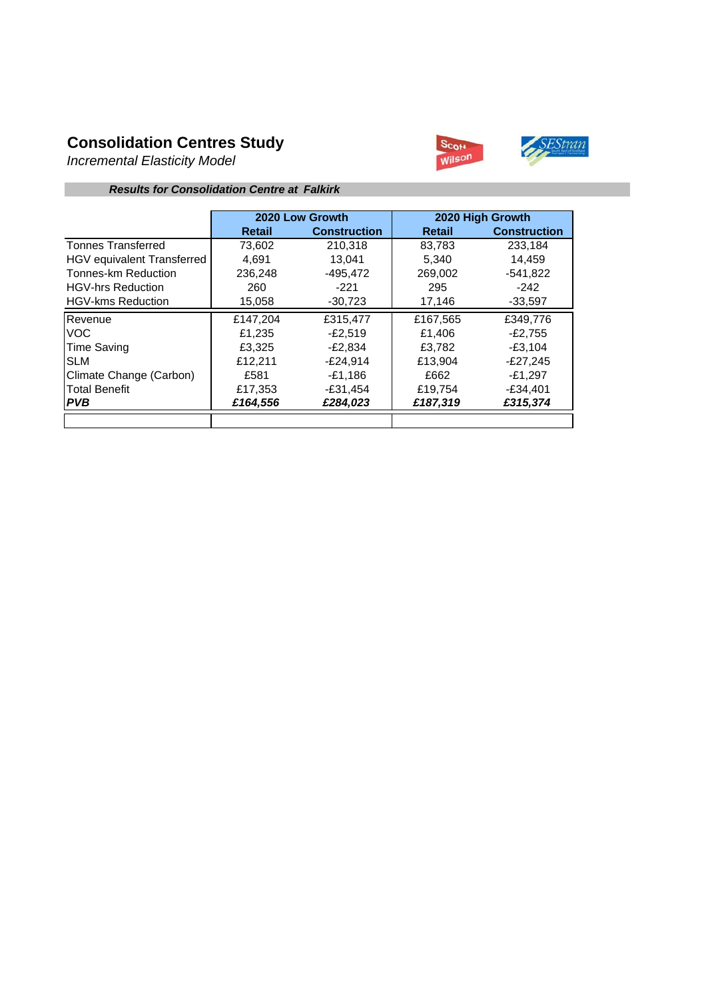## **Consolidation Centres Study**

*Incremental Elasticity Model*



#### *Results for Consolidation Centre at Falkirk*

|                            |          | 2020 Low Growth     |               | 2020 High Growth    |
|----------------------------|----------|---------------------|---------------|---------------------|
|                            | Retail   | <b>Construction</b> | <b>Retail</b> | <b>Construction</b> |
| <b>Tonnes Transferred</b>  | 73,602   | 210,318             | 83,783        | 233,184             |
| HGV equivalent Transferred | 4.691    | 13.041              | 5.340         | 14.459              |
| Tonnes-km Reduction        | 236.248  | $-495.472$          | 269.002       | $-541,822$          |
| <b>HGV-hrs Reduction</b>   | 260      | $-221$              | 295           | $-242$              |
| <b>HGV-kms Reduction</b>   | 15,058   | $-30,723$           | 17,146        | $-33,597$           |
| Revenue                    | £147,204 | £315,477            | £167,565      | £349,776            |
| VOC.                       | £1,235   | $-E2.519$           | £1.406        | $-E2.755$           |
| Time Saving                | £3,325   | $-E2,834$           | £3.782        | $-£3,104$           |
| <b>SLM</b>                 | £12,211  | $-E24.914$          | £13.904       | $-E27.245$          |
| Climate Change (Carbon)    | £581     | -£1.186             | £662          | $-£1.297$           |
| <b>Total Benefit</b>       | £17,353  | $-£31,454$          | £19,754       | $-£34,401$          |
| I PVB                      | £164,556 | £284.023            | £187,319      | £315,374            |
|                            |          |                     |               |                     |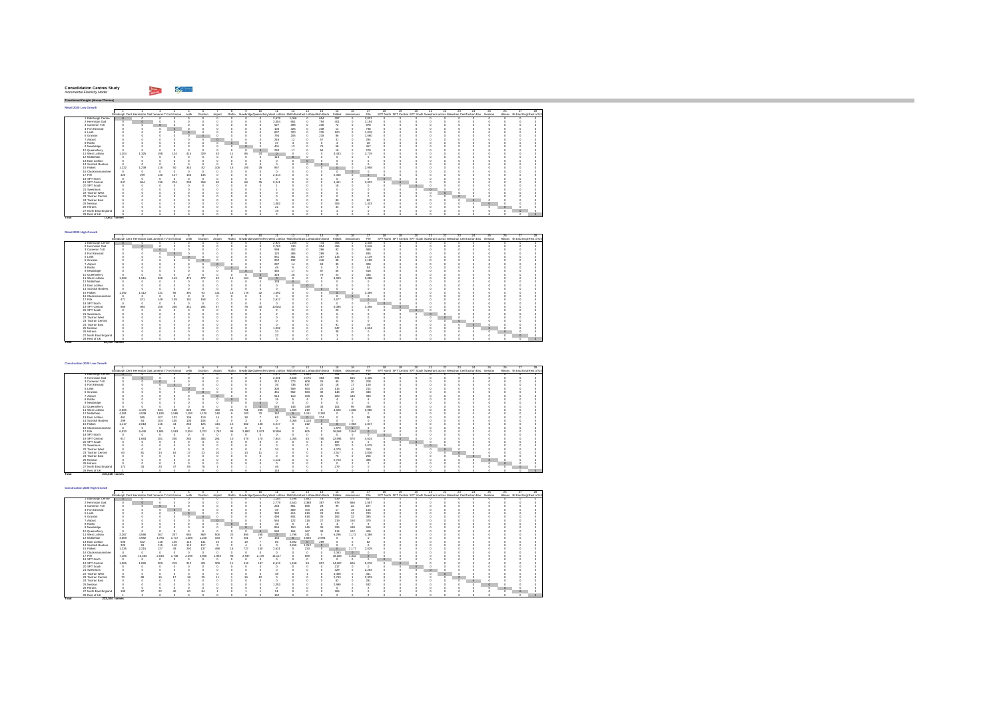| <b>Consolidation Centres Study</b> |  |
|------------------------------------|--|
| Incremental Elasticity Model       |  |

**Total 73,602 tonnes** 

**Total 83,783 tonnes** 

28 RestolUK || 0 0 0 0 0 0

*Transferred Freight (Annual Tonnes)* **Retail 2020 Low Growth**1 2 3 4 5 6 7 8 9 10 11 12 13 14 15 16 17 18 19 20 21 22 23 24 25 26 27 28Edinburgh Cent Hermiston GaitCameron ToFort Kinnair Leith Granton Airport Ratho NewbridgeQueensferryWest Lothian MidlothianEast Lothiacnottish Borde Falkirk ckmannans Fife SPT North SPT Central SPT South SwestransTactran Wesactran CentTactran Eas Nestran Hitrans rth East Engl Rest of UK 0000 2,579 1,056 0 654 397 0 3,021 0 0 0 0 0 0 0 0 0 0 0 0000 3,304 651 0 794 401 0 3,194 0 0 0 0 0 0 0 0 0 0 0 0 0 0 0 527 398 0 236 72 0 878 0 0 0 0 0 0 0 0 0 0 0 0 0 0 0 105 426 0 238 14 0 738 0 0 0 0 0 0 0 0 0 0 0 0 0 0 0 837 320 0 235 100 0 1,018 0 0 0 0 0 0 0 0 0 0 0 0 0 0 0 794 206 0 218 86 0 1,060 0 0 0 0 0 0 0 0 0 0 0 0 0 0 0 246 12 0 57 31 0 294 0 0 0 0 0 0 0 0 0 0 0 0 0 0 0 37 3 0 0 3 0 38 0 0 0 0 0 0 0 0 0 0 0 0 0 0 0 401 13 0 76 58 0 457 0 0 0 0 0 0 0 0 0 0 0 0 0 0 0 293 17 0 66 18 0 278 0 0 0 0 0 0 0 0 0 0 0 11 West Lothian 1,204 1,325 198 124 414 329 53 11 86 24 0 0 0 0 3,433 0 2,719 0 0 0 0 0 0 0 0 0 0 0 0 0 0 0 113 0 0 0 0 0 0 0 0 0 0 0 0 0 0 0 0 0 0000 0 000 0 0 0 0 0 00000 0 0 0 0 0000 0 000 0 0 0 0 0 00000 0 0 0 0 15 Falkirk 1,222 1,239 115 50 343 82 106 15 156 28 957 0 0 0 0 0 2,958 0 0 0 0 0 0 0 0 0 0 0 0000 0 000 0 0 0 0 0 00000 0 0 0 0 0000 2,314 0 0 0 2,350 0 0 0 0 0 0 0 0 0 0 0 0 0 0000 0 000 0 0 0 0 0 00000 0 0 0 0 19 SPT Central 847 864 136 224 299 258 50 8 68 35 9,241 0 0 0 4,461 0 3,822 0 0 0 0 0 0 0 0 0 0 0 0 0 0 0 1 0 0 0 18 0 0 0 0 0 0 0 0 0 0 0 0 0 0000 1 000 0 0 0 0 0 00000 0 0 0 0 0000 0 000 0 0 0 0 0 00000 0 0 0 0 0000 0 000 0 0 0 0 0 00000 0 0 0 0 0 0 0 0 0 0 0 0 80 0 69 0 0 0 0 0 0 0 0 0 0 0 0000 1,082 0 0 0 306 0 1,433 0 0 0 0 0 0 0 0 0 0 0 0 0 0 0 22 0 0 0 34 0 0 0 0 0 0 0 0 0 0 0 0 0 0 0 0 0 19 0 0 0 3 0 0 0 0 0 0 0 0 0 0 0 0 0 0000 2 000 1 0 0 0 0 00000 0 0 0 0 1 Edimburgh Centre 0 0 0 0 0<br>2 Hermiston Gait 0 0 0 0 0 0<br>4 FortKinnaird 0 0 0 0 0 0<br>4 Fort Kinnaird 0 0 0 0 0 0<br>5 Leith 0 0 0 0 0 0 6 Granton 0 0 0 0 0 07 Airport 0 0 0 0 0 08 Ratho 0 0 0 0 0 09 Newbridge 0 0 0 0 0 010 Queensferry 0 0 0 0 0 012 Midlothian 0 0 0 0 0 013 East Lothian 0 0 0 0 0 014 Scottish Borders 0 0 0 0 0 016 Clackmannanshire 0 0 0 0 0 017 Fife 420 299 140 127 166 13518 SPT North 0 0 0 0 0 020 SPT South 0 0 0 0 0 021 Swestrans 0 0 0 0 0 022 Tactran West 0 0 0 0 0 023 Tactran Central 0 0 0 0 0 024 Tactran East 0 0 0 0 0 025 Nestran 0 0 0 0 0 026 Hitrans 0 0 0 0 0 027 North East England 3 0 0 0 0 0

| Retail 2020 High Growth |       |                                                            |     |        |     |         |         |         |     |                          |                                                                          |              |     |     |         |           |          |    |    |                                                                                   |    |    |          |    |                                  |  |
|-------------------------|-------|------------------------------------------------------------|-----|--------|-----|---------|---------|---------|-----|--------------------------|--------------------------------------------------------------------------|--------------|-----|-----|---------|-----------|----------|----|----|-----------------------------------------------------------------------------------|----|----|----------|----|----------------------------------|--|
|                         |       |                                                            |     |        |     |         |         |         |     | 16                       | 11.                                                                      | $12^{\circ}$ | 13. | 14  |         |           |          | 18 | 19 |                                                                                   | 99 | 23 | 24       | 25 | 26                               |  |
|                         |       | Edinburgh Cent Hermiston Gait Jameron To ort Kinnair Leith |     |        |     | Granton | Airport |         |     |                          | Ratho NewbridgeDueensferr West Lothian Midlothian East Lothianotish Bord |              |     |     | Falkirk | ckmannans | File     |    |    | SPT North SPT Central SPT South Swestnans actran Wesctran CentFactran Eas Nestran |    |    |          |    | Hitrans rth East Engl Rest of UK |  |
| 1 Edinburgh Centre      |       |                                                            |     |        |     |         |         |         |     |                          | 2.937                                                                    | 1.205        |     | 744 | 453     |           | 3,448    |    |    |                                                                                   |    |    |          |    |                                  |  |
| 2 Hermiston Gait        |       |                                                            |     |        |     |         |         |         |     |                          | 3.763                                                                    | 740          |     | 904 | 456     |           | 3.646    |    |    |                                                                                   |    |    |          |    |                                  |  |
| 3 Cameron Toll          |       |                                                            | n   |        |     |         |         |         |     |                          | 598                                                                      | 452          |     | 266 | 82      |           | 988      |    |    |                                                                                   |    |    |          |    |                                  |  |
| 4 Fort Kinnaird         |       |                                                            |     | $\sim$ |     |         |         |         |     |                          | 120                                                                      | 485          |     | 269 | 16      |           | 835      |    |    |                                                                                   |    |    |          |    |                                  |  |
| 5 Leith                 |       |                                                            |     | o      |     |         |         |         |     |                          | 951                                                                      | 361          |     | 267 | 115     |           | 1.149    |    |    |                                                                                   |    |    |          |    |                                  |  |
| 6 Granton               |       |                                                            |     |        |     |         |         |         |     |                          | 902                                                                      | 232          |     | 246 | 98      |           | 1.198    |    |    |                                                                                   |    |    |          |    |                                  |  |
| 7 Airport               |       |                                                            |     |        |     |         |         |         |     |                          | 287                                                                      | 14           |     | 63  | ×       |           | 328      |    |    |                                                                                   |    |    |          |    |                                  |  |
| 8 Ratho                 |       |                                                            |     |        |     |         |         | $\circ$ |     |                          | 46                                                                       |              |     |     |         |           | 54       |    |    |                                                                                   |    |    |          |    |                                  |  |
| 9 Newbridge             |       |                                                            |     |        |     |         |         |         |     |                          | 460                                                                      |              |     | 87  | 65      |           | 518      |    |    |                                                                                   |    |    |          |    |                                  |  |
| 10 Queensferry          |       |                                                            |     |        |     |         |         |         |     |                          | 328                                                                      |              |     | 79  | $^{24}$ |           | 335      |    |    |                                                                                   |    |    |          |    |                                  |  |
| 11 West Lothian         | 1,369 | 1.511                                                      | 226 | 143    | 474 | 372     | RG.     |         | 104 | 30                       |                                                                          |              |     |     | 3.903   |           | 3.088    |    |    |                                                                                   |    |    |          |    |                                  |  |
| 12 Midlothian           |       |                                                            |     |        |     |         |         |         |     |                          | 138                                                                      |              |     |     |         |           | $\theta$ |    |    |                                                                                   |    |    |          |    |                                  |  |
| 13 East Lothian         |       |                                                            |     |        |     |         |         |         |     |                          |                                                                          |              |     |     |         |           |          |    |    |                                                                                   |    |    |          |    |                                  |  |
| 14 Scottish Borders     |       |                                                            |     |        |     |         |         |         |     |                          |                                                                          |              |     |     |         |           |          |    |    |                                                                                   |    |    |          |    |                                  |  |
| 15 Fallely              | 1.392 | 1.412                                                      | 131 | 56     | 391 | 93      | 121     |         | 178 | 32                       | 1.092                                                                    |              |     |     |         |           | 3.369    |    |    |                                                                                   |    |    |          |    |                                  |  |
| 16 Clackmannanshire     |       |                                                            |     |        |     |         |         |         |     |                          |                                                                          |              |     |     |         |           |          |    |    |                                                                                   |    |    |          |    |                                  |  |
| 17 Fife                 | 471   | 321                                                        | 149 | 139    | 181 | 158     |         |         |     |                          | 2.617                                                                    |              |     |     | 2.677   |           | 70       |    |    |                                                                                   |    |    |          |    |                                  |  |
| 18 SPT North            |       |                                                            |     |        |     |         |         |         |     |                          |                                                                          |              |     |     |         |           | o        |    |    |                                                                                   |    |    |          |    |                                  |  |
| 19 SPT Central          | 965   | 984                                                        | 155 | 256    | 341 | 294     | 57      |         | 78  | $\overline{\mathcal{L}}$ | 10.532                                                                   |              |     |     | 5.085   |           | 4.356    |    |    |                                                                                   |    |    |          |    |                                  |  |
| 20 SPT South            |       |                                                            |     |        |     |         |         |         |     |                          |                                                                          |              |     |     | 5ń      |           |          |    |    |                                                                                   |    |    |          |    |                                  |  |
| 21 Swestnans            |       |                                                            |     |        |     |         |         |         |     |                          |                                                                          |              |     |     |         |           |          |    |    |                                                                                   |    |    |          |    |                                  |  |
| 22 Tactran West         |       |                                                            |     |        |     |         |         |         |     |                          |                                                                          |              |     |     |         |           |          |    |    |                                                                                   |    |    |          |    |                                  |  |
| 23 Tactran Central      |       |                                                            |     |        |     |         |         |         |     |                          |                                                                          |              |     |     |         |           |          |    |    |                                                                                   |    |    |          |    |                                  |  |
| 24 Tactran East         |       |                                                            |     |        |     |         |         |         |     |                          |                                                                          |              |     |     | ğ,      |           | 78       |    |    |                                                                                   |    |    | $\Omega$ |    |                                  |  |
| 25 Nestran              |       |                                                            |     |        |     |         |         |         |     |                          | 1,232                                                                    |              |     |     | 347     |           | 1.634    |    |    |                                                                                   |    |    |          |    |                                  |  |
| 26 Hittans              |       |                                                            |     |        |     |         |         |         |     |                          | $^{24}$                                                                  |              |     |     | 98      |           |          |    |    |                                                                                   |    |    |          |    |                                  |  |
| 27 North East England   |       |                                                            |     |        |     |         |         |         |     |                          | $\boldsymbol{2}$                                                         |              |     |     |         |           |          |    |    |                                                                                   |    |    |          |    |                                  |  |
| 28 Rest of UK           |       |                                                            |     |        |     |         |         |         |     |                          |                                                                          |              |     |     |         |           |          |    |    |                                                                                   |    |    |          |    |                                  |  |

| Construction 2020 Low Growth |                                                      |       |         |         |       |                 |       |         |       |       |                                                                          |         |          |                  |         |           |       |          |    |    |    |    |     |                                                                                   |     |    |                                  |
|------------------------------|------------------------------------------------------|-------|---------|---------|-------|-----------------|-------|---------|-------|-------|--------------------------------------------------------------------------|---------|----------|------------------|---------|-----------|-------|----------|----|----|----|----|-----|-----------------------------------------------------------------------------------|-----|----|----------------------------------|
|                              |                                                      |       |         |         |       |                 |       |         |       | 10.   | 11.                                                                      | 12      | 13       | 14               | 15      | 16        |       | 18       | 19 | 20 | 21 | 22 | 28. |                                                                                   | 25. | 26 |                                  |
|                              | Edinburgh Cent Hermiston Gait Jameron To ort Kinnair |       |         |         | Leith | Granton Airport |       |         |       |       | Ratho NewbridgeQueensferr West Lothian Midlothian East Lothianotish Bord |         |          |                  | Falkirk | ckmannans | File  |          |    |    |    |    |     | SPT North SPT Central SPT South Swestnans actran Wesctran CentFactran Eas Nestran |     |    | Hitrans rth East Engl Rest of UK |
| 1 Edinburch Centre           |                                                      |       |         |         |       |                 |       |         |       |       | 1.077                                                                    | 2.095   | 1,669    | 70               | 401     | 70        | 741   |          |    |    |    |    |     |                                                                                   |     |    |                                  |
| 2 Hermiston Gait             |                                                      |       |         |         |       |                 |       |         |       |       | 2.531                                                                    | 2.408   | 2.175    | 353              | 891     | 515       | 1.425 |          |    |    |    |    |     |                                                                                   |     |    |                                  |
| 3 Cameron Toll               |                                                      |       | $\circ$ |         |       |                 |       |         |       |       | 212                                                                      | 773     | 608      | 26               | 90      | 20        | 208   |          |    |    |    |    |     |                                                                                   |     |    |                                  |
| 4 Fort Kinnaird              |                                                      |       |         |         |       |                 |       |         |       |       | 36                                                                       | 738     | 637      | $\boldsymbol{2}$ | 16      | 17        | 150   |          |    |    |    |    |     |                                                                                   |     |    |                                  |
| 5 Leith                      |                                                      |       |         |         |       |                 |       |         |       |       | 300                                                                      | 559     | 563      | $\overline{2}$   | 115     | 22        | 214   |          |    |    |    |    |     |                                                                                   |     |    |                                  |
| 6 Granton                    |                                                      |       |         |         |       |                 |       |         |       |       | 451                                                                      | 552     | 563      | $\infty$         | 148     | 29        | 348   |          |    |    |    |    |     |                                                                                   |     |    |                                  |
| 7 Airport                    |                                                      |       |         |         |       |                 |       |         |       |       | 514                                                                      | 110     | 108      | 25               | 200     | 136       | 333   |          |    |    |    |    |     |                                                                                   |     |    |                                  |
| 8 Ratho                      |                                                      |       |         |         |       |                 |       | $\circ$ |       |       | 16                                                                       |         |          |                  |         |           |       |          |    |    |    |    |     |                                                                                   |     |    |                                  |
| 9 Newbridge                  |                                                      |       |         |         |       |                 |       |         |       |       |                                                                          |         |          |                  |         |           |       |          |    |    |    |    |     |                                                                                   |     |    |                                  |
| 10 Queensferry               |                                                      |       |         |         |       |                 |       |         |       | c     | 526                                                                      | 146     | 149      | 33               | 104     | 95        | 368   |          |    |    |    |    |     |                                                                                   |     |    |                                  |
| 11 West Lothian              | 2.065                                                | 4.176 | 334     | 188     | 623   | 792             | 460   |         | 781   | 235   | $\circ$                                                                  | 1.630   | 219      |                  | 4.820   | 1.066     | 3.980 |          |    |    |    |    |     |                                                                                   |     |    |                                  |
| 12 Midlothian                | 4.381                                                | 4.538 | 1.626   | 1.565   | .192  | ,120            | 148   |         | 183   | 70    | 152                                                                      | $\circ$ | 4.151    | 2.362            |         |           |       |          |    |    |    |    |     |                                                                                   |     |    |                                  |
| 13 East Lothian              | 461                                                  | 585   | 107     | 132     | 106   | 119             | 14    |         | 18    |       | 62                                                                       | 5.094   | $\theta$ | 274              |         |           | 58    |          |    |    |    |    |     |                                                                                   |     |    |                                  |
| 14 Scottish Borders          | 299                                                  | 54    | 104     | 100     | 100   | 106             |       |         |       |       |                                                                          | 2.065   | 1.103    | $\circ$          |         |           |       |          |    |    |    |    |     |                                                                                   |     |    |                                  |
| 15 Falkirk                   | 1.117                                                | 2.018 | 116     | 44      | 266   | 125             | 444   | 15      | 662   | 128   | 3.217                                                                    |         | 212      |                  | $\circ$ | 983       | 1.847 |          |    |    |    |    |     |                                                                                   |     |    |                                  |
| 16 Clackmannanshire          |                                                      |       |         |         |       |                 |       |         |       |       | $\alpha$                                                                 |         |          |                  | 1.879   | $\theta$  |       |          |    |    |    |    |     |                                                                                   |     |    |                                  |
| 17 Fife                      | 6.523                                                | 9.440 | 1.861   | 1.581   | 2.054 | 2.702           | 1.762 | 98      | 2.682 | 1.973 | 12.856                                                                   |         | 605      |                  | 16,564  | 3.944     |       |          |    |    |    |    |     |                                                                                   |     |    |                                  |
| 18 SPT North                 |                                                      |       |         |         |       |                 |       |         |       |       | $\alpha$                                                                 |         |          |                  |         |           |       | $\theta$ |    |    |    |    |     |                                                                                   |     |    |                                  |
| 19 SPT Central               | 917                                                  | 1,663 | 281     | 200     | 284   | 383             | 281   | 10      | 379   | 170   | 7.844                                                                    | 1.065   | 63       | 780              | 12.994  | 570       | 4.624 |          |    |    |    |    |     |                                                                                   |     |    |                                  |
| 20 SPT South                 |                                                      |       |         |         |       |                 |       |         |       |       |                                                                          |         |          |                  | 197     |           |       |          |    |    |    |    |     |                                                                                   |     |    |                                  |
| 21 Swestnans                 |                                                      |       |         |         |       |                 |       |         |       |       |                                                                          |         |          |                  | 300     |           | 2.079 |          |    |    |    |    |     |                                                                                   |     |    |                                  |
| 22 Tactran West              |                                                      |       |         |         |       |                 |       |         |       |       |                                                                          |         |          |                  | 4.070   |           | 310   |          |    |    |    |    |     |                                                                                   |     |    |                                  |
| 23 Tactran Central           |                                                      |       |         | 16      | 17    | 23              |       |         |       |       |                                                                          |         |          |                  | 2.517   |           | 3.036 |          |    |    |    |    |     |                                                                                   |     |    |                                  |
| 24 Tactran East              |                                                      |       |         |         |       |                 |       |         |       |       |                                                                          |         |          |                  | 75      |           | 256   |          |    |    |    |    |     |                                                                                   |     |    |                                  |
| 25 Nestran                   |                                                      |       |         |         |       |                 |       |         |       |       | 1.142                                                                    |         |          |                  | 2.723   |           | 485   |          |    |    |    |    |     |                                                                                   |     |    |                                  |
| 26 Hitrans                   |                                                      |       |         |         |       |                 |       |         |       |       |                                                                          |         |          |                  |         |           |       |          |    |    |    |    |     |                                                                                   |     |    |                                  |
| 27 North East England        | 173                                                  |       | 20      | $^{27}$ | 55    | 76              |       |         |       |       | 48                                                                       |         |          |                  | 279     |           |       |          |    |    |    |    |     |                                                                                   |     |    |                                  |
| 28 Rest of UK                |                                                      |       |         |         |       |                 |       |         |       |       | 148                                                                      |         |          |                  |         |           |       |          |    |    |    |    |     |                                                                                   |     |    |                                  |
| Total                        | 210,318 tonnes                                       |       |         |         |       |                 |       |         |       |       |                                                                          |         |          |                  |         |           |       |          |    |    |    |    |     |                                                                                   |     |    |                                  |

| Construction 2020 High Growth |                |                                                      |       |       |       |            |         |    |       |       |                                                                          |              |         |                |          |           |       |    |     |   |    |    |     |                                                                                   |     |    |                                  |
|-------------------------------|----------------|------------------------------------------------------|-------|-------|-------|------------|---------|----|-------|-------|--------------------------------------------------------------------------|--------------|---------|----------------|----------|-----------|-------|----|-----|---|----|----|-----|-----------------------------------------------------------------------------------|-----|----|----------------------------------|
|                               |                |                                                      |       |       |       |            |         |    |       | 10    | 11.                                                                      | $12^{\circ}$ | -13     | 14             | 15       | 16        | -17   | 18 | 19. | m | 21 | 99 | 23. | 24                                                                                | 25. | 26 |                                  |
|                               |                | Edinburgh Cent Hermiston Gait Jameron Tofort Kinnair |       |       | Leith | Granton    | Airport |    |       |       | Ratho NewbridgeQueensferr West Lothian Midlothian East Lothianotish Bord |              |         |                | Falkirk  | ckmannans | File  |    |     |   |    |    |     | SPT North SPT Central SPT South Swestnans actran Weschlan CentFactran Eas Nestran |     |    | Hitrans rth East Engl Rest of UK |
| Edinburgh Centre              |                |                                                      |       |       |       |            |         |    |       |       | 1.184                                                                    | 2.298        | 1.832   | 78             | 539      | 77        | 817   |    | n   |   |    |    |     |                                                                                   |     |    |                                  |
| 2 Hermiston Gait              |                |                                                      |       |       |       |            |         |    |       |       | 2.779                                                                    | 2.643        | 2.388   | 387            | 978      | 566       | 1.567 |    |     |   |    |    |     |                                                                                   |     |    |                                  |
| 3 Cameron Toll                |                |                                                      |       |       |       |            |         |    |       |       | 233                                                                      | 851          | 668     | $^{28}$        | 99       | 22        | 227   |    |     |   |    |    |     |                                                                                   |     |    |                                  |
| 4 Fort Kinnains               |                |                                                      |       |       |       |            |         |    |       |       | $\mathfrak{D}$                                                           | 809          | 700     | 24             | 17       | 12        | 166   |    |     |   |    |    |     |                                                                                   |     |    |                                  |
| 5 Leith                       |                |                                                      |       |       |       |            |         |    |       |       | 330                                                                      | 614          | 618     | 24             | 126      | $^{24}$   | 233   |    |     |   |    |    |     |                                                                                   |     |    |                                  |
| 6 Granton                     |                |                                                      |       |       |       |            |         |    |       |       | 496                                                                      | 604          | 618     | $\mathfrak{B}$ | 162      | 32        | 385   |    |     |   |    |    |     |                                                                                   |     |    |                                  |
| 7 Airport                     |                |                                                      |       |       |       |            |         |    |       |       | 564                                                                      | 122          | 118     | 27             | 219      | 150       | 370   |    |     |   |    |    |     |                                                                                   |     |    |                                  |
| 8 Ratho                       |                |                                                      |       |       |       |            |         |    |       |       | 16                                                                       |              |         |                |          |           |       |    |     |   |    |    |     |                                                                                   |     |    |                                  |
| 9 Newbridge                   |                |                                                      |       |       |       |            |         |    |       |       | 854                                                                      | 150          | 146     | $\mathfrak{B}$ | 326      | 188       | 559   |    |     |   |    |    |     |                                                                                   |     |    |                                  |
| 10 Queensferry                |                |                                                      |       |       |       |            |         |    |       |       | 580                                                                      | 164          | 167     | 34             | 114      | 102       | 406   |    |     |   |    |    |     |                                                                                   |     |    |                                  |
| 11 West Lothian               | 2.267          | 4,586                                                | 367   | 207   | 684   | 889        | 506     | 'n | 856   | 258   | n                                                                        | .796         | 241     | $\sim$         | 5.296    | 1.172     | 4.368 |    |     |   |    |    |     |                                                                                   |     |    |                                  |
| 12 Midlothian                 | 4,808          | 4.982                                                | 1.784 | 1.717 | 1.309 | 1.228      | 163     |    | 201   | 77    | 164                                                                      | $\Omega$     | 4.555   | 2.594          |          |           |       |    |     |   |    |    |     |                                                                                   |     |    |                                  |
| 13 East Lothian               | 506            | 642                                                  | 118   | 146   | 116   | 131        | 16      |    | 19    |       | 66                                                                       | 5.592        | $\circ$ | 299            |          |           |       |    |     |   |    |    |     |                                                                                   |     |    |                                  |
| 14 Scottish Borders           | 329            | 59                                                   | 115   | 110   | 110   | 117        |         |    |       |       |                                                                          | 2.266        | 1.212   | $\circ$        |          |           |       |    |     |   |    |    |     |                                                                                   |     |    |                                  |
| 15 Falkirk                    | 1,226          | 2.215                                                | 127   | 49    | 292   | 137        | 488     | 16 | 727   | 140   | 3.531                                                                    |              | 233     |                | $\theta$ | 2.177     | 2.029 |    |     |   |    |    |     |                                                                                   |     |    |                                  |
| 16 Clackmannanshire           | $\sqrt{2}$     | $\sim$                                               |       |       |       | $\sqrt{2}$ |         |    |       |       |                                                                          |              |         |                | 2.063    | $\Omega$  |       |    |     |   |    |    |     |                                                                                   |     |    |                                  |
| 17 Fife                       | 7.166          | 10,363                                               | 2.043 | 1.735 | 2.259 | 2,966      | 1.933   | 98 | 2.947 | 2.176 | 14.117                                                                   |              | 669     |                | 18,183   | 4.332     |       |    |     |   |    |    |     |                                                                                   |     |    |                                  |
| 18 SPT North                  | <b>r</b>       | $\theta$                                             |       |       |       |            |         |    |       |       |                                                                          |              |         |                |          |           |       |    |     |   |    |    |     |                                                                                   |     |    |                                  |
| 19 SPT Central                | 1,006          | 1.826                                                | 309   | 219   | 312   | 421        | 506     |    | 416   | 187   | 8.612                                                                    | 158          | 69      | 857            | 14.267   | 626       | 5.076 |    |     |   |    |    |     |                                                                                   |     |    |                                  |
| 20 SPT South                  |                | $\sqrt{2}$                                           |       |       |       |            |         |    |       |       |                                                                          |              |         |                | 217      |           |       |    |     |   |    |    |     |                                                                                   |     |    |                                  |
| 21 Reastrong                  |                |                                                      |       |       |       |            |         |    |       |       |                                                                          |              |         |                | 329      |           | 2.283 |    |     |   |    |    |     |                                                                                   |     |    |                                  |
| 22 Tartran West               |                |                                                      |       |       |       |            |         |    |       |       | $^{38}$                                                                  |              |         |                | 4,468    |           | 341   |    |     |   |    |    |     |                                                                                   |     |    |                                  |
| 23 Tactran Central            | $\mathcal{M}$  | $^{60}$                                              | 15.   | 17    |       | 25         | 11      |    |       | 12    |                                                                          |              |         |                | 2.763    |           | 3.333 |    |     |   |    |    |     |                                                                                   |     |    |                                  |
| 24 Tactran East               |                |                                                      |       |       |       |            |         |    |       |       |                                                                          |              |         |                | 82       |           | 281   |    |     |   |    |    |     | $\Omega$                                                                          |     |    |                                  |
| 25 Nostran                    |                |                                                      |       |       |       |            |         |    |       |       | 1.253                                                                    |              |         |                | 2,990    |           | 532   |    |     |   |    |    |     |                                                                                   |     |    |                                  |
| 26 Hittans                    |                |                                                      |       |       |       |            |         |    |       |       |                                                                          |              |         |                |          |           |       |    |     |   |    |    |     |                                                                                   |     |    |                                  |
| 27 North East England         | 190            | SO <sub>1</sub>                                      |       |       | Ĥ.    |            |         |    |       |       | 51                                                                       |              |         |                | 306      |           |       |    |     |   |    |    |     |                                                                                   |     |    |                                  |
| 28 Rest of UK                 |                |                                                      |       |       |       |            |         |    |       |       | 162                                                                      |              |         |                |          |           |       |    |     |   |    |    |     |                                                                                   |     |    |                                  |
| Total                         | 233,184 tonnes |                                                      |       |       |       |            |         |    |       |       |                                                                          |              |         |                |          |           |       |    |     |   |    |    |     |                                                                                   |     |    |                                  |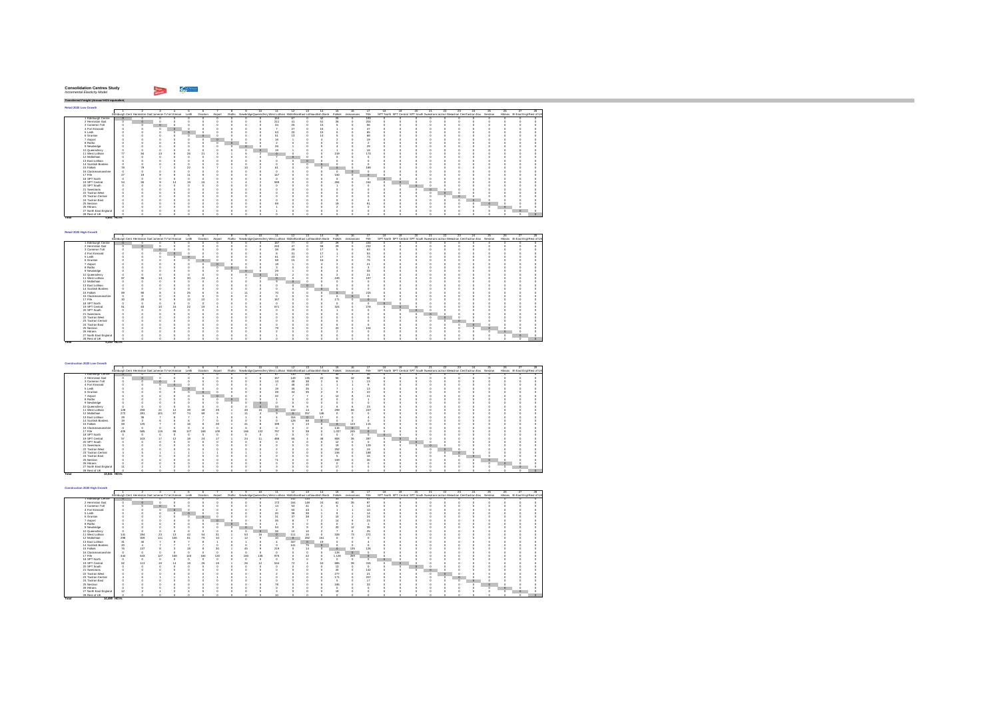| <b>Consolidation Centres Study</b> |  |
|------------------------------------|--|
| Incremental Elasticity Model       |  |

hiji wa m

**Total 5,340 HGVs**

*Transferred Freight (Annual HGV equivalent)* **Retail 2020 Low Growth** $\Gamma$ 1 2 3 4 5 6 7 8 9 10 11 12 13 14 15 16 17 18 19 20 21 22 23 24 25 26 27 28Edinburgh Cent Hermiston Gait Jameron ToFort Kinnair Leith Granton Airport Ratho NewbridgeQueensferry West Lothian MidlothianEast Lothiaeottish Borde Falkirk ckmannans Fife SPT North SPT Central SPT South Swestrans'actran Wesctran CentTactran Eas Nestran Hitrans rth East Engl Rest of UK 1 Edinburgh Centre | 0 0 0 0 0 0<br>2 Hermiston Gait 0 0 0 0 0 0 0 0 0 0 164 67 0 42 25 0 193 0 0 0 0 0 0 0 0 0 0 0 0 0 0 0 211 41 0 51 26 0 204 0 0 0 0 0 0 0 0 0 0 0 ................. 3 Cameron Toll 0 0 0 0 0 04 Fort Kinnaird 0 0 0 0 0 05 Leith 0 0 0 0 0 06 Granton 0 0 0 0 0 07 Airport 0 0 0 0 0 08 Ratho 0 0 0 0 0 09 Newbridge 0 0 0 0 0 010 Queensferry 0 0 0 0 0 011 West Lothian 77 84 13 8 26 2112 Midlothian 0 0 0 0 0 013 East Lothian 0 0 0 0 0 014 Scottish Borders 0 0 0 0 0 016 Clackmannanshire 0 0 0 0 0 017 Fife 27 19 9 8 11 918 SPT North 0 0 0 0 0 019 SPT Central 54 55 9 14 19 1620 SPT South 0 0 0 0 0 021 Swestrans 0 0 0 0 0 022 Tactran West 0 0 0 0 0 023 Tactran Central 0 0 0 0 0 024 Tactran East 0 0 0 0 0 025 Nestran 0 0 0 0 0 026 Hitrans 0 0 0 0 0 027 North East England 0 0 0 0 0 0 0 0 0 0 34 25 0 15 5 0 56 0 0 0 0 0 0 0 0 0 0 0 0 0 0 0 7 27 0 15 1 0 47 0 0 0 0 0 0 0 0 0 0 0 0 0 0 0 0 53 20 0 15 6 0 65 0 0 0 0 0 0 0 0 0 0<br>0 0 0 0 0 15 1 0 14 5 0 68 0 0 0 0 0 0 0 0 0 0 0<br>0 0 0 0 0 16 1 0 4 2 0 19 0 0 0 0 0 0 0 0 0 0 0 0000 2 000 0 0 2 0 0 00000 0 0 0 0 0 0 0 0 26 1 0 5 4 0 29 0 0 0 0 0 0 0 0 0 0 0 0 0 0 0 19 1 0 4 1 0 18 0 0 0 0 0 0 0 0 0 0 0 3 1 6 2 0 0 0 0 219 0 173 0 0 0 0 0 0 0 0 0 0 0 0000 7 000 0 0 0 0 0 00000 0 0 0 0 0000 0 000 0 0 0 0 0 00000 0 0 0 0 0000 0 000 0 0 0 0 0 00000 0 0 0 0 15 Falkirk 78 79 7 3 22 5 7 1 10 2 61 0 0 0 0 0 189 0 0 0 0 0 0 0 0 0 0 0 0000 0 000 0 0 0 0 0 00000 0 0 0 0 0 0 0 0 147 0 0 0 150 0 0 0 0 0 0 0 0 0 0 0 0 0 0000 0 000 0 0 0 0 0 00000 0 0 0 0 3 1 4 2 589 0 0 0 284 0 244 0 0 0 0 0 0 0 0 0 0 0 0000 0 000 1 0 0 0 0 00000 0 0 0 0 0000 0 000 0 0 0 0 0 00000 0 0 0 0 0000 0 000 0 0 0 0 0 00000 0 0 0 0 0000 0 000 0 0 0 0 0 00000 0 0 0 0 0000 0 000 5 0 4 0 0 00000 0 0 0 0 0 0 0 0 69 0 0 0 19 0 91 0 0 0 0 0 0 0 0 0 0 0 0000 1 000 2 0 0 0 0 00000 0 0 0 0 0000 1 000 0 0 0 0 0 00000 0 0 0 0 0000 0 000 0 0 0 0 0 00000 0 0 0 0 28 RestolUK || 0 0 0 0 0 0 **Total 4,691 HGVs**

| Retail 2020 High Growth |                         |          |                                                      |                  |                 |  |   |    |         |    |         |                                                                          |               |                   |      |    |                                                                                   |         |         |         |    |     |                                  |     |
|-------------------------|-------------------------|----------|------------------------------------------------------|------------------|-----------------|--|---|----|---------|----|---------|--------------------------------------------------------------------------|---------------|-------------------|------|----|-----------------------------------------------------------------------------------|---------|---------|---------|----|-----|----------------------------------|-----|
|                         |                         |          |                                                      |                  |                 |  |   | 10 | 11.     | 12 | 13      | 14                                                                       | 15            |                   |      | 18 |                                                                                   |         | $^{23}$ | 24      | 25 | 28. |                                  | 28. |
|                         |                         |          | Edinburgh Cent Hermiston Gait Jameron Tofort Kinnair | Leith            | Granton Airport |  |   |    |         |    |         | Ratho NewbridgeQueensferr West Lothian Midlothian East Lothianotish Bord |               | Falkirk ckmannans | File |    | SPT North SPT Central SPT South Swestnans actran Weschlan Centractran Eas Nestran |         |         |         |    |     | Hitrans rth East Engl Rest of UK |     |
| 1 Edinburgh Centre      |                         |          |                                                      |                  |                 |  |   |    | 187     |    |         | $\overline{a}$                                                           | 29            |                   | 220  |    |                                                                                   |         |         |         |    |     |                                  |     |
| 2 Hermiston Gait        |                         |          |                                                      |                  |                 |  |   |    | 240     |    |         | 58                                                                       | 29            |                   | 232  |    |                                                                                   |         |         |         |    |     |                                  |     |
| 3 Cameron Toll          |                         |          | $\circ$                                              |                  |                 |  |   |    | 38      | ×  |         | 17                                                                       |               |                   | 63   |    |                                                                                   |         |         |         |    |     |                                  |     |
| 4 Fort Kinnaird         |                         |          |                                                      |                  |                 |  |   |    |         |    |         | 17                                                                       |               |                   | 53   |    |                                                                                   |         |         |         |    |     |                                  |     |
| 5 Leith                 |                         |          |                                                      |                  |                 |  |   |    | 61      | źś |         | 17                                                                       |               |                   | 73   |    |                                                                                   |         |         |         |    |     |                                  |     |
| 6 Granton               |                         |          |                                                      |                  |                 |  |   |    | 58      |    |         |                                                                          |               |                   | 76   |    |                                                                                   |         |         |         |    |     |                                  |     |
| 7 Airport               |                         |          |                                                      |                  |                 |  |   |    | 18      |    |         |                                                                          |               |                   | 21   |    |                                                                                   |         |         |         |    |     |                                  |     |
| 8 Ratho                 |                         |          |                                                      |                  |                 |  |   |    |         |    |         |                                                                          |               |                   |      |    |                                                                                   |         |         |         |    |     |                                  |     |
| 9 Newbridge             |                         |          |                                                      |                  |                 |  | ю |    | $^{29}$ |    |         |                                                                          |               |                   | 33   |    |                                                                                   |         |         |         |    |     |                                  |     |
| 10 Queensferry          |                         |          |                                                      |                  |                 |  |   |    | 21      |    |         |                                                                          |               |                   | 21   |    |                                                                                   |         |         |         |    |     |                                  |     |
| 11 West Lothian         | 80                      |          |                                                      | 30               | 24              |  |   |    |         |    |         |                                                                          | 249           |                   | 197  |    |                                                                                   |         |         |         |    |     |                                  |     |
| 12 Midlothian           |                         |          |                                                      |                  |                 |  |   |    |         |    |         |                                                                          |               |                   |      |    |                                                                                   |         |         |         |    |     |                                  |     |
| 13 East Lothian         |                         |          |                                                      |                  |                 |  |   |    |         |    | $\circ$ |                                                                          |               |                   |      |    |                                                                                   |         |         |         |    |     |                                  |     |
| 14 Scottish Borders     |                         |          |                                                      |                  |                 |  |   |    |         |    |         | $\circ$                                                                  |               |                   |      |    |                                                                                   |         |         |         |    |     |                                  |     |
| 15 Falkirk              | $\overline{\mathbf{M}}$ | ۵ń       |                                                      | 25               |                 |  |   |    |         |    |         |                                                                          |               |                   | 215  |    |                                                                                   |         |         |         |    |     |                                  |     |
| 16 Clackmannanshire     |                         |          |                                                      |                  |                 |  |   |    |         |    |         |                                                                          |               |                   |      |    |                                                                                   |         |         |         |    |     |                                  |     |
| 17 Fife                 | 30                      | $\infty$ |                                                      | 12               |                 |  |   |    | 167     |    |         |                                                                          | 171           |                   |      |    |                                                                                   |         |         |         |    |     |                                  |     |
| 18 SPT North            |                         |          |                                                      |                  |                 |  |   |    |         |    |         |                                                                          |               |                   |      |    |                                                                                   |         |         |         |    |     |                                  |     |
| 19 SPT Central          | 61                      | Ŕ9       | 10                                                   | $\boldsymbol{z}$ | 10              |  |   |    | 671     |    |         |                                                                          | 324           |                   | 278  |    |                                                                                   |         |         |         |    |     |                                  |     |
| 20 SPT South            |                         |          |                                                      |                  |                 |  |   |    |         |    |         |                                                                          |               |                   |      |    |                                                                                   |         |         |         |    |     |                                  |     |
| 21 Swestnans            |                         |          |                                                      |                  |                 |  |   |    |         |    |         |                                                                          |               |                   |      |    |                                                                                   |         |         |         |    |     |                                  |     |
| 22 Tactran West         |                         |          |                                                      |                  |                 |  |   |    |         |    |         |                                                                          |               |                   |      |    |                                                                                   | $\circ$ |         |         |    |     |                                  |     |
| 23 Tactran Central      |                         |          |                                                      |                  |                 |  |   |    |         |    |         |                                                                          |               |                   |      |    |                                                                                   |         |         |         |    |     |                                  |     |
| 24 Tactran East         |                         |          |                                                      |                  |                 |  |   |    |         |    |         |                                                                          |               |                   |      |    |                                                                                   |         |         | $\circ$ |    |     |                                  |     |
| 25 Nestran              |                         |          |                                                      |                  |                 |  |   |    | 70      |    |         |                                                                          | $\mathcal{D}$ |                   | 104  |    |                                                                                   |         |         |         |    |     |                                  |     |
| 26 Hittans              |                         |          |                                                      |                  |                 |  |   |    |         |    |         |                                                                          |               |                   |      |    |                                                                                   |         |         |         |    |     |                                  |     |
| 27 North East England   |                         |          |                                                      |                  |                 |  |   |    |         |    |         |                                                                          |               |                   |      |    |                                                                                   |         |         |         |    |     |                                  |     |
| 28 Rest of UK           |                         |          |                                                      |                  |                 |  |   |    |         |    |         |                                                                          |               |                   |      |    |                                                                                   |         |         |         |    |     |                                  |     |

| Construction 2020 Low Growth |             |         |                                                            |         |     |                 |                       |         |     |                                                                                   |          |         |          |                   |          |           |          |         |                                                                                   |    |    |         |         |         |    |    |                                  |     |
|------------------------------|-------------|---------|------------------------------------------------------------|---------|-----|-----------------|-----------------------|---------|-----|-----------------------------------------------------------------------------------|----------|---------|----------|-------------------|----------|-----------|----------|---------|-----------------------------------------------------------------------------------|----|----|---------|---------|---------|----|----|----------------------------------|-----|
|                              |             |         |                                                            |         |     |                 |                       |         |     | 10                                                                                |          |         | 13       | 14                | 15       | 18        |          | 18      | 19                                                                                | 20 | 21 | 22.     | $^{23}$ | $^{24}$ | 25 | 26 | 27                               | 28. |
|                              |             |         | Edinburgh Cent Hermiston Gait Jameron To ort Kinnair Leith |         |     | Granton Airport |                       |         |     | Ratho NewbridgeDueensfern West Lothian Midlothian East Lothianottish Bord Falkirk |          |         |          |                   |          | ckmannans | File     |         | SPT North SPT Central SPT South Swestnans actran Wesctran CentFactran Eas Nestran |    |    |         |         |         |    |    | Hitrans rth East Engl Rest of UK |     |
| 1 Edinburgh Centre           |             |         |                                                            |         |     |                 |                       |         |     |                                                                                   |          | 130     | 104      |                   |          |           | 46       |         |                                                                                   |    |    |         |         |         |    |    |                                  |     |
| 2 Hermiston Gait             |             |         |                                                            |         |     |                 |                       |         |     |                                                                                   | 157      | 149     | 135      | $\boldsymbol{22}$ | 55       | 32        | 88       |         |                                                                                   |    |    |         |         |         |    |    |                                  |     |
| 3 Cameron Toll               |             |         |                                                            |         |     |                 |                       |         |     |                                                                                   | 13       |         | 38       |                   |          |           |          |         |                                                                                   |    |    |         |         |         |    |    |                                  |     |
| 4 Fort Kinnaird              |             |         |                                                            | $\circ$ |     |                 |                       |         |     |                                                                                   |          |         | 40       |                   |          |           |          |         |                                                                                   |    |    |         |         |         |    |    |                                  |     |
| 5 Leith                      |             |         |                                                            |         |     |                 |                       |         |     |                                                                                   | 19       | $^{36}$ | 35       |                   |          |           |          |         |                                                                                   |    |    |         |         |         |    |    |                                  |     |
| 6 Granton                    |             |         |                                                            |         |     |                 |                       |         |     |                                                                                   | $^{28}$  |         | $\infty$ |                   |          |           | 22       |         |                                                                                   |    |    |         |         |         |    |    |                                  |     |
| 7 Airport                    |             |         |                                                            |         |     |                 | $\circ$               |         |     |                                                                                   | $\infty$ |         |          |                   |          |           |          |         |                                                                                   |    |    |         |         |         |    |    |                                  |     |
| 8 Ratho                      |             |         |                                                            |         |     |                 |                       | $\circ$ |     |                                                                                   |          |         |          |                   |          |           |          |         |                                                                                   |    |    |         |         |         |    |    |                                  |     |
| 9 Newbridge                  |             |         |                                                            |         |     |                 |                       |         |     |                                                                                   |          |         |          |                   |          |           |          |         |                                                                                   |    |    |         |         |         |    |    |                                  |     |
| 10 Queensferry               |             |         |                                                            |         |     |                 |                       |         |     |                                                                                   | 33       |         |          |                   |          |           | $^{23}$  |         |                                                                                   |    |    |         |         |         |    |    |                                  |     |
| 11 West Lothian              | 128         | 259     | 21                                                         | 12      | 96  |                 | $\boldsymbol{\times}$ |         | æ   | 15                                                                                |          | 102     | 14       |                   | 299      | 6Ŕ        | 247      |         |                                                                                   |    |    |         |         |         |    |    |                                  |     |
| 12 Midlothian                | 272         | 281     | 101                                                        | 97      | 74  | 69              |                       |         | 11  |                                                                                   |          | $\circ$ | 257      | 146               |          |           |          |         |                                                                                   |    |    |         |         |         |    |    |                                  |     |
| 13 East Lothian              | 29          | $^{36}$ |                                                            |         |     |                 |                       |         |     |                                                                                   |          | 316     | $\circ$  |                   |          |           |          |         |                                                                                   |    |    |         |         |         |    |    |                                  |     |
| 14 Scottish Borders          | 19          |         |                                                            |         |     |                 |                       |         |     |                                                                                   |          | 128     | 68       | n                 |          |           |          |         |                                                                                   |    |    |         |         |         |    |    |                                  |     |
| 15 Falkirk                   | 69          | 125     |                                                            |         |     |                 |                       |         |     |                                                                                   | 199      |         | 13       |                   | $\Omega$ | 123       | 115      |         |                                                                                   |    |    |         |         |         |    |    |                                  |     |
| 16 Clackmannanshire          |             |         |                                                            |         |     |                 |                       |         |     |                                                                                   |          |         |          |                   | 116      | $\circ$   |          |         |                                                                                   |    |    |         |         |         |    |    |                                  |     |
| 17 Fife                      | 405         | 585     | 115                                                        | 98      | 127 | 168             | 109                   |         | 166 | 122                                                                               | 797      |         | 38       |                   | 1.027    | 245       |          |         |                                                                                   |    |    |         |         |         |    |    |                                  |     |
| 18 SPT North                 |             |         |                                                            |         |     |                 |                       |         |     |                                                                                   |          |         |          |                   |          |           |          | $\circ$ |                                                                                   |    |    |         |         |         |    |    |                                  |     |
| 19 SPT Central               | 57          | 103     |                                                            | 12      |     | 24              | ×.                    |         | 24  | 11                                                                                | 486      | w       |          |                   | 806      | 36        | 287      |         |                                                                                   |    |    |         |         |         |    |    |                                  |     |
| 20 SPT South                 |             |         |                                                            |         |     |                 |                       |         |     |                                                                                   |          |         |          |                   | 12       |           |          |         |                                                                                   |    |    |         |         |         |    |    |                                  |     |
| 21 Swestnans                 |             |         |                                                            |         |     |                 |                       |         |     |                                                                                   |          |         |          |                   | 19       |           | 129      |         |                                                                                   |    |    |         |         |         |    |    |                                  |     |
| 22 Tactran West              |             |         |                                                            |         |     |                 |                       |         |     |                                                                                   |          |         |          |                   | 252      |           | 19       |         |                                                                                   |    |    | $\circ$ |         |         |    |    |                                  |     |
| 23 Tactran Central           |             |         |                                                            |         |     |                 |                       |         |     |                                                                                   |          |         |          |                   | 156      |           | 188      |         |                                                                                   |    |    |         | ю       |         |    |    |                                  |     |
| 24 Tactran East              |             |         |                                                            |         |     |                 |                       |         |     |                                                                                   |          |         |          |                   |          |           |          |         |                                                                                   |    |    |         | o       |         |    |    |                                  |     |
| 25 Nestran                   |             |         |                                                            |         |     |                 |                       |         |     |                                                                                   |          |         |          |                   | 169      |           | $\infty$ |         |                                                                                   |    |    |         |         |         |    |    |                                  |     |
| 26 Hittans                   |             |         |                                                            |         |     |                 |                       |         |     |                                                                                   |          |         |          |                   |          |           |          |         |                                                                                   |    |    |         |         |         |    |    |                                  |     |
| 27 North East England        |             |         |                                                            |         |     |                 |                       |         |     |                                                                                   |          |         |          |                   |          |           |          |         |                                                                                   |    |    |         |         |         |    |    |                                  |     |
| 28 Rest of UK                |             |         |                                                            |         |     |                 |                       |         |     |                                                                                   |          |         |          |                   |          |           |          |         |                                                                                   |    |    |         |         |         |    |    |                                  |     |
| Total                        | 13.041 HOVS |         |                                                            |         |     |                 |                       |         |     |                                                                                   |          |         |          |                   |          |           |          |         |                                                                                   |    |    |         |         |         |    |    |                                  |     |

| Construction 2020 High Growth |             |                                                      |          |     |          |         |         |         |     |     |           |          |          |                                                                                |              |           |      |    |                                                                                   |     |    |         |         |    |    |                                  |  |
|-------------------------------|-------------|------------------------------------------------------|----------|-----|----------|---------|---------|---------|-----|-----|-----------|----------|----------|--------------------------------------------------------------------------------|--------------|-----------|------|----|-----------------------------------------------------------------------------------|-----|----|---------|---------|----|----|----------------------------------|--|
|                               |             |                                                      |          |     |          |         |         |         |     |     | 11.       | 12       | 13       | $\overline{14}$                                                                | $-15$        | 18        | 17   | 18 | 19.                                                                               | 21. | 22 | 23      | $^{24}$ | 25 | 26 |                                  |  |
|                               |             | Edinburgh Cent Hermiston Gait Jameron Tofort Kinnair |          |     | Leith    | Granton | Airport |         |     |     |           |          |          | Ratho NewbridgeQueenslem West Lothian MidlothianEast Lothianotish Bord Falkirk |              | ckmannans | Fife |    | SPT North SPT Central SPT South Swestnans actran Weschlan Centractran Eas Nestran |     |    |         |         |    |    | Hitrans rth East Engl Rest of UK |  |
| 1 Edinburgh Centre            |             |                                                      |          |     |          |         |         |         |     |     | 73        | 142      | 114      |                                                                                | ×            |           | 51   |    |                                                                                   |     |    |         |         |    |    |                                  |  |
| 2 Hermiston Gait              |             |                                                      |          |     |          |         |         |         |     |     | 172       | 164      | 148      | 24                                                                             | 61           | 35        | 97   |    |                                                                                   |     |    |         |         |    |    |                                  |  |
| 3 Cameron Toll                |             |                                                      | $\alpha$ |     |          |         |         |         |     |     |           | 69       | 41       |                                                                                |              |           | 14   |    |                                                                                   |     |    |         |         |    |    |                                  |  |
| 4 Fort Kinnaird               |             |                                                      |          |     |          |         |         |         |     |     |           | 50       | 43       |                                                                                |              |           | 10   |    |                                                                                   |     |    |         |         |    |    |                                  |  |
| 5 Leith                       |             |                                                      |          |     | $\Omega$ |         |         |         |     |     |           |          | 38       |                                                                                |              |           | 14   |    |                                                                                   |     |    |         |         |    |    |                                  |  |
| 6 Granton                     |             |                                                      |          |     |          |         |         |         |     |     |           | $\infty$ | $\infty$ |                                                                                | 10           |           | 24   |    |                                                                                   |     |    |         |         |    |    |                                  |  |
| 7 Airport                     |             |                                                      |          |     |          |         |         |         |     |     |           |          |          |                                                                                |              |           | 28   |    |                                                                                   |     |    |         |         |    |    |                                  |  |
| 8 Ratho                       |             |                                                      |          |     |          |         |         | $\circ$ |     |     |           |          |          |                                                                                |              |           |      |    |                                                                                   |     |    |         |         |    |    |                                  |  |
| 9 Newbridge                   |             |                                                      |          |     |          |         |         |         |     |     | RR        |          |          |                                                                                | ×            |           | 35   |    |                                                                                   |     |    |         |         |    |    |                                  |  |
| 10 Queensferry                |             |                                                      |          |     |          |         |         |         |     | ю   | 38        |          |          |                                                                                |              |           | 25   |    |                                                                                   |     |    |         |         |    |    |                                  |  |
| 11 West Lothian               | 141         | 284                                                  | $^{23}$  | 13  | 42       | 54      |         |         | 53  | 16  | n         | 111      | 15       |                                                                                | 328          | 73        | 271  |    |                                                                                   |     |    |         |         |    |    |                                  |  |
| 12 Midlothian                 | 298         | 309                                                  | 111      | 108 | 81       | 78      |         |         | 12  |     | $10^{-1}$ | $\circ$  | 282      | 161                                                                            |              |           |      |    |                                                                                   |     |    |         |         |    |    |                                  |  |
| 13 East Lothian               | 31          | 40                                                   |          |     |          |         |         |         |     |     |           | 347      | $\circ$  | 19                                                                             |              |           |      |    |                                                                                   |     |    |         |         |    |    |                                  |  |
| 14 Scottish Borders           |             |                                                      |          |     |          |         |         |         |     |     |           | 141      | 75       |                                                                                |              |           |      |    |                                                                                   |     |    |         |         |    |    |                                  |  |
| 15 Falkirk                    |             | 137                                                  |          |     |          |         |         |         |     |     | 219       |          | 14       |                                                                                |              | 135       | 126  |    |                                                                                   |     |    |         |         |    |    |                                  |  |
| 16 Clackmannanshire           |             |                                                      |          |     |          |         |         |         |     |     |           |          |          |                                                                                | 128          | $\Omega$  |      |    |                                                                                   |     |    |         |         |    |    |                                  |  |
| 17 Fife                       | 444         | 643                                                  | 127      | 108 | 140      | 184     | 120     |         | 183 | 135 | 875       |          |          |                                                                                | 1.128        | 269       |      |    |                                                                                   |     |    |         |         |    |    |                                  |  |
| 18 SPT North                  |             |                                                      |          |     |          |         |         |         |     |     |           |          |          |                                                                                |              |           |      |    |                                                                                   |     |    |         |         |    |    |                                  |  |
| 19 SPT Central                | 85          | 113                                                  |          |     | w        | 26      |         |         | 26  | 12  | 534       |          |          | 53                                                                             | 885          | 39        | 315  |    |                                                                                   |     |    |         |         |    |    |                                  |  |
| 20 SPT South                  |             |                                                      |          |     |          |         |         |         |     |     |           |          |          |                                                                                | 13           |           |      |    |                                                                                   |     |    |         |         |    |    |                                  |  |
| 21 Swestnans                  |             |                                                      |          |     |          |         |         |         |     |     |           |          |          |                                                                                | $\mathbf{z}$ |           | 142  |    |                                                                                   |     |    |         |         |    |    |                                  |  |
| 22 Tactran West               |             |                                                      |          |     |          |         |         |         |     |     |           |          |          |                                                                                | 277          |           | 21   |    |                                                                                   |     |    |         |         |    |    |                                  |  |
| 23 Tactran Central            |             |                                                      |          |     |          |         |         |         |     |     |           |          |          |                                                                                | 17           |           | 207  |    |                                                                                   |     |    | $\circ$ |         |    |    |                                  |  |
| 24 Tactran East               |             |                                                      |          |     |          |         |         |         |     |     |           |          |          |                                                                                |              |           | 17   |    |                                                                                   |     |    |         | $\circ$ |    |    |                                  |  |
| 25 Nestran                    |             |                                                      |          |     |          |         |         |         |     |     |           |          |          |                                                                                | 185          |           | 33   |    |                                                                                   |     |    |         |         |    |    |                                  |  |
| 26 Hitrans                    |             |                                                      |          |     |          |         |         |         |     |     |           |          |          |                                                                                |              |           |      |    |                                                                                   |     |    |         |         |    |    |                                  |  |
| 27 North East England         |             |                                                      |          |     |          |         |         |         |     |     |           |          |          |                                                                                |              |           |      |    |                                                                                   |     |    |         |         |    |    |                                  |  |
| 28 Rest of UK                 |             |                                                      |          |     |          |         |         |         |     |     |           |          |          |                                                                                |              |           |      |    |                                                                                   |     |    |         |         |    |    |                                  |  |
| Total                         | 14,459 HOVS |                                                      |          |     |          |         |         |         |     |     |           |          |          |                                                                                |              |           |      |    |                                                                                   |     |    |         |         |    |    |                                  |  |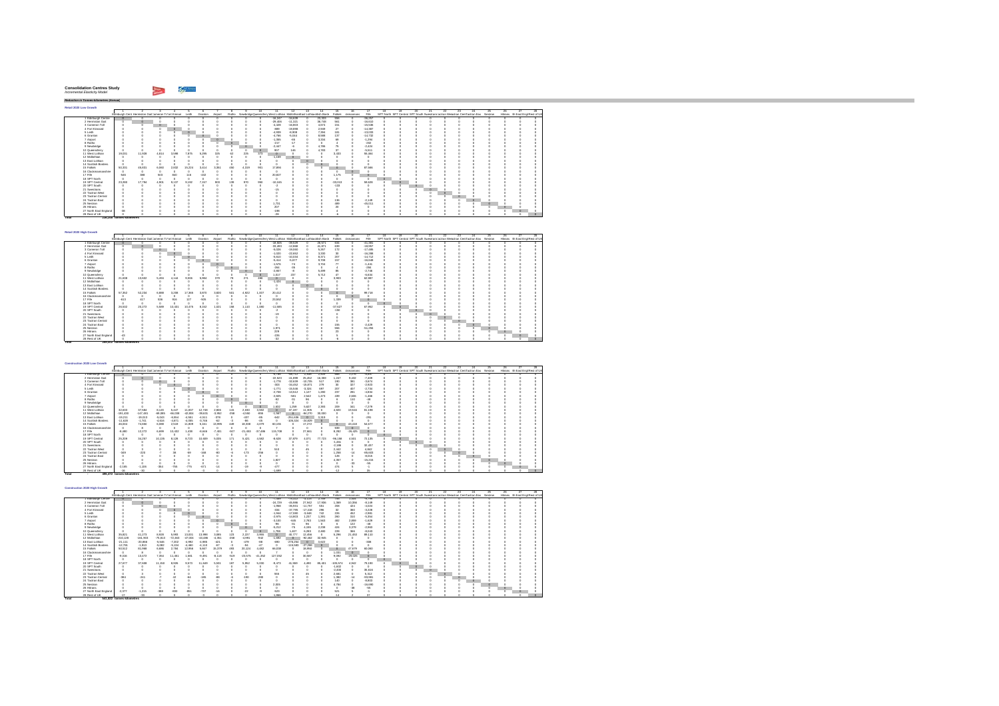#### **Consolidation Centres Study** *Incremental Elasticity Model*

 $\sim$   $\omega$ 

**Retail 2020 Low Growth** $\Gamma$  $\begin{array}{l} \mbox{F1} & \mbox{F1} & \mbox{F1} & \mbox{F1} & \mbox{F1} \\ \mbox{F2} & \mbox{F2} & \mbox{F2} & \mbox{F2} \\ \mbox{F3} & \mbox{F3} & \mbox{F4} & \mbox{F5} & \mbox{F6} \\ \mbox{F4} & \mbox{F4} & \mbox{F4} & \mbox{F5} & \mbox{F6} & \mbox{F6} \\ \mbox{F5} & \mbox{F4} & \mbox{F4} & \mbox{F4} & \mbox{F4} & \mbox{F4} \\ \mbox{F$ 1 2 3 4 5 6 7 8 9 10 11 12 13 14 15 16 17 18 19 20 21 22 23 24 25 26 27 28Edinburgh Cent Hermiston GaitCameron ToFort Kinnair Leith Granton Airport Ratho NewbridgeQueensferryWest Lothian MidlothianEast Lothiacnottish Borde1 Edinburgh Centre 0 0 0 0 0 0 0000 -16,247 -34,639 0 23,333 556 0 -36,257 0 0 0 0 0 0 0 0 0 0 0 2 Hermiston Gait 0 0 0 0 0 0 0000 -29,406 -11,321 0 36,748 561 0 -16,610 0 0 0 0 0 0 0 0 0 0 0 3 Cameron Toll 0 0 0 0 0 0 0000 -4,428 -16,803 0 4,674 151 0 -15,536 0 0 0 0 0 0 0 0 0 0 0 4 Fort Kinnaird 0 0 0 0 0 0 0000 -889 -19,898 0 2,949 27 0 -14,387 0 0 0 0 0 0 0 0 0 0 0 5 Leith 0 0 0 0 0 0 0000 -4,939 -8,908 0 7,394 181 0 -13,033 0 0 0 0 0 0 0 0 0 0 0 6 Granton 0 0 0 0 0 0 0000 -4,766 -5,044 0 8,588 137 0 -14,732 0 0 0 0 0 0 0 0 0 0 0 7 Airport 0 0 0 0 0 0 0000 -1,355 -65 0 3,334 69 0 -1,294 0 0 0 0 0 0 0 0 0 0 0 8 Ratho 0 0 0 0 0 0 0000 -217 -17 0 0 4 0 -202 0 0 0 0 0 0 0 0 0 0 0 9 Newbridge 0 0 0 0 0 0 0000 -2,447 -6 0 4,786 75 0 -2,424 0 0 0 0 0 0 0 0 0 0 0 10 Queensferry 0 0 0 0 0 0 0 0 0 0 907 146 0 4,783 37 0 -5,511 0 0 0 0 0 0 0 0 0 0 0 11 West Lothian 19,031 11,928 4,814 3,598 7,875 5,295 325 62 225 373 0 0 0 0 3,433 0 55,464 0 0 0 0 0 0 0 0 0 0 012 Midlothian 0 0 0 0 0 0 0000 -1,159 0 0 0 0 0 0 0 0 0 0 0 0 0 0 0 0 0 13 East Lothian 0 0 0 0 0 0 0000 0 000 0 0 0 0 0 00000 0 0 0 0 14 Scottish Borders 0 0 0 0 0 0 0000 0 000 0 0 0 0 0 00000 0 0 0 0 15 Falkirk 50,331 45,831 6,060 2,832 15,224 3,414 3,351 450 4,319 901 17,894 0 0 0 0 0 87,566 0 0 0 0 0 0 0 0 0 0 016 Clackmannanshire 0 0 0 0 0 0 0000 0 000 0 0 0 0 0 00000 0 0 0 0 17 Fife -546 388 503 840 116 -432 0000 20,827 0 0 0 1,175 0 0 0 0 0 0 0 0 0 0 0 0 0 18 SPT North 0 0 0 0 0 0 0000 0 000 0 0 0 0 0 00000 0 0 0 0 19 SPT Central 23,280 17,794 4,901 9,137 9,192 7,157 903 139 970 950 -10,165 0 0 0 -33,013 0 59,628 0 0 0 0 0 0 0 0 0 0 020 SPT South 0 0 0 0 0 0 0 0 0 0 -2 0 0 0 -133 0 0 0 0 0 0 0 0 0 0 0 0 0 21 Swestrans 0 0 0 0 0 0 0 0 0 0 -15 0 0 0 0 0 0 0 0 0 0 0 0 0 0 0 0 0 22 Tactran West 0 0 0 0 0 0 0000 0 000 0 0 0 0 0 00000 0 0 0 0 23 Tactran Central 0 0 0 0 0 0 0000 0 000 0 0 0 0 0 00000 0 0 0 0 24 Tactran East 0 0 0 0 0 0 0 0 0 0 0 0 0 0 136 0 -2,149 0 0 0 0 0 0 0 0 0 0 0 25 Nestran 0 0 0 0 0 0 0000 1,731 0 0 0 489 0 -45,011 0 0 0 0 0 0 0 0 0 0 0 26 Hitrans 0 0 0 0 0 0 0 0 0 0 207 0 0 0 20 0 0 0 0 0 0 0 0 0 0 0 0 0 27 North East England -38 0 0 0 0 0 0000 -198 0 0 0 4 0 0 0 0 0 0 0 0 0 0 0 0 0 28 Rest of UK 0 0 0 0 0 0 0 0 0 0 -28 0 0 0 -6 0 0 0 0 0 0 0 0 0 0 0 0 0 **Total 236,248 tonnes-kilometres**

| Retail 2020 High Growth |                                                      |          |       |         |        |                 |         |     |       |       |                                                                          |           |    |        |              |           |           |                                                                                   |  |  |          |    |                                  |  |
|-------------------------|------------------------------------------------------|----------|-------|---------|--------|-----------------|---------|-----|-------|-------|--------------------------------------------------------------------------|-----------|----|--------|--------------|-----------|-----------|-----------------------------------------------------------------------------------|--|--|----------|----|----------------------------------|--|
|                         |                                                      |          |       |         |        |                 |         |     |       |       | 11                                                                       | -12       | 13 |        | 16           |           |           |                                                                                   |  |  |          | つら |                                  |  |
|                         | Edinburgh Cent Hermiston Gait Jameron To ort Kinnair |          |       |         | Leith  | Granton Airport |         |     |       |       | Ratho NewbridgeQueensferr West Lothian Midlothian East Lothianotish Bord |           |    |        | Falkirk      | ckmannans | File      | SPT North SPT Central SPT South Swestrans actran Weactran Centractran Eas Nestran |  |  |          |    | Hitrans rth East Engl Rest of UK |  |
| 1 Edinburgh Centre      |                                                      |          |       |         |        |                 |         |     |       |       | $-18,505$                                                                | $-39.529$ |    | 26,571 | 634          |           | $-41,381$ |                                                                                   |  |  |          |    |                                  |  |
| 2 Hermiston Gait        |                                                      |          |       |         |        |                 |         |     |       |       | $-33.493$                                                                | $-12.868$ |    | 41.871 | 639          |           | $-18.957$ |                                                                                   |  |  |          |    |                                  |  |
| 3 Cameron Toll          |                                                      |          |       |         |        |                 |         |     |       |       | $-5.026$                                                                 | $-19.060$ |    | 5,267  | 172          |           | $-17.485$ |                                                                                   |  |  |          |    |                                  |  |
| 4 Fort Kinnaird         |                                                      |          |       | $\circ$ |        |                 |         |     |       |       | $-1.020$                                                                 | $-22.852$ |    | 3.330  | 30           |           | $-16.288$ |                                                                                   |  |  |          |    |                                  |  |
| 5 Leith                 |                                                      |          |       |         |        |                 |         |     |       |       | $-5.610$                                                                 | $-10.034$ |    | 8.371  | 207          |           | $-14.712$ |                                                                                   |  |  |          |    |                                  |  |
| 6 Granton               |                                                      |          |       |         |        |                 |         |     |       |       | $-5.414$                                                                 | $-5.677$  |    | 9.708  | 157          |           | $-16.648$ |                                                                                   |  |  |          |    |                                  |  |
| 7 Airport               |                                                      |          |       |         |        |                 | $\circ$ |     |       |       | $-1.576$                                                                 | .74       |    | 3.704  |              |           | $-1.441$  |                                                                                   |  |  |          |    |                                  |  |
| 8 Ratho                 |                                                      |          |       |         |        |                 |         |     |       |       | $-284$                                                                   | $-36$     |    |        |              |           | $-284$    |                                                                                   |  |  |          |    |                                  |  |
| 9 Newbridge             |                                                      |          |       |         |        |                 |         |     | к     |       | $-2.807$                                                                 | -8        |    | 5.499  | 86           |           | $-2.746$  |                                                                                   |  |  |          |    |                                  |  |
| 10 Queensferry          |                                                      |          |       |         |        |                 |         |     | ×     |       | 1.017                                                                    | 237       |    | 5.712  | 47           |           | $-6.634$  |                                                                                   |  |  |          |    |                                  |  |
| 11 West Lothian         | 21,638                                               | 13,602   | 5.494 | 4.144   | 9.006  | 5.984           | 379     |     | 271   | 466   | $\circ$                                                                  |           |    |        | 3.903        |           | 62.987    |                                                                                   |  |  |          |    |                                  |  |
| 12 Midlothian           |                                                      |          |       |         |        |                 |         |     |       |       | $-1.424$                                                                 |           |    |        |              |           |           |                                                                                   |  |  |          |    |                                  |  |
| 13 East Lothian         |                                                      |          |       |         |        |                 |         |     |       |       |                                                                          |           |    |        |              |           |           |                                                                                   |  |  |          |    |                                  |  |
| 14 Scottish Borders     |                                                      |          |       |         |        |                 |         |     |       |       |                                                                          |           |    |        |              |           |           |                                                                                   |  |  |          |    |                                  |  |
| 15 Falkirk              | 57.352                                               | 52,234   | 6,888 | 3.208   | 17.365 | 3.870           | 3.820   | 501 | 4.922 | 1.007 | 20.412                                                                   |           |    |        |              |           | 99.718    |                                                                                   |  |  |          |    |                                  |  |
| 16 Clackmannanshire     |                                                      |          |       |         |        |                 |         |     |       |       |                                                                          |           |    |        |              |           |           |                                                                                   |  |  |          |    |                                  |  |
| 17 Fife                 | $-613$                                               | 417      | 536   | 916     | 127    | -505            |         |     |       |       | 23.552                                                                   |           |    |        | 1,339        |           | $\circ$   |                                                                                   |  |  |          |    |                                  |  |
| 18 SPT North            |                                                      | $\alpha$ |       |         |        |                 |         |     |       |       | $\alpha$                                                                 |           |    |        |              |           | x         |                                                                                   |  |  |          |    |                                  |  |
| 19 SPT Central          | 26.532                                               | 20,272   | 5,589 | 10.431  | 10.475 | 8.152           | 1.02    | 158 | 1.110 | 1.080 | $-11.585$                                                                |           |    |        | $-37.627$    |           | 67,952    |                                                                                   |  |  |          |    |                                  |  |
| 20 SPT South            |                                                      |          |       |         |        |                 |         |     |       |       | $\mathcal{L}$                                                            |           |    |        | $-150$       |           |           |                                                                                   |  |  |          |    |                                  |  |
| 21 Swestnans            |                                                      |          |       |         |        |                 |         |     |       |       | $-19$                                                                    |           |    |        |              |           |           |                                                                                   |  |  |          |    |                                  |  |
| 22 Tactran West         |                                                      |          |       |         |        |                 |         |     |       |       |                                                                          |           |    |        |              |           |           |                                                                                   |  |  |          |    |                                  |  |
| 23 Tactran Central      |                                                      |          |       |         |        |                 |         |     |       |       |                                                                          |           |    |        |              |           |           |                                                                                   |  |  |          |    |                                  |  |
| 24 Tactran East         |                                                      |          |       |         |        |                 |         |     |       |       |                                                                          |           |    |        | 155          |           | $-2.429$  |                                                                                   |  |  | $\Omega$ |    |                                  |  |
| 25 Nestran              |                                                      |          |       |         |        |                 |         |     |       |       | 1.971                                                                    |           |    |        | 558          |           | $-51.294$ |                                                                                   |  |  | n        |    |                                  |  |
| 26 Hittans              |                                                      |          |       |         |        |                 |         |     |       |       | 229                                                                      |           |    |        | $\mathbf{z}$ |           |           |                                                                                   |  |  |          |    |                                  |  |
| 27 North East England   |                                                      |          |       |         |        |                 |         |     |       |       | $-226$                                                                   |           |    |        |              |           |           |                                                                                   |  |  |          |    |                                  |  |
| 28 Rest of UK           |                                                      |          |       |         |        |                 |         |     |       |       | $\infty$                                                                 |           |    |        |              |           |           |                                                                                   |  |  |          |    |                                  |  |

| Construction 2020 Low Growth |                                                      |            |          |           |           |           |          |        |           |           |                                                                    |            |           |          |           |           |           |                                                                                   |  |  |  |                                  |  |
|------------------------------|------------------------------------------------------|------------|----------|-----------|-----------|-----------|----------|--------|-----------|-----------|--------------------------------------------------------------------|------------|-----------|----------|-----------|-----------|-----------|-----------------------------------------------------------------------------------|--|--|--|----------------------------------|--|
|                              |                                                      |            |          |           |           |           |          |        |           |           |                                                                    |            |           |          | 15        |           |           |                                                                                   |  |  |  |                                  |  |
|                              | Edinburgh Cent Hermiston Gait Jameron Tofort Kinnair |            |          |           | Leith     | Granton   | Airport  | Ratho  |           |           | NewbridgeDueensferr West Lothian Midlothian East Lothianotish Bord |            |           |          | Falkirk   | ckmannans | File      | SPT North SPT Central SPT South Swestnans actran Wesctran CentFactran Eas Nestran |  |  |  | Hitrans rth East Engl Rest of UK |  |
| 1 Edinburgh Centre           |                                                      |            |          |           |           |           |          |        |           |           | $-6.786$                                                           | $-68.712$  | $-2.838$  | 2509     | 688       | 1.276     | $-8.897$  |                                                                                   |  |  |  |                                  |  |
| 2 Hormiston Gair             |                                                      |            |          |           |           |           |          |        |           |           | $-22.523$                                                          | $-41.899$  | 25.452    | 16,359   | 1.247     | 9.432     | $-7.409$  |                                                                                   |  |  |  |                                  |  |
| 3 Cameron Toll               |                                                      |            | $\circ$  |           |           |           |          |        |           |           | $-1.778$                                                           | $-32.639$  | $-10.705$ | 517      | 190       | 381       | $-3.674$  |                                                                                   |  |  |  |                                  |  |
| 4 Fort Kinnaird              |                                                      |            |          |           |           |           |          |        |           |           | $-303$                                                             | $-34.452$  | $-15.871$ | 279      | 30        | 327       | $-2.923$  |                                                                                   |  |  |  |                                  |  |
| 5 Loith                      |                                                      |            |          |           |           |           |          |        |           |           | $-1.77$                                                            | $-15.546$  | $-3.324$  | 697      | 207       | 407       | $-2.734$  |                                                                                   |  |  |  |                                  |  |
| 6 Granton                    |                                                      |            |          |           |           |           |          |        |           |           | $-2.706$                                                           | $-13.512$  | 1.127     | 1.280    | 237       | 281       | $-4.834$  |                                                                                   |  |  |  |                                  |  |
| 7 Airport                    |                                                      |            |          |           |           |           |          |        |           |           | $-2.825$                                                           | $-581$     | 2.542     | 1.473    | 439       | 2.606     | $-1.466$  |                                                                                   |  |  |  |                                  |  |
| 8 Rathe                      |                                                      |            |          |           |           |           |          |        |           |           | $-92$                                                              | $-31$      | 96        |          |           | 110       | $-48$     |                                                                                   |  |  |  |                                  |  |
| 9 Newbridge                  |                                                      |            |          |           |           |           |          |        | $\circ$   |           |                                                                    |            |           |          |           |           |           |                                                                                   |  |  |  |                                  |  |
| 10 Queensferry               |                                                      |            |          |           |           |           |          |        | n         | $\circ$   | 1.632                                                              | 1.259      | 5.627     | 2.393    | 209       | 341       | $-7.279$  |                                                                                   |  |  |  |                                  |  |
| 11 West Lothian              | 32,633                                               | 37.584     | 8.120    | 5.447     | 11.837    | 12.748    | 2.806    | 115    | 2.030     | 3.592     |                                                                    | 37.197     | 11.305    |          | 4.820     | 19,516    | 81,198    |                                                                                   |  |  |  |                                  |  |
| 12 Midlothian                | $-191.430$                                           | $-147.481$ | -69.085  | $-66.038$ | $-42.804$ | $-39.631$ | $-3.962$ | $-258$ | $-4.550$  | -855      | $-1.567$                                                           | $\circ$    | $-84.270$ | 30,000   |           |           |           |                                                                                   |  |  |  |                                  |  |
| 13 East Lothian              | $-19.211$                                            | $-19.013$  | $-5.043$ | -6.554    | $-4.551$  | $-4.511$  | $-378$   |        | $-437$    | $-85$     | $-642$                                                             | $-251.636$ | $\circ$   | 3.319    |           |           | $-291$    |                                                                                   |  |  |  |                                  |  |
| 14 Scottish Borders          | $-11.628$                                            | $-1.741$   | $-4.616$ | $-4.671$  | $-4.055$  | $-3.746$  | $-62$    |        | $-86$     | $-45$     |                                                                    | $-105.324$ | $-24.829$ | $\Omega$ |           |           |           |                                                                                   |  |  |  |                                  |  |
| 15 Falkirk                   | 46.004                                               | 74,650     | 6,088    | 2.519     | 11,809    | 5.161     | 13,995   | 449    | 18.338    | 4.079     | 60.155                                                             |            | 17.272    |          |           | 43,418    | 54.677    |                                                                                   |  |  |  |                                  |  |
| 16 Clarkmonnanshire          |                                                      |            | $\theta$ |           |           |           |          |        | $\theta$  |           |                                                                    |            |           |          | 939       | $\theta$  |           |                                                                                   |  |  |  |                                  |  |
| 17 Fife                      | $-8.480$                                             | 12.272     | 6,699    | 10.432    | 1.438     | $-8.646$  | $-7.40$  | -507   | $-21.453$ | $-37.486$ | 115,708                                                            |            | 27.661    |          | 8.282     | $-26.425$ | n         |                                                                                   |  |  |  |                                  |  |
| 18 SPT North                 |                                                      |            | $\theta$ |           |           |           |          |        |           |           |                                                                    |            |           |          |           |           |           |                                                                                   |  |  |  |                                  |  |
| 19 SPT Central               | 25,209                                               | 34.257     | 10.135   | 8.128     | 8.723     | 10,609    | 5.035    | 171    | 5.421     | 4.582     | $-8.626$                                                           | 37.879     | 4.071     | 77.723   | $-96.158$ | 4.501     | 72.135    |                                                                                   |  |  |  |                                  |  |
| 20 SPT South                 |                                                      |            |          |           |           |           |          |        |           |           |                                                                    |            |           |          | $-1.461$  |           |           |                                                                                   |  |  |  |                                  |  |
| 21 Swestnans                 |                                                      |            |          |           |           |           |          |        |           |           |                                                                    |            |           |          | $-2.186$  |           | 32.437    |                                                                                   |  |  |  |                                  |  |
| 22 Tartran West              |                                                      |            |          |           |           |           |          |        |           |           | 510                                                                |            |           |          | 2.442     |           | 4.842     |                                                                                   |  |  |  |                                  |  |
| 23 Tactran Central           | $-349$                                               | $-220$     |          | 38        | -59       | $-168$    | SO)      |        | $-173$    | -256      |                                                                    |            |           |          | 1,258     | $-14$     | $-85.603$ |                                                                                   |  |  |  |                                  |  |
| 24 Tactran East              |                                                      |            |          |           |           |           |          |        |           |           |                                                                    |            |           |          | 128       |           | $-8.015$  |                                                                                   |  |  |  |                                  |  |
| 25 Nostron                   |                                                      |            |          |           |           |           |          |        |           |           | 1.827                                                              |            |           |          | 4.357     |           | $-15.215$ |                                                                                   |  |  |  |                                  |  |
| 26 Hittans                   |                                                      |            |          |           |           |           |          |        |           |           |                                                                    |            |           |          |           | $\alpha$  | -55       |                                                                                   |  |  |  |                                  |  |
| 27 North East England        | $-2.166$                                             | $-1.106$   | $-354$   | $-755$    | $-775$    | $-671$    | $-14$    |        |           |           | -477                                                               |            |           |          | 474       |           |           |                                                                                   |  |  |  |                                  |  |
| 28 Rest of UK                | 36                                                   | $-30$      |          |           |           |           |          |        |           |           | $-1.696$                                                           |            |           |          | $-12$     |           | 35        |                                                                                   |  |  |  |                                  |  |
| Total                        | 495.472 tonnes-kilometres                            |            |          |           |           |           |          |        |           |           |                                                                    |            |           |          |           |           |           |                                                                                   |  |  |  |                                  |  |

| <b>Construction 2020 High Growth</b> |                                                      |            |           |           |           |           |          |          |           |           |                                                                    |              |           |          |            |           |           |    |                                                                          |    |   |    |    |    |         |    |                                  |  |
|--------------------------------------|------------------------------------------------------|------------|-----------|-----------|-----------|-----------|----------|----------|-----------|-----------|--------------------------------------------------------------------|--------------|-----------|----------|------------|-----------|-----------|----|--------------------------------------------------------------------------|----|---|----|----|----|---------|----|----------------------------------|--|
|                                      |                                                      |            |           |           |           |           |          |          |           | 10        | Ŧ                                                                  | $12^{\circ}$ | -13       | 14       | 15         | 18        | 17        | 18 | 19.                                                                      | 20 | ∾ | 22 | 28 | 24 | つら      | 28 |                                  |  |
|                                      | Edinburgh Cent Hermiston Gait Jameron Tofort Kinnair |            |           |           | Leith     | Granton   | Airport  | Ratho    |           |           | NewbridgeDueensferr West Lothian Midlothian East Lothianotish Bord |              |           |          | Falkirk    | ckmannans | File      |    | SPT North SPT Central SPT South Swestrans actran Weschan Centractran Eas |    |   |    |    |    | Nestran |    | Hitrans rth East Engl Rest of UP |  |
| 1 Edinburch Centre                   |                                                      | n          |           |           |           |           |          |          |           |           | $-7.459$                                                           | $-75.322$    | $-3.115$  | 2.769    | 755        | 1.404     | $-2.799$  |    | n                                                                        |    |   |    |    |    | o       |    |                                  |  |
| 2 Hermiston Gait                     |                                                      | o          |           |           |           |           |          |          |           |           | $-24.729$                                                          | $-45.986$    | 27.942    | 17,936   | 1,369      | 10.356    | $-8.149$  |    |                                                                          |    |   |    |    |    |         |    |                                  |  |
| 3 Cameron Toll                       |                                                      |            |           |           |           |           |          |          |           |           | $-1.958$                                                           | A6.991       | $-11.757$ | 551      | 208        | 424       | $-4.024$  |    |                                                                          |    |   |    |    |    |         |    |                                  |  |
| 4 Fort Kinnains                      |                                                      |            |           |           |           |           |          |          |           |           | -334                                                               | -37.795      | $-17.418$ | 208      | $^{32}$    | 360       | $-3.228$  |    |                                                                          |    |   |    |    |    |         |    |                                  |  |
| 5 Leith                              |                                                      |            |           |           | $\Omega$  |           |          |          |           |           | $-1.944$                                                           | $-17.080$    | $-9.648$  | 742      | 226        | 452       | $-2.981$  |    |                                                                          |    |   |    |    |    |         |    |                                  |  |
| 6 Granton                            |                                                      |            |           |           |           |           |          |          |           |           | $-2.975$                                                           | $-14.803$    | 1,237     | 1.391    | 260        | 310       | $-5.354$  |    |                                                                          |    |   |    |    |    |         |    |                                  |  |
| 7 Airport                            |                                                      |            |           |           |           |           |          |          |           |           | $-3.100$                                                           | $-646$       | 2.783     | 1.563    | 482        | 2.859     | $-1.629$  |    |                                                                          |    |   |    |    |    |         |    |                                  |  |
| 8 Ratho                              |                                                      |            |           |           |           |           |          |          |           |           | $-96$                                                              | $-31$        | 96        |          |            | 122       | $-48$     |    |                                                                          |    |   |    |    |    |         |    |                                  |  |
| 9 Newbridge                          |                                                      |            |           |           |           |           |          |          |           |           | $-5.212$                                                           | $-75$        | 4.155     | 2.238    | 424        | 3.379     | $-2.963$  |    |                                                                          |    |   |    |    |    |         |    |                                  |  |
| 10 Queensferry                       |                                                      |            |           |           |           |           |          |          |           |           | 1.798                                                              | 407          | 6,283     | 2.480    | 228        | 366       | $-8.043$  |    |                                                                          |    |   |    |    |    |         |    |                                  |  |
| 11 West Lothian                      | 35.821                                               | 41.273     | 8.928     | 5.993     | 13.001    | 13,998    | 3.085    | 123      | 2.227     | 3.955     | $\Omega$                                                           | 40.777       | 12,456    | $\theta$ | 5.296      | 21,453    | 89.110    |    |                                                                          |    |   |    |    |    |         |    |                                  |  |
| 12 Midlothian                        | $-210.128$                                           | $-161.903$ | $-75.813$ | $-72.463$ | $-47.004$ | $-43.486$ | $-4.361$ | $-258$   | $-4.991$  | $-942$    | $-1.092$                                                           | $\circ$      | $-92.482$ | 32,945   |            |           |           |    |                                                                          |    |   |    |    |    |         |    |                                  |  |
| 13 East Lothian                      | $-21.111$                                            | $-20.866$  | $-5.546$  | $-7.202$  | $-4.992$  | $-4.985$  | $-421$   | $\Omega$ | $-479$    | $-88$     | $-690$                                                             | -276.254     | $\circ$   | 3.622    |            |           | 308       |    |                                                                          |    |   |    |    |    |         |    |                                  |  |
| 14 Scottish Borders                  | $-12.781$                                            | $-1.913$   | $-5.082$  | $-6.134$  | $-4.460$  | $-4,110$  | $-67$    | A        | $-94$     | 47        |                                                                    | $-115.583$   | $-27.266$ | $\circ$  |            |           |           |    |                                                                          |    |   |    |    |    |         |    |                                  |  |
| 15 Falkirk                           | 50.512                                               | 81,968     | 6,686     | 2.784     | 12.956    | 5.667     | 15.379   | 493      | 20.124    | 4.482     | 66,038                                                             |              | 18,950    |          | $\theta$   | 47,679    | 60,060    |    |                                                                          |    |   |    |    |    |         |    |                                  |  |
| 16 Clarkmonnanshire                  | $\Omega$                                             | ×          |           |           |           |           |          |          |           |           |                                                                    |              |           |          | 1.031      | $\Omega$  |           |    |                                                                          |    |   |    |    |    |         |    |                                  |  |
| 17 Fife                              | $-9.316$                                             | 13,472     | 7.354     | 11.451    | 581       | 0.49      | $-8.118$ | $-519$   | $-23.575$ | $-41.362$ | 127.052                                                            |              | 30.587    |          | 9.092      | $-29.026$ |           |    |                                                                          |    |   |    |    |    |         |    |                                  |  |
| 18 SPT North                         | $\Omega$                                             | $\alpha$   |           |           |           |           |          |          |           |           |                                                                    |              |           |          |            |           |           |    |                                                                          |    |   |    |    |    |         |    |                                  |  |
| 19 SPT Central                       | 27,677                                               | 37,608     | 11.150    | 8.926     | 9.573     | 11.649    | 5.531    | 187      | 5.952     | 5.030     | $-9.473$                                                           | 41,559       | 4,490     | 85.40    | $-106.574$ | 4942      | 79.190    |    | и                                                                        |    |   |    |    |    |         |    |                                  |  |
| 20 SPT South                         |                                                      | ó          |           |           |           |           |          |          |           |           |                                                                    |              |           |          | $-1.602$   |           | $\theta$  |    |                                                                          |    |   |    |    |    |         |    |                                  |  |
| 21 Reastrong                         |                                                      |            |           |           |           |           |          |          |           |           |                                                                    |              |           |          | $-2.400$   |           | 35,616    |    |                                                                          |    |   |    |    |    |         |    |                                  |  |
| 22 Tartran West                      |                                                      |            |           |           |           |           |          |          |           |           | 555                                                                |              | v         |          | 2.681      |           | 5.312     |    |                                                                          |    |   |    |    |    |         |    |                                  |  |
| 23 Tartran Central                   | $-384$                                               | $-241$     |           | 42        | -64       | $-185$    | -88      |          | $-190$    | $-280$    |                                                                    |              |           |          | 1.382      | .14       | $-93.98$  |    |                                                                          |    |   |    | ٥  |    |         |    |                                  |  |
| 24 Tartran Fast                      |                                                      |            |           |           |           |           |          |          |           |           |                                                                    |              |           |          | 140        |           | $-8.803$  |    |                                                                          |    |   |    |    |    |         |    |                                  |  |
| 25 Nostran                           |                                                      |            |           |           |           |           |          |          |           |           | 2.005                                                              |              |           |          | 4.784      |           | $-16.690$ |    |                                                                          |    |   |    |    |    | ×       |    |                                  |  |
| 26 Hittges                           |                                                      | ó          |           |           |           |           |          |          |           |           |                                                                    |              |           |          |            | $\alpha$  | $-55$     |    |                                                                          |    |   |    |    |    |         |    |                                  |  |
| 27 North East England                | $-2.377$                                             | $-1.215$   | $-388$    | -830      | $-861$    | $-737$    | $-16$    |          | $-22$     |           | -523                                                               |              |           |          | 52         |           | -1        |    |                                                                          |    |   |    |    |    |         |    |                                  |  |
| 28 Rest of UK                        | .17                                                  | $-33$      |           |           |           | A         |          |          |           |           | $-1.866$                                                           |              |           |          | $-14$      |           | 37        |    |                                                                          |    |   |    |    |    |         |    |                                  |  |
| Total                                | 541.822 tonnes-kilometres                            |            |           |           |           |           |          |          |           |           |                                                                    |              |           |          |            |           |           |    |                                                                          |    |   |    |    |    |         |    |                                  |  |

*Reduction in Tonnes-kilometres (Annual)*

**Total 269,002 tonnes-kilometres**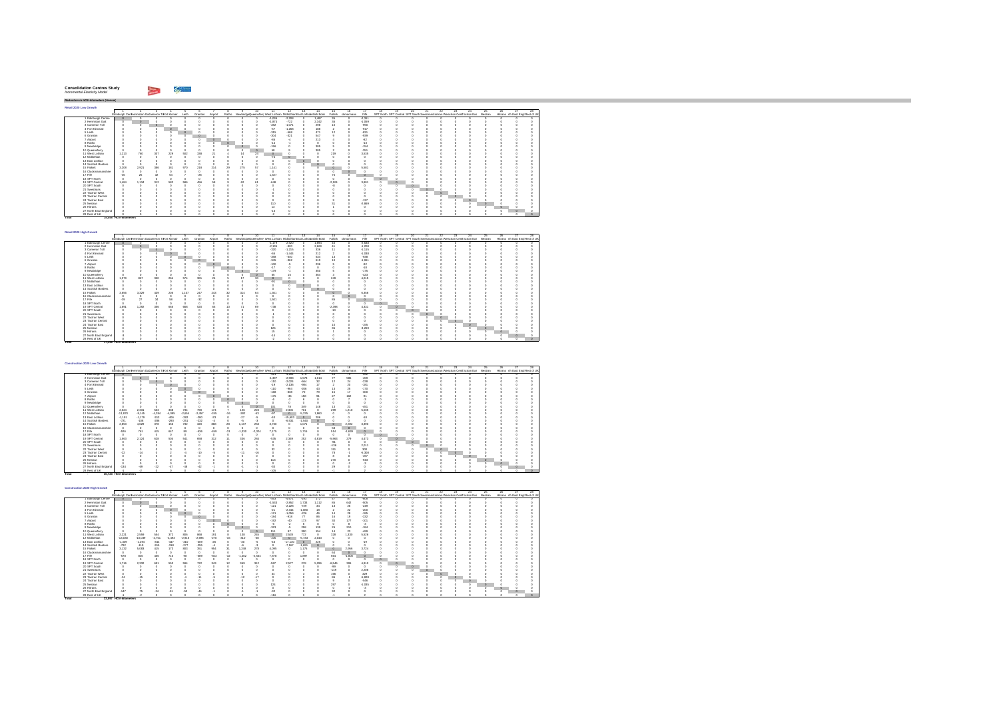#### $\sim$   $\sim$ **Consolidation Centres Study** *Incremental Elasticity Model*

*Reduction in HGV-kilometers (Annual)*

**Total 17,146 HGV-kilometers** 

**Retail 2020 Low Growth** $\Gamma$ 1 2 3 4 5 6 7 8 9 10 11 12 13 14 15 16 17 18 19 20 21 22 23 24 25 26 27 28Edinburgh CentHermiston GaCi ameron ToFort Kinnair Leith Granton Airport Ratho NewbridgeQueensferryWest Lothian MidlothianEast Lothiacnottish Borde Falkirk ckmannans Fife SPT North SPT Central SPT South SwestransTactran Wesactran CentTactran Eas Nestran Hitrans rth East Engl Rest of UK1 Edinburgh Centre 0 0 0 0 0 0 0 0 0 0 -1,036 -2,208 0 1,487 35 0 -2,311 0 0 0 0 0 0 0 0 0 0 02 Hermiston Gait 0 0 0 0 0 0 0 0 0 0 -1,874 -722 0 2,342 36 0 -1,059 0 0 0 0 0 0 0 0 0 0 03 Cameron Toll 0 0 0 0 0 0 0 0 0 0 -282 -1,071 0 298 10 0 -990 0 0 0 0 0 0 0 0 0 0 0 4 Fort Kinnaird 0 0 0 0 0 0 0 0 0 0 -57 -1,268 0 188 2 0 -917 0 0 0 0 0 0 0 0 0 0 05 Leith 0 0 0 0 0 0 0 0 0 0 -315 -568 0 471 12 0 -831 0 0 0 0 0 0 0 0 0 0 0 6 Granton 0 0 0 0 0 0 0 0 0 0 -304 -321 0 547 9 0 -939 0 0 0 0 0 0 0 0 0 0 0 7 Airport 0 0 0 0 0 0 0 0 0 0 -86 -4 0 213 4 0 -82 0 0 0 0 0 0 0 0 0 0 08 Ratho 0 0 0 0 0 0 0 0 0 0 -14 -1 0 0 0 0 -13 0 0 0 0 0 0 0 0 0 0 09 Newbridge 0 0 0 0 0 0 0 0 0 0 -156 0 0 305 5 0 -154 0 0 0 0 0 0 0 0 0 0 0 10 Queensferry 0 0 0 0 0 0 0 0 0 0 58 9 0 305 2 0 -351 0 0 0 0 0 0 0 0 0 0 011 West Lothian 1,213 760 307 229 502 338 21 4 14 24 0 0 0 0 219 0 3,535 0 0 0 0 0 0 0 0 0 0 012 Midlothian 0 0 0 0 0 0 0 0 0 0 -74 0 0 0 0 0 0 0 0 0 0 0 0 0 0 0 0 013 East Lothian 0 0 0 0 0 0 0 0 0 0 0 0 0 0 0 0 0 0 0 0 0 0 0 0 0 0 0 014 Scottish Borders 0 0 0 0 0 0 0 0 0 0 0 0 0 0 0 0 0 0 0 0 0 0 0 0 0 0 0 015 Falkirk 3,208 2,921 386 181 970 218 214 29 275 57 1,141 0 0 0 0 0 5,581 0 0 0 0 0 0 0 0 0 0 016 Clackmannanshire 0 0 0 0 0 0 0 0 0 0 0 0 0 0 0 0 0 0 0 0 0 0 0 0 0 0 0 017 Fife -35 25 32 54 7 -28 0 0 0 0 1,327 0 0 0 75 0 0 0 0 0 0 0 0 0 0 0 0 018 SPT North 0 0 0 0 0 0 0 0 0 0 0 0 0 0 0 0 0 0 0 0 0 0 0 0 0 0 0 019 SPT Central 1,484 1,134 312 582 586 456 58 9 62 61 -648 0 0 0 -2,104 0 3,801 0 0 0 0 0 0 0 0 0 0 020 SPT South 0 0 0 0 0 0 0 0 0 0 0 0 0 0 -8 0 0 0 0 0 0 0 0 0 0 0 0 021 Swestrans 0 0 0 0 0 0 0 0 0 0 -1 0 0 0 0 0 0 0 0 0 0 0 0 0 0 0 0 022 Tactran West 0 0 0 0 0 0 0 0 0 0 0 0 0 0 0 0 0 0 0 0 0 0 0 0 0 0 0 023 Tactran Central 0 0 0 0 0 0 0 0 0 0 0 0 0 0 0 0 0 0 0 0 0 0 0 0 0 0 0 024 Tactran East 0 0 0 0 0 0 0 0 0 0 0 0 0 0 9 0 -137 0 0 0 0 0 0 0 0 0 0 025 Nestran 0 0 0 0 0 0 0 0 0 0 110 0 0 0 31 0 -2,869 0 0 0 0 0 0 0 0 0 0 026 Hitrans 0 0 0 0 0 0 0 0 0 0 13 0 0 0 1 0 0 0 0 0 0 0 0 0 0 0 0 027 North East England -2 0 0 0 0 0 0 0 0 0 -13 0 0 0 0 0 0 0 0 0 0 0 0 0 0 0 0 028 Rest of UK 0 0 0 0 0 0 0 0 0 0 -2 0 0 0 0 0 0 0 0 0 0 0 0 0 0 0 0 0**Total 15,058 HGV-kilometers** 

| Retail 2020 High Growth |                                                         |                           |         |     |       |       |     |          |     |    |                                                                                                           |          |         |       |              |          |    |                                                                                  |          |         |   |    |                                  |  |
|-------------------------|---------------------------------------------------------|---------------------------|---------|-----|-------|-------|-----|----------|-----|----|-----------------------------------------------------------------------------------------------------------|----------|---------|-------|--------------|----------|----|----------------------------------------------------------------------------------|----------|---------|---|----|----------------------------------|--|
|                         |                                                         |                           |         |     |       |       |     |          |     |    |                                                                                                           | 12       | 13      |       | 15           |          | 18 |                                                                                  |          |         |   | 25 |                                  |  |
|                         | Edinburgh Centriermiston Gačameron To-ort Kinnair Leith |                           |         |     |       |       |     |          |     |    | Granton Airport Ratho NewbridgeQueensferr West Lothian MidlothianEast Lothianotish Bord Falkirk demannans |          |         |       |              | File     |    | SPT North SPT Central SPT South Swestrans actran Weschan CentTactran Eas Nestran |          |         |   |    | Hittans rth East Engl Rest of UR |  |
| 1 Edinburch Centre      |                                                         |                           |         |     |       |       |     |          |     |    | $-1.172$                                                                                                  | $-2.520$ |         | 1,694 | 40           | $-2.638$ |    |                                                                                  |          |         |   |    |                                  |  |
| 2 Hermiston Gait        |                                                         |                           |         |     |       |       |     |          |     |    | $-2.135$                                                                                                  | $-820$   |         | 2,669 | $\mathbf{A}$ | $-1.208$ |    |                                                                                  |          |         |   |    |                                  |  |
| 3 Cameron Toll          |                                                         |                           | $\circ$ |     |       |       |     |          |     |    | $-320$                                                                                                    | $-1.215$ |         | 336   | 11           | $-1.115$ |    |                                                                                  |          |         |   |    |                                  |  |
| 4 Fort Kinnaird         |                                                         |                           | ĸ       |     |       |       |     |          |     |    | -65                                                                                                       | $-1.444$ |         | 212   |              | $-1.038$ |    |                                                                                  |          |         |   |    |                                  |  |
| 5 Leith                 |                                                         |                           |         |     | c     |       |     |          |     |    | $-358$                                                                                                    | -640     |         | 534   | 13           | $-938$   |    |                                                                                  |          |         |   |    |                                  |  |
| 6 Granton               |                                                         |                           |         |     | ×     |       |     |          |     |    | $-345$                                                                                                    | $-362$   |         | 619   | 10           | $-1.061$ |    |                                                                                  |          |         |   |    |                                  |  |
| 7 Airport               |                                                         |                           |         |     |       |       |     |          |     |    | $-100$                                                                                                    |          |         | 236   |              | $-92$    |    |                                                                                  |          |         |   |    |                                  |  |
| 8 Ratho                 |                                                         |                           |         |     |       |       |     |          |     |    | $-17$                                                                                                     | -2       |         |       |              | $-18$    |    |                                                                                  |          |         |   |    |                                  |  |
| 9 Newbridge             |                                                         |                           |         |     |       |       |     |          |     |    | $-179$                                                                                                    |          |         | 350   |              | $-175$   |    |                                                                                  |          |         |   |    |                                  |  |
| 10 Queensferry          |                                                         |                           |         |     |       |       |     |          |     |    | 65                                                                                                        | 15       |         | 384   |              | $-423$   |    |                                                                                  |          |         |   |    |                                  |  |
| 11 West Lothian         | 1.379                                                   | 867                       | 350     | 264 | 574   | 381   | 24  |          | 17  | 30 |                                                                                                           |          |         |       | 249          | 4.015    |    |                                                                                  |          |         |   |    |                                  |  |
| 12 Midlothian           |                                                         |                           |         |     |       |       |     |          |     |    | $-21$                                                                                                     |          |         |       |              |          |    |                                                                                  |          |         |   |    |                                  |  |
| 13 East Lothian         |                                                         |                           |         |     |       |       |     |          |     |    |                                                                                                           |          | $\circ$ |       |              |          |    |                                                                                  |          |         |   |    |                                  |  |
| 14 Scottish Borders     |                                                         |                           |         |     |       |       |     |          |     |    |                                                                                                           |          |         |       |              |          |    |                                                                                  |          |         |   |    |                                  |  |
| 15 Falkirk              | 3.656                                                   | 3.329                     | 439     | 205 | 1.107 | 247   | 243 | $\infty$ | 314 | 64 | 1.301                                                                                                     |          |         |       |              | 6,356    |    |                                                                                  |          |         |   |    |                                  |  |
| 16 Clackmannanshire     |                                                         |                           |         |     |       |       |     |          |     |    |                                                                                                           |          |         |       |              |          |    |                                                                                  |          |         |   |    |                                  |  |
| 17 Fife                 |                                                         | $\overline{\mathfrak{D}}$ | 34      | 58  |       | $-32$ |     |          |     |    | 1.501                                                                                                     |          |         |       | 85           |          |    |                                                                                  |          |         |   |    |                                  |  |
| 18 SPT North            |                                                         |                           |         |     |       |       |     |          |     |    |                                                                                                           |          |         |       |              |          |    |                                                                                  |          |         |   |    |                                  |  |
| 19 SPT Central          | 1.691                                                   | 1,292                     | 356     | 665 | 668   | 520   | 65  |          | 71  | 69 | $-738$                                                                                                    |          |         |       | $-2.398$     | 4.331    |    |                                                                                  |          |         |   |    |                                  |  |
| 20 SPT South            |                                                         |                           |         |     |       |       |     |          |     |    |                                                                                                           |          |         |       | $-10$        |          |    |                                                                                  | $\Omega$ |         |   |    |                                  |  |
| 21 Swestnans            |                                                         |                           |         |     |       |       |     |          |     |    |                                                                                                           |          |         |       |              |          |    |                                                                                  |          |         |   |    |                                  |  |
| 22 Tactran West         |                                                         |                           |         |     |       |       |     |          |     |    |                                                                                                           |          |         |       |              |          |    |                                                                                  |          | $\circ$ |   |    |                                  |  |
| 23 Tactran Central      |                                                         |                           |         |     |       |       |     |          |     |    |                                                                                                           |          |         |       |              |          |    |                                                                                  |          |         |   |    |                                  |  |
| 24 Tactran East         |                                                         |                           |         |     |       |       |     |          |     |    |                                                                                                           |          |         |       |              | $-156$   |    |                                                                                  |          |         | n |    |                                  |  |
| 25 Nestran              |                                                         |                           |         |     |       |       |     |          |     |    | 126                                                                                                       |          |         |       | 35           | $-3.269$ |    |                                                                                  |          |         |   |    |                                  |  |
| 26 Hitrans              |                                                         |                           |         |     |       |       |     |          |     |    | 15                                                                                                        |          |         |       |              |          |    |                                                                                  |          |         |   |    |                                  |  |
| 27 North East England   |                                                         |                           |         |     |       |       |     |          |     |    | $-14$                                                                                                     |          |         |       |              |          |    |                                                                                  |          |         |   |    |                                  |  |
| 28 Rest of LIK          |                                                         |                           |         |     |       |       |     |          |     |    |                                                                                                           |          |         |       |              |          |    |                                                                                  |          |         |   |    |                                  |  |

| Construction 2020 Low Growth |                                                   |          |          |          |          |          |         |                         |          |          |                                                                    |           |          |                         |          |           |          |                                                                                  |  |    |         |         |         |                                  |
|------------------------------|---------------------------------------------------|----------|----------|----------|----------|----------|---------|-------------------------|----------|----------|--------------------------------------------------------------------|-----------|----------|-------------------------|----------|-----------|----------|----------------------------------------------------------------------------------|--|----|---------|---------|---------|----------------------------------|
|                              |                                                   |          |          |          |          |          |         |                         |          |          |                                                                    | 12        |          |                         | 15       |           |          | 18                                                                               |  | 22 | $23 -$  |         |         |                                  |
|                              | Edinburgh Centriermiston Gacameron Tofort Kinnair |          |          |          | Leith    | Granton  | Airport | Ratho                   |          |          | NewbridgeDueensfern West Lothian MidlothianEast Lothianotish Bord- |           |          |                         | Falkirk  | domannans | Fife     | SPT North SPT Central SPT South Swestnans actran Weschan CentTactran Eas Nestnan |  |    |         |         |         | Hittans rth East Engl Rest of UK |
| 1 Edinburch Centre           |                                                   |          |          |          |          |          |         |                         |          |          | $-42$                                                              | $-4.261$  | $-178$   | 158                     | 43       | 79        | $-552$   |                                                                                  |  |    |         |         |         |                                  |
| 2 Hormiston Goir             |                                                   |          |          |          |          |          |         |                         |          |          | $-1.397$                                                           | $-2.598$  | 1,578    | 1.014                   | 77       | 585       | $-459$   |                                                                                  |  |    |         |         |         |                                  |
| 3 Cameron Toll               |                                                   |          |          |          |          |          |         |                         |          |          | $-110$                                                             | $-2.024$  | $-664$   | $\overline{\mathbf{x}}$ | 12       | $^{24}$   | $-228$   |                                                                                  |  |    |         |         |         |                                  |
| 4 Fort Kinnaird              |                                                   |          |          | $\circ$  |          |          |         |                         |          |          | $-19$                                                              | $-2.136$  | $-984$   | 17                      |          | 20        | $-181$   |                                                                                  |  |    |         |         |         |                                  |
| 5 Lokh                       |                                                   |          |          |          |          |          |         |                         |          |          | $-110$                                                             | -984      | $-206$   | 43                      | 13       | 25        | $-170$   |                                                                                  |  |    |         |         |         |                                  |
| 6 Granton                    |                                                   |          |          |          |          |          |         |                         |          |          | $-168$                                                             | -838      | 70       | $79-$                   | 15       | 17        | $-300$   |                                                                                  |  |    |         |         |         |                                  |
| 7 Airport                    |                                                   |          |          |          |          |          |         |                         |          |          | $-175$                                                             | $-36$     | 158      | ò1                      | 27       | 162       | ۵i       |                                                                                  |  |    |         |         |         |                                  |
| 8 Ratho                      |                                                   |          |          |          |          |          |         |                         |          |          |                                                                    |           |          |                         |          |           |          |                                                                                  |  |    |         |         |         |                                  |
| 9 Newbridge                  |                                                   |          |          |          |          |          |         |                         |          |          |                                                                    |           |          |                         |          |           |          |                                                                                  |  |    |         |         |         |                                  |
| 10 Queensferry               |                                                   |          |          |          |          |          |         |                         |          |          |                                                                    | 78        | 349      | 148                     | 13       | 21        | $-451$   |                                                                                  |  |    |         |         |         |                                  |
| 11 West Lothian              | 2.024                                             | 2,331    | 503      | 338      | 734      | 790      | 174     |                         | 126      | 223      |                                                                    | 2.306     | 701      |                         | 299      | 1.210     | 5.035    |                                                                                  |  |    |         |         |         |                                  |
| 12 Midlothian                | $-11.870$                                         | $-9.145$ | $-4.284$ | $-4.095$ | $-2.654$ | $-2.457$ | $-245$  | $-16$                   | $-282$   | $-63$    | $\sim$                                                             | $\Omega$  | $-5.225$ | 1,860                   |          |           |          |                                                                                  |  |    |         |         |         |                                  |
| 13 East Lothian              | $-1.191$                                          | $-1.179$ | $-313$   | $-408$   | $-282$   | $-280$   | $-23$   |                         | $-27$    | 4        | $-40$                                                              | $-15.603$ | $\circ$  | 206                     |          |           | $-18$    |                                                                                  |  |    |         |         |         |                                  |
| 14 Scottish Borders          | $-721$                                            | $-108$   | $-286$   | $-290$   | $-251$   | $-232$   |         |                         | Æ.       | 4        |                                                                    | $-6.531$  | $-1.540$ | o                       |          |           |          |                                                                                  |  |    |         |         |         |                                  |
| 15 Falkirk                   | 2.853                                             | 4.629    | 378      | 156      | 732      | 320      | 888     | $\overline{\mathbf{z}}$ | .137     | 253      | 3.730                                                              |           | 1.071    |                         | $\Omega$ | 2.692     | 3.390    |                                                                                  |  |    |         |         |         |                                  |
| 16 Clarkmonnanshire          |                                                   | $\theta$ |          | $\theta$ |          |          |         |                         |          |          |                                                                    |           |          |                         | 73       | $\Omega$  |          |                                                                                  |  |    |         |         |         |                                  |
| 17 Fife                      | $-526$                                            | 761      | 415      | 647      | 89       | $-536$   | $-459$  | $-31$                   | $-1.330$ | $-2.324$ | 7.175                                                              |           | 1.715    |                         | 514      | $-1.639$  |          |                                                                                  |  |    |         |         |         |                                  |
| 18 SPT North                 |                                                   |          |          |          |          |          |         |                         |          |          |                                                                    |           |          |                         |          |           |          |                                                                                  |  |    |         |         |         |                                  |
| 19 SPT Central               | 1,563                                             | 2.124    | 628      | 504      | 541      | 658      | 312     |                         | 336      | 284      | $-535$                                                             | 2.349     | 252      | 4,819                   | $-5.963$ | 279       | 4,473    |                                                                                  |  |    |         |         |         |                                  |
| 20 SPT South                 |                                                   |          |          |          |          |          |         |                         |          |          |                                                                    |           |          |                         | -91      |           |          |                                                                                  |  |    |         |         |         |                                  |
| 21 Swestnans                 |                                                   |          |          |          |          |          |         |                         |          |          |                                                                    |           |          |                         | $-136$   |           | 2.011    |                                                                                  |  |    |         |         |         |                                  |
| 22 Tartran West              |                                                   |          |          |          |          |          |         |                         |          |          | $^{32}$                                                            |           |          |                         | 151      |           | 300      |                                                                                  |  |    |         |         |         |                                  |
| 23 Tactran Central           | $-22$                                             |          |          |          |          | $-10$    |         |                         | $-11$    | $-16$    |                                                                    |           |          |                         | 78       |           | $-5.308$ |                                                                                  |  |    | $\circ$ |         |         |                                  |
| 24 Tactran East              |                                                   |          |          |          |          |          |         |                         |          |          |                                                                    |           |          |                         |          |           | $-497$   |                                                                                  |  |    |         | $\circ$ |         |                                  |
| 25 Nestran                   |                                                   |          |          |          |          |          |         |                         |          |          | 113                                                                |           |          |                         | 270      |           | $-943$   |                                                                                  |  |    |         |         |         |                                  |
| 26 Hittans                   |                                                   |          |          |          |          |          |         |                         |          |          |                                                                    |           |          |                         |          |           |          |                                                                                  |  |    |         |         | $\circ$ |                                  |
| 27 North East England        | $-134$                                            | $-69$    | $-22$    |          |          | 42       |         |                         |          |          | $-30$                                                              |           |          |                         | 25       |           |          |                                                                                  |  |    |         |         |         |                                  |
| 28 Rest of UK                |                                                   |          |          |          |          |          |         |                         |          |          | $-106$                                                             |           |          |                         |          |           |          |                                                                                  |  |    |         |         |         |                                  |
| Total                        | 30.723 HGV-kilometers                             |          |          |          |          |          |         |                         |          |          |                                                                    |           |          |                         |          |           |          |                                                                                  |  |    |         |         |         |                                  |

| Construction 2020 High Growth |                                                   |           |          |          |          |          |         |                          |          |          |                                                                          |           |                               |                 |          |           |               |    |  |   |                                                                                   |          |                                  |  |
|-------------------------------|---------------------------------------------------|-----------|----------|----------|----------|----------|---------|--------------------------|----------|----------|--------------------------------------------------------------------------|-----------|-------------------------------|-----------------|----------|-----------|---------------|----|--|---|-----------------------------------------------------------------------------------|----------|----------------------------------|--|
|                               |                                                   |           |          |          |          |          |         |                          |          | 10       | 11                                                                       | 12        | 13                            | 14              | 15       | 16        |               | 18 |  | ッ | 23.                                                                               | 24<br>26 | 28.                              |  |
|                               | Edinburgh Centriermiston Gacameron To-ort Kinnair |           |          |          | Leith    | Granton  | Airport |                          |          |          | Ratho NewbridgeDueensfern West Lothian MidlothianEast Lothianotish Bord- |           |                               |                 | Falkirk  | domannans | Fife          |    |  |   | SPT North SPT Central SPT South Swestnans actran Weactran Centractran Eas Nestran |          | Hitrans rth East Engl Rest of UK |  |
| Edinburgh Centre              |                                                   |           |          |          |          |          |         |                          |          |          | -463                                                                     | $-4.671$  | $-193$                        | 172             | 47       |           | $-608$        |    |  |   |                                                                                   |          |                                  |  |
| 2 Hermiston Gait              |                                                   |           |          |          |          |          |         |                          |          |          | $-1.533$                                                                 | $-2.852$  | 1.733                         | 1.112           | 85       | 642       | $-506$        |    |  |   |                                                                                   |          |                                  |  |
| 3 Cameron Toll                |                                                   |           |          |          |          |          |         |                          |          |          | $-121$                                                                   | $-2.228$  | $-729$                        | 34              | 13       | 26        | $-249$        |    |  |   |                                                                                   |          |                                  |  |
| 4 Fort Kinnaird               |                                                   |           |          |          |          |          |         |                          |          |          | $-21$                                                                    | $-2.344$  | $-1.080$                      |                 |          | $^{22}$   | $-200$        |    |  |   |                                                                                   |          |                                  |  |
| 5 Leith                       |                                                   |           |          |          |          |          |         |                          |          |          | $-121$                                                                   | $-1.059$  | $-226$                        |                 |          | 28        | $-186$        |    |  |   |                                                                                   |          |                                  |  |
| 6 Granton                     |                                                   |           |          |          |          |          |         |                          |          |          | $-184$                                                                   | $-918$    | $\overline{\boldsymbol{\pi}}$ | 86              |          | 19        | $-332$        |    |  |   |                                                                                   |          |                                  |  |
| 7 Airport                     |                                                   |           |          |          |          |          |         |                          |          |          | $-192$                                                                   | $-40$     | 173                           | $Q\overline{Q}$ | 30       | 177       | $-101$        |    |  |   |                                                                                   |          |                                  |  |
| 8 Ratho                       |                                                   |           |          |          |          |          |         |                          |          |          | -6                                                                       |           |                               |                 |          |           | $\cdot$ 3     |    |  |   |                                                                                   |          |                                  |  |
| 9 Newbridge                   |                                                   |           |          |          |          |          |         |                          |          |          | -323                                                                     |           | 258                           | 139             | 26       | 210       | $-184$        |    |  |   |                                                                                   |          |                                  |  |
| 10 Queensferry                |                                                   |           |          |          |          |          |         |                          |          | $\circ$  | 111                                                                      | 87        | 390                           | 154             |          | 23        | $-499$        |    |  |   |                                                                                   |          |                                  |  |
| 11 West Lothian               | 2.221                                             | 2.559     | 554      | 372      | 806      | 868      | 191     |                          | 138      | 245      | $\circ$                                                                  | 2.528     | 772                           |                 | 328      | 1.330     | 5.526         |    |  |   |                                                                                   |          |                                  |  |
| 12 Midlethian                 | $-13.030$                                         | $-10.039$ | $-4.701$ | $-4.493$ | $-2.915$ | $-2.696$ | 270     |                          | $-310$   | -58      | $-105$                                                                   | $\Omega$  | $-5.733$                      | 2.043           |          |           | $\sqrt{2}$    |    |  |   |                                                                                   |          |                                  |  |
| 13 East Lothian               | $-1.309$                                          | $-1.294$  | $-344$   | $-447$   | $-310$   | $-309$   | $-26$   |                          | $-30$    | -6       | $-43$                                                                    | $-17.130$ | $\circ$                       | 225             |          |           | .19           |    |  |   |                                                                                   |          |                                  |  |
| 14 Scottish Borders           | $-792$                                            | $-119$    | $-315$   | $-318$   | $-277$   | $-255$   |         |                          | £        |          |                                                                          | $-7.167$  | $-1.691$                      | $\Omega$        |          |           |               |    |  |   |                                                                                   |          |                                  |  |
| 15 Falkirk                    | 3.132                                             | 5.083     | 415      | 173      | 803      | 351      | 954     | 31                       | 1,248    | 278      | 4.095                                                                    |           | 1.175                         |                 |          | 2.956     | 3.724         |    |  |   |                                                                                   |          |                                  |  |
| 16 Clackmannanshire           |                                                   |           |          |          |          |          |         |                          |          |          |                                                                          |           |                               |                 | R4       |           |               |    |  |   |                                                                                   |          |                                  |  |
| 17 Fife                       | <b>A78</b>                                        | 835       | 458      | 710      | 98       | -589     | -503    | $\overline{\mathcal{L}}$ | $-1.462$ | $-2.564$ | 7.878                                                                    |           | 1.897                         |                 | 584      | $-1.800$  | $\circ$       |    |  |   |                                                                                   |          |                                  |  |
| 18 SPT North                  |                                                   |           |          |          |          |          |         |                          |          |          |                                                                          |           |                               |                 |          |           |               |    |  |   |                                                                                   |          |                                  |  |
| 19 SPT Central                | 1.716                                             | 2.332     | 691      | 553      | 594      | 722      | 343     |                          | 369      | 312      | $-587$                                                                   | 2.577     | 278                           | 5.296           | $-6.546$ | 308       | 4,910         |    |  |   |                                                                                   |          |                                  |  |
| 20 SPT South                  |                                                   |           |          |          |          |          |         |                          |          |          |                                                                          |           |                               |                 | $-99$    |           | $\alpha$      |    |  |   |                                                                                   |          |                                  |  |
| 21 Swestmans                  |                                                   |           |          |          |          |          |         |                          |          |          |                                                                          |           |                               |                 | $-149$   |           | 2.208         |    |  |   |                                                                                   |          |                                  |  |
| 22 Tactran West               |                                                   |           |          |          |          |          |         |                          |          |          | $\overline{\mathbf{3}}$                                                  |           |                               |                 | 166      |           | 329           |    |  |   |                                                                                   |          |                                  |  |
| 23 Tactran Central            | $-24$                                             |           |          |          |          |          |         |                          |          |          |                                                                          |           |                               |                 | 88       |           | $-5.828$      |    |  |   |                                                                                   |          |                                  |  |
| 24 Tactran East               |                                                   |           |          |          |          |          |         |                          |          |          |                                                                          |           |                               |                 |          |           | -546          |    |  |   |                                                                                   | $\circ$  |                                  |  |
| 25 Nestran                    |                                                   |           |          |          |          |          |         |                          |          |          | 12 <sub>0</sub>                                                          |           |                               |                 | 297      |           | $-1.035$      |    |  |   |                                                                                   |          |                                  |  |
| 26 Hitrans                    |                                                   |           |          |          |          |          |         |                          |          |          |                                                                          |           |                               |                 |          |           | $\mathcal{R}$ |    |  |   |                                                                                   |          |                                  |  |
| 27 North East England         | .147                                              | $-75$     |          | $-61$    | $-63$    |          |         |                          |          |          | $-32$                                                                    |           |                               |                 |          |           |               |    |  |   |                                                                                   |          |                                  |  |
| 28 Rest of UK                 |                                                   |           |          |          |          |          |         |                          |          |          | $-116$                                                                   |           |                               |                 |          |           |               |    |  |   |                                                                                   |          |                                  |  |
| Total                         | 33.597 HGV-kilometers                             |           |          |          |          |          |         |                          |          |          |                                                                          |           |                               |                 |          |           |               |    |  |   |                                                                                   |          |                                  |  |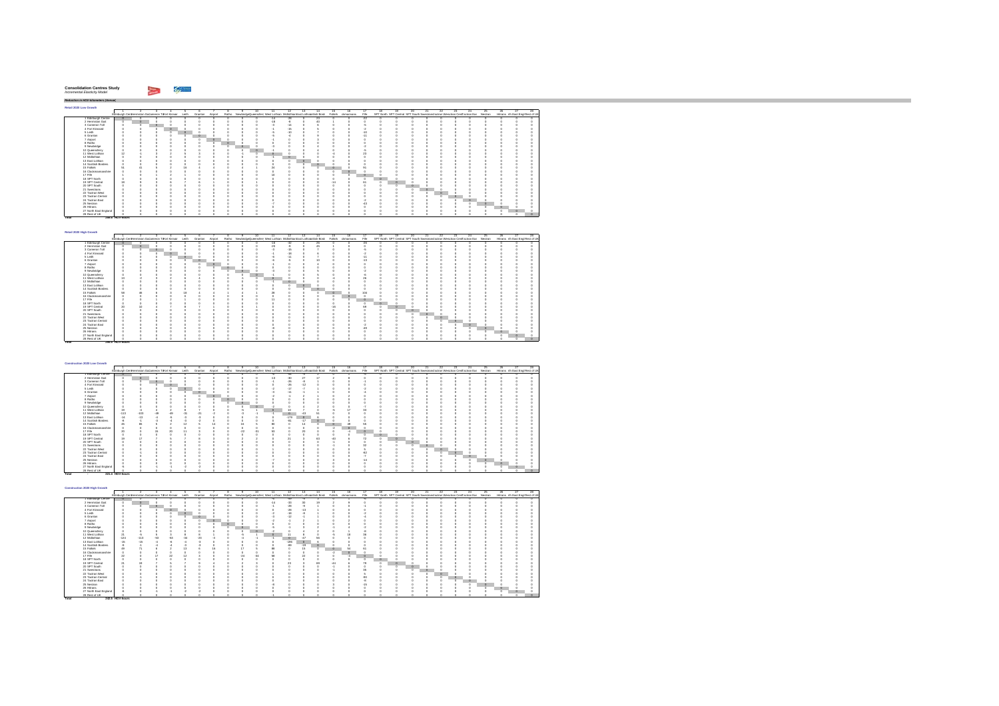| <b>Consolidation Centres Study</b> |  |
|------------------------------------|--|
| Incremental Elasticity Model       |  |
|                                    |  |

hiji wa

**Total 295.5 HGV-hours**

**Total 242.5 - HGV-hours**

*Reduction in HGV-kilometers (Annual)* **Retail 2020 Low Growth** $\blacksquare$  2 3 4 5 6 7 8 9 10 11 12 13 14 15 16 17 18 19 20 21 22 23 24 25 26 27 28**Total**<br>
2 **A bentilizer Case 1**<br>
2 **A Con Kins and Case 1**<br>
2 **A Con Kins and Case 1**<br>
2 **B** Con Kins and Case 1<br>
2 **B Context and Case 1**<br>
2 **A bentilizer 1**<br>
2 **A bentilizer 1**<br>
2 **P** Context 2<br>
2 **B** Section Context<br>
2 Edinburgh CentHermiston GaCameron ToFort Kinnair Leith Granton Airport Ratho NewbridgeQueensferry West Lothian MidlothianEast Lothiacottish Borde Falkirk ckmannans Fife SPT North SPT Central SPT South Swestrans'actran Wesctran CentTactran Eas Nestran Hitrans rth East Engl Rest of UK Edinburgh Centre 0 0 0 0 0 0 0 0 0 0 -14 -28 0 23 0 0 -22 0 0 0 0 0 0 0 0 0 0 0 Hermiston Gait 0 0 0 0 0 0 0 0 0 0 -18 -8 0 40 1 0 0 0 0 0 0 0 0 0 0 0 0 03 Cameron Toll 0 0 0 0 0 0 0 0 0 0 -3 -14 0 6 0 0 -5 0 0 0 0 0 0 0 0 0 0 04 Fort Kinnaird 0 0 0 0 0 0 0 0 0 0 -1 -15 0 5 0 0 -2 0 0 0 0 0 0 0 0 0 0 05 Leith 0 0 0 0 0 0 0 0 0 0 -5 -10 0 7 0 0 -10 0 0 0 0 0 0 0 0 0 0 06 Granton 0 0 0 0 0 0 0 0 0 0 -5 -4 0 9 0 0 -11 0 0 0 0 0 0 0 0 0 0 07 Airport 0 0 0 0 0 0 0 0 0 0 -1 0 0 3 0 0 0 0 0 0 0 0 0 0 0 0 0 08 Ratho 0 0 0 0 0 0 0 0 0 0 0 0 0 0 0 0 0 0 0 0 0 0 0 0 0 0 0 09 Newbridge 0 0 0 0 0 0 0 0 0 0 -3 0 0 4 0 0 -2 0 0 0 0 0 0 0 0 0 0 010 Queensferry 0 0 0 0 0 0 0 0 0 0 -1 0 0 4 0 0 -5 0 0 0 0 0 0 0 0 0 0 011 West Lothian 12 -1 3 2 5 3 0 0 -1 0 0 0 0 0 -4 0 23 0 0 0 0 0 0 0 0 0 0 012 Midlothian 0 0 0 0 0 0 0 0 0 0 -1 0 0 0 0 0 0 0 0 0 0 0 0 0 0 0 0 013 East Lothian 0 0 0 0 0 0 0 0 0 0 0 0 0 0 0 0 0 0 0 0 0 0 0 0 0 0 0 014 Scottish Borders 0 0 0 0 0 0 0 0 0 0 0 0 0 0 0 0 0 0 0 0 0 0 0 0 0 0 0 015 Falkirk 51 41 5 2 16 4 4 0 4 1 24 0 0 0 0 0 91 0 0 0 0 0 0 0 0 0 0 016 Clackmannanshire 0 0 0 0 0 0 0 0 0 0 0 0 0 0 0 0 0 0 0 0 0 0 0 0 0 0 0 017 Fife 1 0 1 2 1 0 0 0 0 0 10 0 0 0 0 0 0 0 0 0 0 0 0 0 0 0 0 018 SPT North 0 0 0 0 0 0 0 0 0 0 0 0 0 0 0 0 0 0 0 0 0 0 0 0 0 0 0 019 SPT Central 18 9 3 6 7 6 1 0 0 1 0 0 0 0 -14 0 61 0 0 0 0 0 0 0 0 0 0 0 SPT South 0 0 0 0 0 0 0 0 0 0 0 0 0 0 0 0 0 0 0 0 0 0 0 0 0 0 0 021 Swestrans 0 0 0 0 0 0 0 0 0 0 0 0 0 0 0 0 0 0 0 0 0 0 0 0 0 0 0 022 Tactran West 0 0 0 0 0 0 0 0 0 0 0 0 0 0 0 0 0 0 0 0 0 0 0 0 0 0 0 023 Tactran Central 0 0 0 0 0 0 0 0 0 0 0 0 0 0 0 0 0 0 0 0 0 0 0 0 0 0 0 024 Tactran East 0 0 0 0 0 0 0 0 0 0 0 0 0 0 0 0 -2 0 0 0 0 0 0 0 0 0 0 025 Nestran 0 0 0 0 0 0 0 0 0 0 -7 0 0 0 0 0 -43 0 0 0 0 0 0 0 0 0 0 026 Hitrans 0 0 0 0 0 0 0 0 0 0 0 0 0 0 0 0 0 0 0 0 0 0 0 0 0 0 0 027 North East England 0 0 0 0 0 0 0 0 0 0 0 0 0 0 0 0 0 0 0 0 0 0 0 0 0 0 0 028 Rest of UK 0 0 0 0 0 0 0 0 0 0 0 0 0 0 0 0 0 0 0 0 0 0 0 0 0 0 0 0

| Retail 2020 High Growth |    |                                                          |         |         |                 |         |         |                                                                         |              |         |    |         |           |       |            |    |          |          |         |              |         |         |                                                                                   |    |                                  |    |
|-------------------------|----|----------------------------------------------------------|---------|---------|-----------------|---------|---------|-------------------------------------------------------------------------|--------------|---------|----|---------|-----------|-------|------------|----|----------|----------|---------|--------------|---------|---------|-----------------------------------------------------------------------------------|----|----------------------------------|----|
|                         |    |                                                          |         |         |                 |         | 10      | 11                                                                      | $12^{\circ}$ | 13      | 14 | 15      | 16        |       | 18         | 12 |          | 20       | 21      | $\mathbf{z}$ | $^{23}$ | $^{24}$ | 25                                                                                | 26 | -27                              | 28 |
|                         |    | Edinburgh Centriermiston Gallameron Tofort Kinnair Leith |         |         | Granton Airport |         |         | Ratho NewbridgeQueensfern West Lothian MidlothianEast Lothianotish Bord |              |         |    | Falkirk | domannans | Fife  |            |    |          |          |         |              |         |         | SPT North SPT Central SPT South Swestnans actran Weschlan CentTachlan Eas Nestnan |    | Hittans rth East Engl Rest of UR |    |
| Edinburgh Centre        |    |                                                          |         |         |                 |         |         | $-16$                                                                   | -32          |         | 26 |         |           | -28   |            |    |          |          |         |              |         |         |                                                                                   |    |                                  |    |
| 2 Hermiston Gait        |    |                                                          |         |         |                 |         |         | $-20$                                                                   |              |         | 45 |         |           |       |            |    |          |          |         |              |         |         |                                                                                   |    |                                  |    |
| 3 Cameron Toll          |    |                                                          | $\circ$ |         |                 |         |         |                                                                         | $-15$        |         |    |         |           | ×,    |            |    |          |          |         |              |         |         |                                                                                   |    |                                  |    |
| 4 Fort Kinnaird         |    |                                                          |         | $\circ$ |                 |         |         |                                                                         | $-18$        |         |    |         |           |       |            |    |          |          |         |              |         |         |                                                                                   |    |                                  |    |
| 5 Leith                 |    |                                                          |         |         |                 |         |         |                                                                         | $-11$        |         |    |         |           | $-11$ |            |    |          |          |         |              |         |         |                                                                                   |    |                                  |    |
| 6 Granton               |    |                                                          |         |         | $\circ$         |         |         |                                                                         | ×,           |         |    |         |           | $-13$ |            |    |          |          |         |              |         |         |                                                                                   |    |                                  |    |
| 7 Airport               |    |                                                          |         |         |                 |         |         |                                                                         |              |         |    |         |           |       |            |    |          |          |         |              |         |         |                                                                                   |    |                                  |    |
| 8 Ratho                 |    |                                                          |         |         |                 | $\circ$ |         |                                                                         |              |         |    |         |           |       |            |    |          |          |         |              |         |         |                                                                                   |    |                                  |    |
| 9 Newbridge             |    |                                                          |         |         |                 | $\sim$  |         |                                                                         |              |         |    |         |           |       |            |    |          |          |         |              |         |         |                                                                                   |    |                                  |    |
| 10 Queensferry          |    |                                                          |         |         |                 |         | $\circ$ |                                                                         |              |         |    |         |           |       |            |    |          |          |         |              |         |         |                                                                                   |    |                                  |    |
| 11 West Lothian         |    |                                                          |         |         |                 |         |         |                                                                         |              |         |    |         |           | 26    |            |    |          |          |         |              |         |         |                                                                                   |    |                                  |    |
| 12 Midlothian           |    |                                                          |         |         |                 |         |         |                                                                         |              |         |    |         |           |       |            |    |          |          |         |              |         |         |                                                                                   |    |                                  |    |
| 13 East Lothian         |    |                                                          |         |         |                 |         |         |                                                                         |              | $\circ$ |    |         |           |       |            |    |          |          |         |              |         |         |                                                                                   |    |                                  |    |
| 14 Scottish Borders     |    |                                                          |         |         |                 |         |         |                                                                         |              |         |    |         |           |       |            |    |          |          |         |              |         |         |                                                                                   |    |                                  |    |
| 15 Falkirk              | 68 |                                                          |         |         |                 |         |         | 51                                                                      |              |         |    | $\circ$ |           |       |            |    |          |          |         |              |         |         |                                                                                   |    |                                  |    |
| 16 Clackmannanshire     |    |                                                          |         |         |                 |         |         |                                                                         |              |         |    |         |           |       |            |    |          |          |         |              |         |         |                                                                                   |    |                                  |    |
| 17 Fife                 |    |                                                          |         |         |                 |         |         |                                                                         |              |         |    |         |           |       |            |    |          |          |         |              |         |         |                                                                                   |    |                                  |    |
| 18 SPT North            |    |                                                          |         |         |                 |         |         |                                                                         |              |         |    |         |           |       | $^{\circ}$ |    |          |          |         |              |         |         |                                                                                   |    |                                  |    |
| 19 SPT Central          | 20 |                                                          |         |         |                 |         |         |                                                                         |              |         |    |         |           | 69    |            |    |          |          |         |              |         |         |                                                                                   |    |                                  |    |
| 20 SPT South            |    |                                                          |         |         |                 |         |         |                                                                         |              |         |    |         |           |       |            |    |          | $\Omega$ |         |              |         |         |                                                                                   |    |                                  |    |
| 21 Swestnans            |    |                                                          |         |         |                 |         |         |                                                                         |              |         |    |         |           |       |            |    | $\Omega$ |          | $\circ$ |              |         |         |                                                                                   |    |                                  |    |
| 22 Tactran West         |    |                                                          |         |         |                 |         |         |                                                                         |              |         |    |         |           |       |            |    |          |          |         | $\circ$      |         |         |                                                                                   |    |                                  |    |
| 23 Tactran Central      |    |                                                          |         |         |                 |         |         |                                                                         |              |         |    |         |           |       |            |    |          |          |         |              |         |         |                                                                                   |    |                                  |    |
| 24 Tactran East         |    |                                                          |         |         |                 |         |         |                                                                         |              |         |    |         |           |       |            |    |          |          |         |              |         | $\circ$ |                                                                                   |    |                                  |    |
| 25 Nestran              |    |                                                          |         |         |                 |         |         |                                                                         |              |         |    |         |           |       |            |    |          |          |         |              |         | o       |                                                                                   |    |                                  |    |
| 26 Hittans              |    |                                                          |         |         |                 |         |         |                                                                         |              |         |    |         |           |       |            |    |          |          |         |              |         |         |                                                                                   |    |                                  |    |
| 27 North East England   |    |                                                          |         |         |                 |         |         |                                                                         |              |         |    |         |           |       |            |    |          |          |         |              |         |         |                                                                                   |    |                                  |    |
| 28 Rost of LIK          |    |                                                          |         |         |                 |         |         |                                                                         |              |         |    |         |           |       |            |    |          |          |         |              |         |         |                                                                                   |    |                                  |    |

| Construction 2020 Low Growth |                 |                                                    |     |          |               |         |         |            |         |                                                                          |          |                             |         |       |                   |         |                                                                                   |    |     |         |    |          |         |                                  |    |
|------------------------------|-----------------|----------------------------------------------------|-----|----------|---------------|---------|---------|------------|---------|--------------------------------------------------------------------------|----------|-----------------------------|---------|-------|-------------------|---------|-----------------------------------------------------------------------------------|----|-----|---------|----|----------|---------|----------------------------------|----|
|                              |                 |                                                    |     |          |               |         |         |            | 10      | 11                                                                       | 12       | 13.                         | 14      | 15.   | 16                |         | 18                                                                                | 20 | 22. | 23      | 24 | 25       | 26      | -22                              | 28 |
|                              |                 | Edinburgh Centriermiston Gallameron Tofort Kinnair |     |          | Leith         | Granton | Airport |            |         | Ratho NewbridgeQueensfern West Lothian MidlothianEast Lothianotish Bord- |          |                             |         |       | Falkirk dymannans | Fife    | SPT North SPT Central SPT South Swestnans actran Weschlan CentTachlan Eas Nestnan |    |     |         |    |          |         | Hittans rth East Engl Rest of UK |    |
| 1 Edinburgh Centre           |                 |                                                    |     |          |               |         |         |            |         |                                                                          | -54      |                             |         |       |                   | ×.      |                                                                                   |    |     |         |    |          |         |                                  |    |
| 2 Hermiston Gait             |                 |                                                    |     |          |               |         |         |            |         | $-13$                                                                    | $-30$    | $\mathcal{D}$               | 17      |       |                   |         |                                                                                   |    |     |         |    |          |         |                                  |    |
| 3 Cameron Toll               |                 |                                                    |     |          |               |         |         |            |         |                                                                          | $-26$    |                             |         |       |                   |         |                                                                                   |    |     |         |    |          |         |                                  |    |
| 4 Fort Kinnaird              |                 |                                                    |     | $\circ$  |               |         |         |            |         |                                                                          | $-26$    | $-12$                       |         |       |                   |         |                                                                                   |    |     |         |    |          |         |                                  |    |
| 5 Leith                      |                 |                                                    |     |          | $\circ$       |         |         |            |         |                                                                          | $-17$    |                             |         |       |                   |         |                                                                                   |    |     |         |    |          |         |                                  |    |
| 6 Granton                    |                 |                                                    |     |          |               |         |         |            |         |                                                                          | $-1$     |                             |         |       |                   |         |                                                                                   |    |     |         |    |          |         |                                  |    |
| 7 Airport                    |                 |                                                    |     |          |               |         |         |            |         |                                                                          |          |                             |         |       |                   |         |                                                                                   |    |     |         |    |          |         |                                  |    |
| 8 Ratho                      |                 |                                                    |     |          |               |         |         |            |         |                                                                          |          |                             |         |       |                   |         |                                                                                   |    |     |         |    |          |         |                                  |    |
| 9 Newbridge                  |                 |                                                    |     |          |               |         |         |            |         |                                                                          |          |                             |         |       |                   |         |                                                                                   |    |     |         |    |          |         |                                  |    |
| 10 Queensferry               |                 |                                                    |     |          |               |         |         |            | $\circ$ |                                                                          |          |                             |         |       |                   |         |                                                                                   |    |     |         |    |          |         |                                  |    |
| 11 West Lothian              | 19              |                                                    |     |          |               |         |         | ×.         |         |                                                                          |          |                             |         |       |                   | $^{33}$ |                                                                                   |    |     |         |    |          |         |                                  |    |
| 12 Midlothian                | $-113$          | $-103$                                             | -46 | 46       | $-3$          | s       |         |            | $-1$    | -3                                                                       | $\Omega$ | $\mathcal{A}^{\mathcal{S}}$ |         |       |                   |         |                                                                                   |    |     |         |    |          |         |                                  |    |
| 13 East Lothian              | $-14$           | $-13$                                              |     | ×,       | $\mathcal{A}$ | -3      |         |            |         |                                                                          | $-179$   | $\circ$                     |         |       |                   |         |                                                                                   |    |     |         |    |          |         |                                  |    |
| 14 Scottish Borders          |                 |                                                    |     |          |               |         |         |            |         |                                                                          | ×        | $-17$                       | $\circ$ |       |                   |         |                                                                                   |    |     |         |    |          |         |                                  |    |
| 15 Falkirk                   | 45              | PA                                                 |     |          | 12            |         | ٠.      |            |         | si                                                                       |          | 14                          |         |       | м                 | 66      |                                                                                   |    |     |         |    |          |         |                                  |    |
| 16 Clackmannanshire          |                 |                                                    |     |          |               |         |         |            |         |                                                                          |          |                             |         |       | $\Omega$          |         |                                                                                   |    |     |         |    |          |         |                                  |    |
| 17 Fife                      | 20              |                                                    | 15  | $\infty$ |               |         |         | $\cdot 22$ | $-31$   | 53                                                                       |          | 20                          |         |       | 78                |         |                                                                                   |    |     |         |    |          |         |                                  |    |
| 18 SPT North                 |                 |                                                    |     |          |               |         |         |            |         |                                                                          |          |                             |         |       |                   | o       |                                                                                   |    |     |         |    |          |         |                                  |    |
| 19 SPT Central               | 19              | $\mathcal{L}^{\pm}$                                |     |          |               |         |         |            |         |                                                                          |          |                             | 63      | $-40$ |                   | 72      |                                                                                   |    |     |         |    |          |         |                                  |    |
| 20 SPT South                 |                 |                                                    |     |          |               |         |         |            |         |                                                                          |          |                             |         |       |                   |         |                                                                                   |    |     |         |    |          |         |                                  |    |
| 21 Swestnans                 |                 |                                                    |     |          |               |         |         |            |         |                                                                          |          |                             |         |       |                   | 90      |                                                                                   |    |     |         |    |          |         |                                  |    |
| 22 Tactran West              |                 |                                                    |     |          |               |         |         |            |         |                                                                          |          |                             |         |       |                   |         |                                                                                   |    |     |         |    |          |         |                                  |    |
| 23 Tactran Central           |                 |                                                    |     |          |               |         |         |            |         |                                                                          |          |                             |         |       |                   | $-82$   |                                                                                   |    |     | $\circ$ |    |          |         |                                  |    |
| 24 Tactran East              |                 |                                                    |     |          |               |         |         |            |         |                                                                          |          |                             |         |       |                   |         |                                                                                   |    |     |         |    |          |         |                                  |    |
| 25 Nestran                   |                 |                                                    |     |          |               |         |         |            |         |                                                                          |          |                             |         |       |                   | $-14$   |                                                                                   |    |     |         |    | $\theta$ |         |                                  |    |
| 26 Hittans                   |                 |                                                    |     |          |               |         |         |            |         |                                                                          |          |                             |         |       |                   |         |                                                                                   |    |     |         |    |          | $\circ$ |                                  |    |
| 27 North East England        |                 |                                                    |     |          |               |         |         |            |         |                                                                          |          |                             |         |       |                   |         |                                                                                   |    |     |         |    |          | π       |                                  |    |
| 28 Rest of UK                |                 |                                                    |     |          |               |         |         |            |         |                                                                          |          |                             |         |       |                   |         |                                                                                   |    |     |         |    |          |         |                                  |    |
| Total                        | 221.4 HGV-hours |                                                    |     |          |               |         |         |            |         |                                                                          |          |                             |         |       |                   |         |                                                                                   |    |     |         |    |          |         |                                  |    |

| <b>Construction 2020 High Growth</b> |                                                   |        |       |       |         |         |         |         |     |                                                                   |          |                  |    |         |           |                |                                                                                   |  |         |          |         |    |    |                                  |  |
|--------------------------------------|---------------------------------------------------|--------|-------|-------|---------|---------|---------|---------|-----|-------------------------------------------------------------------|----------|------------------|----|---------|-----------|----------------|-----------------------------------------------------------------------------------|--|---------|----------|---------|----|----|----------------------------------|--|
|                                      |                                                   |        |       |       |         |         |         |         |     |                                                                   |          | 13               |    | ٦×      |           |                |                                                                                   |  |         | $\alpha$ |         | 25 | 26 |                                  |  |
|                                      | Edinburgh Centriermiston Gačameron To-ort Kinnair |        |       |       | Leith   | Granton | Airport | Ratho   |     | NewbridgeQueensfern West Lothian MidlothianEast Lothianotish Bord |          |                  |    | Falkirk | domannans | Fife           | SPT North SPT Central SPT South Swestnans actran Weschlan CentTachlan Eas Nestnan |  |         |          |         |    |    | Hitrans rth East Engl Rest of UK |  |
| Edinburgh Centre                     |                                                   |        |       |       |         |         |         |         |     |                                                                   | -50      |                  |    |         |           |                |                                                                                   |  |         |          |         |    |    |                                  |  |
| 2 Hermiston Gait                     |                                                   |        |       |       |         |         |         |         |     | $-14$                                                             | $-33$    | 30               |    |         |           |                |                                                                                   |  |         |          |         |    |    |                                  |  |
| 3 Cameron Toll                       |                                                   |        | o     |       |         |         |         |         |     |                                                                   | $-28$    |                  |    |         |           |                |                                                                                   |  |         |          |         |    |    |                                  |  |
| 4 Fort Kinnaird                      |                                                   |        |       |       |         |         |         |         |     |                                                                   | $-28$    | $-13$            |    |         |           |                |                                                                                   |  |         |          |         |    |    |                                  |  |
| 5 Leith                              |                                                   |        |       |       | $\circ$ |         |         |         |     |                                                                   | $-18$    |                  |    |         |           |                |                                                                                   |  |         |          |         |    |    |                                  |  |
| 6 Granton                            |                                                   |        |       |       |         |         |         |         |     |                                                                   | $-12$    |                  |    |         |           |                |                                                                                   |  |         |          |         |    |    |                                  |  |
| 7 Airport                            |                                                   |        |       |       |         |         |         |         |     |                                                                   |          |                  |    |         |           |                |                                                                                   |  |         |          |         |    |    |                                  |  |
| 8 Ratho                              |                                                   |        |       |       |         |         |         | $\circ$ |     |                                                                   |          |                  |    |         |           |                |                                                                                   |  |         |          |         |    |    |                                  |  |
| 9 Newbridge                          |                                                   |        |       |       |         |         |         |         |     |                                                                   |          |                  |    |         |           |                |                                                                                   |  |         |          |         |    |    |                                  |  |
| 10 Queensferry                       |                                                   |        |       |       |         |         |         |         |     |                                                                   |          |                  |    |         |           |                |                                                                                   |  |         |          |         |    |    |                                  |  |
| 11 West Lothian                      | 21                                                |        |       |       |         |         |         |         | ×.  | $\circ$                                                           |          |                  |    |         |           |                |                                                                                   |  |         |          |         |    |    |                                  |  |
| 12 Midlothian                        | $-124$                                            | $-113$ | $-53$ | $-63$ | $-34$   | $-23$   |         |         |     | $\cdot$ 1                                                         | $\alpha$ | A                | КA |         |           |                |                                                                                   |  |         |          |         |    |    |                                  |  |
| 13 East Lothian                      | .15.                                              | $-15$  |       |       |         |         |         |         |     |                                                                   | $-196$   | $\circ$          |    |         |           |                |                                                                                   |  |         |          |         |    |    |                                  |  |
| 14 Scottish Borders                  |                                                   |        |       |       |         |         |         |         |     |                                                                   | $-89$    | $-19$            | ю  |         |           |                |                                                                                   |  |         |          |         |    |    |                                  |  |
| 15 Falkirk                           |                                                   |        |       |       | 13      |         | 16      |         |     | 88                                                                |          | 15               |    |         |           |                |                                                                                   |  |         |          |         |    |    |                                  |  |
| 16 Clackmannanshire                  |                                                   |        |       |       |         |         |         |         |     |                                                                   |          |                  |    |         |           |                |                                                                                   |  |         |          |         |    |    |                                  |  |
| 17 Fife                              |                                                   |        |       | 22    | 12      |         |         |         | .24 | 58                                                                |          | $\boldsymbol{z}$ |    |         |           |                |                                                                                   |  |         |          |         |    |    |                                  |  |
| 18 SPT North                         |                                                   |        |       |       |         |         |         |         |     |                                                                   |          |                  |    |         |           |                |                                                                                   |  |         |          |         |    |    |                                  |  |
| 19 SPT Central                       |                                                   |        |       |       |         |         |         |         |     |                                                                   |          |                  | 69 |         |           | 79             |                                                                                   |  |         |          |         |    |    |                                  |  |
| 20 SPT South                         |                                                   |        |       |       |         |         |         |         |     |                                                                   |          |                  |    |         |           |                |                                                                                   |  |         |          |         |    |    |                                  |  |
| 21 Swestnans                         |                                                   |        |       |       |         |         |         |         |     |                                                                   |          |                  |    |         |           | $\mathfrak{B}$ |                                                                                   |  | $\circ$ |          |         |    |    |                                  |  |
| 22 Tactran West                      |                                                   |        |       |       |         |         |         |         |     |                                                                   |          |                  |    |         |           |                |                                                                                   |  |         |          |         |    |    |                                  |  |
| 23 Tactran Central                   |                                                   |        |       |       |         |         |         |         |     |                                                                   |          |                  |    |         |           | $-90$          |                                                                                   |  |         |          |         |    |    |                                  |  |
| 24 Tactran East                      |                                                   |        |       |       |         |         |         |         |     |                                                                   |          |                  |    |         |           | -8             |                                                                                   |  |         |          | $\circ$ |    |    |                                  |  |
| 25 Nestran                           |                                                   |        |       |       |         |         |         |         |     |                                                                   |          |                  |    |         |           | $-15$          |                                                                                   |  |         |          | n       |    |    |                                  |  |
| 26 Hitrans                           |                                                   |        |       |       |         |         |         |         |     |                                                                   |          |                  |    |         |           |                |                                                                                   |  |         |          |         |    |    |                                  |  |
| 27 North East England                |                                                   |        |       |       |         |         |         |         |     |                                                                   |          |                  |    |         |           |                |                                                                                   |  |         |          |         |    |    |                                  |  |
| 28 Rest of UK                        |                                                   |        |       |       |         |         |         |         |     |                                                                   |          |                  |    |         |           |                |                                                                                   |  |         |          |         |    |    |                                  |  |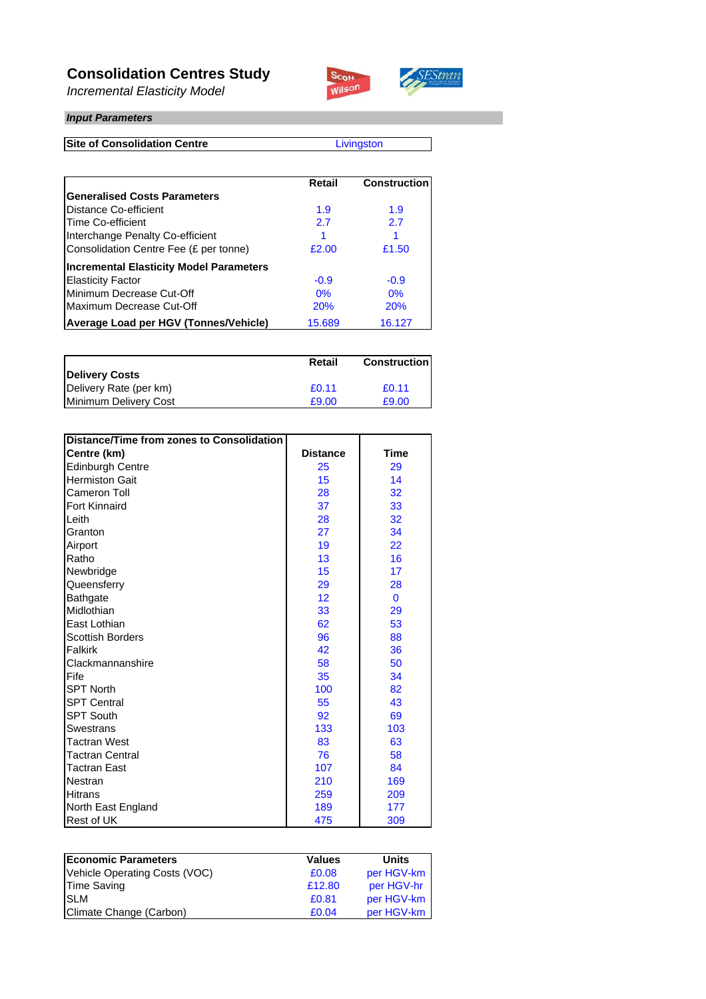### **Consolidation Centres Study**

*Incremental Elasticity Model*



#### *Input Parameters*

**Site of Consolidation Centre**

**Livingston** 

SEStran

|                                                | Retail | <b>Construction</b> |
|------------------------------------------------|--------|---------------------|
| <b>Generalised Costs Parameters</b>            |        |                     |
| Distance Co-efficient                          | 1.9    | 1.9                 |
| Time Co-efficient                              | 2.7    | 2.7                 |
| Interchange Penalty Co-efficient               |        |                     |
| Consolidation Centre Fee (£ per tonne)         | £2.00  | £1.50               |
| <b>Incremental Elasticity Model Parameters</b> |        |                     |
| <b>Elasticity Factor</b>                       | $-0.9$ | $-0.9$              |
| Minimum Decrease Cut-Off                       | 0%     | 0%                  |
| Maximum Decrease Cut-Off                       | 20%    | 20%                 |
| Average Load per HGV (Tonnes/Vehicle)          | 15.689 | 16.127              |

|                        | Retail | <b>Construction</b> |
|------------------------|--------|---------------------|
| <b>Delivery Costs</b>  |        |                     |
| Delivery Rate (per km) | £0.11  | £0.11               |
| Minimum Delivery Cost  | £9.00  | £9.00               |

| Distance/Time from zones to Consolidation |                 |             |
|-------------------------------------------|-----------------|-------------|
| Centre (km)                               | <b>Distance</b> | <b>Time</b> |
| Edinburgh Centre                          | 25              | 29          |
| <b>Hermiston Gait</b>                     | 15              | 14          |
| Cameron Toll                              | 28              | 32          |
| <b>Fort Kinnaird</b>                      | 37              | 33          |
| Leith                                     | 28              | 32          |
| Granton                                   | 27              | 34          |
| Airport                                   | 19              | 22          |
| Ratho                                     | 13              | 16          |
| Newbridge                                 | 15              | 17          |
| Queensferry                               | 29              | 28          |
| <b>Bathgate</b>                           | 12              | $\mathbf 0$ |
| Midlothian                                | 33              | 29          |
| East Lothian                              | 62              | 53          |
| <b>Scottish Borders</b>                   | 96              | 88          |
| Falkirk                                   | 42              | 36          |
| Clackmannanshire                          | 58              | 50          |
| Fife                                      | 35              | 34          |
| <b>SPT North</b>                          | 100             | 82          |
| <b>SPT Central</b>                        | 55              | 43          |
| <b>SPT South</b>                          | 92              | 69          |
| <b>Swestrans</b>                          | 133             | 103         |
| <b>Tactran West</b>                       | 83              | 63          |
| <b>Tactran Central</b>                    | 76              | 58          |
| <b>Tactran East</b>                       | 107             | 84          |
| Nestran                                   | 210             | 169         |
| Hitrans                                   | 259             | 209         |
| North East England                        | 189             | 177         |
| Rest of UK                                | 475             | 309         |

| <b>Economic Parameters</b>    | <b>Values</b> | <b>Units</b> |
|-------------------------------|---------------|--------------|
| Vehicle Operating Costs (VOC) | £0.08         | per HGV-km   |
| <b>Time Saving</b>            | £12.80        | per HGV-hr   |
| <b>SLM</b>                    | £0.81         | per HGV-km   |
| Climate Change (Carbon)       | £0.04         | per HGV-km   |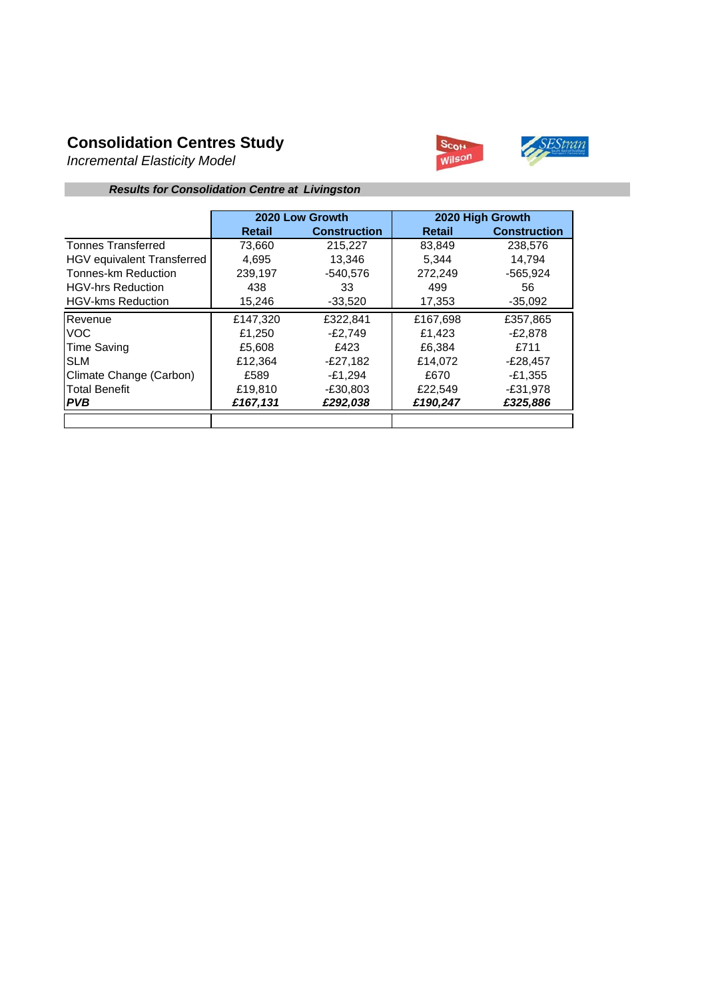## **Consolidation Centres Study**

*Incremental Elasticity Model*



#### *Results for Consolidation Centre at Livingston*

|                                   |          | 2020 Low Growth     |               | 2020 High Growth    |
|-----------------------------------|----------|---------------------|---------------|---------------------|
|                                   | Retail   | <b>Construction</b> | <b>Retail</b> | <b>Construction</b> |
| <b>Tonnes Transferred</b>         | 73,660   | 215,227             | 83,849        | 238,576             |
| <b>HGV</b> equivalent Transferred | 4.695    | 13.346              | 5.344         | 14.794              |
| Tonnes-km Reduction               | 239.197  | $-540.576$          | 272.249       | $-565.924$          |
| <b>HGV-hrs Reduction</b>          | 438      | 33                  | 499           | 56                  |
| <b>HGV-kms Reduction</b>          | 15,246   | $-33,520$           | 17,353        | $-35,092$           |
| Revenue                           | £147,320 | £322,841            | £167,698      | £357,865            |
| <b>VOC</b>                        | £1,250   | $-E2,749$           | £1,423        | -£2,878             |
| <b>Time Saving</b>                | £5,608   | £423                | £6.384        | £711                |
| <b>ISLM</b>                       | £12,364  | $-E27,182$          | £14.072       | $-E28,457$          |
| Climate Change (Carbon)           | £589     | $-£1.294$           | £670          | -£1,355             |
| <b>Total Benefit</b>              | £19,810  | $-E30,803$          | £22,549       | $-£31,978$          |
| <b>PVB</b>                        | £167,131 | £292,038            | £190,247      | £325,886            |
|                                   |          |                     |               |                     |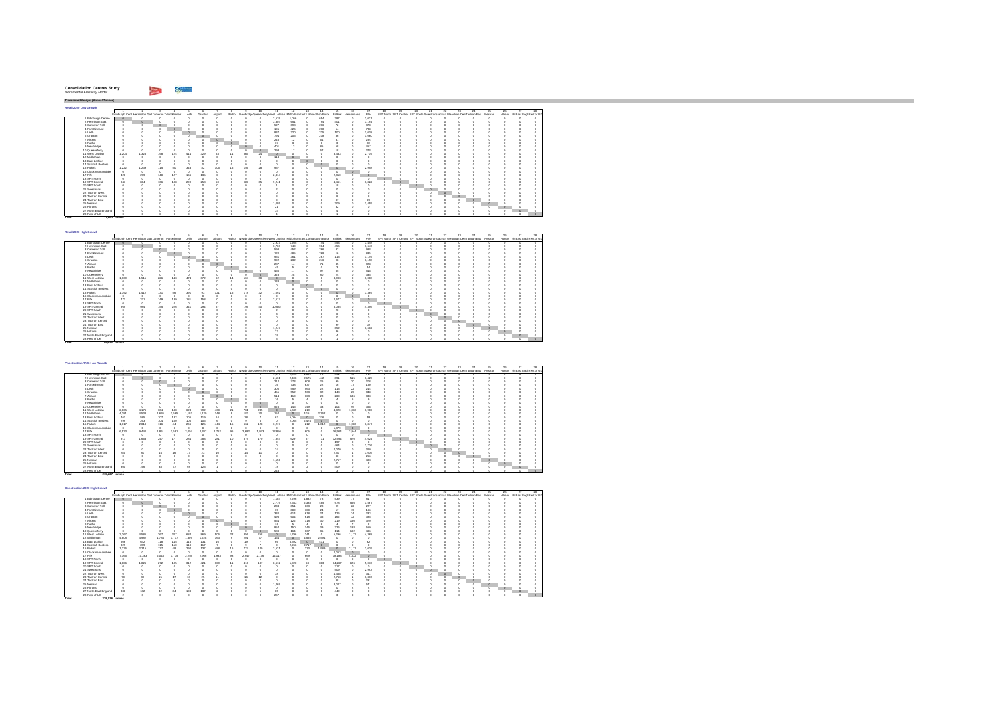| <b>Consolidation Centres Study</b> |  |
|------------------------------------|--|
| Incremental Elasticity Model       |  |

**Total 73,660 tonnes** 

**Total 83,849 tonnes** 

28 RestolUK || 0 0 0 0 0 0

*Transferred Freight (Annual Tonnes)* **Retail 2020 Low Growth**1 2 3 4 5 6 7 8 9 10 11 12 13 14 15 16 17 18 19 20 21 22 23 24 25 26 27 28Edinburgh Cent Hermiston GaitCameron ToFort Kinnair Leith Granton Airport Ratho NewbridgeQueensferryWest Lothian MidlothianEast Lothiacnottish Borde Falkirk ckmannans Fife SPT North SPT Central SPT South SwestransTactran Wesactran CentTactran Eas Nestran Hitrans rth East Engl Rest of UK 0000 2,579 1,056 0 654 397 0 3,021 0 0 0 0 0 0 0 0 0 0 0 0000 3,304 651 0 794 401 0 3,194 0 0 0 0 0 0 0 0 0 0 0 0 0 0 0 527 398 0 236 72 0 878 0 0 0 0 0 0 0 0 0 0 0 0 0 0 0 105 426 0 238 14 0 738 0 0 0 0 0 0 0 0 0 0 0 0 0 0 0 837 320 0 235 100 0 1,018 0 0 0 0 0 0 0 0 0 0 0 0 0 0 0 794 206 0 218 86 0 1,060 0 0 0 0 0 0 0 0 0 0 0 0 0 0 0 246 12 0 64 31 0 294 0 0 0 0 0 0 0 0 0 0 0 0 0 0 0 37 3 0 0 3 0 38 0 0 0 0 0 0 0 0 0 0 0 0 0 0 0 401 13 0 85 58 0 457 0 0 0 0 0 0 0 0 0 0 0 0 0 0 0 293 17 0 67 18 0 278 0 0 0 0 0 0 0 0 0 0 0 11 West Lothian 1,204 1,325 198 124 414 329 53 11 86 24 0 0 0 0 3,433 0 2,719 0 0 0 0 0 0 0 0 0 0 0 0 0 0 0 113 0 0 0 0 0 0 0 0 0 0 0 0 0 0 0 0 0 0000 0 000 0 0 0 0 0 00000 0 0 0 0 0000 0 000 0 0 0 0 0 00000 0 0 0 0 15 Falkirk 1,222 1,239 115 50 343 82 106 15 156 28 957 0 0 0 0 0 2,958 0 0 0 0 0 0 0 0 0 0 0 0000 0 000 0 0 0 0 0 00000 0 0 0 0 0000 2,314 0 0 0 2,350 0 0 0 0 0 0 0 0 0 0 0 0 0 0000 0 000 0 0 0 0 0 00000 0 0 0 0 19 SPT Central 847 864 136 198 299 258 50 8 68 35 9,241 0 0 0 4,461 0 3,822 0 0 0 0 0 0 0 0 0 0 0 0 0 0 0 1 0 0 0 18 0 0 0 0 0 0 0 0 0 0 0 0 0 0000 2 000 0 0 0 0 0 00000 0 0 0 0 0000 0 000 0 0 0 0 0 00000 0 0 0 0 0000 0 000 0 0 0 0 0 00000 0 0 0 0 0 0 0 0 0 0 0 0 87 0 69 0 0 0 0 0 0 0 0 0 0 0 0000 1,095 0 0 0 309 0 1,459 0 0 0 0 0 0 0 0 0 0 0 0 0 0 0 21 0 0 0 32 0 0 0 0 0 0 0 0 0 0 0 0 0 0 0 0 0 34 0 0 0 4 0 0 0 0 0 0 0 0 0 0 0 0 0 0000 4 000 1 0 0 0 0 00000 0 0 0 0 1 Edinburgh Centre | 0 0 0 0 0 0<br>2 Hermiston Gait 0 0 0 0 0 0 3 Cameron Toll 0 0 0 0 0 0 0<br>4 Fort Kinnaird 0 0 0 0 0 0<br>5 Leith 0 0 0 0 0 0 6 Granton 0 0 0 0 0 07 Airport 0 0 0 0 0 08 Ratho 0 0 0 0 0 09 Newbridge 0 0 0 0 0 010 Queensferry 0 0 0 0 0 012 Midlothian 0 0 0 0 0 013 East Lothian 0 0 0 0 0 014 Scottish Borders 0 0 0 0 0 016 Clackmannanshire 0 0 0 0 0 017 Fife 420 299 140 127 166 13518 SPT North 0 0 0 0 0 020 SPT South 0 0 0 0 0 021 Swestrans 0 0 0 0 0 022 Tactran West 0 0 0 0 0 023 Tactran Central 0 0 0 0 0 024 Tactran East 0 0 0 0 0 025 Nestran 0 0 0 0 0 026 Hitrans 0 0 0 0 0 027 North East England 6 0 0 0 0 0

| Retail 2020 High Growth |       |                                                      |     |     |       |         |          |    |     |     |                                                                            |        |    |     |          |           |          |    |                                                                                   |    |    |    |    |         |     |    |                                  |  |
|-------------------------|-------|------------------------------------------------------|-----|-----|-------|---------|----------|----|-----|-----|----------------------------------------------------------------------------|--------|----|-----|----------|-----------|----------|----|-----------------------------------------------------------------------------------|----|----|----|----|---------|-----|----|----------------------------------|--|
|                         |       |                                                      |     |     |       |         |          |    |     | 10. | 11.                                                                        | 12     | 13 | 14  |          |           | 17       | 18 | 19                                                                                | 20 | 91 | π. | 28 | 24.     | 25. | 26 |                                  |  |
|                         |       | Edinburgh Cent Hermiston Gait Jameron To ort Kinnair |     |     | Leith | Granton | Airport  |    |     |     | Ratho NewbridgeQueensferr West Lothian Midlothian East Lothiasottish Bord- |        |    |     | Falkirk  | ckmannans | File     |    | SPT North SPT Central SPT South Swestnans actran Wesctran CentFactran Eas Nestran |    |    |    |    |         |     |    | Hitrans rth East Engl Rest of UK |  |
| 1 Edinburgh Centre      |       |                                                      |     |     |       |         |          |    |     |     | 2.937                                                                      | $-205$ |    | 744 | 463      |           | 3.448    |    |                                                                                   |    |    |    |    |         |     |    |                                  |  |
| 2 Hermiston Gait        |       |                                                      |     |     |       |         |          |    |     |     | 3.763                                                                      | 740    |    | 904 | 456      |           | 3.646    |    |                                                                                   |    |    |    |    |         |     |    |                                  |  |
| 3 Cameron Toll          |       |                                                      |     |     |       |         |          |    |     |     | 598                                                                        | 452    |    | 266 | 82       |           | 988      |    |                                                                                   |    |    |    |    |         |     |    |                                  |  |
| 4 Fort Kinnaird         |       |                                                      |     |     |       |         |          |    |     |     | 120                                                                        | 485    |    | 269 |          |           | 835      |    |                                                                                   |    |    |    |    |         |     |    |                                  |  |
| 5 Leith                 |       |                                                      |     |     |       |         |          |    |     |     | 951                                                                        | 361    |    | 267 | 115      |           | 1.149    |    |                                                                                   |    |    |    |    |         |     |    |                                  |  |
| 6 Granton               |       |                                                      |     |     |       |         |          |    |     |     | 902                                                                        | 232    |    | 246 | 98       |           | 1.198    |    |                                                                                   |    |    |    |    |         |     |    |                                  |  |
| 7 Airport               |       |                                                      |     |     |       |         | $\theta$ |    |     |     | 287                                                                        |        |    | 71  | ×        |           | 328      |    |                                                                                   |    |    |    |    |         |     |    |                                  |  |
| 8 Ratho                 |       |                                                      |     |     |       |         |          |    |     |     | 46                                                                         |        |    |     |          |           | 54       |    |                                                                                   |    |    |    |    |         |     |    |                                  |  |
| 9 Newbridge             |       |                                                      |     |     |       |         |          |    |     |     | 460                                                                        |        |    | q   | 65       |           | 518      |    |                                                                                   |    |    |    |    |         |     |    |                                  |  |
| 10 Queensferry          |       |                                                      |     |     |       |         |          |    |     | n   | 328                                                                        | 28     |    | 80  | $^{24}$  |           | 335      |    |                                                                                   |    |    |    |    |         |     |    |                                  |  |
| 11 West Lothian         | 1,369 | 1.511                                                | 226 | 143 | 474   | 372     | 60       |    | 104 | 30  | $\alpha$                                                                   |        |    |     | 3.903    |           | 3.088    |    |                                                                                   |    |    |    |    |         |     |    |                                  |  |
| 12 Midlothian           |       |                                                      |     |     |       |         |          |    |     |     | 138                                                                        |        |    |     |          |           | $\theta$ |    |                                                                                   |    |    |    |    |         |     |    |                                  |  |
| 13 East Lothian         |       |                                                      |     |     |       |         |          |    |     |     |                                                                            |        |    |     |          |           |          |    |                                                                                   |    |    |    |    |         |     |    |                                  |  |
| 14 Scottish Borders     |       |                                                      |     |     |       |         |          |    |     |     |                                                                            |        |    |     |          |           |          |    |                                                                                   |    |    |    |    |         |     |    |                                  |  |
| 15 Falkirk              | 1,392 | 1.412                                                | 131 | 56  | 391   | 93      | 121      | 16 | 178 | 32  | 1.092                                                                      |        |    |     |          |           | 3.369    |    |                                                                                   |    |    |    |    |         |     |    |                                  |  |
| 16 Clackmannanshire     |       |                                                      |     |     |       |         |          |    |     |     | $\alpha$                                                                   |        |    |     |          |           | $\theta$ |    |                                                                                   |    |    |    |    |         |     |    |                                  |  |
| 17 Fife                 | 471   | 321                                                  | 149 | 139 | 181   | 158     |          |    |     |     | 2.617                                                                      |        |    |     | 2.677    |           | $\circ$  |    |                                                                                   |    |    |    |    |         |     |    |                                  |  |
| 18 SPT North            |       |                                                      |     |     |       |         |          |    |     |     | $\alpha$                                                                   |        |    |     |          |           | o        |    |                                                                                   |    |    |    |    |         |     |    |                                  |  |
| 19 SPT Central          | 965   | 984                                                  | 155 | 226 | 341   | 294     | 57       |    | 78  | 40  | 10.532                                                                     |        |    |     | 5.085    |           | 4.356    |    |                                                                                   |    |    |    |    |         |     |    |                                  |  |
| 20 SPT South            |       |                                                      |     |     |       |         |          |    |     |     |                                                                            |        |    |     | $\infty$ |           |          |    |                                                                                   |    |    |    |    |         |     |    |                                  |  |
| 21 Swestrans            |       |                                                      |     |     |       |         |          |    |     |     |                                                                            |        |    |     |          |           |          |    |                                                                                   |    |    |    |    |         |     |    |                                  |  |
| 22 Tactran West         |       |                                                      |     |     |       |         |          |    |     |     |                                                                            |        |    |     |          |           |          |    |                                                                                   |    |    |    |    |         |     |    |                                  |  |
| 23 Tactran Central      |       |                                                      |     |     |       |         |          |    |     |     |                                                                            |        |    |     |          |           |          |    |                                                                                   |    |    |    |    |         |     |    |                                  |  |
| 24 Tactran East         |       |                                                      |     |     |       |         |          |    |     |     |                                                                            |        |    |     | $\omega$ |           | 78       |    |                                                                                   |    |    |    |    | $\circ$ |     |    |                                  |  |
| 25 Nestran              |       |                                                      |     |     |       |         |          |    |     |     | 1.247                                                                      |        |    |     | 352      |           | 1.662    |    |                                                                                   |    |    |    |    |         |     |    |                                  |  |
| 26 Hittans              |       |                                                      |     |     |       |         |          |    |     |     | $^{23}$                                                                    |        |    |     |          |           |          |    |                                                                                   |    |    |    |    |         |     |    |                                  |  |
| 27 North East England   |       |                                                      |     |     |       |         |          |    |     |     | $\mathfrak{D}$                                                             |        |    |     |          |           |          |    |                                                                                   |    |    |    |    |         |     |    |                                  |  |
| 28 Rest of UK           |       |                                                      |     |     |       |         |          |    |     |     |                                                                            |        |    |     |          |           |          |    |                                                                                   |    |    |    |    |         |     |    |                                  |  |

| Construction 2020 Low Growth |                |                                                            |         |                |         |                 |          |                         |       |          |                                                                                              |              |          |                   |          |                 |       |          |    |    |         |    |     |                                                                                   |     |    |                                  |
|------------------------------|----------------|------------------------------------------------------------|---------|----------------|---------|-----------------|----------|-------------------------|-------|----------|----------------------------------------------------------------------------------------------|--------------|----------|-------------------|----------|-----------------|-------|----------|----|----|---------|----|-----|-----------------------------------------------------------------------------------|-----|----|----------------------------------|
|                              |                |                                                            |         |                |         |                 |          |                         |       | 10       | 11                                                                                           | $12^{\circ}$ | 13       | 14                | 15       |                 | 17    |          | 19 | 20 | 21      | 22 | 23. | $^{24}$                                                                           | 25. | 26 |                                  |
|                              |                | Edinburgh Cent Hermiston Gait Jameron To ort Kinnair Leith |         |                |         | Granton Airport |          |                         |       |          | Ratho NewbridgeDueensferr West Lothian Midlothian East Lothianottish Bord Falkirk clymannans |              |          |                   |          |                 | File  |          |    |    |         |    |     | SPT North SPT Central SPT South Swestnans actran Wesctran CentFactran Eas Nestran |     |    | Hitrans rth East Engl Rest of UK |
| Edinburgh Centre             |                |                                                            |         |                |         |                 |          |                         |       |          | 1.077                                                                                        | 2.095        | 1,669    | 70                | 401      | 70              | 741   | n        | n  |    |         |    |     |                                                                                   |     |    |                                  |
| 2 Hermiston Gait             |                |                                                            |         |                |         |                 |          |                         |       |          | 2.531                                                                                        | 2.408        | 2.175    | 442               | 89       | 515             | 1.425 |          |    |    |         |    |     |                                                                                   |     |    |                                  |
| 3 Cameron Toll               |                |                                                            |         |                |         |                 |          |                         |       |          | 212                                                                                          | 773          | 608      | $^{26}$           | $\alpha$ | 20 <sub>2</sub> | 208   |          |    |    |         |    |     |                                                                                   |     |    |                                  |
| 4 Fort Kinnains              |                |                                                            |         |                |         |                 |          |                         |       |          | 36                                                                                           | 738          | 637      | $\boldsymbol{22}$ | 16       | 17              | 150   |          |    |    |         |    |     |                                                                                   |     |    |                                  |
| 5 Leith                      |                |                                                            |         |                |         |                 |          |                         |       |          | 300                                                                                          | 559          | 563      | $\boldsymbol{2}$  | 115      | $^{22}$         | 214   |          |    |    |         |    |     |                                                                                   |     |    |                                  |
| 6 Granton                    |                |                                                            |         |                |         |                 |          |                         |       |          | 451                                                                                          | 552          | 563      | 32                | 148      | 29              | 348   |          |    |    |         |    |     |                                                                                   |     |    |                                  |
| 7 Airport                    |                |                                                            |         |                |         |                 | $\theta$ |                         |       |          | 514                                                                                          | 110          | 108      | $^{28}$           | 200      | 136             | 333   |          |    |    |         |    |     |                                                                                   |     |    |                                  |
| 8 Ratho                      |                |                                                            |         |                |         |                 |          | $\circ$                 |       |          | 16                                                                                           |              |          |                   |          |                 |       |          |    |    |         |    |     |                                                                                   |     |    |                                  |
| 9 Newbridge                  |                |                                                            |         |                |         |                 |          |                         |       |          |                                                                                              |              |          |                   |          |                 |       |          |    |    |         |    |     |                                                                                   |     |    |                                  |
| 10 Queensferry               |                |                                                            |         |                |         |                 |          |                         |       | $\alpha$ | 526                                                                                          | 146          | 149      | 33                | 104      | 95              | 368   |          |    |    |         |    |     |                                                                                   |     |    |                                  |
| 11 West Lothian              | 2.065          | 4.176                                                      | 334     | 188            | 623     | 792             | 460      | $\overline{\mathbf{r}}$ | 781   | 235      | $\circ$                                                                                      | 1,639        | 219      |                   | 4.820    | 1.066           | 3.980 |          |    |    |         |    |     |                                                                                   |     |    |                                  |
| 12 Midlothian                | 4.381          | 4.538                                                      | 1,626   | 1.565          | 1.192   | 1.120           | 148      |                         | 183   | 70       | 152                                                                                          | $\circ$      | 4.151    | 2.362             |          |                 |       |          |    |    |         |    |     |                                                                                   |     |    |                                  |
| 13 East Lothian              | 461            | 585                                                        | 107     | 132            | 106     | 119             |          |                         | 18    |          | 62                                                                                           | 5.094        | $\theta$ | 376               |          |                 | 58    |          |    |    |         |    |     |                                                                                   |     |    |                                  |
| 14 Scottish Borders          | 299            | 263                                                        | 104     | 100            | 100     | 106             |          |                         |       |          |                                                                                              | 2.065        | 2.474    | $\circ$           |          |                 |       |          |    |    |         |    |     |                                                                                   |     |    |                                  |
| 15 Fallely                   | 1.117          | 2.018                                                      | 116     | 44             | 266     | 125             | 444      | 15                      | 662   | 128      | 3.217                                                                                        |              | 212      | 1.812             | $\circ$  | 1.983           | 1847  |          |    |    |         |    |     |                                                                                   |     |    |                                  |
| 16 Clarkmonnanshire          |                | $\alpha$                                                   |         |                |         |                 |          |                         |       |          | $\theta$                                                                                     |              |          |                   | 1.879    | $\theta$        |       |          |    |    |         |    |     |                                                                                   |     |    |                                  |
| 17 Fife                      | 6.523          | 9.440                                                      | 1.86    | 1.581          | 2.054   | 2.702           | .762     | 98                      | 2.682 | 1.973    | 12.856                                                                                       |              | 605      |                   | 16,564   | 3.944           |       |          |    |    |         |    |     |                                                                                   |     |    |                                  |
| 18 SPT North                 |                | $\alpha$                                                   |         |                |         |                 |          |                         |       |          | $\theta$                                                                                     |              |          |                   |          |                 |       | $\Omega$ |    |    |         |    |     |                                                                                   |     |    |                                  |
| 19 SPT Central               | 917            | 1,663                                                      | 247     | 177            | 284     | 383             | 281      | 10                      | 379   | 170      | 7.844                                                                                        | 929          | 57       | 731               | 12.994   | 570             | 4.624 |          |    |    |         |    |     |                                                                                   |     |    |                                  |
| 20 SPT South                 |                |                                                            |         |                |         |                 |          |                         |       |          |                                                                                              |              |          |                   | 197      |                 |       |          |    |    |         |    |     |                                                                                   |     |    |                                  |
| 21 Swestnans                 |                |                                                            |         |                |         |                 |          |                         |       |          |                                                                                              |              |          |                   | 464      |                 | 2.726 |          |    |    | $\circ$ |    |     |                                                                                   |     |    |                                  |
| 22 Tactran West              |                |                                                            |         |                |         |                 |          |                         |       |          | $^{2}$                                                                                       |              |          |                   | 4.070    |                 | 310   |          |    |    |         |    |     |                                                                                   |     |    |                                  |
| 23 Tactran Central           |                |                                                            | 14      |                |         | $^{25}$         |          |                         | 14    |          |                                                                                              |              |          |                   | 2.517    |                 | 3.036 |          |    |    |         |    |     |                                                                                   |     |    |                                  |
| 24 Tartran Fast              |                |                                                            |         |                |         |                 |          |                         |       |          |                                                                                              |              |          |                   | 80       |                 | 256   |          |    |    |         |    |     |                                                                                   |     |    |                                  |
| 25 Nestran                   |                |                                                            |         |                |         |                 |          |                         |       |          | 1.156                                                                                        |              |          |                   | 2.757    |                 | 493   |          |    |    |         |    |     |                                                                                   |     |    |                                  |
| 26 Hitrans                   |                |                                                            |         |                |         |                 |          |                         |       |          |                                                                                              |              |          |                   |          |                 |       |          |    |    |         |    |     |                                                                                   |     |    |                                  |
| 27 North East England        | 300            | 166                                                        | $^{38}$ | $\overline{7}$ | $^{26}$ | 125             |          |                         |       |          | 78                                                                                           |              |          |                   | 409      |                 |       |          |    |    |         |    |     |                                                                                   |     |    |                                  |
| 28 Rest of UK                |                |                                                            |         |                |         |                 |          |                         |       |          | 243                                                                                          |              |          |                   |          |                 |       |          |    |    |         |    |     |                                                                                   |     |    |                                  |
| Total                        | 215.227 tonnes |                                                            |         |                |         |                 |          |                         |       |          |                                                                                              |              |          |                   |          |                 |       |          |    |    |         |    |     |                                                                                   |     |    |                                  |

| Construction 2020 High Growth |                |                                                      |       |       |       |            |         |    |       |       |                                                                          |              |         |                |          |           |       |    |     |                                                                                   |    |    |     |          |     |    |                                  |  |
|-------------------------------|----------------|------------------------------------------------------|-------|-------|-------|------------|---------|----|-------|-------|--------------------------------------------------------------------------|--------------|---------|----------------|----------|-----------|-------|----|-----|-----------------------------------------------------------------------------------|----|----|-----|----------|-----|----|----------------------------------|--|
|                               |                |                                                      |       |       |       |            |         |    |       | 10    | 11.                                                                      | $12^{\circ}$ | -13     | 14             | 15       | 16        | -17   | 18 | 19. | m                                                                                 | 21 | 99 | 23. | 24       | 25. | 26 |                                  |  |
|                               |                | Edinburgh Cent Hermiston Gait Jameron Tofort Kinnair |       |       | Leith | Granton    | Airport |    |       |       | Ratho NewbridgeQueensferr West Lothian Midlothian East Lothianotish Bord |              |         |                | Falkirk  | ckmannans | File  |    |     | SPT North SPT Central SPT South Swestnans actran Weschlan CentFactran Eas Nestran |    |    |     |          |     |    | Hitrans rth East Engl Rest of UK |  |
| Edinburgh Centre              |                |                                                      |       |       |       |            |         |    |       |       | 1.184                                                                    | 2.298        | 1.832   | 78             | 539      | 77        | 817   |    | n   |                                                                                   |    |    |     |          |     |    |                                  |  |
| 2 Hermiston Gait              |                |                                                      |       |       |       |            |         |    |       |       | 2.779                                                                    | 2.643        | 2.388   | 485            | 978      | 566       | 1.567 |    |     |                                                                                   |    |    |     |          |     |    |                                  |  |
| 3 Cameron Toll                |                |                                                      |       |       |       |            |         |    |       |       | 233                                                                      | 851          | 668     | $^{28}$        | 99       | 22        | 227   |    |     |                                                                                   |    |    |     |          |     |    |                                  |  |
| 4 Fort Kinnains               |                |                                                      |       |       |       |            |         |    |       |       | $\mathfrak{D}$                                                           | 809          | 700     | 24             | 17       | 12        | 166   |    |     |                                                                                   |    |    |     |          |     |    |                                  |  |
| 5 Leith                       |                |                                                      |       |       |       |            |         |    |       |       | 330                                                                      | 614          | 618     | 24             | 126      | $^{24}$   | 233   |    |     |                                                                                   |    |    |     |          |     |    |                                  |  |
| 6 Granton                     |                |                                                      |       |       |       |            |         |    |       |       | 496                                                                      | 604          | 618     | $\mathfrak{B}$ | 162      | 32        | 385   |    |     |                                                                                   |    |    |     |          |     |    |                                  |  |
| 7 Airport                     |                |                                                      |       |       |       |            |         |    |       |       | 564                                                                      | 122          | 118     | 30             | 219      | 150       | 370   |    |     |                                                                                   |    |    |     |          |     |    |                                  |  |
| 8 Ratho                       |                |                                                      |       |       |       |            |         |    |       |       | 16                                                                       |              |         |                |          |           |       |    |     |                                                                                   |    |    |     |          |     |    |                                  |  |
| 9 Newbridge                   |                |                                                      |       |       |       |            |         |    |       |       | 854                                                                      | 150          | 146     | $^{20}$        | 326      | 188       | 559   |    |     |                                                                                   |    |    |     |          |     |    |                                  |  |
| 10 Queensferry                |                |                                                      |       |       |       |            |         |    |       |       | 580                                                                      | 164          | 167     | $\mathfrak{B}$ | 114      | 102       | 406   |    |     |                                                                                   |    |    |     |          |     |    |                                  |  |
| 11 West Lothian               | 2.267          | 4,586                                                | 367   | 207   | 684   | 889        | 506     | 'n | 856   | 258   | n                                                                        | .796         | 241     | $\sim$         | 5.296    | 1.172     | 4,368 |    |     |                                                                                   |    |    |     |          |     |    |                                  |  |
| 12 Midlothian                 | 4,808          | 4.982                                                | 1.784 | 1.717 | 1.309 | 1.228      | 163     |    | 201   | 77    | 164                                                                      | $\Omega$     | 4.555   | 2.594          |          |           |       |    |     |                                                                                   |    |    |     |          |     |    |                                  |  |
| 13 East Lothian               | 506            | 642                                                  | 118   | 146   | 116   | 131        | 16      |    | 19    |       | 66                                                                       | 5.592        | $\circ$ | 411            |          |           |       |    |     |                                                                                   |    |    |     |          |     |    |                                  |  |
| 14 Scottish Borders           | 329            | 289                                                  | 115   | 110   | 110   | 117        |         |    |       |       |                                                                          | 2.266        | 2.717   | $\circ$        |          |           |       |    |     |                                                                                   |    |    |     |          |     |    |                                  |  |
| 15 Falkirk                    | 1,226          | 2.215                                                | 127   | 49    | 292   | 137        | 488     | 16 | 727   | 140   | 3.531                                                                    |              | 233     | 1.989          | $\Omega$ | 2.177     | 2.029 |    |     |                                                                                   |    |    |     |          |     |    |                                  |  |
| 16 Clackmannanshire           | $\sqrt{2}$     | $\sim$                                               |       |       |       | $\sqrt{2}$ |         |    |       |       |                                                                          |              |         |                | 2.063    | $\Omega$  |       |    |     |                                                                                   |    |    |     |          |     |    |                                  |  |
| 17 Fife                       | 7.166          | 10,363                                               | 2.043 | 1.735 | 2.259 | 2,966      | 1.933   | 98 | 2.947 | 2.176 | 14.117                                                                   |              | 669     |                | 18,183   | 4.332     |       |    |     |                                                                                   |    |    |     |          |     |    |                                  |  |
| 18 SPT North                  | <b>r</b>       | $\theta$                                             |       |       |       |            |         |    |       |       |                                                                          |              |         |                |          |           |       |    |     |                                                                                   |    |    |     |          |     |    |                                  |  |
| 19 SPT Central                | 1,006          | 1.826                                                | 272   | 195   | 312   | 421        | 506     |    | 416   | 187   | 8.612                                                                    | 020          | 63      | 803            | 14.267   | 626       | 5.076 |    |     |                                                                                   |    |    |     |          |     |    |                                  |  |
| 20 SPT South                  |                | $\sqrt{2}$                                           |       |       |       |            |         |    |       |       |                                                                          |              |         |                | 217      |           |       |    |     |                                                                                   |    |    |     |          |     |    |                                  |  |
| 21 Reastrong                  |                |                                                      |       |       |       |            |         |    |       |       |                                                                          |              |         |                | 509      |           | 2.993 |    |     |                                                                                   |    |    |     |          |     |    |                                  |  |
| 22 Tartran West               |                |                                                      |       |       |       |            |         |    |       |       | $^{38}$                                                                  |              |         |                | 4,468    |           | 341   |    |     |                                                                                   |    |    |     |          |     |    |                                  |  |
| 23 Tactran Central            | $\mathcal{M}$  | $^{60}$                                              | 15.   | 17    |       | 25         | 11      |    |       | 12    |                                                                          |              |         |                | 2.763    |           | 3.333 |    |     |                                                                                   |    |    |     |          |     |    |                                  |  |
| 24 Tactran East               |                |                                                      |       |       |       |            |         |    |       |       |                                                                          |              |         |                | æ        |           | 281   |    |     |                                                                                   |    |    |     | $\Omega$ |     |    |                                  |  |
| 25 Nostran                    |                |                                                      |       |       |       |            |         |    |       |       | 1,269                                                                    |              |         |                | 3.027    |           | 541   |    |     |                                                                                   |    |    |     |          |     |    |                                  |  |
| 26 Hittans                    |                |                                                      |       |       |       |            |         |    |       |       |                                                                          |              |         |                |          |           |       |    |     |                                                                                   |    |    |     |          |     |    |                                  |  |
| 27 North East England         | 330            | 182                                                  |       | Ŕ4    | 108   | 137        |         |    |       |       | 85                                                                       |              |         |                | 449      |           |       |    |     |                                                                                   |    |    |     |          |     |    |                                  |  |
| 28 Rest of UK                 |                |                                                      |       |       |       |            |         |    |       |       | 267                                                                      |              |         |                |          |           |       |    |     |                                                                                   |    |    |     |          |     |    |                                  |  |
| Total                         | 238,576 tonnes |                                                      |       |       |       |            |         |    |       |       |                                                                          |              |         |                |          |           |       |    |     |                                                                                   |    |    |     |          |     |    |                                  |  |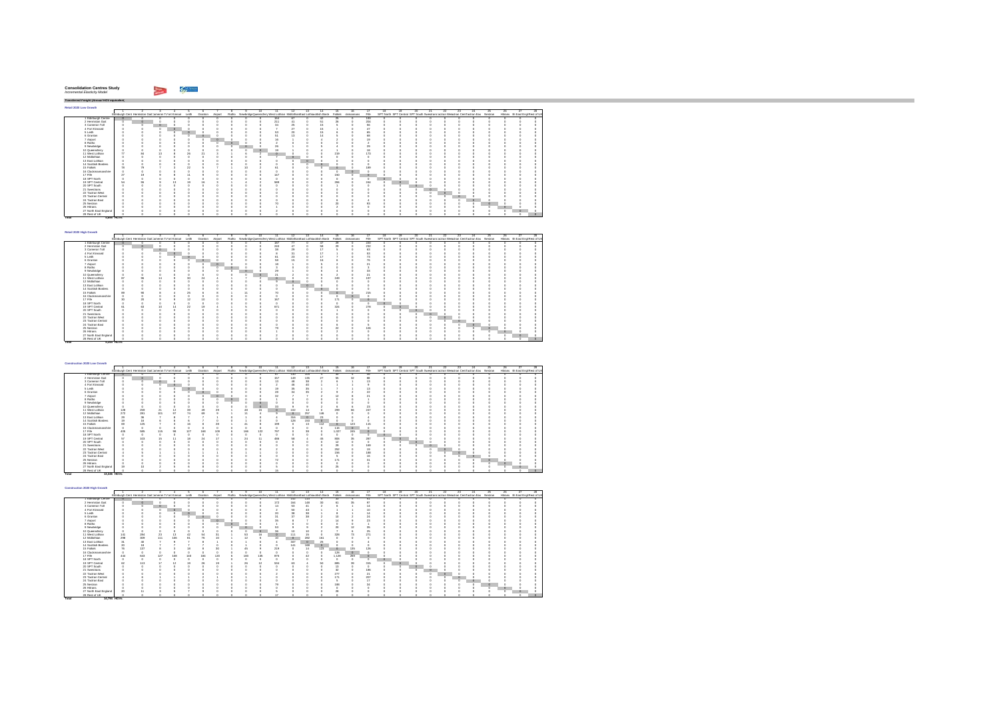| <b>Consolidation Centres Study</b><br>Incremental Elasticity Model |  |  |
|--------------------------------------------------------------------|--|--|
|--------------------------------------------------------------------|--|--|

**Total 5,34 HGVs4**

*Transferred Freight (Annual HGV equivalent)* **Retail 2020 Low Growth** $\Gamma$ 1 2 3 4 5 6 7 8 9 10 11 12 13 14 15 16 17 18 19 20 21 22 23 24 25 26 27 28Edinburgh Cent Hermiston GaitCameron ToFort Kinnair Leith Granton Airport Ratho NewbridgeQueensferryWest Lothian MidlothianEast Lothiacnottish Borde Falkirk ckmannans Fife SPT North SPT Central SPT South SwestransTactran Wesactran CentTactran Eas Nestran Hitrans rth East Engl Rest of UK 0 0 0 0 164 67 0 42 25 0 193 0 0 0 0 0 0 0 0 0 0 0 0 0 0 0 211 41 0 51 26 0 204 0 0 0 0 0 0 0 0 0 0 0 0 0 0 0 34 25 0 15 5 0 56 0 0 0 0 0 0 0 0 0 0 0 0 0 0 0 7 27 0 15 1 0 47 0 0 0 0 0 0 0 0 0 0 0 0 0 0 0 53 20 0 15 6 0 65 0 0 0 0 0 0 0 0 0 0 0 0 0 0 0 51 13 0 14 5 0 68 0 0 0 0 0 0 0 0 0 0 0 0 0 0 0 16 1 0 4 2 0 19 0 0 0 0 0 0 0 0 0 0 0 0000 2 000 0 0 2 0 0 00000 0 0 0 0 0 0 0 0 26 1 0 5 4 0 29 0 0 0 0 0 0 0 0 0 0 0 0 0 0 0 19 1 0 4 1 0 18 0 0 0 0 0 0 0 0 0 0 0 3 1 6 2 0 0 0 0 219 0 173 0 0 0 0 0 0 0 0 0 0 0 0000 7 000 0 0 0 0 0 00000 0 0 0 0 0000 0 000 0 0 0 0 0 00000 0 0 0 0 0000 0 000 0 0 0 0 0 00000 0 0 0 0 15 Falkirk 78 79 7 3 22 5 7 1 10 2 61 0 0 0 0 0 189 0 0 0 0 0 0 0 0 0 0 0 0000 0 000 0 0 0 0 0 00000 0 0 0 0 0 0 0 0 147 0 0 0 150 0 0 0 0 0 0 0 0 0 0 0 0 0 0000 0 000 0 0 0 0 0 00000 0 0 0 0 3 1 4 2 589 0 0 0 284 0 244 0 0 0 0 0 0 0 0 0 0 0 0000 0 000 1 0 0 0 0 00000 0 0 0 0 0000 0 000 0 0 0 0 0 00000 0 0 0 0 0000 0 000 0 0 0 0 0 00000 0 0 0 0 0000 0 000 0 0 0 0 0 00000 0 0 0 0 0000 0 000 6 0 4 0 0 00000 0 0 0 0 0 0 0 0 70 0 0 0 20 0 93 0 0 0 0 0 0 0 0 0 0 0 0000 1 000 2 0 0 0 0 00000 0 0 0 0 0000 2 000 0 0 0 0 0 00000 0 0 0 0 0000 0 000 0 0 0 0 0 00000 0 0 0 0 1 Edinburgh Centre | 0 0 0 0 0 0<br>2 Hermiston Gait 0 0 0 0 0 0 ...................... 3 Cameron Toll 0 0 0 0 0 04 Fort Kinnaird 0 0 0 0 0 05 Leith 0 0 0 0 0 06 Granton 0 0 0 0 0 07 Airport 0 0 0 0 0 08 Ratho 0 0 0 0 0 09 Newbridge 0 0 0 0 0 010 Queensferry 0 0 0 0 0 011 West Lothian 77 84 13 8 26 2112 Midlothian 0 0 0 0 0 013 East Lothian 0 0 0 0 0 014 Scottish Borders 0 0 0 0 0 016 Clackmannanshire 0 0 0 0 0 017 Fife 27 19 9 8 11 918 SPT North 0 0 0 0 0 019 SPT Central 54 55 9 13 19 1620 SPT South 0 0 0 0 0 021 Swestrans 0 0 0 0 0 022 Tactran West 0 0 0 0 0 023 Tactran Central 0 0 0 0 0 024 Tactran East 0 0 0 0 0 025 Nestran 0 0 0 0 0 026 Hitrans 0 0 0 0 0 027 North East England 0 0 0 0 0 028 RestolUK || 0 0 0 0 0 0 **Total 4,695 HGVs**

| Retail 2020 High Growth |    |                                                            |    |         |    |                 |         |         |    |                                                                          |                |    |                 |         |           |      |    |    |         |                                                                                   |    |         |          |         |                                  |     |    |
|-------------------------|----|------------------------------------------------------------|----|---------|----|-----------------|---------|---------|----|--------------------------------------------------------------------------|----------------|----|-----------------|---------|-----------|------|----|----|---------|-----------------------------------------------------------------------------------|----|---------|----------|---------|----------------------------------|-----|----|
|                         |    |                                                            |    |         |    |                 |         |         | 10 | 11.                                                                      | $12^{\circ}$   | 13 | $\overline{14}$ | 15      | 16        | 17   | 18 | 19 | 20      | 21                                                                                | 22 | 23      | $24-$    | $^{25}$ | 26                               | 27. | 28 |
|                         |    | Edinburgh Cent Hermiston Gait Jameron To ort Kinnair Leith |    |         |    | Granton Airport |         |         |    | Ratho NewbridgeDueensferr West Lothian Midlothian East Lothianotish Bord |                |    |                 | Falkirk | ckmannans | File |    |    |         | SPT North SPT Central SPT South Swestnans actran Wesctran CentFactran Eas Nestran |    |         |          |         | Hitrans rth East Engl Rest of UK |     |    |
| 1 Edinburgh Centre      |    |                                                            |    |         |    |                 |         |         |    | 187                                                                      |                |    | Æ.              | ж       |           | 220  |    |    |         |                                                                                   |    |         |          |         |                                  |     |    |
| 2 Hermiston Gait        |    |                                                            |    |         |    |                 |         |         |    | 240                                                                      |                |    | 58              | 29      |           | 232  |    |    |         |                                                                                   |    |         |          |         |                                  |     |    |
| 3 Cameron Toll          |    |                                                            |    |         |    |                 |         |         |    | $^{38}$                                                                  |                |    | $\overline{1}$  |         |           | 63   |    |    |         |                                                                                   |    |         |          |         |                                  |     |    |
| 4 Fort Kinnaird         |    |                                                            |    | $\circ$ |    |                 |         |         |    |                                                                          | $5$            |    | 17              |         |           | 53   |    |    |         |                                                                                   |    |         |          |         |                                  |     |    |
| 5 Leith                 |    |                                                            |    | n       |    |                 |         |         |    |                                                                          | $\mathfrak{B}$ |    | 17              |         |           | 73   |    |    |         |                                                                                   |    |         |          |         |                                  |     |    |
| 6 Granton               |    |                                                            |    |         |    |                 |         |         |    | 58                                                                       |                |    | 16              |         |           | 76   |    |    |         |                                                                                   |    |         |          |         |                                  |     |    |
| 7 Airport               |    |                                                            |    |         |    |                 | $\circ$ |         |    | 18                                                                       |                |    |                 |         |           | 21   |    |    |         |                                                                                   |    |         |          |         |                                  |     |    |
| 8 Ratho                 |    |                                                            |    |         |    |                 |         | $\circ$ |    |                                                                          |                |    |                 |         |           |      |    |    |         |                                                                                   |    |         |          |         |                                  |     |    |
| 9 Newbridge             |    |                                                            |    |         |    |                 |         |         |    | $^{20}$                                                                  |                |    |                 |         |           | 33   |    |    |         |                                                                                   |    |         |          |         |                                  |     |    |
| 10 Queensferry          |    |                                                            |    |         |    |                 |         |         |    | 21                                                                       |                |    |                 |         |           | 21   |    |    |         |                                                                                   |    |         |          |         |                                  |     |    |
| 11 West Lothian         | 87 | 98                                                         |    |         |    |                 |         |         |    |                                                                          |                |    |                 | 249     |           | 197  |    |    |         |                                                                                   |    |         |          |         |                                  |     |    |
| 12 Midlothian           |    |                                                            |    |         |    |                 |         |         |    |                                                                          | $\Omega$       |    |                 |         |           |      |    |    |         |                                                                                   |    |         |          |         |                                  |     |    |
| 13 East Lothian         |    |                                                            |    |         |    |                 |         |         |    |                                                                          |                |    |                 |         |           |      |    |    |         |                                                                                   |    |         |          |         |                                  |     |    |
| 14 Scottish Borders     |    |                                                            |    |         |    |                 |         |         |    |                                                                          |                |    |                 |         |           |      |    |    |         |                                                                                   |    |         |          |         |                                  |     |    |
| 15 Falkirk              | 89 | 90                                                         |    |         | 2Ř |                 |         |         |    |                                                                          |                |    |                 |         |           | 215  |    |    |         |                                                                                   |    |         |          |         |                                  |     |    |
| 16 Clackmannanshire     |    |                                                            |    |         |    |                 |         |         |    |                                                                          |                |    |                 |         |           |      |    |    |         |                                                                                   |    |         |          |         |                                  |     |    |
| 17 Fife                 | 30 | 20                                                         |    |         | 12 |                 |         |         |    | 167                                                                      |                |    |                 | 171     |           |      |    |    |         |                                                                                   |    |         |          |         |                                  |     |    |
| 18 SPT North            |    |                                                            |    |         |    |                 |         |         |    |                                                                          |                |    |                 |         |           |      |    |    |         |                                                                                   |    |         |          |         |                                  |     |    |
| 19 SPT Central          | 61 | R9.                                                        | 10 |         | 22 |                 |         |         |    | 671                                                                      |                |    |                 | 324     |           | 278  |    |    |         |                                                                                   |    |         |          |         |                                  |     |    |
| 20 SPT South            |    |                                                            |    |         |    |                 |         |         |    |                                                                          |                |    |                 |         |           |      |    |    | $\circ$ |                                                                                   |    |         |          |         |                                  |     |    |
| 21 Swestnans            |    |                                                            |    |         |    |                 |         |         |    |                                                                          |                |    |                 |         |           |      |    |    |         |                                                                                   |    |         |          |         |                                  |     |    |
| 22 Tactran West         |    |                                                            |    |         |    |                 |         |         |    |                                                                          |                |    |                 |         |           |      |    |    |         |                                                                                   |    |         |          |         |                                  |     |    |
| 23 Tactran Central      |    |                                                            |    |         |    |                 |         |         |    |                                                                          |                |    |                 |         |           |      |    |    |         |                                                                                   |    | $\circ$ |          |         |                                  |     |    |
| 24 Tactran East         |    |                                                            |    |         |    |                 |         |         |    |                                                                          |                |    |                 |         |           |      |    |    |         |                                                                                   |    |         | $\Omega$ |         |                                  |     |    |
| 25 Nestran              |    |                                                            |    |         |    |                 |         |         |    |                                                                          |                |    |                 | 22      |           | 106  |    |    |         |                                                                                   |    |         |          |         |                                  |     |    |
| 26 Hittans              |    |                                                            |    |         |    |                 |         |         |    |                                                                          |                |    |                 |         |           |      |    |    |         |                                                                                   |    |         |          |         | $\Omega$                         |     |    |
| 27 North East England   |    |                                                            |    |         |    |                 |         |         |    |                                                                          |                |    |                 |         |           |      |    |    |         |                                                                                   |    |         |          |         |                                  |     |    |
| 28 Rest of UK           |    |                                                            |    |         |    |                 |         |         |    |                                                                          |                |    |                 |         |           |      |    |    |         |                                                                                   |    |         |          |         |                                  |     |    |

| Construction 2020 Low Growth |             |     |                                                      |            |     |                       |         |         |     |          |                                                                                  |              |          |                |                          |           |                |         |                                                                                   |     |         |         |         |     |    |     |                                  |
|------------------------------|-------------|-----|------------------------------------------------------|------------|-----|-----------------------|---------|---------|-----|----------|----------------------------------------------------------------------------------|--------------|----------|----------------|--------------------------|-----------|----------------|---------|-----------------------------------------------------------------------------------|-----|---------|---------|---------|-----|----|-----|----------------------------------|
|                              |             |     |                                                      |            |     |                       |         |         |     |          |                                                                                  | $12^{\circ}$ | 13       |                | 15                       | 16        |                | 18      | 12                                                                                | 20. | 21      | 22.     | $^{23}$ | 25. | 26 | -27 |                                  |
|                              |             |     | Edinburgh Cent Hermiston Gait Jameron Tofort Kinnair |            |     | Leith Granton Airport |         |         |     |          | Ratho NewbridgeDueensferr West Lothian Midlothian East Lothianotish Bord Falkirk |              |          |                |                          | ckmannans | File           |         | SPT North SPT Central SPT South Swestnans actran Wesctran CentFactran Eas Nestran |     |         |         |         |     |    |     | Hitrans rth East Engl Rest of UK |
| 1 Edinburgh Centre           |             |     |                                                      |            |     |                       |         |         |     |          |                                                                                  | 130          | 104      |                |                          |           | 48             |         |                                                                                   |     |         |         |         |     |    |     |                                  |
| 2 Hermiston Gait             |             |     |                                                      |            |     |                       |         |         |     |          | 157                                                                              | 149          | 135      | $\mathfrak{D}$ | 56                       | 32        | 88             |         |                                                                                   |     |         |         |         |     |    |     |                                  |
| 3 Cameron Toll               |             |     |                                                      |            |     |                       |         |         |     |          |                                                                                  |              | 38       |                |                          |           |                |         |                                                                                   |     |         |         |         |     |    |     |                                  |
| 4 Fort Kinnaird              |             |     |                                                      |            |     |                       |         |         |     |          |                                                                                  |              | 40       |                |                          |           |                |         |                                                                                   |     |         |         |         |     |    |     |                                  |
| 5 Leith                      |             |     |                                                      |            |     |                       |         |         |     |          | 19                                                                               | ż            | 35       |                |                          |           |                |         |                                                                                   |     |         |         |         |     |    |     |                                  |
| 6 Granton                    |             |     |                                                      |            |     |                       |         |         |     |          | 28                                                                               |              |          |                |                          |           | $^{22}$        |         |                                                                                   |     |         |         |         |     |    |     |                                  |
| 7 Airport                    |             |     |                                                      |            |     |                       |         |         |     |          | 32                                                                               |              |          |                | $\overline{10}$          |           | $\overline{ }$ |         |                                                                                   |     |         |         |         |     |    |     |                                  |
| 8 Ratho                      |             |     |                                                      |            |     |                       |         | $\circ$ |     |          |                                                                                  |              |          |                |                          |           |                |         |                                                                                   |     |         |         |         |     |    |     |                                  |
| 9 Newbridge                  |             |     |                                                      |            |     |                       |         |         |     |          |                                                                                  |              |          |                |                          |           |                |         |                                                                                   |     |         |         |         |     |    |     |                                  |
| 10 Queensferry               |             |     |                                                      |            |     |                       |         |         |     | $\alpha$ | m                                                                                |              |          |                |                          |           | 23             |         |                                                                                   |     |         |         |         |     |    |     |                                  |
| 11 West Lothian              | 128         | 259 | 21                                                   | 12         | 39  | 49                    | $^{20}$ |         | 48  | 15.      |                                                                                  | 102          |          |                | 299                      | 66        | 247            |         |                                                                                   |     |         |         |         |     |    |     |                                  |
| 12 Midlothian                | 272         | 281 | 101                                                  | 97         | 74  | 69                    |         |         |     |          |                                                                                  | o            | 257      | 1.48           |                          |           |                |         |                                                                                   |     |         |         |         |     |    |     |                                  |
| 13 East Lothian              | 29          |     | 98                                                   |            |     |                       |         |         |     |          |                                                                                  | 316          | $\Omega$ | $\overline{2}$ |                          |           |                |         |                                                                                   |     |         |         |         |     |    |     |                                  |
| 14 Scottish Borders          | 19          |     |                                                      |            |     |                       |         |         |     |          |                                                                                  | 128          | 153      | $\circ$        |                          |           |                |         |                                                                                   |     |         |         |         |     |    |     |                                  |
| 15 Falkirk                   | <b>A9</b>   |     | 125                                                  |            |     |                       | 28      |         |     |          | 199                                                                              |              | 13       | 112            |                          | 123       | 115            |         |                                                                                   |     |         |         |         |     |    |     |                                  |
| 16 Clackmannanshire          |             |     |                                                      |            |     |                       |         |         |     |          |                                                                                  |              |          |                | 116                      | $\Omega$  |                |         |                                                                                   |     |         |         |         |     |    |     |                                  |
| 17 Fife                      | 405         | 585 | 115                                                  | $Q\bar{S}$ | 127 | 168                   | 109     |         | 166 | 122      | 797                                                                              |              | 38       |                | 1.027                    | 245       |                |         |                                                                                   |     |         |         |         |     |    |     |                                  |
| 18 SPT North                 |             |     |                                                      |            |     |                       |         |         |     |          |                                                                                  |              |          |                |                          |           |                | $\circ$ |                                                                                   |     |         |         |         |     |    |     |                                  |
| 19 SPT Central               | 57          |     | 103<br>15                                            | 11         | 18  | 24                    | 47      |         | 24  |          | 486                                                                              |              |          | 45             | 806                      | 35        | 287            |         |                                                                                   |     |         |         |         |     |    |     |                                  |
| 20 SPT South                 |             |     |                                                      |            |     |                       |         |         |     |          |                                                                                  |              |          |                | 12                       |           |                |         |                                                                                   |     |         |         |         |     |    |     |                                  |
| 21 Swestnans                 |             |     |                                                      |            |     |                       |         |         |     |          |                                                                                  |              |          |                | 29                       |           | 169            |         |                                                                                   |     | $\circ$ |         |         |     |    |     |                                  |
| 22 Tactran West              |             |     |                                                      |            |     |                       |         |         |     |          |                                                                                  |              |          |                | 252                      |           |                |         |                                                                                   |     |         | $\circ$ |         |     |    |     |                                  |
| 23 Tactran Central           |             |     |                                                      |            |     |                       |         |         |     |          |                                                                                  |              |          |                | 156                      |           | 188            |         |                                                                                   |     |         |         |         |     |    |     |                                  |
| 24 Tactran East              |             |     |                                                      |            |     |                       |         |         |     |          |                                                                                  |              |          |                |                          |           |                |         |                                                                                   |     |         |         |         |     |    |     |                                  |
| 25 Nestran                   |             |     |                                                      |            |     |                       |         |         |     |          | 72                                                                               |              |          |                | 171                      |           | ٩              |         |                                                                                   |     |         |         |         |     |    |     |                                  |
| 26 Hittans                   |             |     |                                                      |            |     |                       |         |         |     |          |                                                                                  |              |          |                |                          |           |                |         |                                                                                   |     |         |         |         |     |    |     |                                  |
| 27 North East England        |             |     |                                                      |            |     |                       |         |         |     |          |                                                                                  |              |          |                | $\overline{\phantom{a}}$ |           |                |         |                                                                                   |     |         |         |         |     |    |     |                                  |
| 28 Rest of UK                |             |     |                                                      |            |     |                       |         |         |     |          |                                                                                  |              |          |                |                          |           |                |         |                                                                                   |     |         |         |         |     |    |     |                                  |
| Total                        | 13,346 HOVS |     |                                                      |            |     |                       |         |         |     |          |                                                                                  |              |          |                |                          |           |                |         |                                                                                   |     |         |         |         |     |    |     |                                  |

| Construction 2020 High Growth |             |                 |                                                            |     |     |         |         |         |     |                                                                                  |         |         |         |          |           |         |    |     |    |                                                                                   |    |    |          |    |    |                                  |  |
|-------------------------------|-------------|-----------------|------------------------------------------------------------|-----|-----|---------|---------|---------|-----|----------------------------------------------------------------------------------|---------|---------|---------|----------|-----------|---------|----|-----|----|-----------------------------------------------------------------------------------|----|----|----------|----|----|----------------------------------|--|
|                               |             |                 |                                                            |     |     |         |         |         | 10  | Ŧ                                                                                | 12      | 13      | 14      | 15       |           | 17      | 18 | 19. | 20 |                                                                                   | 22 | 28 | 24       | 25 | 26 |                                  |  |
|                               |             |                 | Edinburgh Cent Hermiston Gait Jameron To ort Kinnair Leith |     |     | Granton | Airport |         |     | Ratho NewbridgeDueensferr West Lothian Midlothian East Lothianotish Bord Falkirk |         |         |         |          | ckmannans | File    |    |     |    | SPT North SPT Central SPT South Swestnans actran Wesctran CentFactran Eas Nestran |    |    |          |    |    | Hitrans rth East Engl Rest of UK |  |
| 1 Edinburgh Centre            |             |                 |                                                            |     |     |         |         |         |     | 73                                                                               | 142     | 114     |         | ×        |           | 51      |    |     |    |                                                                                   |    |    |          |    |    |                                  |  |
| 2 Hermiston Gait              |             |                 |                                                            |     |     |         |         |         |     | 172                                                                              | 164     | 148     | 30      |          | 36        | 97      |    |     |    |                                                                                   |    |    |          |    |    |                                  |  |
| 3 Cameron Toll                |             |                 |                                                            |     |     |         |         |         |     | 14                                                                               | 53      | 41      |         |          |           | 14      |    |     |    |                                                                                   |    |    |          |    |    |                                  |  |
| 4 Fort Kinnaird               |             |                 |                                                            |     |     |         |         |         |     |                                                                                  | 50      | 43      |         |          |           |         |    |     |    |                                                                                   |    |    |          |    |    |                                  |  |
| 5 Leith                       |             |                 |                                                            |     |     |         |         |         |     | 20                                                                               | 38      | 38      |         |          |           | 14      |    |     |    |                                                                                   |    |    |          |    |    |                                  |  |
| 6 Granton                     |             |                 |                                                            |     |     |         |         |         |     |                                                                                  | $^{22}$ | 38      |         |          |           | 24      |    |     |    |                                                                                   |    |    |          |    |    |                                  |  |
| 7 Airport                     |             |                 |                                                            |     |     |         |         |         |     |                                                                                  |         |         |         |          |           | 23      |    |     |    |                                                                                   |    |    |          |    |    |                                  |  |
| 8 Ratho                       |             |                 |                                                            |     |     |         |         |         |     |                                                                                  |         |         |         |          |           |         |    |     |    |                                                                                   |    |    |          |    |    |                                  |  |
| 9 Newbridge                   |             |                 |                                                            |     |     |         |         |         |     |                                                                                  |         |         |         |          |           | 35      |    |     |    |                                                                                   |    |    |          |    |    |                                  |  |
| 10 Queensferry                |             |                 |                                                            |     |     |         |         |         |     | 38                                                                               | 10      |         |         |          |           | 25      |    |     |    |                                                                                   |    |    |          |    |    |                                  |  |
| 11 West Lothian               |             | 141             | 284<br>$^{23}$                                             | 13  | 45  | R4      |         | 53      | 16  |                                                                                  | 111     | 15      |         | 328      |           | 271     |    |     |    |                                                                                   |    |    |          |    |    |                                  |  |
| 12 Midlothian                 |             | 298             | 309<br>111                                                 | 108 | 81  | 76      |         |         |     | 10                                                                               | $\circ$ | 282     | 161     |          |           |         |    |     |    |                                                                                   |    |    |          |    |    |                                  |  |
| 13 East Lothian               |             | 31              | 40                                                         |     |     |         |         |         |     |                                                                                  | 347     | $\circ$ | $^{25}$ |          |           |         |    |     |    |                                                                                   |    |    |          |    |    |                                  |  |
| 14 Scottish Borders           |             | 20 <sub>1</sub> | 18                                                         |     |     |         |         |         |     |                                                                                  | 141     | 168     | $\circ$ |          |           |         |    |     |    |                                                                                   |    |    |          |    |    |                                  |  |
| 15 Falkirk                    |             | 78              | 137                                                        |     |     |         |         | ú       |     | 219                                                                              |         | 14      | 123     |          | 135       | 126     |    |     |    |                                                                                   |    |    |          |    |    |                                  |  |
| 16 Clackmannanshire           |             |                 |                                                            |     |     |         |         |         |     |                                                                                  |         |         |         | 128      | $\Omega$  |         |    |     |    |                                                                                   |    |    |          |    |    |                                  |  |
| 17 Fife                       |             | 444             | 643<br>127                                                 | 108 | 140 | 184     | 120     | 183     | 135 | 875                                                                              |         |         |         | 1.128    | 269       |         |    |     |    |                                                                                   |    |    |          |    |    |                                  |  |
| 18 SPT North                  |             |                 |                                                            |     |     |         |         |         |     |                                                                                  |         |         |         |          |           |         |    |     |    |                                                                                   |    |    |          |    |    |                                  |  |
| 19 SPT Central                |             | 62              | 113<br>17                                                  |     | 10  | 26      | 10      | $^{26}$ | 12  | 534                                                                              |         |         | 50      | 885      | 36        | 315     |    |     |    |                                                                                   |    |    |          |    |    |                                  |  |
| 20 SPT South                  |             |                 |                                                            |     |     |         |         |         |     |                                                                                  |         |         |         | 13       |           |         |    |     |    |                                                                                   |    |    |          |    |    |                                  |  |
| 21 Swestnans                  |             |                 |                                                            |     |     |         |         |         |     |                                                                                  |         |         |         | $\infty$ |           | 186     |    |     |    |                                                                                   |    |    |          |    |    |                                  |  |
| 22 Tactran West               |             |                 |                                                            |     |     |         |         |         |     |                                                                                  |         |         |         | 277      |           | $^{21}$ |    |     |    |                                                                                   |    |    |          |    |    |                                  |  |
| 23 Tactran Central            |             |                 |                                                            |     |     |         |         |         |     |                                                                                  |         |         |         | 17       |           | 207     |    |     |    |                                                                                   |    |    |          |    |    |                                  |  |
| 24 Tactran East               |             |                 |                                                            |     |     |         |         |         |     |                                                                                  |         |         |         |          |           | 17      |    |     |    |                                                                                   |    |    | $\Omega$ |    |    |                                  |  |
| 25 Nestran                    |             |                 |                                                            |     |     |         |         |         |     |                                                                                  |         |         |         | 188      |           | 34      |    |     |    |                                                                                   |    |    |          |    |    |                                  |  |
| 26 Hittans                    |             |                 |                                                            |     |     |         |         |         |     |                                                                                  |         |         |         |          |           |         |    |     |    |                                                                                   |    |    |          |    |    |                                  |  |
| 27 North East England         |             | 20              |                                                            |     |     |         |         |         |     |                                                                                  |         |         |         |          |           |         |    |     |    |                                                                                   |    |    |          |    |    |                                  |  |
| 28 Rest of UK                 |             |                 |                                                            |     |     |         |         |         |     |                                                                                  |         |         |         |          |           |         |    |     |    |                                                                                   |    |    |          |    |    |                                  |  |
| Total                         | 14,794 HOVs |                 |                                                            |     |     |         |         |         |     |                                                                                  |         |         |         |          |           |         |    |     |    |                                                                                   |    |    |          |    |    |                                  |  |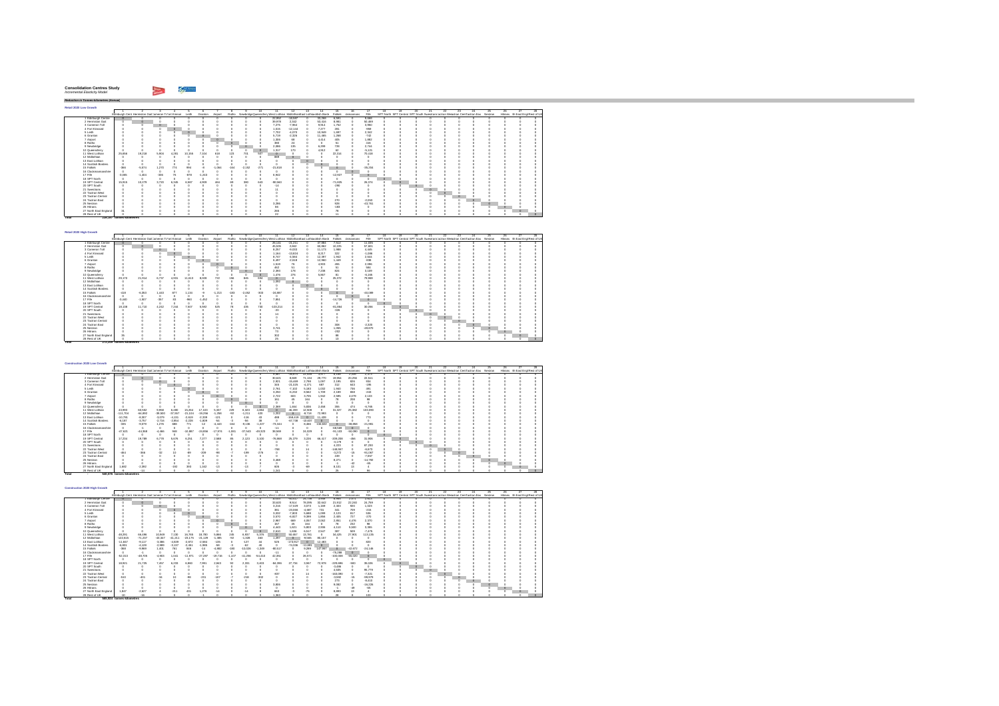#### **Consolidation Centres Study** *Incremental Elasticity Model*

 $\sim$   $\omega$ 

**Retail 2020 Low Growth** $\Gamma$ 1 2 3 4 5 6 7 8 9 10 11 12 13 14 15 16 17 18 19 20 21 22 23 24 25 26 27 28Edinburgh Cent Hermiston GaitCameron ToFort Kinnair Leith Granton Airport Ratho NewbridgeQueensferryWest Lothian MidlothianEast Lothiacnottish Borde Falkirk ckmannans Fife SPT North SPT Central SPT South SwestransTactran Wesactran CentTactran Eas Nestran Hitrans rth East Engl Rest of UK1 Edinburgh Centre 0 0 0 0 0 0 0000 22,952 -18,587 0 33,268 6,591 0 9,668 0 0 0 0 0 0 0 0 0 0 0 2 Hermiston Gait 0 0 0 0 0 0 0000 39,978 2,342 0 53,416 8,981 0 50,469 0 0 0 0 0 0 0 0 0 0 0 3 Cameron Toll 0 0 0 0 0 0 0000 7,275 -7,964 0 9,914 1,752 0 3,950 0 0 0 0 0 0 0 0 0 0 0 4 Fort Kinnaird 0 0 0 0 0 0 0000 1,015 -12,144 0 7,277 281 0 -959 0 0 0 0 0 0 0 0 0 0 0 5 Leith 0 0 0 0 0 0 0000 7,702 -4,070 0 10,949 1,697 0 2,342 0 0 0 0 0 0 0 0 0 0 0 6 Granton 0 0 0 0 0 0 0000 5,719 -2,326 0 11,465 1,268 0 -742 0 0 0 0 0 0 0 0 0 0 0 7 Airport 0 0 0 0 0 0 0000 1,306 68 0 4,414 405 0 1,882 0 0 0 0 0 0 0 0 0 0 0 8 Ratho 0 0 0 0 0 0 0 0 0 0 380 24 0 0 51 0 416 0 0 0 0 0 0 0 0 0 0 0 9 Newbridge 0 0 0 0 0 0 0000 2,086 135 0 6,299 728 0 2,744 0 0 0 0 0 0 0 0 0 0 0 10 Queensferry 0 0 0 0 0 0 0000 1,317 170 0 4,912 62 0 -5,121 0 0 0 0 0 0 0 0 0 0 0 11 West Lothian 25,656 19,218 5,904 4,281 10,155 7,104 618 123 701 507 0 0 0 0 22,314 0 70,418 0 0 0 0 0 0 0 0 0 0 012 Midlothian 0 0 0 0 0 0 0 0 0 0 889 0 0 0 0 0 0 0 0 0 0 0 0 0 0 0 0 0 13 East Lothian 0 0 0 0 0 0 0000 0 000 0 0 0 0 0 00000 0 0 0 0 14 Scottish Borders 0 0 0 0 0 0 0000 0 000 0 0 0 0 0 00000 0 0 0 0 15 Falkirk -366 -5,574 1,270 774 994 -8 -1,064 -164 -2,152 -271 -21,818 0 0 0 0 0 -35,204 0 0 0 0 0 0 0 0 0 0 016 Clackmannanshire 0 0 0 0 0 0 0000 0 000 0 0 0 0 0 00000 0 0 0 0 17 Fife -3,065 -1,404 -336 76 -878 -1,243 0000 6,942 0 0 0 -12,927 0 0 0 0 0 0 0 0 0 0 0 0 0 18 SPT North 0 0 0 0 0 0 0000 0 000 0 0 0 0 0 00000 0 0 0 0 19 SPT Central 15,915 10,279 3,720 6,345 6,587 4,909 464 69 380 643 -90,560 0 0 0 -71,825 0 26,374 0 0 0 0 0 0 0 0 0 0 020 SPT South 0 0 0 0 0 0 0 0 0 0 -14 0 0 0 -290 0 0 0 0 0 0 0 0 0 0 0 0 0 21 Swestrans 0 0 0 0 0 0 0 0 0 0 11 0 0 0 0 0 0 0 0 0 0 0 0 0 0 0 0 0 22 Tactran West 0 0 0 0 0 0 0000 0 000 0 0 0 0 0 00000 0 0 0 0 23 Tactran Central 0 0 0 0 0 0 0000 0 000 0 0 0 0 0 00000 0 0 0 0 24 Tactran East 0 0 0 0 0 0 0 0 0 0 0 0 0 0 270 0 -2,053 0 0 0 0 0 0 0 0 0 0 0 25 Nestran 0 0 0 0 0 0 0000 3,286 0 0 0 928 0 -43,761 0 0 0 0 0 0 0 0 0 0 0 26 Hitrans 0 0 0 0 0 0 0 0 0 0 66 0 0 0 -183 0 0 0 0 0 0 0 0 0 0 0 0 0 27 North East England 31 0 0 0 0 0 0 0 0 0 265 0 0 0 78 0 0 0 0 0 0 0 0 0 0 0 0 0 28 Rest of UK 0 0 0 0 0 0 0 0 0 0 22 0 0 0 11 0 0 0 0 0 0 0 0 0 0 0 0 0 **Total 239,197 tonnes-kilometres**

| Retail 2020 High Growth |          |          |                                                      |         |        |          |          |        |          |        |                                                                           |           |        |           |           |           |                                                                                   |  |  |          |    |    |                                  |  |
|-------------------------|----------|----------|------------------------------------------------------|---------|--------|----------|----------|--------|----------|--------|---------------------------------------------------------------------------|-----------|--------|-----------|-----------|-----------|-----------------------------------------------------------------------------------|--|--|----------|----|----|----------------------------------|--|
|                         |          |          |                                                      |         |        |          |          |        |          |        |                                                                           | 12        |        |           |           |           |                                                                                   |  |  |          | つら | 28 |                                  |  |
|                         |          |          | Edinburgh Cent Hermiston Gait Jameron To ort Kinnair |         | Leith  | Granton  | Airport  |        |          |        | Ratho NewbridgeDueensferr West Lothian Midlothian East Lothianotish Bord- |           |        | Falkirk   | ckmannans | File      | SPT North SPT Central SPT South Swestnans actran Wesctran CentFactran Eas Nestran |  |  |          |    |    | Hitrans rth East Engl Rest of UK |  |
| 1 Edinburch Centre      |          |          |                                                      |         |        |          |          |        |          |        | 26,141                                                                    | $-21.211$ | 37.884 | 7.512     |           | 11.035    |                                                                                   |  |  |          |    |    |                                  |  |
| 2 Hermiston Gait        |          |          |                                                      |         |        |          |          |        |          |        | 45.535                                                                    | 2.662     | 60,882 | 10.225    |           | 57.601    |                                                                                   |  |  |          |    |    |                                  |  |
| 3 Cameron Toll          |          |          |                                                      |         |        |          |          |        |          |        | 8.257                                                                     | $-9.033$  | 11.173 | 1,988     |           | 4.445     |                                                                                   |  |  |          |    |    |                                  |  |
| 4 Fort Kinnaird         |          |          |                                                      | $\circ$ |        |          |          |        |          |        | 1.164                                                                     | $-13.824$ | 8.217  | 322       |           | $-1.086$  |                                                                                   |  |  |          |    |    |                                  |  |
| 5 Leith                 |          |          |                                                      |         |        |          |          |        |          |        | 8.747                                                                     | $-4.584$  | 12,397 | 1,942     |           | 2.644     |                                                                                   |  |  |          |    |    |                                  |  |
| 6 Granton               |          |          |                                                      |         |        |          |          |        |          |        | 6.497                                                                     | $-2.618$  | 12,960 | 1,449     |           | -838      |                                                                                   |  |  |          |    |    |                                  |  |
| 7 Airport               |          |          |                                                      |         |        |          | $\circ$  |        |          |        | 1.519                                                                     | 76        | 4,903  | 455       |           | 2.096     |                                                                                   |  |  |          |    |    |                                  |  |
| 8 Ratho                 |          |          |                                                      |         |        |          |          |        |          |        | 462                                                                       | C.        |        | 51        |           | 584       |                                                                                   |  |  |          |    |    |                                  |  |
| 9 Newbridge             |          |          |                                                      |         |        |          |          |        |          |        | 2.393                                                                     | 178       | 7.238  | 824       |           | 3.109     |                                                                                   |  |  |          |    |    |                                  |  |
| 10 Queensferry          |          |          |                                                      |         |        |          |          |        |          |        | 1,476                                                                     | 276       | 5.867  | 81        |           | $-6.166$  |                                                                                   |  |  |          |    |    |                                  |  |
| 11 West Lothian         | 29.170   | 21,914   | 6.737                                                | 4.931   | 11.613 | 8.028    | 722      | 156    | 845      | 634    | $\Omega$                                                                  |           |        | 25.372    |           | 79,969    |                                                                                   |  |  |          |    |    |                                  |  |
| 12 Midlothian           |          |          |                                                      |         |        |          |          |        |          |        | 1.092                                                                     |           |        |           |           |           |                                                                                   |  |  |          |    |    |                                  |  |
| 13 East Lothian         |          |          |                                                      |         |        |          |          |        |          |        |                                                                           |           |        |           |           |           |                                                                                   |  |  |          |    |    |                                  |  |
| 14 Scottish Borders     |          |          |                                                      |         |        |          |          |        |          |        |                                                                           |           |        |           |           |           |                                                                                   |  |  |          |    |    |                                  |  |
| 15 Falkirk              | $-418$   | $-6.353$ | 1.443                                                | 877     | 1.134  |          | $-1.213$ | $-183$ | $-2.462$ | $-303$ | $-24.887$                                                                 |           |        |           |           | $-40.089$ |                                                                                   |  |  |          |    |    |                                  |  |
| 16 Clackmannanshire     |          |          |                                                      |         |        |          |          |        |          |        |                                                                           |           |        |           |           |           |                                                                                   |  |  |          |    |    |                                  |  |
| 17 Fife                 | $-3.440$ | $-1.507$ | $-357$                                               | 83      | $-960$ | $-1.452$ |          |        |          |        | 7.851                                                                     |           |        | $-14.726$ |           | $\circ$   |                                                                                   |  |  |          |    |    |                                  |  |
| 18 SPT North            |          |          |                                                      |         |        |          |          |        |          |        | ×.                                                                        |           |        |           |           |           |                                                                                   |  |  |          |    |    |                                  |  |
| 19 SPT Central          | 18,138   | 11.710   | 4.242                                                | 7.244   | 7.507  | 5.592    | 525      |        | 435      | 730    | $-103,214$                                                                |           |        | $-81.864$ |           | 30.056    |                                                                                   |  |  |          |    |    |                                  |  |
| 20 SPT South            |          |          |                                                      |         |        |          |          |        |          |        | $-20$                                                                     |           |        | $-326$    |           |           |                                                                                   |  |  |          |    |    |                                  |  |
| 21 Swestnans            |          |          |                                                      |         |        |          |          |        |          |        | 14                                                                        |           |        |           |           |           |                                                                                   |  |  |          |    |    |                                  |  |
| 22 Tactran West         |          |          |                                                      |         |        |          |          |        |          |        |                                                                           |           |        |           |           |           |                                                                                   |  |  |          |    |    |                                  |  |
| 23 Tactran Central      |          |          |                                                      |         |        |          |          |        |          |        |                                                                           |           |        |           |           |           |                                                                                   |  |  |          |    |    |                                  |  |
| 24 Tactran East         |          |          |                                                      |         |        |          |          |        |          |        |                                                                           |           |        | 308       |           | $-2.320$  |                                                                                   |  |  | $\Omega$ |    |    |                                  |  |
| 25 Nestran              |          |          |                                                      |         |        |          |          |        |          |        | 3.741                                                                     |           |        | 1.055     |           | $-49.870$ |                                                                                   |  |  | π        |    |    |                                  |  |
| 26 Hittans              |          |          |                                                      |         |        |          |          |        |          |        | 73                                                                        |           |        | $-202$    |           |           |                                                                                   |  |  |          |    |    |                                  |  |
| 27 North East England   |          |          |                                                      |         |        |          |          |        |          |        | 302                                                                       |           |        | 88        |           |           |                                                                                   |  |  |          |    |    |                                  |  |
| 28 Rest of UK           |          |          |                                                      |         |        |          |          |        |          |        | 25                                                                        |           |        |           |           |           |                                                                                   |  |  |          |    |    |                                  |  |

| Construction 2020 Low Growth |                                                      |           |           |           |           |           |           |          |           |           |                                                                    |            |           |          |            |           |           |                                                                                   |  |   |         |  |          |                                  |  |
|------------------------------|------------------------------------------------------|-----------|-----------|-----------|-----------|-----------|-----------|----------|-----------|-----------|--------------------------------------------------------------------|------------|-----------|----------|------------|-----------|-----------|-----------------------------------------------------------------------------------|--|---|---------|--|----------|----------------------------------|--|
|                              |                                                      |           |           |           |           |           |           |          |           |           |                                                                    |            |           |          |            |           |           |                                                                                   |  |   | 28      |  |          |                                  |  |
|                              | Edinburgh Cent Hermiston Gait Jameron Tofort Kinnair |           |           |           | Leith     | Granton   | Airport   | Ratho    |           |           | NewbridgeDueensferr West Lothian Midlothian East Lothianotish Bord |            |           |          | Falkirk    | ckmannans | File      | SPT North SPT Central SPT South Swestnans actran Weschlan CentFactran Eas Nestran |  |   |         |  |          | Hitrans rth East Engl Rest of UK |  |
| 1 Edinburch Centre           |                                                      |           |           |           |           |           |           |          |           |           | 9.587                                                              | $-36.870$  | 22.535    | 3.577    | 8.158      | 2.335     | 2373      |                                                                                   |  |   |         |  |          |                                  |  |
| 2 Hormiston Goir             |                                                      |           |           |           |           |           |           |          |           |           | 30.62                                                              | 8,669      | 71.134    | 29,770   | 19,954     | 20.256    | 22.511    |                                                                                   |  |   |         |  |          |                                  |  |
| 3 Cameron Toll               |                                                      |           | $\circ$   |           |           |           |           |          |           |           | $2.92$ <sup>-</sup>                                                | $-15.469$  | 2.798     | 1.097    | 2.195      | 826       | 934       |                                                                                   |  |   |         |  |          |                                  |  |
| 4 Fort Kinnaird              |                                                      |           | ۰         | $\circ$   |           |           |           |          |           |           | 345                                                                | $-21.025$  | $-4.271$  | 687      | 312        | 643       | $-195$    |                                                                                   |  |   |         |  |          |                                  |  |
| 5 Lokh                       |                                                      |           |           |           |           |           |           |          |           |           | 2.76                                                               | $-7.102$   | 5.183     | 1.032    | 1.940      | 736       | 491       |                                                                                   |  |   |         |  |          |                                  |  |
| 6 Granton                    |                                                      |           |           |           |           |           |           |          |           |           | 3.250                                                              | $-6.232$   | 8.562     | 1.709    | 2.189      | 658       | $-243$    |                                                                                   |  |   |         |  |          |                                  |  |
| 7 Airport                    |                                                      |           |           |           |           |           |           |          |           |           | 2.722                                                              | 603        | 3.705     | 1.942    | 2.595      | 4.079     | 2.133     |                                                                                   |  |   |         |  |          |                                  |  |
| 8 Ratho                      |                                                      |           |           |           |           |           |           |          |           |           | 161                                                                | 46         | 164       |          |            | 208       | 98        |                                                                                   |  |   |         |  |          |                                  |  |
| 9 Newbridge                  |                                                      |           |           |           |           |           |           |          | $\circ$   |           |                                                                    |            |           |          |            |           |           |                                                                                   |  |   |         |  |          |                                  |  |
| 10 Queensferry               |                                                      |           |           |           |           |           |           |          |           |           | 2.369                                                              | 1,464      | 5.836     | 2.458    | 355        | 474       | $-6.766$  |                                                                                   |  |   |         |  |          |                                  |  |
| 11 West Lothian              | 43,993                                               | 60,552    | 9.958     | 6,480     | 15.264    | 17,103    | 5.337     | 229      | 6.323     | 4.884     |                                                                    | 46,209     | 12,508    | $\theta$ | 31.327     | 25.382    | 103,090   |                                                                                   |  |   |         |  |          |                                  |  |
| 12 Midlothian                | $-111.704$                                           | $-64.892$ | $-39.500$ | $-37.567$ | $-21.104$ | $-19.256$ | 1.258     | $-92$    | $-1.211$  | 420       | 1.202                                                              | $\circ$    | .8718     | 72,993   |            |           |           |                                                                                   |  |   |         |  |          |                                  |  |
| 13 East Lothian              | $-10.781$                                            | $-8.307$  | $-3.079$  | $-4.131$  | $-2.619$  | $-2.339$  | $-121$    |          | $-116$    | 43        | 488                                                                | $-158.419$ | $\circ$   | 11.439   |            |           | 773       |                                                                                   |  |   |         |  |          |                                  |  |
| 14 Scottish Borders          | $-6.187$                                             | $-3.757$  | $-2.716$  | $-2.854$  | $-2.228$  | $-1.809$  | $-54$     | A        | -56       | 38        |                                                                    | $-67.738$  | $-10.637$ | $\alpha$ |            |           |           |                                                                                   |  |   |         |  |          |                                  |  |
| 15 Falkirk                   | -335                                                 | $-9.075$  | 1.276     | 688       | 771       | $-12$     | $-4.443$  | $-164$   | $-9.136$  | $-1.227$  | $-73.344$                                                          |            | 8,466     | 134.822  | $\Omega$   | $-38.858$ | $-21.981$ |                                                                                   |  |   |         |  |          |                                  |  |
| 16 Clarkmonnanshire          |                                                      |           | $\alpha$  |           |           |           |           |          |           |           | $-11$                                                              |            |           |          | $-68,569$  | $\Omega$  |           |                                                                                   |  |   |         |  |          |                                  |  |
| 17 Fife                      | $-47.621$                                            | 44.368    | $-4.466$  | 948       | $-10.887$ | $-24.856$ | $-17.974$ | $-1.081$ | $-37.543$ | $-49.323$ | 38,589                                                             |            | 24.029    |          | $-01.103$  | $-50.090$ | $\sim$    |                                                                                   |  |   |         |  |          |                                  |  |
| 18 SPT North                 |                                                      |           | $\theta$  |           |           |           |           |          |           |           |                                                                    |            |           |          |            |           |           |                                                                                   |  |   |         |  |          |                                  |  |
| 19 SPT Central               | 17.234                                               | 19,789    | 6.778     | 5.676     | 6.251     | 7.277     | 2.588     | 85       | 2.123     | 3.100     | $-76.868$                                                          | 25.279     | 3.226     | 66,417   | $-209.208$ | 456       | 31,906    |                                                                                   |  |   |         |  |          |                                  |  |
| 20 SPT South                 |                                                      |           |           |           |           |           |           |          |           |           |                                                                    |            |           |          | $-3.179$   |           |           |                                                                                   |  |   |         |  |          |                                  |  |
| 21 Swestnans                 |                                                      |           |           |           |           |           |           |          |           |           |                                                                    |            |           |          | 4.223      |           | 87,230    |                                                                                   |  |   |         |  |          |                                  |  |
| 22 Tartran West              |                                                      |           |           |           |           |           |           |          |           |           | 768                                                                |            |           |          | $-148.557$ |           | $-6.673$  |                                                                                   |  | о |         |  |          |                                  |  |
| 23 Tactran Central           | 484                                                  | $-366$    | $-32$     | 10        | $-89$     | 200       | w         |          | $-120$    | $-276$    |                                                                    |            |           |          | $-3.272$   | $-15$     | $-91.067$ |                                                                                   |  |   | $\circ$ |  |          |                                  |  |
| 24 Tactran East              |                                                      |           |           |           |           |           |           |          |           |           |                                                                    |            |           |          | 249        |           | $-7.657$  |                                                                                   |  |   |         |  |          |                                  |  |
| 25 Nestran                   |                                                      |           |           |           |           |           |           |          |           |           | 3,468                                                              |            |           |          | 8.27       |           | $-14.792$ |                                                                                   |  |   |         |  |          |                                  |  |
| 26 Hitrans                   |                                                      |           |           |           |           |           |           |          |           |           |                                                                    |            |           |          |            |           | $-65$     |                                                                                   |  |   |         |  | $\Omega$ |                                  |  |
| 27 North East England        | 1.682                                                | $-2.392$  |           | $-192$    | 393       | 1.162     | $-12$     |          | $-12$     |           | 605                                                                |            | -69       |          | 8.10       |           |           |                                                                                   |  |   |         |  |          |                                  |  |
| 28 Rest of UK                |                                                      | .14       |           |           |           |           |           |          |           |           | 1.241                                                              |            |           |          | 25         |           |           |                                                                                   |  |   |         |  |          |                                  |  |
| Total                        | 540,576 tonnes-kilometres                            |           |           |           |           |           |           |          |           |           |                                                                    |            |           |          |            |           |           |                                                                                   |  |   |         |  |          |                                  |  |

|                       |                           | Edinburgh Cent Hermiston Gait Jameron To ort Kinnair |           |           | Leith     | Granton   | Airport   | Ratho    |           |           | NewbridgeDueensferr West Lothian Midlothian East Lothianotish Bord |            |          |          | Falkirk    | ckmannans | File      | SPT North SPT Central SPT South Swestnans actran Weschlan Centractran Eas Nestran |  |  |  |  | Hitrans rth East Engl Rest of UK |
|-----------------------|---------------------------|------------------------------------------------------|-----------|-----------|-----------|-----------|-----------|----------|-----------|-----------|--------------------------------------------------------------------|------------|----------|----------|------------|-----------|-----------|-----------------------------------------------------------------------------------|--|--|--|--|----------------------------------|
| Edinburgh Centre      |                           |                                                      |           |           |           |           |           |          |           |           | 10.537                                                             | $-40.417$  | 24.736   | 3,948    | 8.955      | 2.571     | 2.613     |                                                                                   |  |  |  |  |                                  |
| 2 Hermiston Gait      |                           |                                                      |           |           |           |           |           |          |           |           | 33,620                                                             | 9.514      | 78.095   | 32.642   | 21.912     | 22.240    | 24.759    |                                                                                   |  |  |  |  |                                  |
| 3 Cameron Toll        |                           |                                                      |           |           |           |           |           |          |           |           | 3.216                                                              | $-17.029$  | 3.073    | 1.169    | 2.403      | 920       | 1.023     |                                                                                   |  |  |  |  |                                  |
| 4 Fort Kinnaird       |                           |                                                      |           |           |           |           |           |          |           |           | 381                                                                | $-23.066$  | $-4.687$ | 731      | 341        | 709       | $-215$    |                                                                                   |  |  |  |  |                                  |
| 5 Leith               |                           |                                                      |           |           |           |           |           |          |           |           | 3.032                                                              | $-7.803$   | 5,688    | 1.006    | 2.123      | 817       | 536       |                                                                                   |  |  |  |  |                                  |
| 6 Granton             |                           |                                                      |           |           |           |           |           |          |           |           | 3.570                                                              | $-6.827$   | 9.399    | 1.856    | 2.405      | 727       | $-270$    |                                                                                   |  |  |  |  |                                  |
| 7 Airport             |                           |                                                      |           |           |           |           |           |          |           |           | 2.987                                                              | 669        | 4.057    | 2.062    | 2.851      | 4,476     | 2.370     |                                                                                   |  |  |  |  |                                  |
| 8 Ratho               |                           |                                                      |           |           |           |           |           |          |           |           | 167                                                                | 45         | 164      |          | 78         | 232       | 98        |                                                                                   |  |  |  |  |                                  |
| 9 Newbridge           |                           |                                                      |           |           |           |           |           |          |           |           | 4,443                                                              | 1.621      | 5.803    | 2.936    | 4.110      | 5.500     | 3.355     |                                                                                   |  |  |  |  |                                  |
| 10 Queensferry        |                           |                                                      |           |           |           |           |           |          |           |           | 2.610                                                              | 636        | 6.517    | 2.547    | 387        | 509       | $-7.475$  |                                                                                   |  |  |  |  |                                  |
| 11 West Lothian       | 48.291                    | 66,496                                               | 10.949    | 130       | 16.765    | 18,780    | 5.866     | 245      | 6.937     | 5.376     |                                                                    | 50.657     | 13.781   |          | 34.425     | 27,901    | 113.135   |                                                                                   |  |  |  |  |                                  |
| 12 Midlothian         | $-122.615$                | $-71.237$                                            | $-43.347$ | $-41.211$ | $-23.175$ | $-21.129$ | $-1.385$  | $-92$    | $-1.328$  | 463       | 1,207                                                              | $\circ$    | $-9.565$ | 80.157   |            |           |           |                                                                                   |  |  |  |  |                                  |
| 13 East Lothian       | $-11.847$                 | $-9.117$                                             | $-3.386$  | $-4.539$  | $-2.872$  | $-2.584$  | $-136$    |          | $-127$    | 44        | 525                                                                | $-173.917$ | $\circ$  | 12,483   |            |           | 820       |                                                                                   |  |  |  |  |                                  |
| 14 Scottish Borders   | $-6.801$                  | $-4.128$                                             | $-2.989$  | $-3.137$  | $-2.451$  | $-1.985$  | -58       |          | $-82$     |           |                                                                    | $-74.336$  | 11.681   | $\alpha$ |            |           |           |                                                                                   |  |  |  |  |                                  |
| 15 Falkirk            | -368                      | $-9.969$                                             | 1.401     | 761       | 846       | $-14$     | $-4.882$  | $-180$   | $-10.026$ | $-1.349$  | $-80.517$                                                          |            | 9.289    | 147.967  | $\Omega$   | $-42.672$ | $-24.146$ |                                                                                   |  |  |  |  |                                  |
| 16 Clackmannanshire   |                           | $-1$                                                 |           |           |           |           |           |          |           |           | .11                                                                |            |          |          | $-75.285$  |           |           |                                                                                   |  |  |  |  |                                  |
| 17 Fife               | $-62.313$                 | $-48.705$                                            | $-4.903$  | 1.041     | 11.97     | $-27.287$ | $-19.716$ | $-1.107$ | $-41.256$ | $-54.410$ | 42.351                                                             |            | 26,571   |          | $-100.008$ | $-55.020$ |           |                                                                                   |  |  |  |  |                                  |
| 18 SPT North          |                           | $\sim$                                               |           |           |           |           |           |          |           |           |                                                                    |            |          |          |            |           |           |                                                                                   |  |  |  |  |                                  |
| 19 SPT Central        | 18.921                    | 21.725                                               | 7.457     | 6.233     | 6.860     | 7.991     | 2.843     | œ.       | 2.331     | 3.403     | -84.396                                                            | 27.734     | 3.557    | 72.978   | $-229.696$ | Ann.      | 35,026    |                                                                                   |  |  |  |  |                                  |
| 20 SPT South          |                           |                                                      |           |           |           |           |           |          |           |           |                                                                    |            |          |          | $-3.486$   |           |           |                                                                                   |  |  |  |  |                                  |
| 21 Swestnans          |                           |                                                      |           |           |           |           |           |          |           |           |                                                                    |            |          |          | 4.635      |           | 95.779    |                                                                                   |  |  |  |  |                                  |
| 22 Tactran West       |                           |                                                      |           |           |           |           |           |          |           |           | 837                                                                |            |          |          | $-163.090$ |           | $-7.321$  |                                                                                   |  |  |  |  |                                  |
| 23 Tactran Central    | $-510$                    | $-401$                                               |           |           | $-96$     | 231       | 107       |          | $-218$    | 302       |                                                                    |            |          |          | $-3.592$   |           | $-99.979$ |                                                                                   |  |  |  |  |                                  |
| 24 Tactran East       |                           |                                                      |           |           |           |           |           |          |           |           |                                                                    |            |          |          | 273        |           | $-8.410$  |                                                                                   |  |  |  |  |                                  |
| 25 Nestran            |                           |                                                      |           |           |           |           |           |          |           |           | 3,806                                                              |            |          |          | 9.082      |           | $-16.226$ |                                                                                   |  |  |  |  |                                  |
| 26 Hitland            |                           |                                                      |           |           |           |           |           |          |           |           |                                                                    |            |          |          |            |           | $-65$     |                                                                                   |  |  |  |  |                                  |
| 27 North East England | 1.847                     | $-2.627$                                             |           | $-211$    | 431       | 1,276     | $-14$     |          |           |           | 663                                                                |            |          |          | 8.893      |           |           |                                                                                   |  |  |  |  |                                  |
| 28 Rest of UK         | .10                       | $-16$                                                |           |           |           |           |           |          |           |           | 1,363                                                              |            |          |          | ×          |           | 100       |                                                                                   |  |  |  |  |                                  |
| Total                 | 565.924 tonnes-kilometres |                                                      |           |           |           |           |           |          |           |           |                                                                    |            |          |          |            |           |           |                                                                                   |  |  |  |  |                                  |

*Reduction in Tonnes-kilometres (Annual)*

**Total 272,249 tonnes-kilometres**

**Construction 2020 High Growth**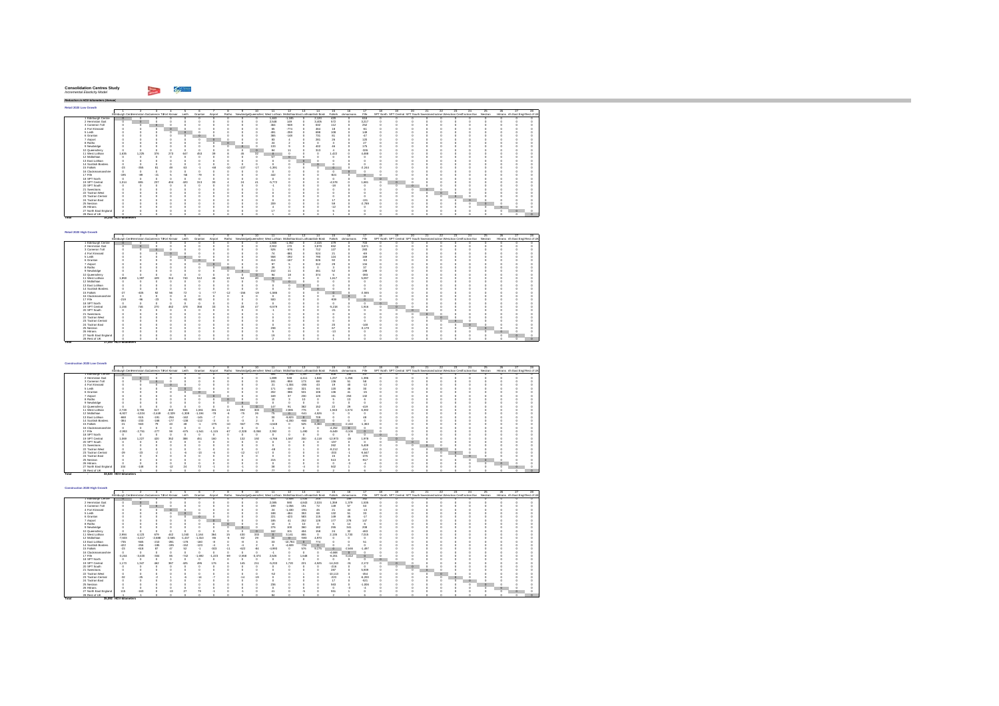#### $\sim$   $\sim$ **Consolidation Centres Study** *Incremental Elasticity Model*

**Retail 2020 Low Growth**

*Reduction in HGV-kilometers (Annual)*

**Total 17,353 HGV-kilometers** 

**Total 33,520 - HGV-kilometers** 

**Total 35,092 - HGV-kilometers** 

1 2 3 4 5 6 7 8 9 10 11 12 13 14 15 16 17 18 19 20 21 22 23 24 25 26 27 28Edinburgh CentHermiston GaCi ameron ToFort Kinnair Leith Granton Airport Ratho NewbridgeQueensferryWest Lothian MidlothianEast Lothiacnottish Borde Falkirk ckmannans Fife SPT North SPT Central SPT South SwestransTactran Wesactran CentTactran Eas Nestran Hitrans rth East Engl Rest of UK1 Edinburgh Centre 0 0 0 0 0 0 0 0 0 0 1,463 -1,185 0 2,120 420 0 616 0 0 0 0 0 0 0 0 0 0 02 Hermiston Gait 0 0 0 0 0 0 0 0 0 0 2,548 149 0 3,405 572 0 3,217 0 0 0 0 0 0 0 0 0 0 03 Cameron Toll 0 0 0 0 0 0 0 0 0 0 464 -508 0 632 112 0 252 0 0 0 0 0 0 0 0 0 0 04 Fort Kinnaird 0 0 0 0 0 0 0 0 0 0 65 -774 0 464 18 0 -61 0 0 0 0 0 0 0 0 0 0 05 Leith 0 0 0 0 0 0 0 0 0 0 491 -259 0 698 108 0 149 0 0 0 0 0 0 0 0 0 0 06 Granton 0 0 0 0 0 0 0 0 0 0 365 -148 0 731 81 0 -47 0 0 0 0 0 0 0 0 0 0 07 Airport 0 0 0 0 0 0 0 0 0 0 83 4 0 281 26 0 120 0 0 0 0 0 0 0 0 0 0 08 Ratho 0 0 0 0 0 0 0 0 0 0 24 2 0 0 3 0 27 0 0 0 0 0 0 0 0 0 0 09 Newbridge 0 0 0 0 0 0 0 0 0 0 133 9 0 402 46 0 175 0 0 0 0 0 0 0 0 0 0 0 Queensferry 0 0 0 0 0 0 0 0 0 0 84 11 0 313 4 0 -326 0 0 0 0 0 0 0 0 0 0 0

|       | 5 Leith                 |                       |        |       |     | $\circ$ |       |       |       |         |                          | 491                      | $-259$ |                 | 698                      | 108      | 149      |                 |  |         |         |                |  |        |
|-------|-------------------------|-----------------------|--------|-------|-----|---------|-------|-------|-------|---------|--------------------------|--------------------------|--------|-----------------|--------------------------|----------|----------|-----------------|--|---------|---------|----------------|--|--------|
|       | 6 Granton               |                       |        |       |     |         |       |       |       |         |                          | 365                      | $-148$ |                 | 731                      | 81       | $-47$    |                 |  |         |         |                |  |        |
|       | 7 Airport               |                       |        |       |     |         |       |       |       |         |                          | 83                       |        |                 | 281                      | 26       | 120      |                 |  |         |         |                |  |        |
|       | 8 Ratho                 |                       |        |       |     |         |       |       |       |         |                          | 24                       |        |                 |                          |          | 27       |                 |  |         |         |                |  |        |
|       | 9 Newbridge             |                       |        |       |     |         |       |       |       |         |                          | 133                      |        |                 | 402                      | 46       | 175      |                 |  |         |         |                |  |        |
|       | 10 Queensferry          |                       |        |       |     |         |       |       |       |         |                          | 84                       |        |                 | 313                      |          | $-326$   |                 |  |         |         |                |  |        |
|       | 11 West Lothian         | 1.635                 | 1.225  | 376   | 273 | 647     | 453   | 39    |       | 45      | $\overline{\mathbf{32}}$ |                          |        |                 | $\Omega$                 | 1.422    | 4,488    |                 |  |         |         |                |  |        |
|       | 12 Midlothian           |                       |        |       |     |         |       |       |       |         |                          | 57                       |        |                 |                          |          |          |                 |  |         |         |                |  |        |
|       | 13 East Lothian         |                       |        |       |     |         |       |       |       |         |                          |                          |        |                 |                          |          |          |                 |  |         |         |                |  |        |
|       | 14 Scottish Borders     |                       |        |       |     |         |       |       |       |         |                          |                          |        |                 | $\circ$                  |          |          |                 |  |         |         |                |  |        |
|       | 15 Falkirk              | $-23$                 | $-355$ | 81    | 40  | 63      |       | $-68$ | $-10$ | $-137$  | $-17$                    | $-1,391$                 |        |                 |                          |          | $-2.244$ |                 |  |         |         |                |  |        |
|       | 16 Clackmannanshire     |                       |        |       |     |         |       |       |       |         |                          |                          |        |                 |                          |          |          |                 |  |         |         |                |  |        |
|       | 17 Fife                 | $-195$                | $-89$  | $-21$ |     | $-58$   | $-79$ |       |       |         |                          | 442                      |        |                 |                          | $-824$   |          |                 |  |         |         |                |  |        |
|       | 18 SPT North            |                       |        |       |     |         |       |       |       |         |                          |                          |        |                 |                          | $\Omega$ |          |                 |  |         |         |                |  |        |
|       | 19 SPT Central          | 1.014                 | 655    | 237   | 404 | 420     | 313   | 30    |       | $^{24}$ | 41                       | $-6.772$                 |        |                 |                          | $-4.578$ | 1.681    |                 |  |         |         |                |  |        |
|       | 20 SPT South            |                       |        |       |     |         |       |       |       |         |                          | $-1$                     |        |                 |                          | $-18$    |          |                 |  |         |         |                |  |        |
|       | 21 Swestnans            |                       |        |       |     |         |       |       |       |         |                          |                          |        |                 |                          |          |          |                 |  |         |         |                |  |        |
|       | 22 Tactran West         |                       |        |       |     |         |       |       |       |         |                          |                          |        |                 |                          |          |          |                 |  | $\circ$ |         |                |  |        |
|       | 23 Tactran Central      |                       |        |       |     |         |       |       |       |         |                          |                          |        |                 |                          |          |          |                 |  |         | $\circ$ |                |  |        |
|       | 24 Tactran East         |                       |        |       |     |         |       |       |       |         |                          |                          |        |                 |                          | 17       | $-131$   |                 |  |         |         | $\circ$        |  |        |
|       | 25 Nestran              |                       |        |       |     |         |       |       |       |         |                          | 209                      |        |                 |                          | 59       | $-2.789$ |                 |  |         |         |                |  |        |
|       | 26 Hitrans              |                       |        |       |     |         |       |       |       |         |                          |                          |        |                 |                          | $-12$    |          |                 |  |         |         |                |  |        |
|       | 27 North East England   |                       |        |       |     |         |       |       |       |         |                          | 17                       |        |                 |                          |          |          |                 |  |         |         |                |  |        |
|       | 28 Rest of UK           |                       |        |       |     |         |       |       |       |         |                          |                          |        |                 |                          |          |          |                 |  |         |         |                |  |        |
| Total |                         | 15,246 HGV-kilometers |        |       |     |         |       |       |       |         |                          |                          |        |                 |                          |          |          |                 |  |         |         |                |  |        |
|       |                         |                       |        |       |     |         |       |       |       |         |                          |                          |        |                 |                          |          |          |                 |  |         |         |                |  |        |
|       |                         |                       |        |       |     |         |       |       |       |         |                          |                          |        |                 |                          |          |          |                 |  |         |         |                |  |        |
|       |                         |                       |        |       |     |         |       |       |       |         |                          |                          |        |                 |                          |          |          |                 |  |         |         |                |  |        |
|       | Retail 2020 High Growth |                       |        |       |     |         |       |       |       |         |                          | $\overline{\phantom{a}}$ |        | $\overline{15}$ | $\overline{\phantom{a}}$ |          |          | $\overline{10}$ |  |         |         | $\overline{a}$ |  | $\sim$ |
|       |                         |                       |        |       |     |         |       |       |       |         |                          |                          |        |                 |                          |          |          |                 |  |         | $\sim$  |                |  |        |

of Ut<br>0<br>0<br>0

|                       |        |                                                                         |       |     |          |     |       |     | -10   | -11-                                                                                      | -12      | -13 | -14   | -15      | 16. | 17       | 18 |                                                                                  | 20.      | m | $\mathbb{Z}$ | 25 | -24     | 25. | 26. | $\mathcal{F}$                    | 28 |
|-----------------------|--------|-------------------------------------------------------------------------|-------|-----|----------|-----|-------|-----|-------|-------------------------------------------------------------------------------------------|----------|-----|-------|----------|-----|----------|----|----------------------------------------------------------------------------------|----------|---|--------------|----|---------|-----|-----|----------------------------------|----|
|                       |        | Edinburgh CentHermiston Gallameron Tofort Kinnair Leith Granton Airport |       |     |          |     |       |     |       | Ratho NewbridgeDueensfern West Lothian MidlothianEast Lothianotish Bord Falkirk demannans |          |     |       |          |     | Fife     |    | SPT North SPT Central SPT South Swestnans actran Weschan Centractran Eas Nestnan |          |   |              |    |         |     |     | Hitrans rth East Engl Rest of UK |    |
| Edinburgh Centre      |        |                                                                         |       |     |          |     |       |     |       | 1,666                                                                                     | $-1.352$ |     | 2.415 | 472      |     | 703      |    |                                                                                  |          |   |              |    |         |     |     |                                  |    |
| 2 Hermiston Gait      |        |                                                                         |       |     |          |     |       |     |       | 2.902                                                                                     | 170      |     | 3.879 | 652      |     | 3.671    |    |                                                                                  |          |   |              |    |         |     |     |                                  |    |
| 3 Cameron Toll        |        |                                                                         |       |     |          |     |       |     |       | 526                                                                                       | -576     |     | 712   | 127      |     | 283      |    |                                                                                  |          |   |              |    |         |     |     |                                  |    |
| 4 Fort Kinnaird       |        |                                                                         |       |     |          |     |       |     |       | 74                                                                                        | -881     |     | 524   | 21       |     | $-69$    |    |                                                                                  |          |   |              |    |         |     |     |                                  |    |
| 5 Leith               |        |                                                                         |       |     | $\alpha$ |     |       |     |       | 558                                                                                       | $-292$   |     | 790   | 124      |     | 169      |    |                                                                                  |          |   |              |    |         |     |     |                                  |    |
| 6 Granton             |        |                                                                         |       |     |          |     |       |     |       | 414                                                                                       | $-167$   |     | 826   | 92       |     | $-63$    |    |                                                                                  |          |   |              |    |         |     |     |                                  |    |
| 7 Airport             |        |                                                                         |       |     |          |     |       |     |       | 97                                                                                        |          |     | 312   | 29       |     | 134      |    |                                                                                  |          |   |              |    |         |     |     |                                  |    |
| 8 Ratho               |        |                                                                         |       |     |          |     |       |     |       | 29                                                                                        |          |     |       |          |     | 37       |    |                                                                                  |          |   |              |    |         |     |     |                                  |    |
| 9 Newbridge           |        |                                                                         |       |     |          |     |       |     |       | 152                                                                                       |          |     |       |          |     | 198      |    |                                                                                  |          |   |              |    |         |     |     |                                  |    |
| 10 Queensferry        |        |                                                                         |       |     |          |     |       |     |       | 94                                                                                        |          |     | 97.6  |          |     | $-393$   |    |                                                                                  |          |   |              |    |         |     |     |                                  |    |
| 11 West Lothian       | 1.859  | 1,397                                                                   | 429   | 314 | 740      | 512 |       | 4   |       | $\circ$                                                                                   |          |     |       | 1.617    |     | 5.097    |    |                                                                                  |          |   |              |    |         |     |     |                                  |    |
| 12 Midlothian         |        |                                                                         |       |     |          |     |       |     |       |                                                                                           |          |     |       |          |     |          |    |                                                                                  |          |   |              |    |         |     |     |                                  |    |
| 13 East Lothian       |        |                                                                         |       |     |          |     |       |     |       |                                                                                           |          |     |       |          |     |          |    |                                                                                  |          |   |              |    |         |     |     |                                  |    |
| 14 Scottish Borders   |        |                                                                         |       |     |          |     |       |     |       |                                                                                           |          |     |       |          |     |          |    |                                                                                  |          |   |              |    |         |     |     |                                  |    |
| 15 Falkirk            | .27    | $-406$                                                                  |       | s,  | 72       |     | $-12$ | 156 | $-19$ | $-1.586$                                                                                  |          |     |       |          |     | $-2.555$ |    |                                                                                  |          |   |              |    |         |     |     |                                  |    |
| 16 Clackmannanshire   |        |                                                                         |       |     |          |     |       |     |       | n                                                                                         |          |     |       |          |     |          |    |                                                                                  |          |   |              |    |         |     |     |                                  |    |
| 17 Fife               | $-219$ |                                                                         | $-23$ |     | -81      | ۵٩  |       |     |       | 500                                                                                       |          |     |       | $-939$   |     |          |    |                                                                                  |          |   |              |    |         |     |     |                                  |    |
| 18 SPT North          |        |                                                                         |       |     |          |     |       |     |       |                                                                                           |          |     |       |          |     |          |    |                                                                                  |          |   |              |    |         |     |     |                                  |    |
| 19 SPT Central        | 1.156  | 746                                                                     | 270   | 462 | 478      | 356 |       |     |       | $-6,579$                                                                                  |          |     |       | $-6.218$ |     | 1,916    |    |                                                                                  |          |   |              |    |         |     |     |                                  |    |
| 20 SPT South          |        |                                                                         |       |     |          |     |       |     |       |                                                                                           |          |     |       | $-21$    |     |          |    |                                                                                  | $\Omega$ |   |              |    |         |     |     |                                  |    |
| 21 Swestnans          |        |                                                                         |       |     |          |     |       |     |       |                                                                                           |          |     |       |          |     |          |    |                                                                                  |          |   |              |    |         |     |     |                                  |    |
| 22 Tactran West       |        |                                                                         |       |     |          |     |       |     |       |                                                                                           |          |     |       |          |     |          |    |                                                                                  |          |   |              |    |         |     |     |                                  |    |
| 23 Tactran Central    |        |                                                                         |       |     |          |     |       |     |       |                                                                                           |          |     |       |          |     |          |    |                                                                                  |          |   |              |    |         |     |     |                                  |    |
| 24 Tactran East       |        |                                                                         |       |     |          |     |       |     |       |                                                                                           |          |     |       |          |     | $-148$   |    |                                                                                  |          |   |              |    | $\circ$ |     |     |                                  |    |
| 25 Nestran            |        |                                                                         |       |     |          |     |       |     |       | 238                                                                                       |          |     |       | 63       |     | $-3.179$ |    |                                                                                  |          |   |              |    |         |     |     |                                  |    |
| 26 Hitrans            |        |                                                                         |       |     |          |     |       |     |       |                                                                                           |          |     |       | $-13$    |     |          |    |                                                                                  |          |   |              |    |         |     |     |                                  |    |
| 27 North East England |        |                                                                         |       |     |          |     |       |     |       |                                                                                           |          |     |       |          |     |          |    |                                                                                  |          |   |              |    |         |     |     |                                  |    |
| 28 Rost of LIK        |        |                                                                         |       |     |          |     |       |     |       |                                                                                           |          |     |       |          |     |          |    |                                                                                  |          |   |              |    |         |     |     |                                  |    |

| Construction 2020 Low Growth |                                                   |          |          |          |          |          |          |       |          |          |                                                                          |          |         |         |           |           |                 |    |                                                                                  |  |   |  |         |                                  |  |
|------------------------------|---------------------------------------------------|----------|----------|----------|----------|----------|----------|-------|----------|----------|--------------------------------------------------------------------------|----------|---------|---------|-----------|-----------|-----------------|----|----------------------------------------------------------------------------------|--|---|--|---------|----------------------------------|--|
|                              |                                                   |          |          |          |          |          |          |       |          |          |                                                                          |          | 13      | 14      | 15        |           |                 | 18 |                                                                                  |  | ッ |  |         |                                  |  |
|                              | Edinburgh Centriermiston Gacameron Tofort Kinnair |          |          |          | Leith    | Granton  | Airport  |       |          |          | Ratho NewbridgeQueensfern West Lothian MidlothianEast Lothianotish Bord- |          |         |         | Falkirk   | dynannans | Fife            |    | SPT North SPT Central SPT South Swestnans actran Weschan CentTactran Eas Nestnan |  |   |  |         | Hitrans rth East Engl Rest of UP |  |
| 1 Edinburch Centre           |                                                   |          |          |          |          |          |          |       |          |          | 594                                                                      | $-2.286$ | 1.397   | 222     | 506       | 146       | 147             |    |                                                                                  |  |   |  |         |                                  |  |
| 2 Hermiston Gait             |                                                   |          |          |          |          |          |          |       |          |          | 1.893                                                                    | 538      | 4.411   | 1.846   | 1.237     | 1.256     | 1.396           |    |                                                                                  |  |   |  |         |                                  |  |
| 3 Cameron Toll               |                                                   |          |          |          |          |          |          |       |          |          | 181                                                                      | -959     | 173     | 68      | 136       | 51        | 58              |    |                                                                                  |  |   |  |         |                                  |  |
| 4 Fort Kinnaird              |                                                   |          |          |          |          |          |          |       |          |          | 21                                                                       | $-1.304$ | $-265$  | 43      | 19        | 40        | $-12$           |    |                                                                                  |  |   |  |         |                                  |  |
| 5 Leith                      |                                                   |          |          |          | $\circ$  |          |          |       |          |          | 171                                                                      | $-440$   | 321     | 64      | 120       | 46        | 30 <sub>1</sub> |    |                                                                                  |  |   |  |         |                                  |  |
| 6 Granton                    |                                                   |          |          |          |          |          |          |       |          |          | 202                                                                      | -386     | 531     | 106     | 136       | 41        | $-15$           |    |                                                                                  |  |   |  |         |                                  |  |
| 7 Airport                    |                                                   |          |          |          |          |          |          |       |          |          | 169                                                                      | 30       | 230     | 120     | 161       | 253       | 132             |    |                                                                                  |  |   |  |         |                                  |  |
| 8 Ratho                      |                                                   |          |          |          |          |          |          |       |          |          | 10                                                                       |          | 10      |         |           | 13        |                 |    |                                                                                  |  |   |  |         |                                  |  |
| 9 Newbridge                  |                                                   |          |          |          |          |          |          |       |          |          |                                                                          |          |         |         |           |           |                 |    |                                                                                  |  |   |  |         |                                  |  |
| 10 Queensferry               |                                                   |          |          |          |          |          |          |       |          |          |                                                                          |          | 362     | 152     | $^{22}$   | 21        | $-419$          |    |                                                                                  |  |   |  |         |                                  |  |
| 11 West Lothian              | 2.728                                             | 3.755    | 617      | 402      | 946      | 1.061    | 331      |       | 392      | 303      |                                                                          | 2.865    | 776     |         | 1.943     | 1.574     | 6.392           |    |                                                                                  |  |   |  |         |                                  |  |
| 12 Midlothian                | $-6.927$                                          | $-4.024$ | $-2.449$ | $-2.329$ | $-1.309$ | $-1.194$ | $-78$    |       | $-75$    | $^{26}$  | 79                                                                       | $\Omega$ | $-541$  | 4.526   |           |           |                 |    |                                                                                  |  |   |  |         |                                  |  |
| 13 East Lothian              | -668                                              | $-515$   | $-191$   | $-256$   | $-162$   | $-145$   |          |       |          |          | 30                                                                       | $-9.823$ | $\circ$ | 709     |           |           |                 |    |                                                                                  |  |   |  |         |                                  |  |
| 14 Scottish Borders          | -384                                              | $-233$   | $-168$   | .177     | $-138$   | $-112$   | -3       |       | A        |          |                                                                          | $-4.200$ | $-660$  | $\circ$ |           |           |                 |    |                                                                                  |  |   |  |         |                                  |  |
| 15 Falkirk                   | $-21$                                             | -563     | 79       | 43       | 48       | z        | $-275$   | $-10$ | -567     | $-76$    | $-4.548$                                                                 |          | 525     | 8.360   | $\Omega$  | $-2.410$  | $-1.363$        |    |                                                                                  |  |   |  |         |                                  |  |
| 16 Clackmannanshire          |                                                   |          |          |          |          |          |          |       |          |          |                                                                          |          |         |         | $-4.252$  | $\Omega$  |                 |    |                                                                                  |  |   |  |         |                                  |  |
| 17 Fife                      | $-2.953$                                          | $-2.751$ | $-277$   | 59       | -675     | $-1.541$ | $-1.115$ | $-67$ | $-2.328$ | $-3.058$ | 2.392                                                                    |          | 490     |         | $-5.649$  | $-3.106$  |                 |    |                                                                                  |  |   |  |         |                                  |  |
| 18 SPT North                 |                                                   |          |          |          |          |          |          |       |          |          |                                                                          |          |         |         |           |           |                 |    |                                                                                  |  |   |  |         |                                  |  |
| 19 SPT Central               | 1.069                                             | 1.227    | 420      | 352      | 388      | 451      | 160      |       | 132      | 192      | $-4.766$                                                                 | 1.567    | 200     | 4.118   | $-12.973$ | $-28$     | 1,978           |    |                                                                                  |  |   |  |         |                                  |  |
| 20 SPT South                 |                                                   |          |          |          |          |          |          |       |          |          |                                                                          |          |         |         | $-197$    |           |                 |    |                                                                                  |  |   |  |         |                                  |  |
| 21 Swestnans                 |                                                   |          |          |          |          |          |          |       |          |          |                                                                          |          |         |         | 262       |           | 5.409           |    |                                                                                  |  |   |  |         |                                  |  |
| 22 Tactran West              |                                                   |          |          |          |          |          |          |       |          |          |                                                                          |          |         |         | $-9.212$  |           | $-414$          |    |                                                                                  |  |   |  |         |                                  |  |
| 23 Tactran Central           | $-29$                                             | 5        |          |          |          | $-12$    |          |       |          | $-17$    |                                                                          |          |         |         | $-203$    |           | $-5.647$        |    |                                                                                  |  |   |  |         |                                  |  |
| 24 Tactran East              |                                                   |          |          |          |          |          |          |       |          |          |                                                                          |          |         |         | 15        |           | $-476$          |    |                                                                                  |  |   |  |         |                                  |  |
| 25 Nestran                   |                                                   |          |          |          |          |          |          |       |          |          | 215                                                                      |          |         |         | 513       |           | $-917$          |    |                                                                                  |  |   |  |         |                                  |  |
| 26 Hittans                   |                                                   |          |          |          |          |          |          |       |          |          |                                                                          |          |         |         |           |           |                 |    |                                                                                  |  |   |  | $\circ$ |                                  |  |
| 27 North East England        | 104                                               | $-148$   |          |          |          |          |          |       |          |          | $\infty$                                                                 |          |         |         | 502       |           |                 |    |                                                                                  |  |   |  |         |                                  |  |
| 28 Rest of UK                |                                                   |          |          |          |          |          |          |       |          |          | <b>SP</b>                                                                |          |         |         |           |           |                 |    |                                                                                  |  |   |  |         |                                  |  |

| 14<br>12<br>10<br>$^{24}$<br>11<br>13<br>15<br>23<br>ッ<br>26<br>28.<br>16<br>Edinburgh Centriermiston Gacameron Tofort Kinnair<br>Leith<br>Ratho NewbridgeDueensfern West Lothian MidlothianEast Lothianotish Bord-<br>Falkirk<br>Fife<br>SPT North SPT Central SPT South Swestnans actran Weschan CentTactran Eas Nestnan<br>Airport<br>Hitrans rth East Engl Rest of UK<br>Granton<br>domannans<br>1 Edinburch Centre<br>$-2.508$<br>1.534<br>653<br>245<br>555<br>159<br>162<br>1.359<br>590<br>4.843<br>1.379<br>1.535<br>2 Hermiston Gait<br>2.085<br>2.024<br>$-1.066$<br>72<br>149<br>57<br>3 Cameron Toll<br>199<br>191<br>63<br>4 Fort Kinnaird<br>$-1.430$<br>$-20$<br>21<br>$-13$<br>24<br>45<br>353<br>$^{33}$<br>68<br>132<br>5 Leith<br>188<br>$-484$<br>$\circ$<br>51<br>6 Granton<br>221<br>583<br>149<br>$-423$<br>$-17$<br>115<br>45<br>252<br>177<br>278<br>185<br>128<br>7 Airport<br>147<br>8 Ratho<br>10<br>٥<br>276<br>360<br>255<br>208<br>9 Newbridge<br>100<br>182<br>341<br>$\circ$<br>158<br>$^{24}$<br>162<br>101<br>404<br>32<br>$-463$<br>10 Queensferry<br>855<br>1.730<br>4.123<br>679<br>430<br>333<br>2.135<br>2.994<br>442<br>.164<br>564<br>11 West Lothian<br>1.040<br>7.015<br>16<br>3.141<br>$-2.688$<br>$-503$<br>12 Midlethian<br>$-7.603$<br>$-2.555$<br>$-1.437$<br>$-4.417$<br>$-1.310$<br>$^{20}$<br>4.970<br>32<br>$-565$<br>$-210$<br>$-281$<br>$-735$<br>$-178$<br>$-160$<br>13 East Lothian<br>$^{32}$<br>$-10.784$<br>$\Omega$<br>774<br>51<br>$-256$<br>14 Scottish Borders<br>$-195$<br>$-152$<br>$-123$<br>$-4.609$<br>$-422$<br>$-186$<br>$-724$<br>15 Falkirk<br>$-618$<br>52<br>$-303$<br>-622<br>$-4.993$<br>576<br>$-84$<br>$-1.497$<br>28<br>$\overline{\mathbf{x}}$<br>$-2.646$<br>$\circ$<br>$-11$<br>9.175<br>16 Clackmannanshire<br>$-4.668$<br>$\theta$<br>-3<br>17 Fife<br>$-3.020$<br>223<br>$-2.558$<br>$-6.201$<br>$-3.244$<br>$-304$<br>.742<br>1.692<br>-69<br>$-3.374$<br>2.626<br>6Ŕ<br>1.648<br>$-3.412$<br>18 SPT North<br>19 SPT Central<br>462<br>387<br>$-6.233$<br>221<br>4.525<br>$-14.243$<br>1.173<br>1.347<br>425<br>495<br>211<br>1.720<br>2.172<br>$-91$<br>145<br>20 SPT South<br>$-216$<br>21 Swestnans<br>287<br>5.939<br>22 Tactran West<br>-62<br>$-10.113$<br>$-454$<br>23 Tactran Central<br>$-223$<br>$-6.200$<br>24 Tactran East<br>$-621$<br>17<br>236<br>583<br>$-1.006$<br>25 Nestran<br>26 Hitrans<br>27 North East England<br>$-163$<br>551<br>115 | Construction 2020 High Growth |  |  |  |  |  |  |  |  |  |  |  |  |  |  |
|-------------------------------------------------------------------------------------------------------------------------------------------------------------------------------------------------------------------------------------------------------------------------------------------------------------------------------------------------------------------------------------------------------------------------------------------------------------------------------------------------------------------------------------------------------------------------------------------------------------------------------------------------------------------------------------------------------------------------------------------------------------------------------------------------------------------------------------------------------------------------------------------------------------------------------------------------------------------------------------------------------------------------------------------------------------------------------------------------------------------------------------------------------------------------------------------------------------------------------------------------------------------------------------------------------------------------------------------------------------------------------------------------------------------------------------------------------------------------------------------------------------------------------------------------------------------------------------------------------------------------------------------------------------------------------------------------------------------------------------------------------------------------------------------------------------------------------------------------------------------------------------------------------------------------------------------------------------------------------------------------------------------------------------------------------------------------------------------------------------------------------------------------------------------------------------------------------------------------------------------------------------------------------------------------------------------------------------------------------------------------------------------------------------------------------------------------------|-------------------------------|--|--|--|--|--|--|--|--|--|--|--|--|--|--|
|                                                                                                                                                                                                                                                                                                                                                                                                                                                                                                                                                                                                                                                                                                                                                                                                                                                                                                                                                                                                                                                                                                                                                                                                                                                                                                                                                                                                                                                                                                                                                                                                                                                                                                                                                                                                                                                                                                                                                                                                                                                                                                                                                                                                                                                                                                                                                                                                                                                       |                               |  |  |  |  |  |  |  |  |  |  |  |  |  |  |
|                                                                                                                                                                                                                                                                                                                                                                                                                                                                                                                                                                                                                                                                                                                                                                                                                                                                                                                                                                                                                                                                                                                                                                                                                                                                                                                                                                                                                                                                                                                                                                                                                                                                                                                                                                                                                                                                                                                                                                                                                                                                                                                                                                                                                                                                                                                                                                                                                                                       |                               |  |  |  |  |  |  |  |  |  |  |  |  |  |  |
|                                                                                                                                                                                                                                                                                                                                                                                                                                                                                                                                                                                                                                                                                                                                                                                                                                                                                                                                                                                                                                                                                                                                                                                                                                                                                                                                                                                                                                                                                                                                                                                                                                                                                                                                                                                                                                                                                                                                                                                                                                                                                                                                                                                                                                                                                                                                                                                                                                                       |                               |  |  |  |  |  |  |  |  |  |  |  |  |  |  |
|                                                                                                                                                                                                                                                                                                                                                                                                                                                                                                                                                                                                                                                                                                                                                                                                                                                                                                                                                                                                                                                                                                                                                                                                                                                                                                                                                                                                                                                                                                                                                                                                                                                                                                                                                                                                                                                                                                                                                                                                                                                                                                                                                                                                                                                                                                                                                                                                                                                       |                               |  |  |  |  |  |  |  |  |  |  |  |  |  |  |
|                                                                                                                                                                                                                                                                                                                                                                                                                                                                                                                                                                                                                                                                                                                                                                                                                                                                                                                                                                                                                                                                                                                                                                                                                                                                                                                                                                                                                                                                                                                                                                                                                                                                                                                                                                                                                                                                                                                                                                                                                                                                                                                                                                                                                                                                                                                                                                                                                                                       |                               |  |  |  |  |  |  |  |  |  |  |  |  |  |  |
|                                                                                                                                                                                                                                                                                                                                                                                                                                                                                                                                                                                                                                                                                                                                                                                                                                                                                                                                                                                                                                                                                                                                                                                                                                                                                                                                                                                                                                                                                                                                                                                                                                                                                                                                                                                                                                                                                                                                                                                                                                                                                                                                                                                                                                                                                                                                                                                                                                                       |                               |  |  |  |  |  |  |  |  |  |  |  |  |  |  |
|                                                                                                                                                                                                                                                                                                                                                                                                                                                                                                                                                                                                                                                                                                                                                                                                                                                                                                                                                                                                                                                                                                                                                                                                                                                                                                                                                                                                                                                                                                                                                                                                                                                                                                                                                                                                                                                                                                                                                                                                                                                                                                                                                                                                                                                                                                                                                                                                                                                       |                               |  |  |  |  |  |  |  |  |  |  |  |  |  |  |
|                                                                                                                                                                                                                                                                                                                                                                                                                                                                                                                                                                                                                                                                                                                                                                                                                                                                                                                                                                                                                                                                                                                                                                                                                                                                                                                                                                                                                                                                                                                                                                                                                                                                                                                                                                                                                                                                                                                                                                                                                                                                                                                                                                                                                                                                                                                                                                                                                                                       |                               |  |  |  |  |  |  |  |  |  |  |  |  |  |  |
|                                                                                                                                                                                                                                                                                                                                                                                                                                                                                                                                                                                                                                                                                                                                                                                                                                                                                                                                                                                                                                                                                                                                                                                                                                                                                                                                                                                                                                                                                                                                                                                                                                                                                                                                                                                                                                                                                                                                                                                                                                                                                                                                                                                                                                                                                                                                                                                                                                                       |                               |  |  |  |  |  |  |  |  |  |  |  |  |  |  |
|                                                                                                                                                                                                                                                                                                                                                                                                                                                                                                                                                                                                                                                                                                                                                                                                                                                                                                                                                                                                                                                                                                                                                                                                                                                                                                                                                                                                                                                                                                                                                                                                                                                                                                                                                                                                                                                                                                                                                                                                                                                                                                                                                                                                                                                                                                                                                                                                                                                       |                               |  |  |  |  |  |  |  |  |  |  |  |  |  |  |
|                                                                                                                                                                                                                                                                                                                                                                                                                                                                                                                                                                                                                                                                                                                                                                                                                                                                                                                                                                                                                                                                                                                                                                                                                                                                                                                                                                                                                                                                                                                                                                                                                                                                                                                                                                                                                                                                                                                                                                                                                                                                                                                                                                                                                                                                                                                                                                                                                                                       |                               |  |  |  |  |  |  |  |  |  |  |  |  |  |  |
|                                                                                                                                                                                                                                                                                                                                                                                                                                                                                                                                                                                                                                                                                                                                                                                                                                                                                                                                                                                                                                                                                                                                                                                                                                                                                                                                                                                                                                                                                                                                                                                                                                                                                                                                                                                                                                                                                                                                                                                                                                                                                                                                                                                                                                                                                                                                                                                                                                                       |                               |  |  |  |  |  |  |  |  |  |  |  |  |  |  |
|                                                                                                                                                                                                                                                                                                                                                                                                                                                                                                                                                                                                                                                                                                                                                                                                                                                                                                                                                                                                                                                                                                                                                                                                                                                                                                                                                                                                                                                                                                                                                                                                                                                                                                                                                                                                                                                                                                                                                                                                                                                                                                                                                                                                                                                                                                                                                                                                                                                       |                               |  |  |  |  |  |  |  |  |  |  |  |  |  |  |
|                                                                                                                                                                                                                                                                                                                                                                                                                                                                                                                                                                                                                                                                                                                                                                                                                                                                                                                                                                                                                                                                                                                                                                                                                                                                                                                                                                                                                                                                                                                                                                                                                                                                                                                                                                                                                                                                                                                                                                                                                                                                                                                                                                                                                                                                                                                                                                                                                                                       |                               |  |  |  |  |  |  |  |  |  |  |  |  |  |  |
|                                                                                                                                                                                                                                                                                                                                                                                                                                                                                                                                                                                                                                                                                                                                                                                                                                                                                                                                                                                                                                                                                                                                                                                                                                                                                                                                                                                                                                                                                                                                                                                                                                                                                                                                                                                                                                                                                                                                                                                                                                                                                                                                                                                                                                                                                                                                                                                                                                                       |                               |  |  |  |  |  |  |  |  |  |  |  |  |  |  |
|                                                                                                                                                                                                                                                                                                                                                                                                                                                                                                                                                                                                                                                                                                                                                                                                                                                                                                                                                                                                                                                                                                                                                                                                                                                                                                                                                                                                                                                                                                                                                                                                                                                                                                                                                                                                                                                                                                                                                                                                                                                                                                                                                                                                                                                                                                                                                                                                                                                       |                               |  |  |  |  |  |  |  |  |  |  |  |  |  |  |
|                                                                                                                                                                                                                                                                                                                                                                                                                                                                                                                                                                                                                                                                                                                                                                                                                                                                                                                                                                                                                                                                                                                                                                                                                                                                                                                                                                                                                                                                                                                                                                                                                                                                                                                                                                                                                                                                                                                                                                                                                                                                                                                                                                                                                                                                                                                                                                                                                                                       |                               |  |  |  |  |  |  |  |  |  |  |  |  |  |  |
|                                                                                                                                                                                                                                                                                                                                                                                                                                                                                                                                                                                                                                                                                                                                                                                                                                                                                                                                                                                                                                                                                                                                                                                                                                                                                                                                                                                                                                                                                                                                                                                                                                                                                                                                                                                                                                                                                                                                                                                                                                                                                                                                                                                                                                                                                                                                                                                                                                                       |                               |  |  |  |  |  |  |  |  |  |  |  |  |  |  |
|                                                                                                                                                                                                                                                                                                                                                                                                                                                                                                                                                                                                                                                                                                                                                                                                                                                                                                                                                                                                                                                                                                                                                                                                                                                                                                                                                                                                                                                                                                                                                                                                                                                                                                                                                                                                                                                                                                                                                                                                                                                                                                                                                                                                                                                                                                                                                                                                                                                       |                               |  |  |  |  |  |  |  |  |  |  |  |  |  |  |
|                                                                                                                                                                                                                                                                                                                                                                                                                                                                                                                                                                                                                                                                                                                                                                                                                                                                                                                                                                                                                                                                                                                                                                                                                                                                                                                                                                                                                                                                                                                                                                                                                                                                                                                                                                                                                                                                                                                                                                                                                                                                                                                                                                                                                                                                                                                                                                                                                                                       |                               |  |  |  |  |  |  |  |  |  |  |  |  |  |  |
|                                                                                                                                                                                                                                                                                                                                                                                                                                                                                                                                                                                                                                                                                                                                                                                                                                                                                                                                                                                                                                                                                                                                                                                                                                                                                                                                                                                                                                                                                                                                                                                                                                                                                                                                                                                                                                                                                                                                                                                                                                                                                                                                                                                                                                                                                                                                                                                                                                                       |                               |  |  |  |  |  |  |  |  |  |  |  |  |  |  |
|                                                                                                                                                                                                                                                                                                                                                                                                                                                                                                                                                                                                                                                                                                                                                                                                                                                                                                                                                                                                                                                                                                                                                                                                                                                                                                                                                                                                                                                                                                                                                                                                                                                                                                                                                                                                                                                                                                                                                                                                                                                                                                                                                                                                                                                                                                                                                                                                                                                       |                               |  |  |  |  |  |  |  |  |  |  |  |  |  |  |
|                                                                                                                                                                                                                                                                                                                                                                                                                                                                                                                                                                                                                                                                                                                                                                                                                                                                                                                                                                                                                                                                                                                                                                                                                                                                                                                                                                                                                                                                                                                                                                                                                                                                                                                                                                                                                                                                                                                                                                                                                                                                                                                                                                                                                                                                                                                                                                                                                                                       |                               |  |  |  |  |  |  |  |  |  |  |  |  |  |  |
|                                                                                                                                                                                                                                                                                                                                                                                                                                                                                                                                                                                                                                                                                                                                                                                                                                                                                                                                                                                                                                                                                                                                                                                                                                                                                                                                                                                                                                                                                                                                                                                                                                                                                                                                                                                                                                                                                                                                                                                                                                                                                                                                                                                                                                                                                                                                                                                                                                                       |                               |  |  |  |  |  |  |  |  |  |  |  |  |  |  |
|                                                                                                                                                                                                                                                                                                                                                                                                                                                                                                                                                                                                                                                                                                                                                                                                                                                                                                                                                                                                                                                                                                                                                                                                                                                                                                                                                                                                                                                                                                                                                                                                                                                                                                                                                                                                                                                                                                                                                                                                                                                                                                                                                                                                                                                                                                                                                                                                                                                       |                               |  |  |  |  |  |  |  |  |  |  |  |  |  |  |
|                                                                                                                                                                                                                                                                                                                                                                                                                                                                                                                                                                                                                                                                                                                                                                                                                                                                                                                                                                                                                                                                                                                                                                                                                                                                                                                                                                                                                                                                                                                                                                                                                                                                                                                                                                                                                                                                                                                                                                                                                                                                                                                                                                                                                                                                                                                                                                                                                                                       |                               |  |  |  |  |  |  |  |  |  |  |  |  |  |  |
|                                                                                                                                                                                                                                                                                                                                                                                                                                                                                                                                                                                                                                                                                                                                                                                                                                                                                                                                                                                                                                                                                                                                                                                                                                                                                                                                                                                                                                                                                                                                                                                                                                                                                                                                                                                                                                                                                                                                                                                                                                                                                                                                                                                                                                                                                                                                                                                                                                                       |                               |  |  |  |  |  |  |  |  |  |  |  |  |  |  |
|                                                                                                                                                                                                                                                                                                                                                                                                                                                                                                                                                                                                                                                                                                                                                                                                                                                                                                                                                                                                                                                                                                                                                                                                                                                                                                                                                                                                                                                                                                                                                                                                                                                                                                                                                                                                                                                                                                                                                                                                                                                                                                                                                                                                                                                                                                                                                                                                                                                       |                               |  |  |  |  |  |  |  |  |  |  |  |  |  |  |
|                                                                                                                                                                                                                                                                                                                                                                                                                                                                                                                                                                                                                                                                                                                                                                                                                                                                                                                                                                                                                                                                                                                                                                                                                                                                                                                                                                                                                                                                                                                                                                                                                                                                                                                                                                                                                                                                                                                                                                                                                                                                                                                                                                                                                                                                                                                                                                                                                                                       |                               |  |  |  |  |  |  |  |  |  |  |  |  |  |  |
|                                                                                                                                                                                                                                                                                                                                                                                                                                                                                                                                                                                                                                                                                                                                                                                                                                                                                                                                                                                                                                                                                                                                                                                                                                                                                                                                                                                                                                                                                                                                                                                                                                                                                                                                                                                                                                                                                                                                                                                                                                                                                                                                                                                                                                                                                                                                                                                                                                                       | 28 Rest of UK                 |  |  |  |  |  |  |  |  |  |  |  |  |  |  |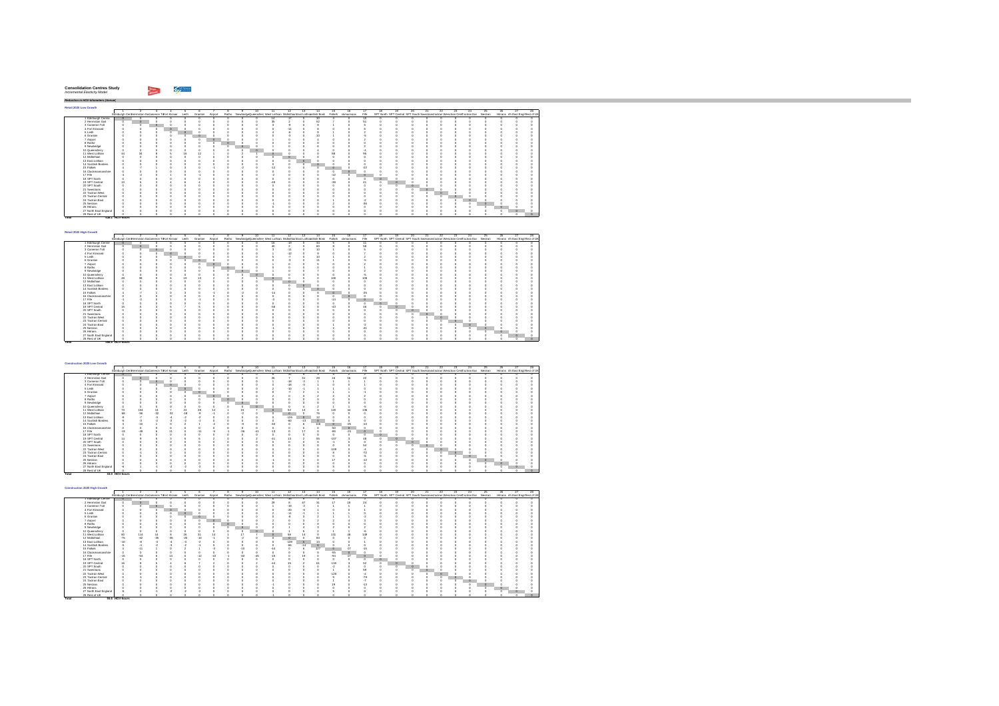| <b>Consolidation Centres Study</b> |  |
|------------------------------------|--|
| Incremental Elasticity Model       |  |
|                                    |  |

hiji sa m

*Reduction in HGV-kilometers (Annual)* **Retail 2020 Low Growth** $\blacksquare$  2 3 4 5 6 7 8 9 10 11 12 13 14 15 16 17 18 19 20 21 22 23 24 25 26 27 28Edinburgh CentHermiston GaCameron ToFort Kinnair Leith Granton Airport Ratho NewbridgeQueensferry West Lothian MidlothianEast Lothiacottish Borde Falkirk ckmannans Fife SPT North SPT Central SPT South Swestrans'actran Wesctran CentTactran Eas Nestran Hitrans rth East Engl Rest of UK Edinburgh Centre 0 0 0 0 0 0 0 0 0 0 14 -17 0 30 4 0 10 0 0 0 0 0 0 0 0 0 0 0 Hermiston Gait 0 0 0 0 0 0 0 0 0 0 35 2 0 52 7 0 51 0 0 0 0 0 0 0 0 0 0 0 Cameron Toll 0 0 0 0 0 0 0 0 0 0 3 -9 0 9 1 0 5 0 0 0 0 0 0 0 0 0 0 0 Fort Kinnaird 0 0 0 0 0 0 0 0 0 0 0 -11 0 8 0 0 6 0 0 0 0 0 0 0 0 0 0 0 Leith 0 0 0 0 0 0 0 0 0 0 4 -6 0 9 1 0 2 0 0 0 0 0 0 0 0 0 0 0 Granton 0 0 0 0 0 0 0 0 0 0 0 -3 0 10 1 0 -5 0 0 0 0 0 0 0 0 0 0 07 Airport 0 0 0 0 0 0 0 0 0 0 1 0 0 4 0 0 2 0 0 0 0 0 0 0 0 0 0 08 Ratho 0 0 0 0 0 0 0 0 0 0 0 0 0 0 0 0 0 0 0 0 0 0 0 0 0 0 0 09 Newbridge 0 0 0 0 0 0 0 0 0 0 1 0 0 6 0 0 2 0 0 0 0 0 0 0 0 0 0 010 Queensferry 0 0 0 0 0 0 0 0 0 0 0 0 0 4 0 0 -4 0 0 0 0 0 0 0 0 0 0 011 West Lothian 44 34 8 5 16 12 1 0 2 1 0 0 0 0 88 0 95 0 0 0 0 0 0 0 0 0 0 012 Midlothian 0 0 0 0 0 0 0 0 0 0 0 0 0 0 0 0 0 0 0 0 0 0 0 0 0 0 0 013 East Lothian 0 0 0 0 0 0 0 0 0 0 0 0 0 0 0 0 0 0 0 0 0 0 0 0 0 0 0 014 Scottish Borders 0 0 0 0 0 0 0 0 0 0 0 0 0 0 0 0 0 0 0 0 0 0 0 0 0 0 0 015 Falkirk 4 -7 1 0 3 0 -1 0 -2 0 -12 0 0 0 0 0 -22 0 0 0 0 0 0 0 0 0 0 016 Clackmannanshire 0 0 0 0 0 0 0 0 0 0 0 0 0 0 0 0 0 0 0 0 0 0 0 0 0 0 0 017 Fife -1 -2 0 1 0 -1 0 0 0 0 -2 0 0 0 -12 0 0 0 0 0 0 0 0 0 0 0 0 018 SPT North 0 0 0 0 0 0 0 0 0 0 0 0 0 0 0 0 0 0 0 0 0 0 0 0 0 0 0 019 SPT Central 13 5 3 4 6 4 0 0 0 0 -49 0 0 0 -38 0 41 0 0 0 0 0 0 0 0 0 0 0 SPT South 0 0 0 0 0 0 0 0 0 0 0 0 0 0 0 0 0 0 0 0 0 0 0 0 0 0 0 021 Swestrans 0 0 0 0 0 0 0 0 0 0 0 0 0 0 0 0 0 0 0 0 0 0 0 0 0 0 0 022 Tactran West 0 0 0 0 0 0 0 0 0 0 0 0 0 0 0 0 0 0 0 0 0 0 0 0 0 0 0 023 Tactran Central 0 0 0 0 0 0 0 0 0 0 0 0 0 0 0 0 0 0 0 0 0 0 0 0 0 0 0 024 Tactran East 0 0 0 0 0 0 0 0 0 0 0 0 0 0 1 0 -2 0 0 0 0 0 0 0 0 0 0 025 Nestran 0 0 0 0 0 0 0 0 0 0 -1 0 0 0 2 0 -36 0 0 0 0 0 0 0 0 0 0 0 Hitrans 0 0 0 0 0 0 0 0 0 0 0 0 0 0 0 0 0 0 0 0 0 0 0 0 0 0 0 027 North East England 0 0 0 0 0 0 0 0 0 0 0 0 0 0 0 0 0 0 0 0 0 0 0 0 0 0 0 028 Rest of UK 0 0 0 0 0 0 0 0 0 0 0 0 0 0 0 0 0 0 0 0 0 0 0 0 0 0 0 0**Total 438.1 HGV-hours**

| Retail 2020 High Growth |    |                                                          |         |         |         |   |   |                                                                         |       |         |    |         |           |      |                                                                                  |          |     |     |    |         |     |    |                                  |    |
|-------------------------|----|----------------------------------------------------------|---------|---------|---------|---|---|-------------------------------------------------------------------------|-------|---------|----|---------|-----------|------|----------------------------------------------------------------------------------|----------|-----|-----|----|---------|-----|----|----------------------------------|----|
|                         |    |                                                          |         |         |         |   |   |                                                                         | 12    | 13      | 14 | 15      |           |      | 18                                                                               | 20       | -21 | 22. | 23 | $^{24}$ | 25. | 26 |                                  | 28 |
|                         |    | Edinburgh Centriermiston Gallameron To ort Kinnair Leith |         | Granton | Airport |   |   | Ratho NewbridgeQueensfern West Lothian MidlothianEast Lothianotish Bord |       |         |    | Falkirk | dynannans | File | SPT North SPT Central SPT South Swestrans'actran Weschan Centractran Eas Nestran |          |     |     |    |         |     |    | Hitrans rth East Engl Rest of UK |    |
| Edinburgh Centre        |    |                                                          |         |         |         |   |   |                                                                         | $-10$ |         |    |         |           |      |                                                                                  |          |     |     |    |         |     |    |                                  |    |
| 2 Hermiston Gait        |    |                                                          |         |         |         |   |   |                                                                         |       |         | 60 |         |           | 58   |                                                                                  |          |     |     |    |         |     |    |                                  |    |
| 3 Cameron Toll          |    |                                                          |         |         |         |   |   |                                                                         | $-11$ |         | 10 |         |           |      |                                                                                  |          |     |     |    |         |     |    |                                  |    |
| 4 Fort Kinnaird         |    |                                                          | $\circ$ |         |         |   |   |                                                                         | $-12$ |         |    |         |           |      |                                                                                  |          |     |     |    |         |     |    |                                  |    |
| 5 Leith                 |    |                                                          | ٠       |         |         |   |   |                                                                         |       |         |    |         |           |      |                                                                                  |          |     |     |    |         |     |    |                                  |    |
| 6 Granton               |    |                                                          |         | к       |         |   |   |                                                                         |       |         |    |         |           |      |                                                                                  |          |     |     |    |         |     |    |                                  |    |
| 7 Airport               |    |                                                          |         |         |         |   |   |                                                                         |       |         |    |         |           |      |                                                                                  |          |     |     |    |         |     |    |                                  |    |
| 8 Ratho                 |    |                                                          |         |         |         | ٥ |   |                                                                         |       |         |    |         |           |      |                                                                                  |          |     |     |    |         |     |    |                                  |    |
| 9 Newbridge             |    |                                                          |         |         |         |   |   |                                                                         |       |         |    |         |           |      |                                                                                  |          |     |     |    |         |     |    |                                  |    |
| 10 Queensferry          |    |                                                          |         |         |         |   | n |                                                                         |       |         |    |         |           | ×,   |                                                                                  |          |     |     |    |         |     |    |                                  |    |
| 11 West Lothian         |    | $^{20}$                                                  |         |         |         |   |   |                                                                         |       |         |    | 100     |           | 108  |                                                                                  |          |     |     |    |         |     |    |                                  |    |
| 12 Midlothian           |    |                                                          |         |         |         |   |   |                                                                         |       |         |    |         |           |      |                                                                                  |          |     |     |    |         |     |    |                                  |    |
| 13 East Lothian         |    |                                                          |         |         |         |   |   |                                                                         |       | $\circ$ |    |         |           |      |                                                                                  |          |     |     |    |         |     |    |                                  |    |
| 14 Scottish Borders     |    |                                                          |         |         |         |   |   |                                                                         |       |         |    |         |           |      |                                                                                  |          |     |     |    |         |     |    |                                  |    |
| 15 Falkirk              |    |                                                          |         |         |         |   |   | -14                                                                     |       |         |    | $\circ$ |           |      |                                                                                  |          |     |     |    |         |     |    |                                  |    |
| 16 Clackmannanshire     |    |                                                          |         |         |         |   |   |                                                                         |       |         |    |         |           |      |                                                                                  |          |     |     |    |         |     |    |                                  |    |
| 17 Fife                 |    |                                                          |         |         |         |   |   |                                                                         |       |         |    | $-14$   |           |      |                                                                                  |          |     |     |    |         |     |    |                                  |    |
| 18 SPT North            |    |                                                          |         |         |         |   |   |                                                                         |       |         |    |         |           |      | $\circ$                                                                          |          |     |     |    |         |     |    |                                  |    |
| 19 SPT Central          | 15 |                                                          |         |         |         |   |   | -56                                                                     |       |         |    | $-48$   |           |      | o                                                                                |          |     |     |    |         |     |    |                                  |    |
| 20 SPT South            |    |                                                          |         |         |         |   |   |                                                                         |       |         |    |         |           |      |                                                                                  | $\Omega$ |     |     |    |         |     |    |                                  |    |
| 21 Swestnans            |    |                                                          |         |         |         |   |   |                                                                         |       |         |    |         |           |      |                                                                                  |          |     |     |    |         |     |    |                                  |    |
| 22 Tactran West         |    |                                                          |         |         |         |   |   |                                                                         |       |         |    |         |           |      |                                                                                  |          |     |     |    |         |     |    |                                  |    |
| 23 Tactran Central      |    |                                                          |         |         |         |   |   |                                                                         |       |         |    |         |           |      |                                                                                  |          |     |     |    |         |     |    |                                  |    |
| 24 Tactran East         |    |                                                          |         |         |         |   |   |                                                                         |       |         |    |         |           |      |                                                                                  |          |     |     |    | 10      |     |    |                                  |    |
| 25 Nestran              |    |                                                          |         |         |         |   |   |                                                                         |       |         |    |         |           |      |                                                                                  |          |     |     |    |         |     |    |                                  |    |
| 26 Hitrans              |    |                                                          |         |         |         |   |   |                                                                         |       |         |    |         |           |      |                                                                                  |          |     |     |    |         |     |    |                                  |    |
| 27 North East England   |    |                                                          |         |         |         |   |   |                                                                         |       |         |    |         |           |      |                                                                                  |          |     |     |    |         |     |    |                                  |    |
| 28. Rest of LIK         |    |                                                          |         |         |         |   |   |                                                                         |       |         |    |         |           |      |                                                                                  |          |     |     |    |         |     |    |                                  |    |

| Construction 2020 Low Growth |                                                   |               |       |         |         |         |         |                                                                          |                             |       |        |         |         |         |                   |       |                                                                                   |  |   |   |    |  |    |                                  |  |
|------------------------------|---------------------------------------------------|---------------|-------|---------|---------|---------|---------|--------------------------------------------------------------------------|-----------------------------|-------|--------|---------|---------|---------|-------------------|-------|-----------------------------------------------------------------------------------|--|---|---|----|--|----|----------------------------------|--|
|                              |                                                   |               |       |         |         |         |         |                                                                          |                             | 11    |        | 13      | 14      | 15      |                   |       |                                                                                   |  |   | ッ | 23 |  | 28 |                                  |  |
|                              | Edinburgh Centriermiston Gacameron Tofort Kinnair |               |       |         | Leith   | Granton | Airport | Ratho NewbridgeQueensfern West Lothian MidlothianEast Lothianotish Bord- |                             |       |        |         |         |         | Falkirk dynannans | Fife  | SPT North SPT Central SPT South Swestnans actran Wesctnan CentTactran Eas Nestnan |  |   |   |    |  |    | Hitrans rth East Engl Rest of UK |  |
| 1 Edinburgh Centre           |                                                   |               |       |         |         |         |         |                                                                          |                             |       | -30    |         |         |         |                   |       |                                                                                   |  |   |   |    |  |    |                                  |  |
| 2 Hermiston Gait             |                                                   |               |       |         |         |         |         |                                                                          |                             | 26    |        |         | 28      | ĩ٤      |                   |       |                                                                                   |  |   |   |    |  |    |                                  |  |
| 3 Cameron Toll               |                                                   |               |       |         |         |         |         |                                                                          |                             |       |        |         |         |         |                   |       |                                                                                   |  |   |   |    |  |    |                                  |  |
| 4 Fort Kinnaird              |                                                   |               |       | $\circ$ |         |         |         |                                                                          |                             |       | $-18$  | ×       |         |         |                   |       |                                                                                   |  |   |   |    |  |    |                                  |  |
| 5 Leith                      |                                                   |               |       |         | $\circ$ |         |         |                                                                          |                             |       | $-10$  |         |         |         |                   |       |                                                                                   |  |   |   |    |  |    |                                  |  |
| 6 Granton                    |                                                   |               |       |         |         |         |         |                                                                          |                             |       |        |         |         |         |                   |       |                                                                                   |  |   |   |    |  |    |                                  |  |
| 7 Airport                    |                                                   |               |       |         |         |         |         |                                                                          |                             |       |        |         |         |         |                   |       |                                                                                   |  |   |   |    |  |    |                                  |  |
| 8 Ratho                      |                                                   |               |       |         |         |         |         |                                                                          |                             |       |        |         |         |         |                   |       |                                                                                   |  |   |   |    |  |    |                                  |  |
| 9 Newbridge                  |                                                   |               |       |         |         |         |         |                                                                          |                             |       |        |         |         |         |                   |       |                                                                                   |  |   |   |    |  |    |                                  |  |
| 10 Queensferry               |                                                   |               |       |         |         |         |         |                                                                          |                             |       |        |         |         |         |                   |       |                                                                                   |  |   |   |    |  |    |                                  |  |
| 11 West Lothian              | 73                                                | 104           |       |         | $^{24}$ | 28      |         | 15                                                                       |                             |       | 52     |         |         | 120     |                   | 136   |                                                                                   |  |   |   |    |  |    |                                  |  |
| 12 Midlothian                | $-68$                                             | $-56$         | $-32$ | $-32$   | $-18$   |         |         |                                                                          |                             |       |        |         | 76      |         |                   |       |                                                                                   |  |   |   |    |  |    |                                  |  |
| 13 East Lothian              |                                                   |               |       |         |         |         |         |                                                                          |                             |       | $-128$ | $\circ$ |         |         |                   |       |                                                                                   |  |   |   |    |  |    |                                  |  |
| 14 Scottish Borders          |                                                   |               |       |         |         |         |         |                                                                          |                             |       | $-60$  | $-13$   | $\circ$ |         |                   |       |                                                                                   |  |   |   |    |  |    |                                  |  |
| 15 Falkirk                   |                                                   | $\mathcal{M}$ |       |         |         |         |         |                                                                          |                             |       |        |         | 116     | $\circ$ | $-25$             |       |                                                                                   |  |   |   |    |  |    |                                  |  |
| 16 Clackmannanshire          |                                                   |               |       |         |         |         |         |                                                                          |                             |       |        |         |         | $-50$   | $\circ$           |       |                                                                                   |  |   |   |    |  |    |                                  |  |
| 17 Fife                      | $-13$                                             | i.            |       |         |         | $-11$   |         | -96                                                                      | $\mathcal{A}^{\mathcal{A}}$ | $-13$ |        | 17      |         | $-86$   | $-24$             |       |                                                                                   |  |   |   |    |  |    |                                  |  |
| 18 SPT North                 |                                                   |               |       |         |         |         |         |                                                                          |                             |       |        |         |         |         |                   |       |                                                                                   |  |   |   |    |  |    |                                  |  |
| 19 SPT Central               | 14                                                |               |       |         |         |         |         |                                                                          |                             | $-41$ | 13     |         | 55      | $-107$  |                   | 48    |                                                                                   |  |   |   |    |  |    |                                  |  |
| 20 SPT South                 |                                                   |               |       |         |         |         |         |                                                                          |                             |       |        |         |         |         |                   |       |                                                                                   |  |   |   |    |  |    |                                  |  |
| 21 Swestnans                 |                                                   |               |       |         |         |         |         |                                                                          |                             |       |        |         |         |         |                   |       |                                                                                   |  | n |   |    |  |    |                                  |  |
| 22 Tactran West              |                                                   |               |       |         |         |         |         |                                                                          |                             |       |        |         |         | $-109$  |                   |       |                                                                                   |  |   |   |    |  |    |                                  |  |
| 23 Tactran Central           |                                                   |               |       |         |         |         |         |                                                                          |                             |       |        |         |         |         |                   | $-72$ |                                                                                   |  |   |   |    |  |    |                                  |  |
| 24 Tactran East              |                                                   |               |       |         |         |         |         |                                                                          |                             |       |        |         |         |         |                   | ٠     |                                                                                   |  |   |   |    |  |    |                                  |  |
| 25 Nestran                   |                                                   |               |       |         |         |         |         |                                                                          |                             |       |        |         |         | 17      |                   | $-12$ |                                                                                   |  |   |   |    |  |    |                                  |  |
| 26 Hittans                   |                                                   |               |       |         |         |         |         |                                                                          |                             |       |        |         |         |         |                   |       |                                                                                   |  |   |   |    |  | ю  |                                  |  |
| 27 North East England        |                                                   |               |       |         |         |         |         |                                                                          |                             |       |        |         |         |         |                   |       |                                                                                   |  |   |   |    |  |    |                                  |  |
| 28 Rest of UK                |                                                   |               |       |         |         |         |         |                                                                          |                             |       |        |         |         |         |                   |       |                                                                                   |  |   |   |    |  |    |                                  |  |
| Total                        | 33.0 HGV-hours                                    |               |       |         |         |         |         |                                                                          |                             |       |        |         |         |         |                   |       |                                                                                   |  |   |   |    |  |    |                                  |  |

| Construction 2020 High Growth |                                                   |       |         |       |               |                 |       |         |         |    |                                                                   |        |         |         |         |           |                |                                                                                  |    |  |     |     |    |     |                                  |  |
|-------------------------------|---------------------------------------------------|-------|---------|-------|---------------|-----------------|-------|---------|---------|----|-------------------------------------------------------------------|--------|---------|---------|---------|-----------|----------------|----------------------------------------------------------------------------------|----|--|-----|-----|----|-----|----------------------------------|--|
|                               |                                                   |       |         |       |               |                 |       |         |         |    |                                                                   |        | 13      | 14      | 15.     |           |                |                                                                                  | 10 |  | 22  | 23. | 26 | 28. |                                  |  |
|                               | Edinburgh Centriermiston Gacameron Tofort Kinnair |       |         |       | Leith         | Granton Airport |       | Ratho   |         |    | NewbridgeDueensfern West Lothian MidlothianEast Lothianotish Bord |        |         |         | Falkirk | domannans | File           | SPT North SPT Central SPT South Swestrans actran Weschan CentTactran Eas Nestran |    |  |     |     |    |     | Hitrans rth East Engl Rest of UK |  |
| 1 Edinburgh Centre            |                                                   |       |         |       |               |                 |       |         |         |    |                                                                   | -98    |         |         |         |           |                |                                                                                  |    |  |     |     |    |     |                                  |  |
| 2 Hermiston Gait              |                                                   |       |         |       |               |                 |       |         |         |    | 29                                                                |        | 67      |         | £.      |           |                |                                                                                  |    |  |     |     |    |     |                                  |  |
| 3 Cameron Toll                |                                                   |       | $\circ$ |       |               |                 |       |         |         |    |                                                                   | $-19$  |         |         |         |           |                |                                                                                  |    |  |     |     |    |     |                                  |  |
| 4 Fort Kinnaird               |                                                   |       |         | к     |               |                 |       |         |         |    |                                                                   | $-20$  |         |         |         |           |                |                                                                                  |    |  |     |     |    |     |                                  |  |
| 5 Leith                       |                                                   |       |         |       |               |                 |       |         |         |    |                                                                   | $-11$  |         |         |         |           |                |                                                                                  |    |  |     |     |    |     |                                  |  |
| 6 Granton                     |                                                   |       |         |       |               |                 |       |         |         |    |                                                                   |        |         |         |         |           |                |                                                                                  |    |  |     |     |    |     |                                  |  |
| 7 Airport                     |                                                   |       |         |       |               |                 |       |         |         |    |                                                                   |        |         |         |         |           |                |                                                                                  |    |  |     |     |    |     |                                  |  |
| 8 Ratho                       |                                                   |       |         |       |               |                 |       | $\circ$ |         |    |                                                                   |        |         |         |         |           |                |                                                                                  |    |  |     |     |    |     |                                  |  |
| 9 Newbridge                   |                                                   |       |         |       |               |                 |       | n       | $\circ$ |    |                                                                   |        |         |         |         |           |                |                                                                                  |    |  |     |     |    |     |                                  |  |
| 10 Queensferry                |                                                   |       |         |       |               |                 |       |         | n       | n  |                                                                   |        |         |         |         |           |                |                                                                                  |    |  |     |     |    |     |                                  |  |
| 11 West Lothian               | 80                                                | 114   |         |       | 26            | 31              | 14    |         | 17      |    |                                                                   | R\$    |         |         | 131     |           | 149            |                                                                                  |    |  |     |     |    |     |                                  |  |
| 12 Midlothian                 | $-75$                                             | $-62$ | $-36$   | $-35$ | $-20$         | $-10$           |       |         | a       |    |                                                                   |        |         | ×۹      |         |           |                |                                                                                  |    |  |     |     |    |     |                                  |  |
| 13 East Lothian               | .50 <sub>0</sub>                                  |       |         |       | $\mathcal{A}$ |                 |       |         |         |    |                                                                   | $-139$ | $\circ$ |         |         |           |                |                                                                                  |    |  |     |     |    |     |                                  |  |
| 14 Scottish Borders           |                                                   |       |         |       |               |                 |       |         |         |    |                                                                   | -66    | $-14$   | $\circ$ |         |           |                |                                                                                  |    |  |     |     |    |     |                                  |  |
| 15 Falkirk                    |                                                   |       |         |       |               |                 |       |         | .10     |    | $\overline{a}$                                                    |        |         | 127     | $\circ$ | $-27$     |                |                                                                                  |    |  |     |     |    |     |                                  |  |
| 16 Clackmannanshire           |                                                   |       |         |       |               |                 |       |         |         |    |                                                                   |        |         |         | -55     |           |                |                                                                                  |    |  |     |     |    |     |                                  |  |
| 17 Fife                       | .15                                               | $-54$ |         |       |               | $-12$           | $-10$ |         |         | 48 | $-15$                                                             |        | 10      |         | $-94$   | -27       |                |                                                                                  |    |  |     |     |    |     |                                  |  |
| 18 SPT North                  |                                                   |       |         |       |               |                 |       |         |         |    |                                                                   |        |         |         |         |           |                | o                                                                                |    |  |     |     |    |     |                                  |  |
| 19 SPT Central                |                                                   |       |         |       |               |                 |       |         |         |    | 44                                                                |        |         | Ř٩      | $-118$  |           | 52             |                                                                                  |    |  |     |     |    |     |                                  |  |
| 20 SPT South                  |                                                   |       |         |       |               |                 |       |         |         |    |                                                                   |        |         |         |         |           |                |                                                                                  |    |  |     |     |    |     |                                  |  |
| 21 Swestnans                  |                                                   |       |         |       |               |                 |       |         |         |    |                                                                   |        |         |         |         |           | 59             |                                                                                  |    |  |     |     |    |     |                                  |  |
| 22 Tactran West               |                                                   |       |         |       |               |                 |       |         |         |    |                                                                   |        |         |         | $-120$  |           |                |                                                                                  |    |  | i O |     |    |     |                                  |  |
| 23 Tactran Central            |                                                   |       |         |       |               |                 |       |         |         |    |                                                                   |        |         |         |         |           | $-79$          |                                                                                  |    |  |     |     |    |     |                                  |  |
| 24 Tactran East               |                                                   |       |         |       |               |                 |       |         |         |    |                                                                   |        |         |         |         |           | $\overline{z}$ |                                                                                  |    |  |     |     |    |     |                                  |  |
| 25 Nestran                    |                                                   |       |         |       |               |                 |       |         |         |    |                                                                   |        |         |         |         |           | $-13$          |                                                                                  |    |  |     |     |    |     |                                  |  |
| 26 Hitrans                    |                                                   |       |         |       |               |                 |       |         |         |    |                                                                   |        |         |         |         |           |                |                                                                                  |    |  |     |     |    |     |                                  |  |
| 27 North East England         |                                                   |       |         |       |               |                 |       |         |         |    |                                                                   |        |         |         |         |           |                |                                                                                  |    |  |     |     |    |     |                                  |  |
| 28 Rest of UK                 |                                                   |       |         |       |               |                 |       |         |         |    |                                                                   |        |         |         |         |           |                |                                                                                  |    |  |     |     |    |     |                                  |  |
| Total                         | 55.6 HGV-hours                                    |       |         |       |               |                 |       |         |         |    |                                                                   |        |         |         |         |           |                |                                                                                  |    |  |     |     |    |     |                                  |  |

**Total 498.8 HGV-hours**